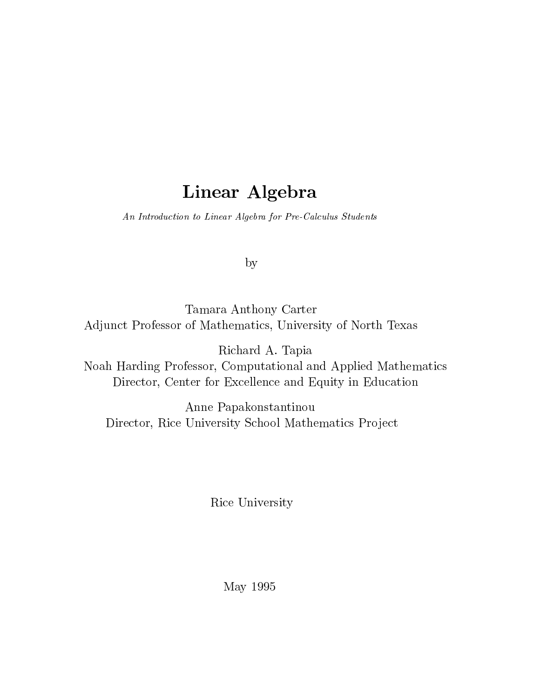# Linear Algebra

An Introduction to Linear Algebra for Pre-Calculus Students

by

Tamara Anthony Carter Adjunct Professor of Mathematics, University of North Texas

Richard A. Tapia Noah Harding Professor, Computational and Applied Mathematics Director, Center for Excellence and Equity in Education

Anne Papakonstantinou Director, Rice University School Mathematics Project

Rice University

May 1995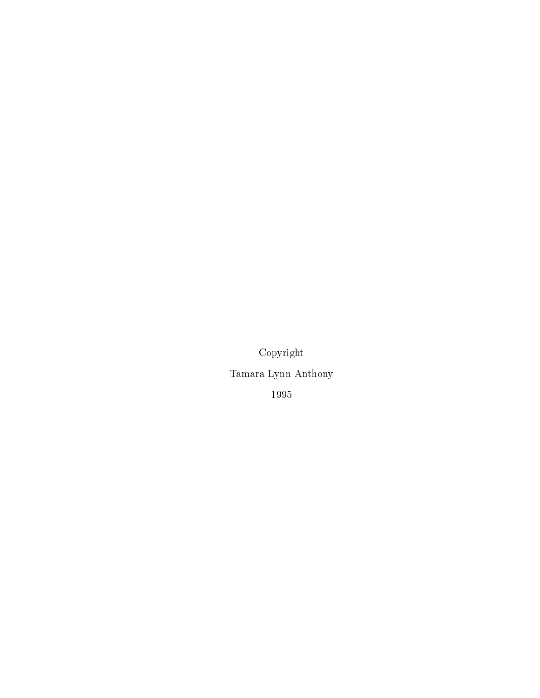Copyright Tamara Lynn Anthony 1995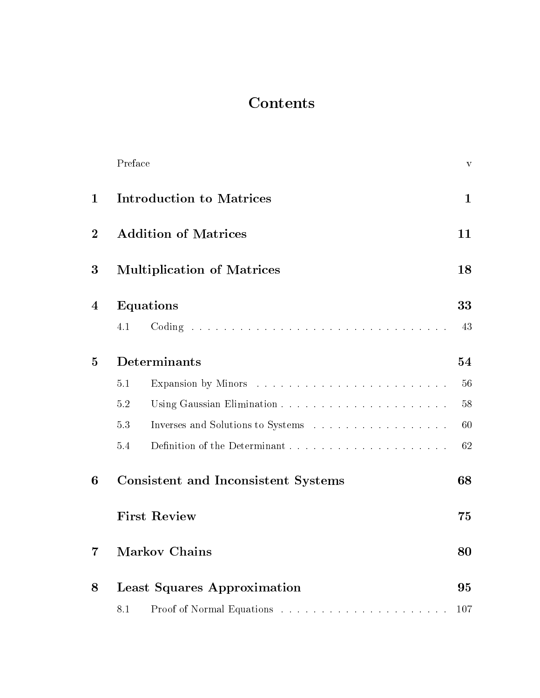# **Contents**

|                  | Preface                           |                                            | $\mathbf{V}$ |
|------------------|-----------------------------------|--------------------------------------------|--------------|
| $\mathbf{1}$     | <b>Introduction to Matrices</b>   | $\mathbf{1}$                               |              |
| $\overline{2}$   | <b>Addition of Matrices</b>       | 11                                         |              |
| 3                | <b>Multiplication of Matrices</b> | 18                                         |              |
| $\boldsymbol{4}$ |                                   | Equations                                  | 33           |
|                  | 4.1                               |                                            | 43           |
| $\bf{5}$         |                                   | Determinants                               | 54           |
|                  | 5.1                               |                                            | 56           |
|                  | 5.2                               |                                            | 58           |
|                  | 5.3                               |                                            | 60           |
|                  | 5.4                               |                                            | 62           |
| 6                |                                   | <b>Consistent and Inconsistent Systems</b> | 68           |
|                  |                                   | <b>First Review</b>                        | 75           |
| $\overline{7}$   | <b>Markov Chains</b>              | 80                                         |              |
| 8                |                                   | <b>Least Squares Approximation</b>         | 95           |
|                  | 8.1                               |                                            |              |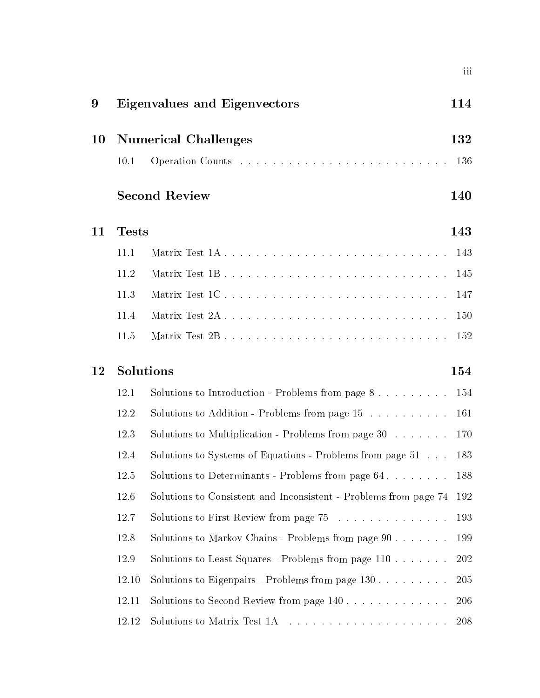| 9      |                             | Eigenvalues and Eigenvectors                                     | 114  |  |  |  |  |  |  |  |
|--------|-----------------------------|------------------------------------------------------------------|------|--|--|--|--|--|--|--|
| $10\,$ | <b>Numerical Challenges</b> |                                                                  |      |  |  |  |  |  |  |  |
|        | 10.1                        |                                                                  | 136  |  |  |  |  |  |  |  |
|        |                             | <b>Second Review</b>                                             | 140  |  |  |  |  |  |  |  |
| 11     | <b>Tests</b>                |                                                                  | 143  |  |  |  |  |  |  |  |
|        | 11.1                        |                                                                  | 143  |  |  |  |  |  |  |  |
|        | 11.2                        | Matrix Test 1B                                                   | 145  |  |  |  |  |  |  |  |
|        | 11.3                        | Matrix Test 1C                                                   | 147  |  |  |  |  |  |  |  |
|        | 11.4                        |                                                                  | 150  |  |  |  |  |  |  |  |
|        | 11.5                        |                                                                  | 152  |  |  |  |  |  |  |  |
| 12     |                             | Solutions                                                        | 154  |  |  |  |  |  |  |  |
|        | 12.1                        | Solutions to Introduction - Problems from page $8$               | 154  |  |  |  |  |  |  |  |
|        | 12.2                        | Solutions to Addition - Problems from page $15$                  | 161  |  |  |  |  |  |  |  |
|        | 12.3                        | Solutions to Multiplication - Problems from page $30$            | 170  |  |  |  |  |  |  |  |
|        | 12.4                        | Solutions to Systems of Equations - Problems from page 51        | 183  |  |  |  |  |  |  |  |
|        | 12.5                        | Solutions to Determinants - Problems from page 64 188            |      |  |  |  |  |  |  |  |
|        | 12.6                        | Solutions to Consistent and Inconsistent - Problems from page 74 | -192 |  |  |  |  |  |  |  |
|        | 12.7                        | Solutions to First Review from page 75                           | 193  |  |  |  |  |  |  |  |
|        | 12.8                        | Solutions to Markov Chains - Problems from page 90               | 199  |  |  |  |  |  |  |  |
|        | 12.9                        | Solutions to Least Squares - Problems from page 110              | 202  |  |  |  |  |  |  |  |
|        | 12.10                       | Solutions to Eigenpairs - Problems from page $130$               | 205  |  |  |  |  |  |  |  |
|        | 12.11                       | Solutions to Second Review from page 140                         | 206  |  |  |  |  |  |  |  |
|        | 12.12                       |                                                                  | 208  |  |  |  |  |  |  |  |

iii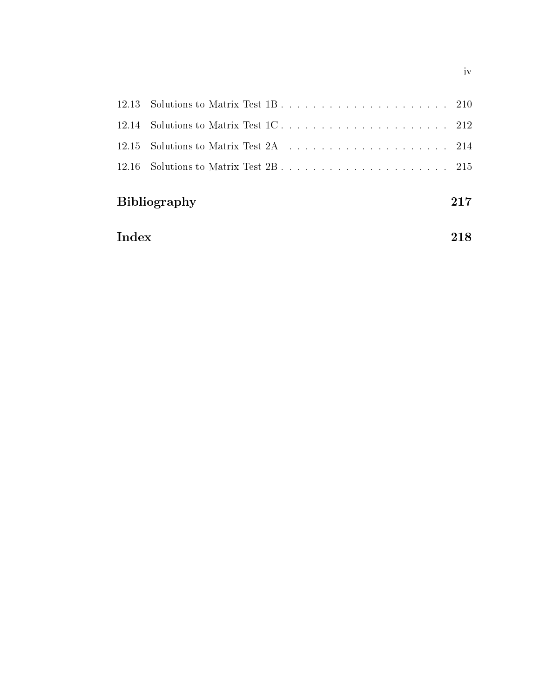| <b>Bibliography</b>                |  |  |  |  |  |  |  |  |  |  | 217 |
|------------------------------------|--|--|--|--|--|--|--|--|--|--|-----|
|                                    |  |  |  |  |  |  |  |  |  |  |     |
|                                    |  |  |  |  |  |  |  |  |  |  |     |
|                                    |  |  |  |  |  |  |  |  |  |  |     |
| 12.13 Solutions to Matrix Test 1B. |  |  |  |  |  |  |  |  |  |  |     |

| ndex | $218\,$ |
|------|---------|
|      |         |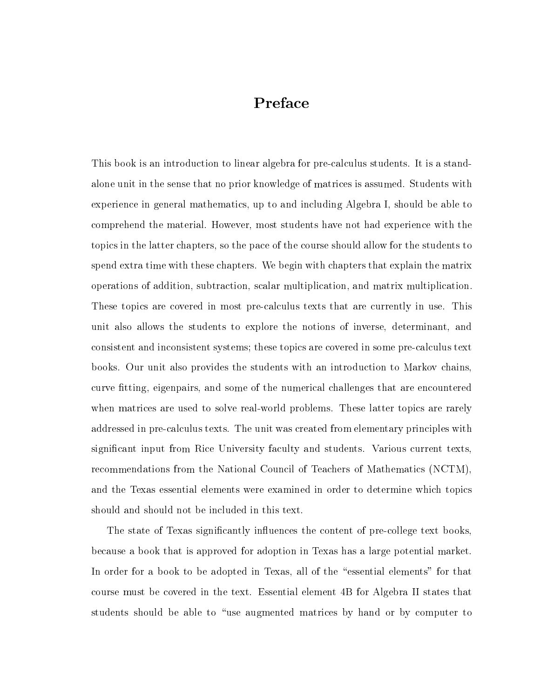## Preface

This book is an introduction to linear algebra for pre-calculus students. It is a standalone unit in the sense that no prior knowledge of matrices is assumed. Students with experience in general mathematics, up to and including Algebra I, should be able to comprehend the material. However, most students have not had experience with the topics in the latter chapters, so the pace of the course should allow for the students to spend extra time with these chapters. We begin with chapters that explain the matrix operations of addition, subtraction, scalar multiplication, and matrix multiplication. These topics are covered in most pre-calculus texts that are currently in use. This unit also allows the students to explore the notions of inverse, determinant, and consistent and inconsistent systems; these topics are covered in some pre-calculus text books. Our unit also provides the students with an introduction to Markov chains, curve fitting, eigenpairs, and some of the numerical challenges that are encountered when matrices are used to solve real-world problems. These latter topics are rarely addressed in pre-calculus texts. The unit was created from elementary principles with signicant input from Rice University faculty and students. Various current texts, recommendations from the National Council of Teachers of Mathematics (NCTM), and the Texas essential elements were examined in order to determine which topics should and should not be included in this text.

The state of Texas significantly influences the content of pre-college text books, because a book that is approved for adoption in Texas has a large potential market. In order for a book to be adopted in Texas, all of the "essential elements" for that course must be covered in the text. Essential element 4B for Algebra II states that students should be able to "use augmented matrices by hand or by computer to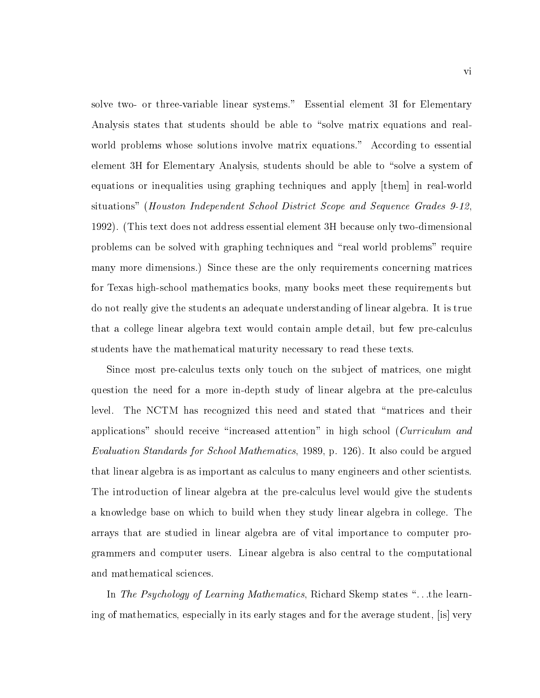solve two- or three-variable linear systems." Essential element 3I for Elementary Analysis states that students should be able to "solve matrix equations and realworld problems whose solutions involve matrix equations." According to essential element 3H for Elementary Analysis, students should be able to "solve a system of equations or inequalities using graphing techniques and apply [them] in real-world situations" (Houston Independent School District Scope and Sequence Grades 9-12, 1992). (This text does not address essential element 3H because only two-dimensional problems can be solved with graphing techniques and \real world problems" require many more dimensions.) Since these are the only requirements concerning matrices for Texas high-school mathematics books, many books meet these requirements but do not really give the students an adequate understanding of linear algebra. It is true that a college linear algebra text would contain ample detail, but few pre-calculus students have the mathematical maturity necessary to read these texts.

Since most pre-calculus texts only touch on the subject of matrices, one might question the need for a more in-depth study of linear algebra at the pre-calculus level. The NCTM has recognized this need and stated that \matrices and their applications" should receive "increased attention" in high school (Curriculum and Evaluation Standards for School Mathematics, 1989, p. 126). It also could be argued that linear algebra is as important as calculus to many engineers and other scientists. The introduction of linear algebra at the pre-calculus level would give the students a knowledge base on which to build when they study linear algebra in college. The arrays that are studied in linear algebra are of vital importance to computer programmers and computer users. Linear algebra is also central to the computational and mathematical sciences.

In The Psychology of Learning Mathematics, Richard Skemp states "...the learning of mathematics, especially in its early stages and for the average student, [is] very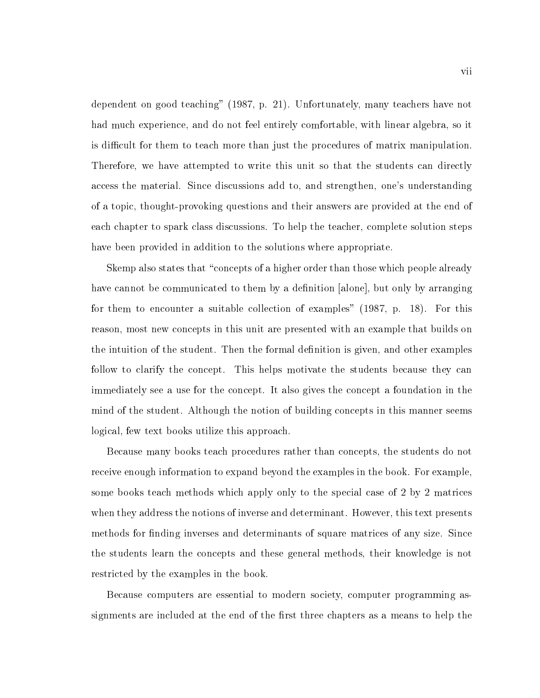dependent on good teaching" (1987, p. 21). Unfortunately, many teachers have not had much experience, and do not feel entirely comfortable, with linear algebra, so it is difficult for them to teach more than just the procedures of matrix manipulation. Therefore, we have attempted to write this unit so that the students can directly access the material. Since discussions add to, and strengthen, one's understanding of a topic, thought-provoking questions and their answers are provided atthe end of each chapter to spark class discussions. To help the teacher, complete solution steps have been provided in addition to the solutions where appropriate.

Skemp also states that "concepts of a higher order than those which people already have cannot be communicated to them by a definition [alone], but only by arranging for them to encounter a suitable collection of examples" (1987, p. 18). For this reason, most new concepts in this unit are presented with an example that builds on the intuition of the student. Then the formal definition is given, and other examples follow to clarify the concept. This helps motivate the students because they can immediately see a use for the concept. It also gives the concept a foundation in the mind of the student. Although the notion of building concepts in this manner seems logical, few text books utilize this approach.

Because many books teach procedures rather than concepts, the students do not receive enough information to expand beyond the examples in the book. For example, some books teach methods which apply only to the special case of 2 by 2 matrices when they address the notions of inverse and determinant. However, this text presents methods for finding inverses and determinants of square matrices of any size. Since the students learn the concepts and these general methods, their knowledge is not restricted by the examples in the book.

Because computers are essential to modern society, computer programming assignments are included at the end of the first three chapters as a means to help the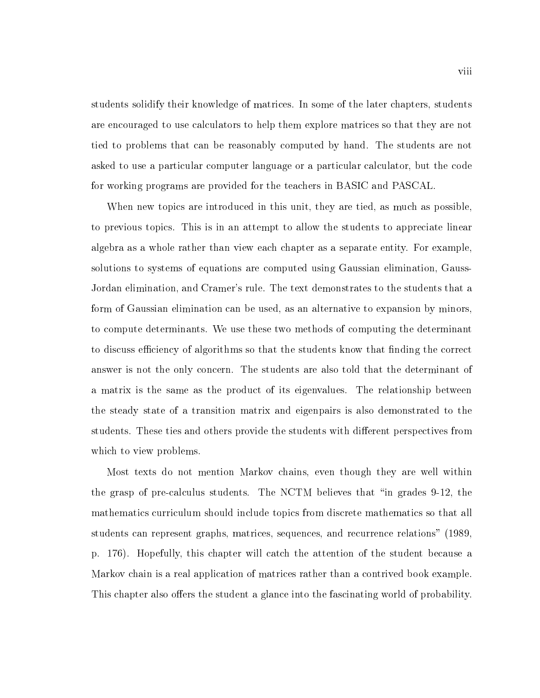students solidify their knowledge of matrices. In some of the later chapters, students are encouraged to use calculators to help them explore matrices so that they are not tied to problems that can be reasonably computed by hand. The students are not asked to use a particular computer language or a particular calculator, but the code for working programs are provided for the teachers in BASIC and PASCAL.

When new topics are introduced in this unit, they are tied, as much as possible, to previous topics. This is in an attempt to allow the students to appreciate linear algebra as a whole rather than view each chapter as a separate entity. For example, solutions to systems of equations are computed using Gaussian elimination, Gauss-Jordan elimination, and Cramer's rule. The text demonstrates to the students that a form of Gaussian elimination can be used, as an alternative to expansion by minors, to compute determinants. We use these two methods of computing the determinant to discuss efficiency of algorithms so that the students know that finding the correct answer is not the only concern. The students are also told that the determinant of a matrix is the same as the product of its eigenvalues. The relationship between the steady state of a transition matrix and eigenpairs is also demonstrated to the students. These ties and others provide the students with different perspectives from which to view problems.

Most texts do not mention Markov chains, even though they are well within the grasp of pre-calculus students. The NCTM believes that "in grades  $9-12$ , the mathematics curriculum should include topics from discrete mathematics so that all students can represent graphs, matrices, sequences, and recurrence relations" (1989, p. 176). Hopefully, this chapter will catch the attention of the student because a Markov chain is a real application of matrices rather than a contrived book example. This chapter also offers the student a glance into the fascinating world of probability.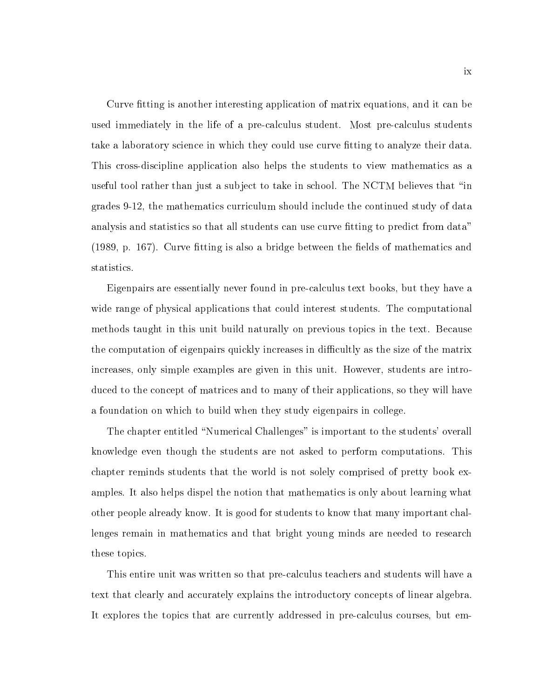Curve fitting is another interesting application of matrix equations, and it can be used immediately in the life of a pre-calculus student. Most pre-calculus students take a laboratory science in which they could use curve fitting to analyze their data. This cross-discipline application also helps the students to view mathematics as a useful tool rather than just a subject to take in school. The NCTM believes that "in grades 9-12, the mathematics curriculum should include the continued study of data analysis and statistics so that all students can use curve fitting to predict from data"  $(1989, p. 167)$ . Curve fitting is also a bridge between the fields of mathematics and statistics.

Eigenpairs are essentially never found in pre-calculus text books, but they have a wide range of physical applications that could interest students. The computational methods taught in this unit build naturally on previous topics in the text. Because the computation of eigenpairs quickly increases in difficultly as the size of the matrix increases, only simple examples are given in this unit. However, students are introduced to the concept of matrices and to many of their applications, so they will have a foundation on which to build when they study eigenpairs in college.

The chapter entitled "Numerical Challenges" is important to the students' overall knowledge even though the students are not asked to perform computations. This chapter reminds students that the world is not solely comprised of pretty book examples. It also helps dispel the notion that mathematics is only about learning what other people already know. It is good for students to know that many important challenges remain in mathematics and that bright young minds are needed to research these topics.

This entire unit was written so that pre-calculus teachers and students will have a text that clearly and accurately explains the introductory concepts of linear algebra. It explores the topics that are currently addressed in pre-calculus courses, but em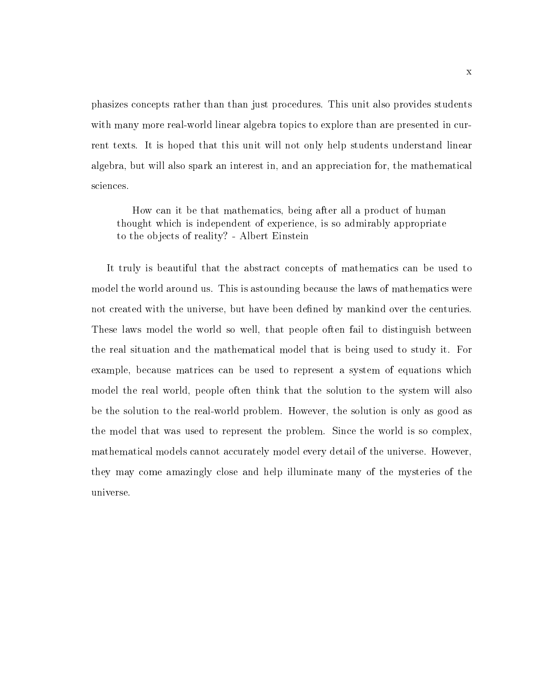phasizes concepts rather than than just procedures. This unit also provides students with many more real-world linear algebra topics to explore than are presented in current texts. It is hoped that this unit will not only help students understand linear algebra, but will also spark an interest in, and an appreciation for, the mathematical sciences.

How can it be that mathematics, being after all a product of human thought which is independent of experience, is so admirably appropriate to the objects of reality? - Albert Einstein

It truly is beautiful that the abstract concepts of mathematics can be used to model the world around us. This is astounding because the laws of mathematics were not created with the universe, but have been defined by mankind over the centuries. These laws model the world so well, that people often fail to distinguish between the real situation and the mathematical model that is being used to study it. For example, because matrices can be used to represent a system of equations which model the real world, people often think that the solution to the system will also be the solution to the real-world problem. However, the solution is only as good as the model that was used to represent the problem. Since the world is so complex, mathematical models cannot accurately model every detail of the universe. However, they may come amazingly close and help illuminate many of the mysteries of the universe.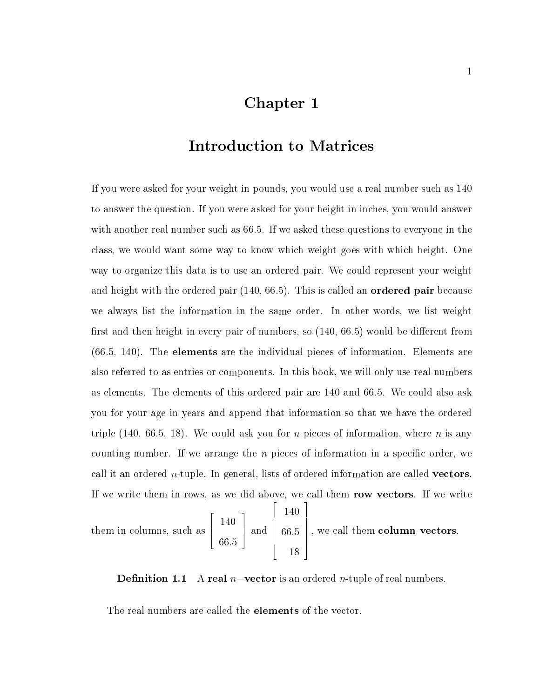### Chapter 1

### Introduction to Matrices

If you were asked for your weight in pounds, you would use a real number such as 140 to answer the question. If you were asked for your height in inches, you would answer with another real number such as 66.5. If we asked these questions to everyone in the class, we would want some way to know which weight goes with which height. One way to organize this data is to use an ordered pair. We could represent your weight and height with the ordered pair  $(140, 66.5)$ . This is called an **ordered pair** because we always list the information in the same order. In other words, we list weight first and then height in every pair of numbers, so  $(140, 66.5)$  would be different from  $(66.5, 140)$ . The **elements** are the individual pieces of information. Elements are also referred to as entries or components. In this book, we will only use real numbers as elements. The elements of this ordered pair are 140 and 66.5. We could also ask you for your age in years and append that information so that we have the ordered triple  $(140, 66.5, 18)$ . We could ask you for *n* pieces of information, where *n* is any counting number. If we arrange the  $n$  pieces of information in a specific order, we call it an ordered  $n$ -tuple. In general, lists of ordered information are called **vectors**. If we write them in rows, as we did above, we call them row vectors. If we write

the maximum state  $\mathbf{f}_\mathrm{max}$  is a such as a such as a such as a such as a such as a such as a such as a such as a such as a such as a such as  $\mathbf{f}_\mathrm{max}$ <u>2000 - 2000 - 2000 - 2000 - 2000 - 2000 - 2000 - 2000 - 2000 - 2000 - 2000 - 2000 - 2000 - 2000 - 2000 - 200</u> **1 a** <u>1408 - 1409 - 1409 - 1409 - 1409 - 1409 - 1409 - 1409 - 1409 - 1409 - 1409 - 1409 - 1409 - 1409 - 1409 - 140</u> 66:5 3  $\pm$  and  $\pm$  66.5  $\pm$  $\Bigg|\begin{array}{c} 66.5 \end{array}\Bigg|$  ,  $\cdot$  $\sim$  1400  $\sim$  1400  $\sim$  1400  $\sim$  1400  $\sim$  1400  $\sim$  1400  $\sim$  1400  $\sim$  1400  $\sim$  1400  $\sim$  1400  $\sim$  1400  $\sim$  1400  $\sim$  1400  $\sim$  1400  $\sim$  1400  $\sim$  1400  $\sim$  1400  $\sim$  1400  $\sim$  1400  $\sim$  1400  $\sim$  1400  $\sim$  1400 66:5 18  $\Big\}$ , we call

2

3

**Definition 1.1** A real  $n$ -vector is an ordered *n*-tuple of real numbers.

The real numbers are called the elements of the vector.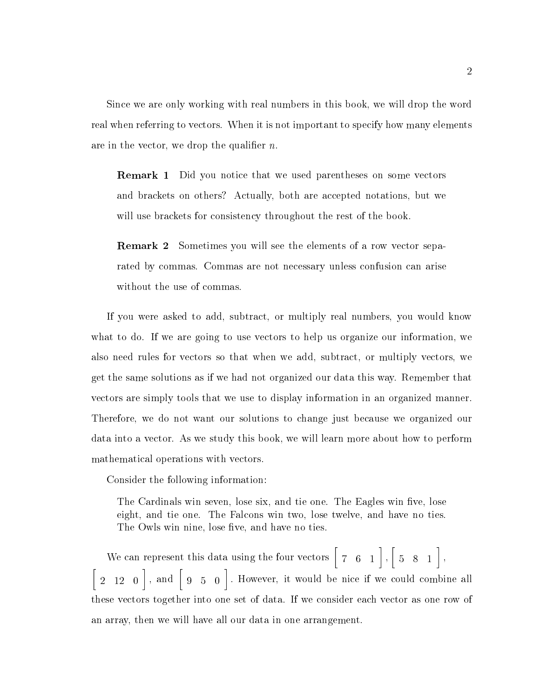Since we are only working with real numbers in this book, we will drop the word real when referring to vectors. When it is not important to specify how many elements are in the vector, we drop the qualifier  $n$ .

**Remark 1** Did you notice that we used parentheses on some vectors and brackets on others? Actually, both are accepted notations, but we will use brackets for consistency throughout the rest of the book.

**Remark 2** Sometimes you will see the elements of a row vector separated by commas. Commas are not necessary unless confusion can arise without the use of commas.

If you were asked to add, subtract, or multiply real numbers, you would know what to do. If we are going to use vectors to help us organize our information, we also need rules for vectors so that when we add, subtract, or multiply vectors, we get the same solutions as if we had not organized our data this way. Remember that vectors are simply tools that we use to display information in an organized manner. Therefore, we do not want our solutions to change just because we organized our data into a vector. As we study this book, we will learn more about how to perform mathematical operations with vectors.

Consider the following information:

The Cardinals win seven, lose six, and tie one. The Eagles win five, lose eight, and tie one. The Falcons win two, lose twelve, and have no ties. The Owls win nine, lose five, and have no ties.

We can represent this data using the four vectors  $\begin{bmatrix} 7 & 6 & 1 \end{bmatrix}$ ,  $\begin{bmatrix} 5 & 1 \end{bmatrix}$  $\begin{bmatrix} 1, 5, 8, 1 \end{bmatrix}$   $\overline{a}$  and  $\overline{a}$  and  $\overline{a}$  and  $\overline{a}$  and  $\overline{a}$  and  $\overline{a}$  and  $\overline{a}$  and  $\overline{a}$  and  $\overline{a}$  and  $\overline{a}$  and  $\overline{a}$  and  $\overline{a}$  and  $\overline{a}$  and  $\overline{a}$  and  $\overline{a}$  and  $\overline{a}$  and  $\overline{a}$  and 2  $12$  0  $\vert$  , and  $\vert$  9  $5$  0  $\vert$  . However, it would be nice if we could combine all these vectors together into one set of data. If we consider each vector as one row of an array, then we will have all our data in one arrangement.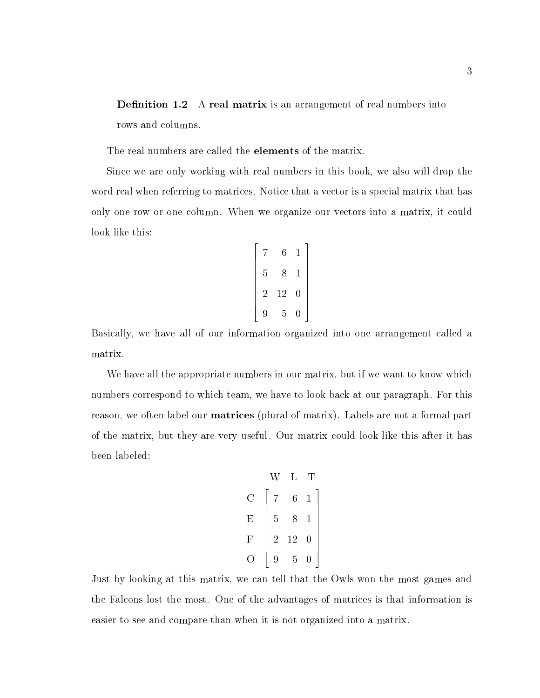**Definition 1.2** A real matrix is an arrangement of real numbers into rows and columns.

The real numbers are called the **elements** of the matrix.

Since we are only working with real numbers in this book, we also will drop the word real when referring to matrices. Notice that a vector is a special matrix that has only one row or one column. When we organize our vectors into a matrix, it could look like this:

$$
\begin{bmatrix} 7 & 6 & 1 \\ 5 & 8 & 1 \\ 2 & 12 & 0 \\ 9 & 5 & 0 \end{bmatrix}
$$

Basically, we have all of our information organized into one arrangement called a matrix.

We have all the appropriate numbers in our matrix, but if we want to know which numbers correspond to which team, we have to look back at our paragraph. For this reason, we often label our matrices (plural of matrix). Labels are not a formal part of the matrix, but they are very useful. Our matrix could look like this after it has been labeled:

| W | L                                                                                              | T |
|---|------------------------------------------------------------------------------------------------|---|
| C | \n $\begin{bmatrix}\n 7 & 6 & 1 \\  5 & 8 & 1 \\  2 & 12 & 0 \\  9 & 5 & 0\n \end{bmatrix}$ \n |   |

Just by looking at this matrix, we can tell that the Owls won the most games and the Falcons lost the most. One of the advantages of matrices is that information is easier to see and compare than when it is not organized into a matrix.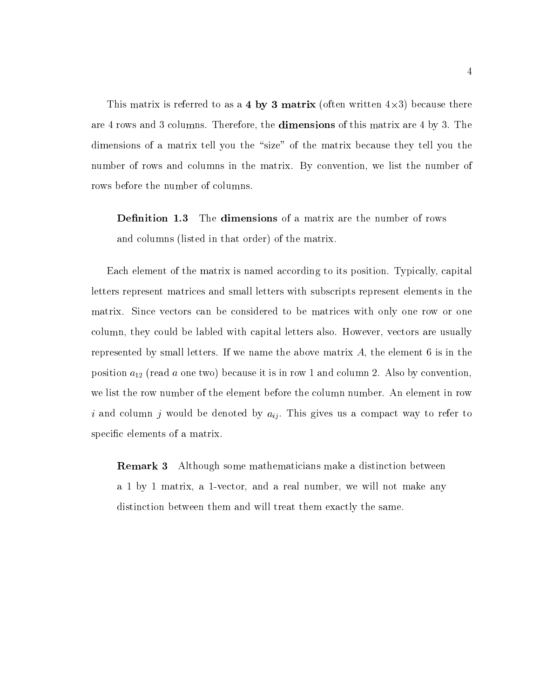$\blacksquare$  . This matrix is the as a  $\blacksquare$   $\blacksquare$   $\blacksquare$   $\blacksquare$   $\blacksquare$  . There are the  $\blacksquare$  . There are the  $\blacksquare$ are 4 rows and 3 columns. Therefore, the **dimensions** of this matrix are 4 by 3. The dimensions of a matrix tell you the "size" of the matrix because they tell you the number of rows and columns in the matrix. By convention, we list the number of rows before the number of columns.

**Definition 1.3** The dimensions of a matrix are the number of rows and columns (listed in that order) of the matrix.

Each element of the matrix is named according to its position. Typically, capital letters represent matrices and small letters with subscripts represent elements in the matrix. Since vectors can be considered to be matrices with only one row or one column, they could be labled with capital letters also. However, vectors are usually represented by small letters. If we name the above matrix  $A$ , the element 6 is in the position  $a_{12}$  (read a one two) because it is in row 1 and column 2. Also by convention, we list the row number of the element before the column number. An element in row i and column j would be denoted by  $a_{ij}$ . This gives us a compact way to refer to specific elements of a matrix.

Remark 3 Although some mathematicians make a distinction between a 1 by 1 matrix, a 1-vector, and a real number, we will not make any distinction between them and will treat them exactly the same.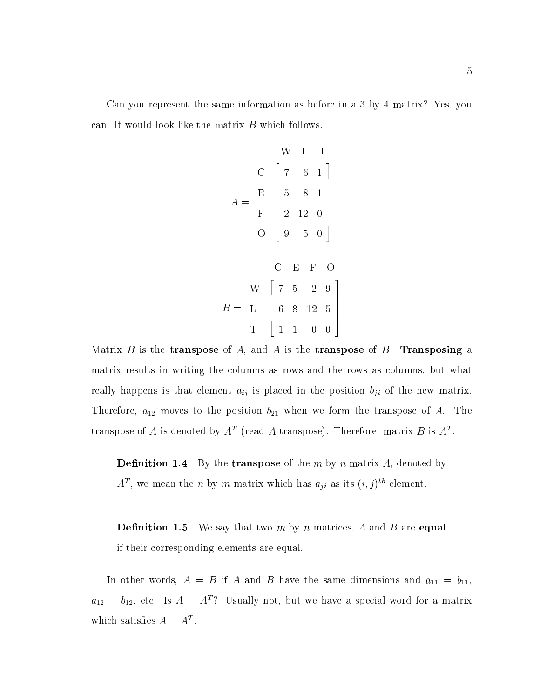Can you represent the same information asbefore in a 3 by 4 matrix? Yes, you can. It would look like the matrix  $B$  which follows.

A = C E F O 6 1 8 1 12 0 5 0 B = <sup>W</sup> L T 5 2 9 8 12 5 1 0 0 

Matrix B is the transpose of A, and A is the transpose of B. Transposing a matrix results in writing the columns as rows and the rows as columns, but what really happens is that element  $a_{ij}$  is placed in the position  $b_{ji}$  of the new matrix. Therefore,  $a_{12}$  moves to the position  $b_{21}$  when we form the transpose of A. The transpose of A is denoted by  $A^*$  (read A transpose). Therefore, matrix  $D$  is  $A^*$ .

**Definition 1.4** By the **transpose** of the m by n matrix A, denoted by  $A^*$ , we mean the n by m matrix which has  $a_{ii}$  as its  $(i, j)$ " element.

**Definition 1.5** We say that two m by n matrices, A and B are **equal** if their corresponding elements are equal.

In other words,  $A = B$  if A and B have the same dimensions and  $a_{11} = b_{11}$ ,  $a_{12} = b_{12}$ , etc. Is  $A = A<sup>T</sup>$ ? Usually not, but we have a special word for a matrix which satisfies  $A \equiv A$ .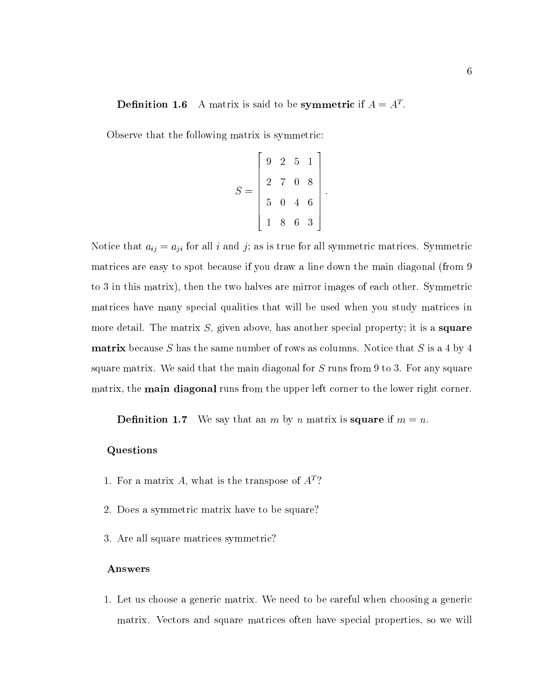#### **Demittion 1.6** A matrix is said to be symmetric if  $A \equiv A$ .

Observe that the following matrix is symmetric:

$$
S = \begin{bmatrix} 9 & 2 & 5 & 1 \\ 2 & 7 & 0 & 8 \\ 5 & 0 & 4 & 6 \\ 1 & 8 & 6 & 3 \end{bmatrix}.
$$

**2005 2006 2006 2006 2006** 

3

Notice that  $a_{ij} = a_{ji}$  for all i and j; as is true for all symmetric matrices. Symmetric matrices are easy to spot because if you draw a line down the main diagonal (from 9 to 3 in this matrix), then the two halves are mirror images of each other. Symmetric matrices have many special qualities that will be used when you study matrices in more detail. The matrix  $S$ , given above, has another special property; it is a **square matrix** because S has the same number of rows as columns. Notice that S is a 4 by 4 square matrix. We said that the main diagonal for S runs from 9 to 3. For any square matrix, the **main diagonal** runs from the upper left corner to the lower right corner.

**Definition 1.7** We say that an m by n matrix is **square** if  $m = n$ .

#### Questions

- 1. For a matrix A, what is the transpose of  $A<sup>T</sup>$ ?
- 2. Does a symmetric matrix have to be square?
- 3. Are all square matrices symmetric?

#### Answers

1. Let us choose a generic matrix. We need to be careful when choosing a generic matrix. Vectors and square matrices often have special properties, so we will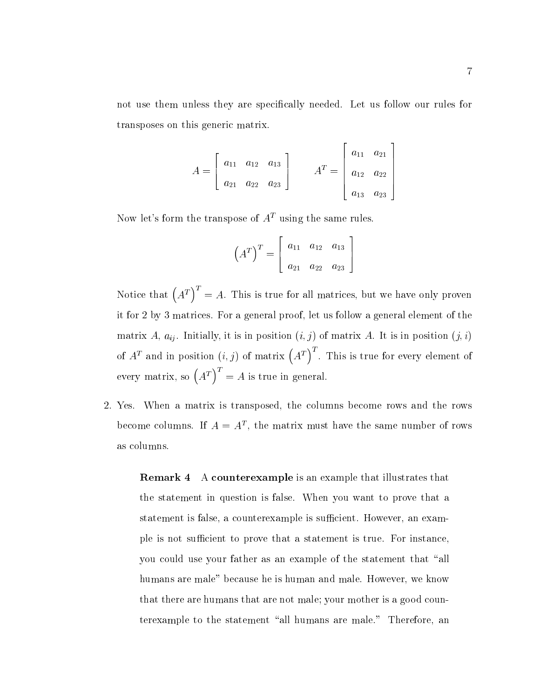not use them unless they are specically needed. Let us follow our rules for transposes on this generic matrix.

$$
A = \begin{bmatrix} a_{11} & a_{12} & a_{13} \\ a_{21} & a_{22} & a_{23} \end{bmatrix} \qquad A^{T} = \begin{bmatrix} a_{11} & a_{21} \\ a_{12} & a_{22} \\ a_{13} & a_{23} \end{bmatrix}
$$

 $\overline{2}$  2  $\overline{2}$  2  $\overline{2}$  2  $\overline{2}$  2  $\overline{2}$  2  $\overline{2}$  2  $\overline{2}$  2  $\overline{2}$  2  $\overline{2}$  2  $\overline{2}$  2  $\overline{2}$  2  $\overline{2}$  2  $\overline{2}$  2  $\overline{2}$  2  $\overline{2}$  2  $\overline{2}$  2  $\overline{2}$  2  $\overline{2}$  2  $\overline{2}$  2  $\overline{2}$  2

3

Now let's form the transpose of  $A<sup>T</sup>$  using the same rules.

$$
\left(A^T\right)^T = \left[\begin{array}{ccc} a_{11} & a_{12} & a_{13} \\ a_{21} & a_{22} & a_{23} \end{array}\right]
$$

Notice that  $\left(A^T\right)^T = A$ . This is true for all matrices, but we have only proven it for 2 by 3 matrices. For a general proof, let us follow a general element of the matrix A,  $a_{ij}$ . Initially, it is in position  $(i, j)$  of matrix A. It is in position  $(j, i)$ of  $A<sup>T</sup>$  and in position  $(i, j)$  of matrix  $(A<sup>T</sup>)<sup>T</sup>$ . This is true for every element of every matrix, so  $(A^T)^T = A$  is true in general.

2. Yes. When a matrix is transposed, the columns become rows and the rows become columns. If  $A \equiv A^*$ , the matrix must have the same number of rows as columns.

Remark 4 A counterexample is an example that illustrates that the statement in question is false. When you want to prove that a statement is false, a counterexample is sufficient. However, an example is not sufficient to prove that a statement is true. For instance, you could use your father as an example of the statement that "all humans are male" because he is human and male. However, we know that there are humans that are not male; your mother is a good counterexample to the statement "all humans are male." Therefore, an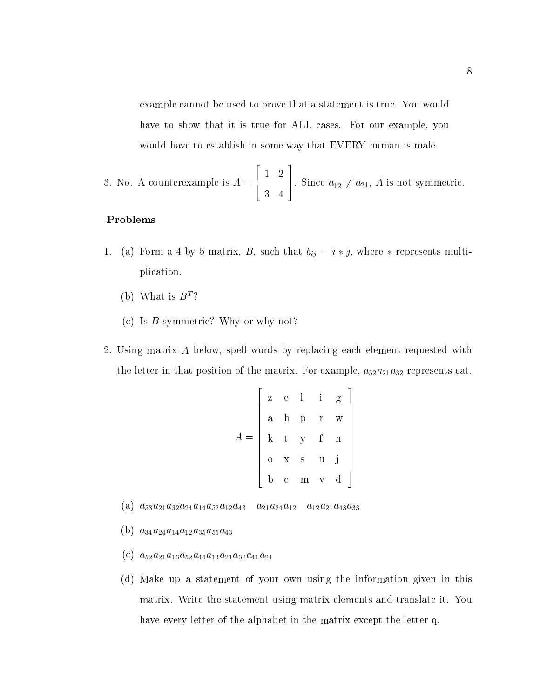example cannot be used to prove that a statement is true. You would have to show that it is true for ALL cases. For our example, you would have to establish in some way that EVERY human is male.

3

3. No. A counterexample is A = 6 4 1 2 3 4 . Since  $a_{12} \neq a_{21}$ , A is not symmetric.

22 Januari 2002 - 2003 - 2004 - 2005 - 2006 - 2007 - 2008 - 2008 - 2008 - 2008 - 2008 - 2008 - 2008 - 2008 - 20<br>2008 - 2008 - 2008 - 2008 - 2008 - 2008 - 2008 - 2008 - 2008 - 2008 - 2008 - 2008 - 2008 - 2008 - 2008 - 2008

#### Problems

- 1. (a) Form a 4 by 5 matrix, B, such that  $b_{ij} = i * j$ , where  $*$  represents multiplication.
	- (b) What is  $B^T$ ?
	- (c) Is  $B$  symmetric? Why or why not?
- 2. Using matrix A below, spell words by replacing each element requested with the letter in that position of the matrix. For example,  $a_{52}a_{21}a_{32}$  represents cat.

$$
A = \begin{bmatrix} z & e & 1 & i & g \\ a & h & p & r & w \\ k & t & y & f & n \\ o & x & s & u & j \\ b & c & m & v & d \end{bmatrix}
$$

- (a)  $a_{53}a_{21}a_{32}a_{24}a_{14}a_{52}a_{12}a_{43}$   $a_{21}a_{24}a_{12}$   $a_{12}a_{21}a_{43}a_{33}$
- (b)  $a_{34}a_{24}a_{14}a_{12}a_{35}a_{55}a_{43}$
- (c)  $a_{52}a_{21}a_{13}a_{52}a_{44}a_{13}a_{21}a_{32}a_{41}a_{24}$
- (d) Make up a statement of your own using the information given in this matrix. Write the statement using matrix elements and translate it. You have every letter of the alphabet in the matrix except the letter q.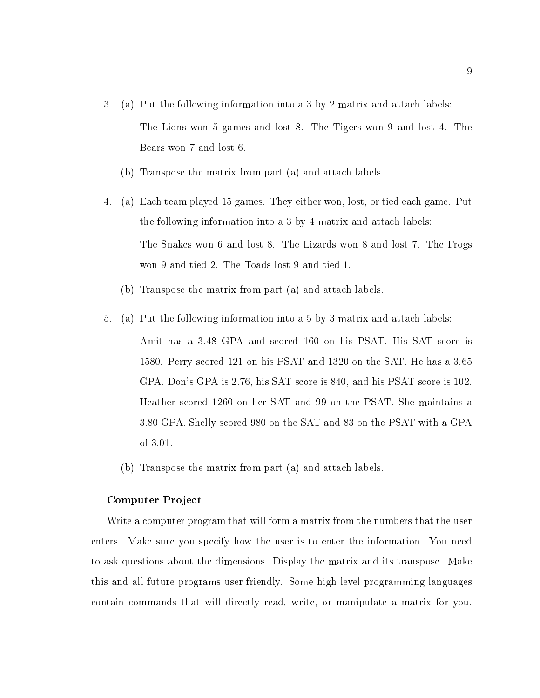- 3. (a) Put the following information into a 3 by 2 matrix and attach labels: The Lions won 5 games and lost 8. The Tigers won 9 and lost 4. The Bears won 7 and lost 6.
	- (b) Transpose the matrix from part (a) and attach labels.
- 4. (a) Each team played 15 games. They either won, lost, or tied each game. Put the following information into a 3 by 4 matrix and attach labels: The Snakes won 6 and lost 8. The Lizards won 8 and lost 7. The Frogs won 9 and tied 2. The Toads lost 9 and tied 1.
	- (b) Transpose the matrix from part (a) and attach labels.
- 5. (a) Put the following information into a 5 by 3 matrix and attach labels: Amit has a 3.48 GPA and scored 160 on his PSAT. His SAT score is 1580. Perry scored 121 on his PSAT and 1320 on the SAT. He has a 3.65 GPA. Don's GPA is 2.76, his SAT score is 840, and his PSAT score is 102. Heather scored 1260 on her SAT and 99 on the PSAT. She maintains a 3.80 GPA. Shelly scored 980 on the SAT and 83 on the PSAT with a GPA of 3.01.
	- (b) Transpose the matrix from part (a) and attach labels.

#### Computer Project

Write a computer program that will form a matrix from the numbers that the user enters. Make sure you specify how the user is to enter the information. You need to ask questions about the dimensions. Display the matrix and its transpose. Make this and all future programs user-friendly. Some high-level programming languages contain commands that will directly read, write, or manipulate a matrix for you.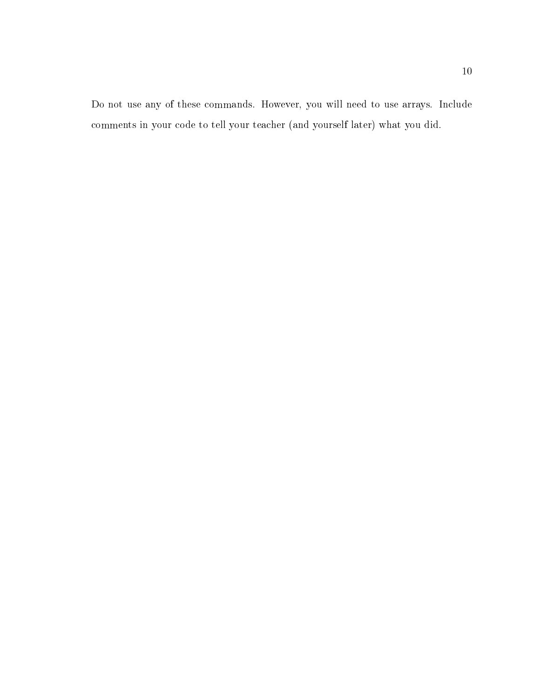Do not use any of these commands. However, you will need to use arrays. Include comments in your code to tell your teacher (and yourself later) what you did.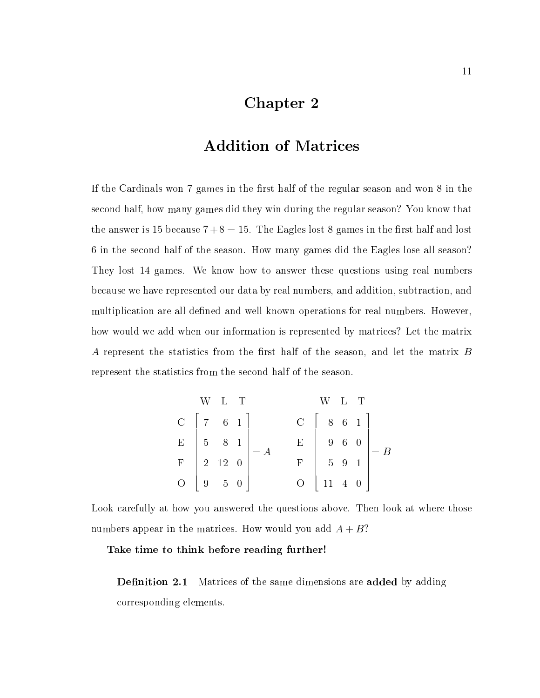### Chapter 2

### Addition of Matrices

If the Cardinals won 7 games in the first half of the regular season and won 8 in the second half, how many games did they win during the regular season? You know that the answer is 15 because  $7+8=15$ . The Eagles lost 8 games in the first half and lost in the second half of the season. How many games did the Eagles lose all season? They lost 14 games. We know how to answer these questions using real numbers because we have represented our data by real numbers, and addition, subtraction, and multiplication are all defined and well-known operations for real numbers. However, how would we add when our information is represented by matrices? Let the matrix A represent the statistics from the first half of the season, and let the matrix  $B$ represent the statistics from the second half of the season.

|                                               | W L T |                                                                         |                | W L T                |  |                                                                             |
|-----------------------------------------------|-------|-------------------------------------------------------------------------|----------------|----------------------|--|-----------------------------------------------------------------------------|
|                                               |       | $C$   7 6 1   $C$   8 6 1                                               |                |                      |  |                                                                             |
|                                               |       | $\begin{array}{c cc}\nE & 5 & 8 & 1 \\ F & 2 & 12 & 0\n\end{array}$ = A | $\mathbf{E}$   |                      |  | $\begin{array}{c c c c c} & 9 & 6 & 0 & 0 \\ & 5 & 9 & 1 & \end{array}$ = B |
|                                               |       |                                                                         |                |                      |  |                                                                             |
| $\begin{array}{c} \circ \\ \circ \end{array}$ |       | $\begin{array}{ccc} 1 & 9 & 5 & 0 \end{array}$                          | $\overline{O}$ | $11 \quad 4 \quad 0$ |  |                                                                             |

Look carefully at how you answered the questions above. Then look at where those numbers appear in the matrices. How would you add  $A + B$ ?

#### Take time to think before reading further!

**Definition 2.1** Matrices of the same dimensions are **added** by adding corresponding elements.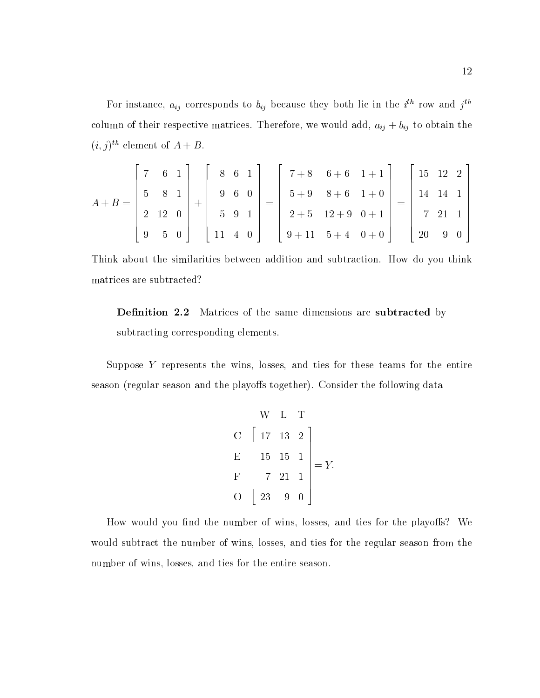For instance,  $a_{ij}$  corresponds to  $v_{ij}$  because they both he in the  $i$  -row and  $j$ column of their respective matrices. Therefore, we would add,  $a_{ij} + b_{ij}$  to obtain the  $(i, j)$  element of  $A + D$ .

$$
A + B = \begin{bmatrix} 7 & 6 & 1 \\ 5 & 8 & 1 \\ 2 & 12 & 0 \\ 9 & 5 & 0 \end{bmatrix} + \begin{bmatrix} 8 & 6 & 1 \\ 9 & 6 & 0 \\ 5 & 9 & 1 \\ 11 & 4 & 0 \end{bmatrix} = \begin{bmatrix} 7+8 & 6+6 & 1+1 \\ 5+9 & 8+6 & 1+0 \\ 2+5 & 12+9 & 0+1 \\ 9+11 & 5+4 & 0+0 \end{bmatrix} = \begin{bmatrix} 15 & 12 & 2 \\ 14 & 14 & 1 \\ 7 & 21 & 1 \\ 20 & 9 & 0 \end{bmatrix}
$$

Think about the similarities between addition and subtraction. How do you think matrices are subtracted?

**Definition 2.2** Matrices of the same dimensions are **subtracted** by subtracting corresponding elements.

Suppose Y represents the wins, losses, and ties for these teams for the entire season (regular season and the playoffs together). Consider the following data

| $\begin{bmatrix}\n W & L & T \\  C & 17 & 13 & 2 \\  E & 15 & 15 & 1 \\  F & 7 & 21 & 1 \\  O & 23 & 9 & 0\n \end{bmatrix}$ | = $Y$ . |
|-----------------------------------------------------------------------------------------------------------------------------|---------|
|-----------------------------------------------------------------------------------------------------------------------------|---------|

How would you find the number of wins, losses, and ties for the playoffs? We would subtract the number of wins, losses, and ties for the regular season from the number of wins, losses, and ties for the entire season.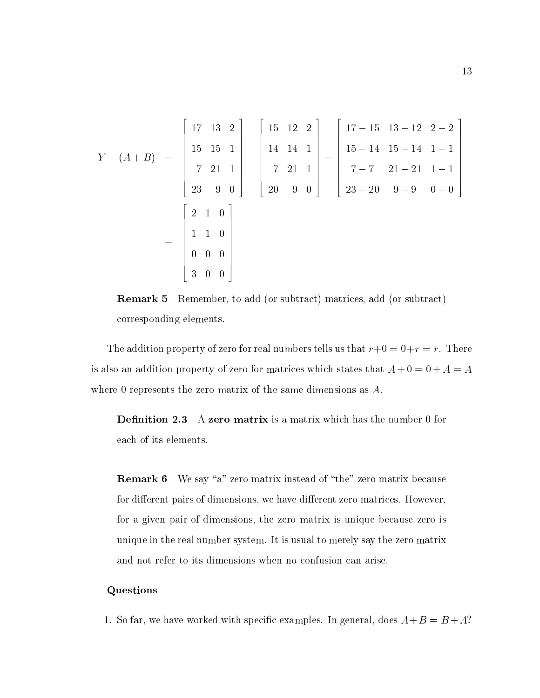$$
Y - (A + B) = \begin{bmatrix} 17 & 13 & 2 \\ 15 & 15 & 1 \\ 7 & 21 & 1 \\ 23 & 9 & 0 \end{bmatrix} - \begin{bmatrix} 15 & 12 & 2 \\ 14 & 14 & 1 \\ 7 & 21 & 1 \\ 20 & 9 & 0 \end{bmatrix} = \begin{bmatrix} 17 - 15 & 13 - 12 & 2 - 2 \\ 15 - 14 & 15 - 14 & 1 - 1 \\ 7 - 7 & 21 - 21 & 1 - 1 \\ 23 - 20 & 9 - 9 & 0 - 0 \end{bmatrix}
$$

$$
= \begin{bmatrix} 2 & 1 & 0 \\ 1 & 1 & 0 \\ 0 & 0 & 0 \\ 3 & 0 & 0 \end{bmatrix}
$$



The addition property of zero for real numbers tells us that  $r+0 = 0+r = r$ . There is also an addition property of zero for matrices which states that  $A + 0 = 0 + A = A$ where 0 represents the zero matrix of the same dimensions as A.

**Definition 2.3** A zero matrix is a matrix which has the number 0 for each of its elements.

**Remark 6** We say "a" zero matrix instead of "the" zero matrix because for different pairs of dimensions, we have different zero matrices. However, for a given pair of dimensions, the zero matrix is unique because zero is unique in the real number system. It is usual to merely say the zero matrix and not refer to its dimensions when no confusion can arise.

#### Questions

1. So far, we have worked with specific examples. In general, does  $A+B = B + A$ ?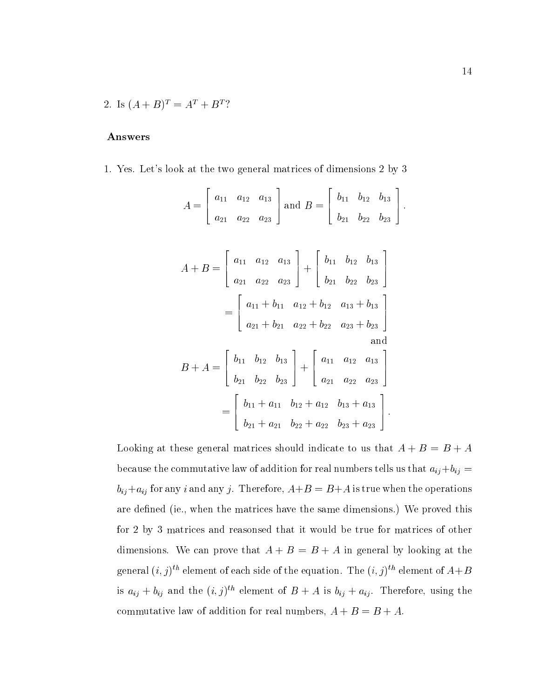2. Is  $(A + B)^{T} = A^{T} + B^{T}$ ?

#### Answers

1. Yes. Let's look at the two general matrices of dimensions 2 by 3

$$
A = \begin{bmatrix} a_{11} & a_{12} & a_{13} \ a_{21} & a_{22} & a_{23} \end{bmatrix} \text{ and } B = \begin{bmatrix} b_{11} & b_{12} & b_{13} \ b_{21} & b_{22} & b_{23} \end{bmatrix}.
$$
  
\n
$$
A + B = \begin{bmatrix} a_{11} & a_{12} & a_{13} \ a_{21} & a_{22} & a_{23} \end{bmatrix} + \begin{bmatrix} b_{11} & b_{12} & b_{13} \ b_{21} & b_{22} & b_{23} \end{bmatrix}
$$
  
\n
$$
= \begin{bmatrix} a_{11} + b_{11} & a_{12} + b_{12} & a_{13} + b_{13} \ a_{21} + b_{21} & a_{22} + b_{22} & a_{23} + b_{23} \end{bmatrix}
$$
and  
\n
$$
B + A = \begin{bmatrix} b_{11} & b_{12} & b_{13} \ b_{21} & b_{22} & b_{23} \end{bmatrix} + \begin{bmatrix} a_{11} & a_{12} & a_{13} \ a_{21} & a_{22} & a_{23} \end{bmatrix}
$$
  
\n
$$
= \begin{bmatrix} b_{11} + a_{11} & b_{12} + a_{12} & b_{13} + a_{13} \ b_{21} + a_{21} & b_{22} + a_{22} & b_{23} + a_{23} \end{bmatrix}.
$$

Looking at these general matrices should indicate to us that  $A + B = B + A$ because the commutative law of addition for real numbers tells us that  $a_{ij}+b_{ij}$  =  $b_{ij}+a_{ij}$  for any i and any j. Therefore,  $A+B = B+A$  is true when the operations are defined (ie., when the matrices have the same dimensions.) We proved this for 2 by 3 matrices and reasonsed that it would be true for matrices of other dimensions. We can prove that  $A + B = B + A$  in general by looking at the general  $(i, j)$  " element of each side of the equation. The  $(i, j)$  " element of  $A + D$ is  $a_{ij} + b_{ij}$  and the  $(i, j)$  element of  $B + A$  is  $b_{ij} + a_{ij}$ . Therefore, using the commutative law of addition for real numbers,  $A + B = B + A$ .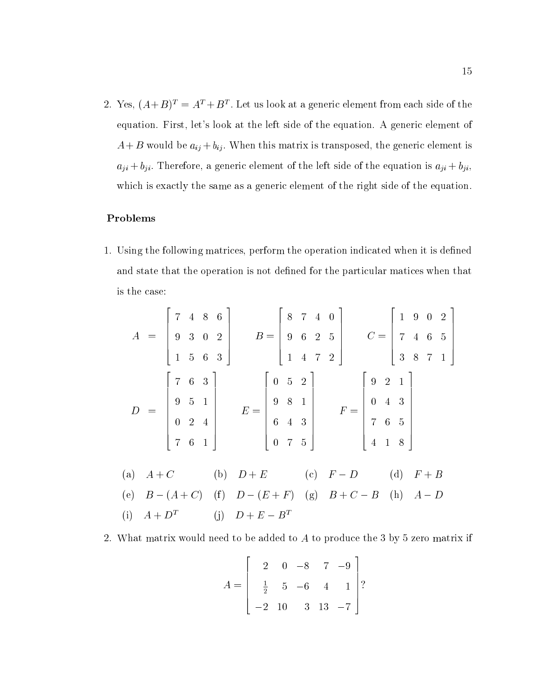2. Yes,  $(A + B)$  =  $A$  +  $D$  . Let us look at a generic element from each side of the equation. First, let's look at the left side of the equation. A generic element of  $A + B$  would be  $a_{ij} + b_{ij}$ . When this matrix is transposed, the generic element is  $a_{ji} + b_{ji}$ . Therefore, a generic element of the left side of the equation is  $a_{ji} + b_{ji}$ , which is exactly the same as a generic element of the right side of the equation.

### Problems

1. Using the following matrices, perform the operation indicated when it is defined and state that the operation is not defined for the particular matices when that is the case:

|  |  |                                                                                                                                                                                                                                                                |  |  | $A = \begin{bmatrix} 7 & 4 & 8 & 6 \\ 9 & 3 & 0 & 2 \\ 1 & 5 & 6 & 3 \end{bmatrix}$ $B = \begin{bmatrix} 8 & 7 & 4 & 0 \\ 9 & 6 & 2 & 5 \\ 1 & 4 & 7 & 2 \end{bmatrix}$ $C = \begin{bmatrix} 1 & 9 & 0 & 2 \\ 7 & 4 & 6 & 5 \\ 3 & 8 & 7 & 1 \end{bmatrix}$ |  |  |  |  |  |  |  |  |  |
|--|--|----------------------------------------------------------------------------------------------------------------------------------------------------------------------------------------------------------------------------------------------------------------|--|--|-------------------------------------------------------------------------------------------------------------------------------------------------------------------------------------------------------------------------------------------------------------|--|--|--|--|--|--|--|--|--|
|  |  |                                                                                                                                                                                                                                                                |  |  |                                                                                                                                                                                                                                                             |  |  |  |  |  |  |  |  |  |
|  |  |                                                                                                                                                                                                                                                                |  |  |                                                                                                                                                                                                                                                             |  |  |  |  |  |  |  |  |  |
|  |  | $D = \begin{bmatrix} 7 & 6 & 3 \\ 9 & 5 & 1 \\ 0 & 2 & 4 \\ 7 & 6 & 1 \end{bmatrix}$ $E = \begin{bmatrix} 0 & 5 & 2 \\ 9 & 8 & 1 \\ 6 & 4 & 3 \\ 0 & 7 & 5 \end{bmatrix}$ $F = \begin{bmatrix} 9 & 2 & 1 \\ 0 & 4 & 3 \\ 7 & 6 & 5 \\ 4 & 1 & 8 \end{bmatrix}$ |  |  |                                                                                                                                                                                                                                                             |  |  |  |  |  |  |  |  |  |
|  |  |                                                                                                                                                                                                                                                                |  |  |                                                                                                                                                                                                                                                             |  |  |  |  |  |  |  |  |  |
|  |  |                                                                                                                                                                                                                                                                |  |  |                                                                                                                                                                                                                                                             |  |  |  |  |  |  |  |  |  |
|  |  |                                                                                                                                                                                                                                                                |  |  |                                                                                                                                                                                                                                                             |  |  |  |  |  |  |  |  |  |
|  |  |                                                                                                                                                                                                                                                                |  |  | (a) $A + C$ (b) $D + E$ (c) $F - D$ (d) $F + B$                                                                                                                                                                                                             |  |  |  |  |  |  |  |  |  |
|  |  |                                                                                                                                                                                                                                                                |  |  | (e) $B - (A + C)$ (f) $D - (E + F)$ (g) $B + C - B$ (h) $A - D$                                                                                                                                                                                             |  |  |  |  |  |  |  |  |  |
|  |  |                                                                                                                                                                                                                                                                |  |  | (i) $A + D^T$ (j) $D + E - B^T$                                                                                                                                                                                                                             |  |  |  |  |  |  |  |  |  |

2. What matrix would need to be added to A to produce the 3 by 5 zero matrix if

$$
A = \begin{bmatrix} 2 & 0 & -8 & 7 & -9 \\ \frac{1}{2} & 5 & -6 & 4 & 1 \\ -2 & 10 & 3 & 13 & -7 \end{bmatrix}
$$
?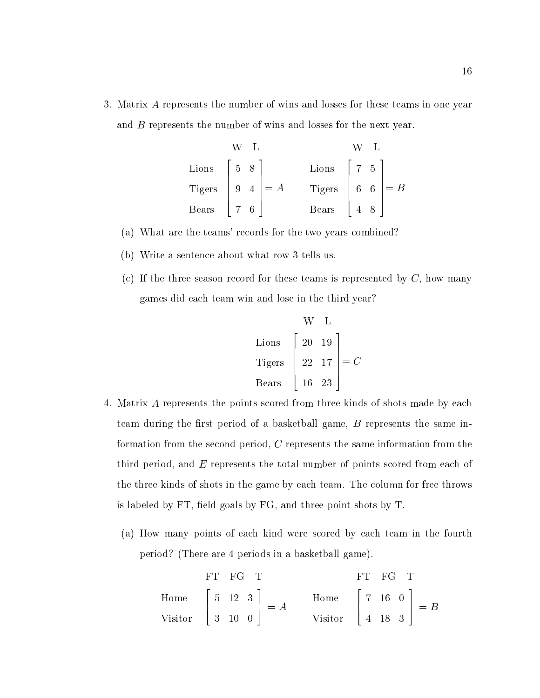3. Matrix A represents the number of wins and losses for these teams in one year and B represents the number of wins and losses for the next year.

| W L   | W L                                                             |       |                                                                           |
|-------|-----------------------------------------------------------------|-------|---------------------------------------------------------------------------|
| Lions | \n $\begin{bmatrix}\n 5 & 8 \\  9 & 4\n \end{bmatrix}\n = A$ \n | Lions | \n $\begin{bmatrix}\n 7 & 5 \\  6 & 6 \\  4 & 8\n \end{bmatrix}\n = B$ \n |
| Bears | \n $\begin{bmatrix}\n 7 & 6\n \end{bmatrix}$ \n                 | Bears | \n $\begin{bmatrix}\n 4 & 8\n \end{bmatrix}$ \n                           |

- (a) What are the teams' records for the two years combined?
- (b) Write a sentence about what row 3 tells us.
- (c) If the three season record for these teams is represented by  $C$ , how many games did each team win and lose in the third year?

| W     | L                                                                               |
|-------|---------------------------------------------------------------------------------|
| Lions | \n $\begin{bmatrix}\n 20 & 19 \\  22 & 17 \\  16 & 23\n \end{bmatrix}\n = C$ \n |

- 4. Matrix A represents the points scored from three kinds of shots made by each team during the first period of a basketball game,  $B$  represents the same information from the second period, C represents the same information from the third period, and  $E$  represents the total number of points scored from each of the three kinds of shots in the game by each team. The column for free throws is labeled by  $FT$ , field goals by  $FG$ , and three-point shots by  $T$ .
	- (a) How many points of each kind were scored by each team in the fourth period? (There are 4 periods in a basketball game).

| FT   | FG                                                                        | TT   | FG                                                                        | T |
|------|---------------------------------------------------------------------------|------|---------------------------------------------------------------------------|---|
| Home | \n $\begin{bmatrix}\n 5 & 12 & 3 \\  3 & 10 & 0\n \end{bmatrix}\n = A$ \n | Home | \n $\begin{bmatrix}\n 7 & 16 & 0 \\  4 & 18 & 3\n \end{bmatrix}\n = B$ \n |   |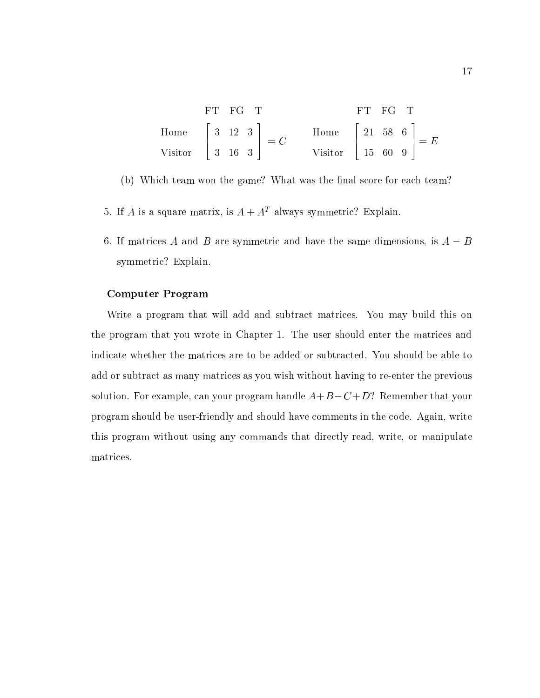| FT FG T |  |                                                                                                                                                   | FT FG T |  |  |
|---------|--|---------------------------------------------------------------------------------------------------------------------------------------------------|---------|--|--|
|         |  | Home $\begin{bmatrix} 3 & 12 & 3 \end{bmatrix}$ = C Home $\begin{bmatrix} 21 & 58 & 6 \end{bmatrix}$ = E                                          |         |  |  |
|         |  | Visitor $\begin{bmatrix} 3 & 16 & 3 \end{bmatrix}$ $\begin{bmatrix} -6 & 0 & 0 \end{bmatrix}$ Visitor $\begin{bmatrix} 15 & 60 & 9 \end{bmatrix}$ |         |  |  |

(b) Which team won the game? What was the final score for each team?

- 5. If A is a square matrix, is  $A + A<sup>T</sup>$  always symmetric? Explain.
- 6. If matrices A and B are symmetric and have the same dimensions, is  $A B$ symmetric? Explain.

#### Computer Program

Write a program that will add and subtract matrices. You may build this on the program that you wrote in Chapter 1. The user should enter the matrices and indicate whether the matrices are to be added or subtracted. You should be able to add or subtract as many matrices as you wish without having to re-enter the previous solution. For example, can your program handle  $A+B-C+D$ ? Remember that your program should be user-friendly and should have comments in the code. Again, write this program without using any commands that directly read, write, or manipulate matrices.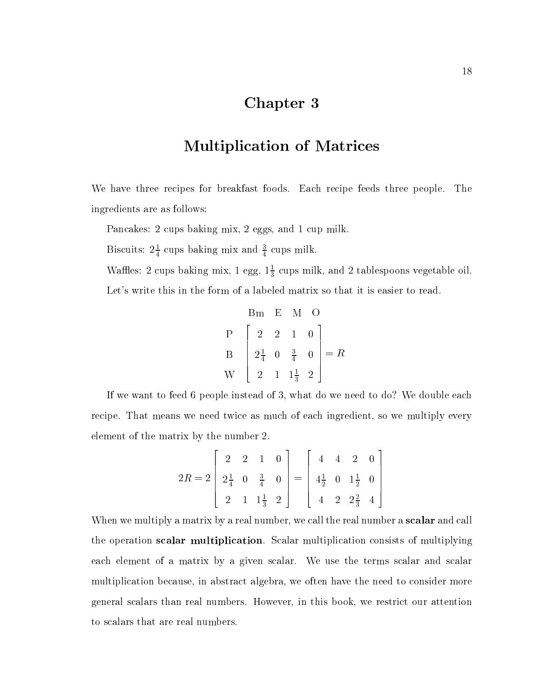### Chapter 3

### Multiplication of Matrices

We have three recipes for breakfast foods. Each recipe feeds three people. The ingredients are as follows:

Pancakes: 2 cups baking mix, 2 eggs, and 1 cup milk.

Biscuits:  $2\frac{1}{4}$  cups baking mix and  $\frac{1}{4}$  cups milk.

wames: 2 cups baking mix, 1 egg,  $1\frac{2}{3}$  cups milk, and 2 tablespoons vegetable oil.

Let's write this in the form of a labeled matrix so that it is easier to read.

$$
\begin{bmatrix}\n\text{Bm} & \text{E} & \text{M} & \text{O} \\
\text{P} & 2 & 2 & 1 & 0 \\
\text{B} & 2\frac{1}{4} & 0 & \frac{3}{4} & 0 \\
\text{W} & 2 & 1 & 1\frac{1}{3} & 2\n\end{bmatrix} = R
$$

If we want to feed 6 people instead of 3, what do we need to do? We double each recipe. That means we need twice as much of each ingredient, so we multiply every element of the matrix by the number 2.

$$
2R = 2\begin{bmatrix} 2 & 2 & 1 & 0 \\ 2\frac{1}{4} & 0 & \frac{3}{4} & 0 \\ 2 & 1 & 1\frac{1}{3} & 2 \end{bmatrix} = \begin{bmatrix} 4 & 4 & 2 & 0 \\ 4\frac{1}{2} & 0 & 1\frac{1}{2} & 0 \\ 4 & 2 & 2\frac{2}{3} & 4 \end{bmatrix}
$$

When we multiply a matrix by a real number, we call the real number a **scalar** and call the operation scalar multiplication. Scalar multiplication consists of multiplying each element of a matrix by a given scalar. We use the terms scalar and scalar multiplication because, in abstract algebra, we often have the need to consider more general scalars than real numbers. However, in this book, we restrict our attention to scalars that are real numbers.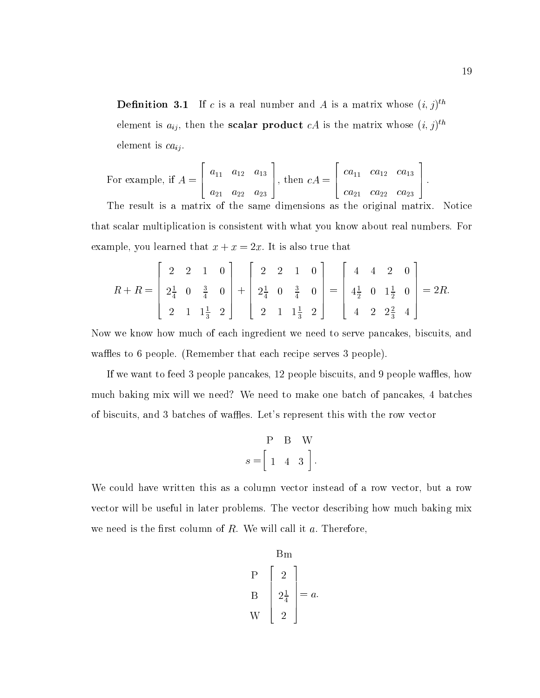**Definition 3.1** If c is a real number and A is a matrix whose  $(i, j)$ element is  $a_{ij}$ , then the **scalar product**  $c$  is the matrix whose  $(i, j)$ element is  $ca_{ii}$ .

For example, if 
$$
A = \begin{bmatrix} a_{11} & a_{12} & a_{13} \ a_{21} & a_{22} & a_{23} \end{bmatrix}
$$
, then  $cA = \begin{bmatrix} ca_{11} & ca_{12} & ca_{13} \ ca_{21} & ca_{22} & ca_{23} \end{bmatrix}$ .  
The result is a matrix of the sense dimension as the original matrix.

The result is a matrix of the same dimensions as the original matrix. Notice that scalar multiplication is consistent with what you know about real numbers. For example, you learned that  $x + x = 2x$ . It is also true that

$$
R + R = \begin{bmatrix} 2 & 2 & 1 & 0 \\ 2\frac{1}{4} & 0 & \frac{3}{4} & 0 \\ 2 & 1 & 1\frac{1}{3} & 2 \end{bmatrix} + \begin{bmatrix} 2 & 2 & 1 & 0 \\ 2\frac{1}{4} & 0 & \frac{3}{4} & 0 \\ 2 & 1 & 1\frac{1}{3} & 2 \end{bmatrix} = \begin{bmatrix} 4 & 4 & 2 & 0 \\ 4\frac{1}{2} & 0 & 1\frac{1}{2} & 0 \\ 4 & 2 & 2\frac{2}{3} & 4 \end{bmatrix} = 2R.
$$

Now we know how much of each ingredient we need to serve pancakes, biscuits, and waffles to 6 people. (Remember that each recipe serves 3 people).

If we want to feed 3 people pancakes, 12 people biscuits, and 9 people waffles, how much baking mix will we need? We need to make one batch of pancakes, 4 batches of biscuits, and 3 batches of waffles. Let's represent this with the row vector

$$
P \quad B \quad W
$$

$$
s = \begin{bmatrix} 1 & 4 & 3 \end{bmatrix}.
$$

We could have written this as a column vector instead of a row vector, but a row vector will be useful in later problems. The vector describing how much baking mix we need is the first column of  $R$ . We will call it  $a$ . Therefore,

$$
\begin{bmatrix}\n\text{Bm} \\
\text{P} \\
\text{B} \\
2\frac{1}{4} \\
\text{W}\n\end{bmatrix} = a.
$$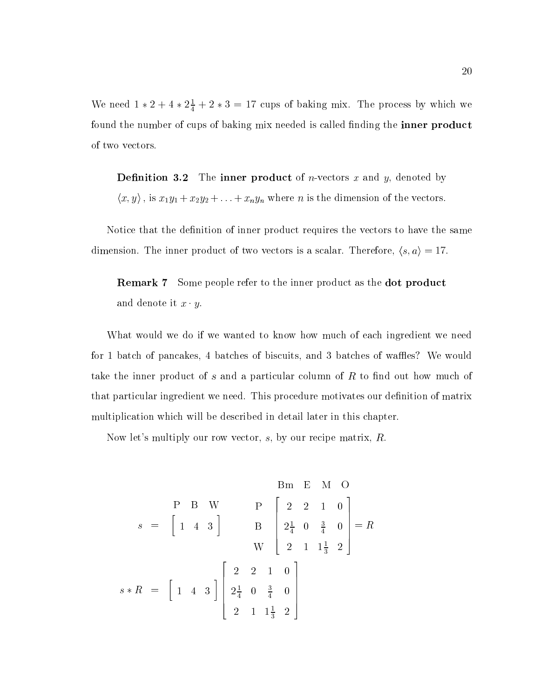We need  $1 * 2 + 4 * 2\frac{1}{4} + 2 * 3 = 17$  cups of baking mix. The process by which we found the number of cups of baking mix needed is called finding the **inner product** of two vectors.

**Definition 3.2** The inner product of *n*-vectors  $x$  and  $y$ , denoted by  $\langle x, y \rangle$ , is  $x_1y_1 + x_2y_2 + \ldots + x_ny_n$  where *n* is the dimension of the vectors.

Notice that the definition of inner product requires the vectors to have the same dimension. The inner product of two vectors is a scalar. Therefore,  $\langle s, a \rangle = 17$ .

Remark 7 Some people refer to the inner product as the dot product and denote it  $x \cdot y$ .

What would we do if we wanted to know how much of each ingredient we need for 1 batch of pancakes, 4 batches of biscuits, and 3 batches of waffles? We would take the inner product of s and a particular column of  $R$  to find out how much of that particular ingredient we need. This procedure motivates our definition of matrix multiplication which will be described in detail later in this chapter.

Now let's multiply our row vector, s, by our recipe matrix, R.

$$
s = \begin{bmatrix} 1 & 4 & 3 \end{bmatrix} \qquad B \begin{bmatrix} 2 & 2 & 1 & 0 \\ 2 & 2 & 1 & 0 \\ 2 & 0 & \frac{3}{4} & 0 \\ 2 & 1 & 1\frac{1}{3} & 2 \end{bmatrix} = R
$$
  

$$
s * R = \begin{bmatrix} 1 & 4 & 3 \end{bmatrix} \begin{bmatrix} 2 & 2 & 1 & 0 \\ 2 & 0 & \frac{3}{4} & 0 \\ 2 & 1 & 1\frac{1}{3} & 2 \end{bmatrix}
$$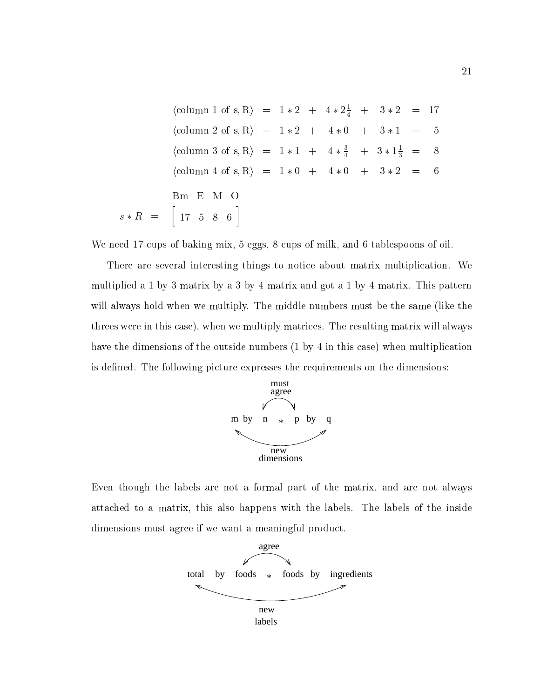(column 1 of s, R) =  $1 * 2 + 4 * 2\frac{1}{4} + 3 * 2 = 17$  $\langle \text{column 2 of s}, R \rangle = 1 * 2 + 4 * 0 + 3 * 1 =$  $\overline{5}$ (column 3 of s, R) =  $1 * 1 + 4 * \frac{1}{4} + 3 * 1 \frac{1}{3} = 8$  $\langle \text{column 4 of s}, R \rangle = 1 * 0 + 4 * 0 + 3 * 2 = 6$ Bm E M O s R = 17 5 8 6

We need 17 cups of baking mix, 5 eggs, 8 cups of milk, and 6 tablespoons of oil.

There are several interesting things to notice about matrix multiplication. We multiplied a 1 by 3 matrix by a3by 4 matrix and got a 1 by 4 matrix. This pattern will always hold when we multiply. The middle numbers must be the same (like the threes were in this case), when we multiply matrices. The resulting matrix will always have the dimensions of the outside numbers (1 by 4 in this case) when multiplication is defined. The following picture expresses the requirements on the dimensions:



Even though the labels are not a formal part of the matrix, and are not always attached to a matrix, this also happens with the labels. The labels of the inside dimensions must agree if we want a meaningful product.

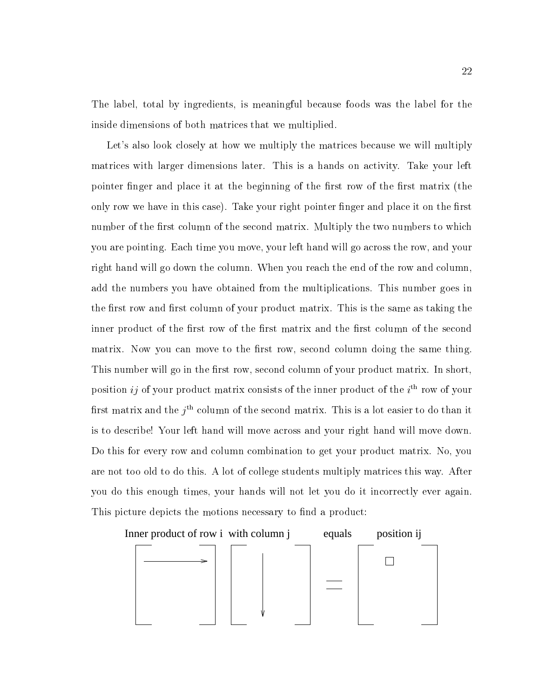The label, total by ingredients, is meaningful because foods was the label for the inside dimensions of both matrices that we multiplied.

Let's also look closely at how we multiply the matrices because we will multiply matrices with larger dimensions later. This is a hands on activity. Take your left pointer finger and place it at the beginning of the first row of the first matrix (the only row we have in this case). Take your right pointer finger and place it on the first number of the first column of the second matrix. Multiply the two numbers to which you are pointing. Each time you move, your left hand will go across the row, and your right hand will go down the column. When you reach the end of the row and column, add the numbers you have obtained from the multiplications. This number goes in the first row and first column of your product matrix. This is the same as taking the inner product of the first row of the first matrix and the first column of the second matrix. Now you can move to the first row, second column doing the same thing. This number will go in the first row, second column of your product matrix. In short, position  $\imath\jmath$  of your product matrix consists of the inner product of the  $\imath^-$  row of your  $\max$  matrix and the  $j$   $\in$  column of the second matrix. This is a lot easier to do than it is to describe! Your left hand will move across and your right hand will move down. Do this for every row and column combination to get your product matrix. No, you are not too old to do this. A lot of college students multiply matrices this way. After you do this enough times, your hands will not let you do it incorrectly ever again. This picture depicts the motions necessary to find a product:

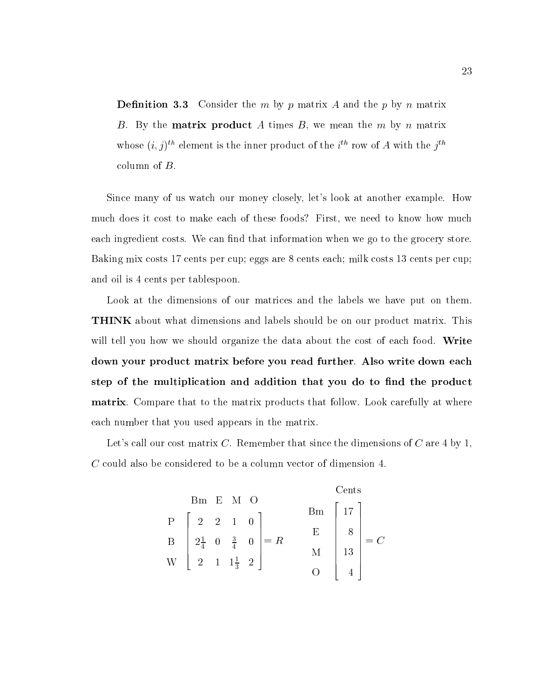**Definition 3.3** Consider the m by p matrix A and the p by n matrix B. By the **matrix product** A times B, we mean the  $m$  by  $n$  matrix whose  $(i, j)$  element is the inner product of the  $i$  -row of A with the  $j$ column of B.

Since many of us watch our money closely, let's look at another example. How much does it cost to make each of these foods? First, we need to know how much each ingredient costs. We can find that information when we go to the grocery store. Baking mix costs 17 cents per cup; eggs are 8 cents each; milk costs 13 cents per cup; and oil is 4 cents per tablespoon.

Look at the dimensions of our matrices and the labels we have put on them. THINK about what dimensions and labels should be on our product matrix. This will tell you how we should organize the data about the cost of each food. Write down your product matrix before you read further. Also write down each step of the multiplication and addition that you do to find the product matrix. Compare that to the matrix products that follow. Look carefully at where each number that you used appears in the matrix.

Let's call our cost matrix C. Remember that since the dimensions of C are 4 by 1, C could also be considered to be a column vector of dimension 4.

|          |  |                                                                                                                       |                  | Cents  |                                         |
|----------|--|-----------------------------------------------------------------------------------------------------------------------|------------------|--------|-----------------------------------------|
| Bm E M O |  |                                                                                                                       | $Bm \mid 17$     |        |                                         |
|          |  | P $\begin{bmatrix} 2 & 2 & 1 & 0 \\ 2\frac{1}{4} & 0 & \frac{3}{4} & 0 \\ 2 & 1 & 1\frac{1}{3} & 2 \end{bmatrix} = R$ |                  |        |                                         |
|          |  |                                                                                                                       | $E_{\rm}$        |        | $\begin{vmatrix} 8 \\ -C \end{vmatrix}$ |
|          |  |                                                                                                                       |                  | $13\,$ |                                         |
|          |  |                                                                                                                       | $\left( \right)$ |        |                                         |
|          |  |                                                                                                                       |                  |        |                                         |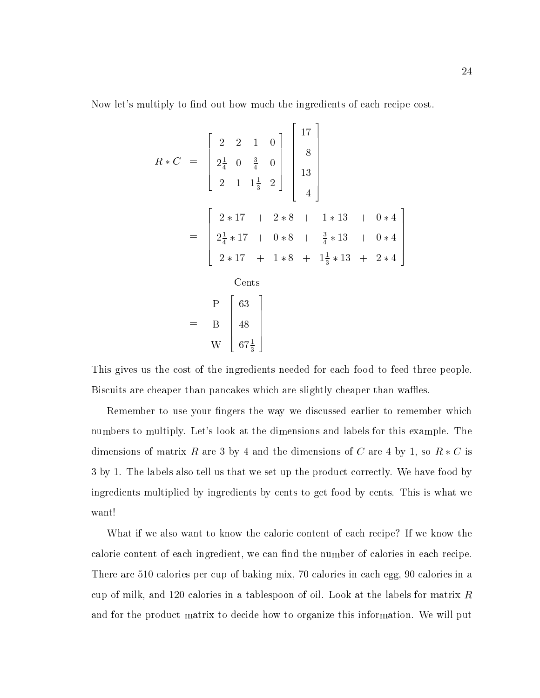Now let's multiply to find out how much the ingredients of each recipe cost.

$$
R * C = \begin{bmatrix} 2 & 2 & 1 & 0 \\ 2\frac{1}{4} & 0 & \frac{3}{4} & 0 \\ 2 & 1 & 1\frac{1}{3} & 2 \end{bmatrix} \begin{bmatrix} 17 \\ 8 \\ 13 \\ 14 \end{bmatrix}
$$
  
= 
$$
\begin{bmatrix} 2 * 17 & + & 2 * 8 & + & 1 * 13 & + & 0 * 4 \\ 2\frac{1}{4} * 17 & + & 0 * 8 & + & \frac{3}{4} * 13 & + & 0 * 4 \\ 2 * 17 & + & 1 * 8 & + & 1\frac{1}{3} * 13 & + & 2 * 4 \end{bmatrix}
$$
  
Cents  
= 
$$
\begin{bmatrix} P & 63 \\ B & 48 \\ W & 67\frac{1}{3} \end{bmatrix}
$$

This gives us the cost of the ingredients needed for each food to feed three people. Biscuits are cheaper than pancakes which are slightly cheaper than waffles.

W

Remember to use your fingers the way we discussed earlier to remember which numbers to multiply. Let's look at the dimensions and labels for this example. The dimensions of matrix R are 3 by 4 and the dimensions of C are 4 by 1, so  $R * C$  is 3 by 1. The labels also tell us that we set up the product correctly. We have food by ingredients multiplied by ingredients by cents to get food by cents. This is what we want!

What if we also want to know the calorie content of each recipe? If we know the calorie content of each ingredient, we can find the number of calories in each recipe. There are 510 calories per cup of baking mix, 70 calories in each egg, 90 calories in a cup of milk, and 120 calories in a tablespoon of oil. Look at the labels for matrix  $R$ and for the product matrix to decide how to organize this information. We will put

<u>and the second contract of the second contract of the second contract of the second contract of the second con</u> The contract of the contract of the contract of the contract of the contract of the contract of the contract of The contract of the contract of the contract of the contract of the contract of the contract of the contract of The contract of the contract of the contract of the contract of the contract of the contract of the contract of The contract of the contract of the contract of the contract of the contract of the contract of the contract of The contract of the contract of the contract of the contract of the contract of the contract of the contract of **Service Contract Contract Contract Contract Contract Contract Contract Contract Contract Contract Contract Contract Contract Contract Contract Contract Contract Contract Contract Contract Contract Contract Contract Contra**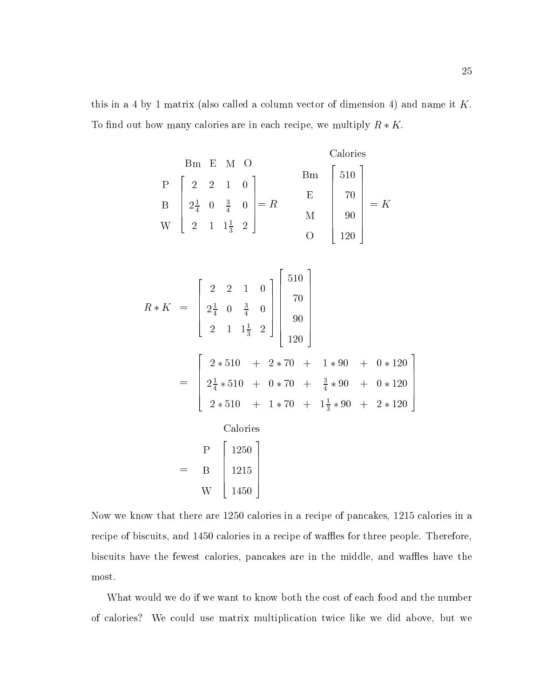this in a 4 by 1 matrix (also called a column vector of dimension 4) and name it  $K$ . To find out how many calories are in each recipe, we multiply  $R \ast K$ .

| Em E M O | Calories                                                                                                                    |     |                                                                     |
|----------|-----------------------------------------------------------------------------------------------------------------------------|-----|---------------------------------------------------------------------|
| P        | \n $\begin{bmatrix}\n 2 & 2 & 1 & 0 \\  2\frac{1}{4} & 0 & \frac{3}{4} & 0 \\  2 & 1 & 1\frac{1}{3} & 2\n \end{bmatrix}$ \n | Em  | \n $\begin{bmatrix}\n 510 \\  70 \\  90 \\  120\n \end{bmatrix}$ \n |
| E        | \n $\begin{bmatrix}\n 70 \\  70 \\  90 \\  120\n \end{bmatrix}$ \n                                                          | = K |                                                                     |

20 September 2005 - 2006 - 2007 - 2008 - 2009 - 2009 - 2009 - 2009 - 2009 - 2009 - 2009 - 2009 - 2009 - 2009 -

$$
R * K = \begin{bmatrix} 2 & 2 & 1 & 0 \\ 2\frac{1}{4} & 0 & \frac{3}{4} & 0 \\ 2 & 1 & 1\frac{1}{3} & 2 \end{bmatrix} \begin{bmatrix} 510 \\ 70 \\ 90 \\ 120 \end{bmatrix}
$$
  
= 
$$
\begin{bmatrix} 2 * 510 + 2 * 70 + 1 * 90 + 0 * 120 \\ 2\frac{1}{4} * 510 + 0 * 70 + \frac{3}{4} * 90 + 0 * 120 \\ 2 * 510 + 1 * 70 + 1\frac{1}{3} * 90 + 2 * 120 \end{bmatrix}
$$
  
Calories  
= 
$$
\begin{bmatrix} P \\ B \\ 1215 \\ W \end{bmatrix}
$$

Now we know that there are 1250 calories in a recipe of pancakes, 1215 calories in a recipe of biscuits, and 1450 calories in a recipe of waffles for three people. Therefore, biscuits have the fewest calories, pancakes are in the middle, and waffles have the most.

What would we do if we want to know both the cost of each food and the number of calories? We could use matrix multiplication twice like we did above, but we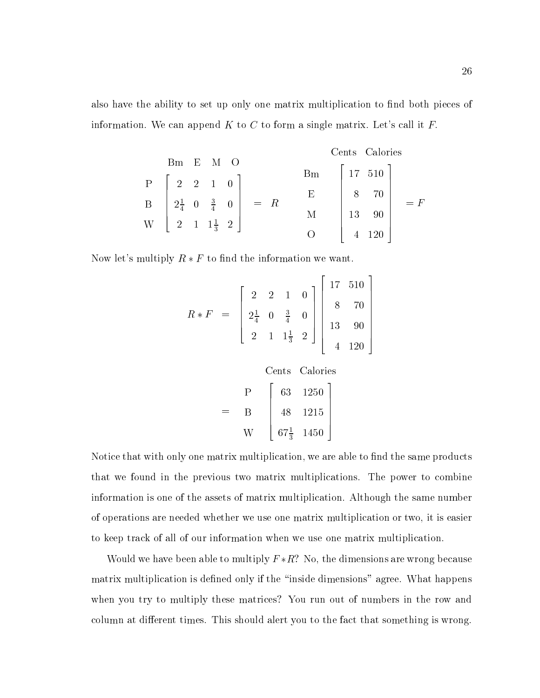also have the ability to set up only one matrix multiplication to find both pieces of information. We can append  $K$  to  $C$  to form a single matrix. Let's call it  $F$ .

| Bm | E                                                                                                                           | M | O |
|----|-----------------------------------------------------------------------------------------------------------------------------|---|---|
| P  | \n $\begin{bmatrix}\n 2 & 2 & 1 & 0 \\  2\frac{1}{4} & 0 & \frac{3}{4} & 0 \\  2 & 1 & 1\frac{1}{3} & 2\n \end{bmatrix}$ \n | 3 | 3 |
| 4  | 120                                                                                                                         |   |   |

Now let's multiply  $R * F$  to find the information we want.

$$
R * F = \begin{bmatrix} 2 & 2 & 1 & 0 \\ 2\frac{1}{4} & 0 & \frac{3}{4} & 0 \\ 2 & 1 & 1\frac{1}{3} & 2 \end{bmatrix} \begin{bmatrix} 17 & 510 \\ 8 & 70 \\ 13 & 90 \\ 4 & 120 \end{bmatrix}
$$

 $\mathbb{R}^2$  . The contract of the contract of the contract of the contract of the contract of the contract of the contract of the contract of the contract of the contract of the contract of the contract of the contract of

 $\blacksquare$ – 19<del>90</del> — **Bandari** W Cents Calories  $\sim$  200  $\sim$  200  $\sim$  200  $\sim$  200  $\sim$  200  $\sim$  200  $\sim$  200  $\sim$  200  $\sim$  200  $\sim$  200  $\sim$  $\begin{bmatrix} 48 & 121 \end{bmatrix}$  1250 <u>48 - 1215 - 1215 - 1215 - 1215 - 1215 - 1215 - 1215 - 1215 - 1215 - 1215 - 1215 - 1215 - 1215 - 1215 - 1215 -</u>  $0^{\frac{1}{3}}$  1450 The contract of the contract of the contract of the contract of the contract of the contract of the contract of The contract of the contract of the contract of the contract of the contract of the contract of the contract of The contract of the contract of the contract of the contract of the contract of the contract of the contract of The contract of the contract of the contract of the contract of the contract of the contract of the contract of The contract of the contract of the contract of the contract of the contract of the contract of the contract of the contract of the contract of the contract of the contract of the contract of the contract of the contract o

Notice that with only one matrix multiplication, we are able to find the same products that we found in the previous two matrix multiplications. The power to combine information is one of the assets of matrix multiplication. Although the same number of operations are needed whether we use one matrix multiplication or two, it is easier to keep track of all of our information when we use one matrix multiplication.

Would we have been able to multiply  $F * R$ ? No, the dimensions are wrong because matrix multiplication is defined only if the "inside dimensions" agree. What happens when you try to multiply these matrices? You run out of numbers in the row and column at different times. This should alert you to the fact that something is wrong.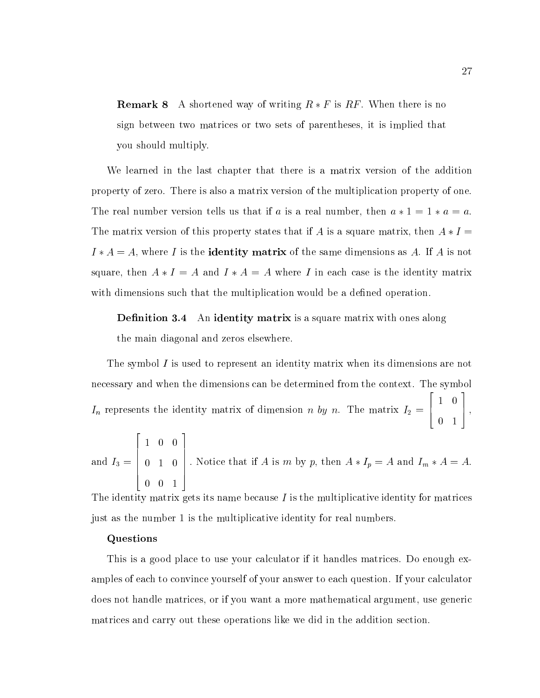**Remark 8** A shortened way of writing  $R * F$  is RF. When there is no sign between two matrices or two sets of parentheses, it is implied that you should multiply.

We learned in the last chapter that there is a matrix version of the addition property of zero. There is also a matrix version of the multiplication property of one. The real number version tells us that if a is a real number, then  $a * 1 = 1 * a = a$ . The matrix version of this property states that if A is a square matrix, then  $A * I =$  $I * A = A$ , where I is the **identity matrix** of the same dimensions as A. If A is not square, then  $A * I = A$  and  $I * A = A$  where I in each case is the identity matrix with dimensions such that the multiplication would be a defined operation.

**Definition 3.4** An identity matrix is a square matrix with ones along the main diagonal and zeros elsewhere.

The symbol I is used to represent an identity matrix when its dimensions are not necessary and when the dimensions can be determined from the context. The symbol In represents the identity matrix of dimension  $\mathcal{U}$ 2 6 4 1 0 0 1 3 **1 5**  $\sim$  5  $\sim$  5  $\sim$  5  $\sim$ 

and 
$$
I_3 = \begin{bmatrix} 1 & 0 & 0 \\ 0 & 1 & 0 \\ 0 & 0 & 1 \end{bmatrix}
$$
. Notice that if *A* is *m* by *p*, then  $A * I_p = A$  and  $I_m * A = A$ .

The identity matrix gets its name because  $I$  is the multiplicative identity for matrices just as the number 1 is the multiplicative identity for real numbers.

#### Questions

This is a good place to use your calculator if it handles matrices. Do enough examples of each to convince yourself of your answer to each question. If your calculator does not handle matrices, or if you want a more mathematical argument, use generic matrices and carry out these operations like we did in the addition section.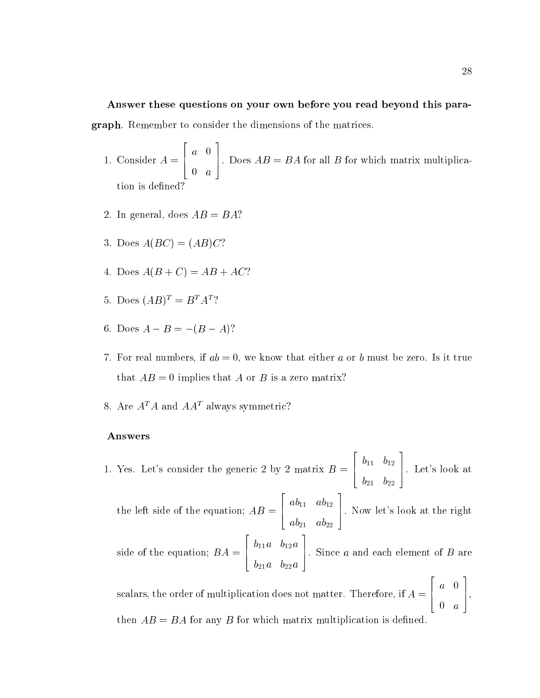# Answer these questions on your own before you read beyond this paragraph. Remember to consider the dimensions of the matrices.

1. Consider A = 2 6 4 a 1992 a 1993 a 1994 a 1995 a 1996 a 1997 a 1998 a 1999 a 1999 a 1999 a 1999 a 1999 a 1999 a 1999 a 1999 a 19 discussion and the contract of the contract of the contract of the contract of the contract of the contract of <u>and the second contract of the second contract of the second contract of the second contract of the second con</u> . Does  $AB = BA$  for all B for which matrix multiplication is defined?

- 2. In general, does  $AB = BA$ ?
- 3. Does  $A(BC)=(AB)C$ ?
- 4. Does  $A(B+C) = AB + AC$ ?
- 5. Does  $(AB)^T = B^T A^T$ ?
- 6. Does  $A B = -(B A)$ ?
- 7. For real numbers, if  $ab = 0$ , we know that either a or b must be zero. Is it true that  $AB = 0$  implies that A or B is a zero matrix?
- 8. Are  $A^T A$  and  $A A^T$  always symmetric?

### Answers

1. Yes. Let's consider the generic 2 by 2 matrix  $B = \begin{bmatrix} 1 & 1 \\ 1 & 1 \end{bmatrix}$ 6 4  $\mathbf{11}$   $\mathbf{12}$   $\mathbf{1}$  $\overline{a}$  b  $\overline{a}$  b  $\overline{a}$  b  $\overline{a}$  b  $\overline{a}$  b  $\overline{a}$  b  $\overline{a}$  b  $\overline{a}$  b  $\overline{a}$  b  $\overline{a}$  b  $\overline{a}$  b  $\overline{a}$  b  $\overline{a}$  b  $\overline{a}$  b  $\overline{a}$  b  $\overline{a}$  b  $\overline{a}$  b  $\overline{a}$  b  $\overline{a}$  b  $\overline{a}$  b 7 5. Let's look at

 $\overline{\phantom{a}}$  2  $\overline{\phantom{a}}$  2  $\overline{\phantom{a}}$  2  $\overline{\phantom{a}}$  2  $\overline{\phantom{a}}$  2  $\overline{\phantom{a}}$  2  $\overline{\phantom{a}}$  2  $\overline{\phantom{a}}$  2  $\overline{\phantom{a}}$  2  $\overline{\phantom{a}}$  2  $\overline{\phantom{a}}$  2  $\overline{\phantom{a}}$  2  $\overline{\phantom{a}}$  2  $\overline{\phantom{a}}$  2  $\overline{\phantom{a}}$  2  $\overline{\phantom{a}}$ 

and the second contract of the second contract of the second contract of the second contract of the second con

20 September 2005 - 2006 - 2007 - 2008 - 2009 - 2009 - 2009 - 2009 - 2009 - 2009 - 2009 - 2009 - 2009 - 2009 -

the left side of the equation; AB  $\sim$   $\sim$ **2005 2006 2006 2006 2006** 6 4 ab11 ab12 ab21 ab22 3 7 5. Now let's look at the right

side of the equation;  $B = B$  and  $\mathcal{S} = \mathcal{S}$ 6 4 b11a b12a b21a b22a ). Since  $a$  and each element of  $B$  are

<u>and the second contract of the second contract of the second contract of the second contract of the second con</u>

 $\overline{\phantom{a}}$  22  $\overline{\phantom{a}}$  22  $\overline{\phantom{a}}$  22  $\overline{\phantom{a}}$  22  $\overline{\phantom{a}}$  22  $\overline{\phantom{a}}$  22  $\overline{\phantom{a}}$  22  $\overline{\phantom{a}}$  22  $\overline{\phantom{a}}$  22  $\overline{\phantom{a}}$  22  $\overline{\phantom{a}}$  22  $\overline{\phantom{a}}$  22  $\overline{\phantom{a}}$  22  $\overline{\phantom{a}}$  22  $\overline{\phantom{a}}$ 

scalars, the order of multiplication does not matter. Therefore, if  $A = [$  $\mathcal{L} = \begin{bmatrix} 1 & 1 & 1 \\ 1 & 1 & 1 \end{bmatrix}$ 0 a then  $AB = BA$  for any B for which matrix multiplication is defined.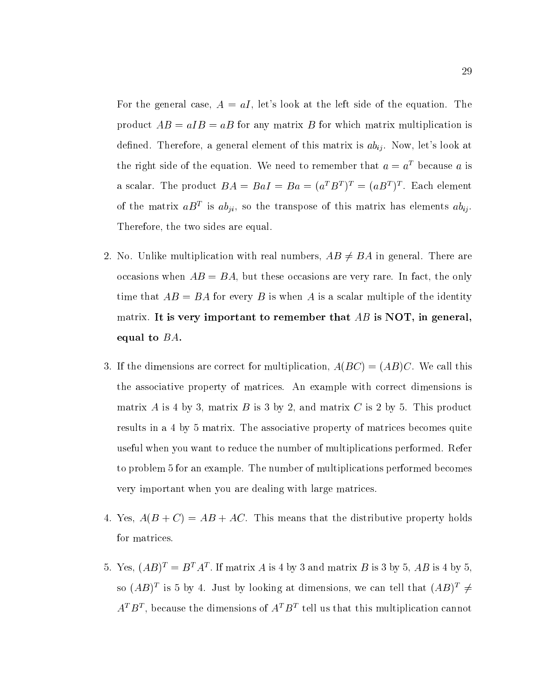For the general case,  $A = aI$ , let's look at the left side of the equation. The product  $AB = aIB = aB$  for any matrix B for which matrix multiplication is defined. Therefore, a general element of this matrix is  $ab_{ij}$ . Now, let's look at the right side of the equation. We need to remember that  $a = a<sup>T</sup>$  because a is a scalar. The product  $DA \equiv D aI \equiv D a \equiv (a_1D_1) \equiv (a_2D_2) \equiv 0$ . Each element of the matrix  $a_D$  is  $a_{\ell ji}$ , so the transpose of this matrix has elements  $a_{\ell ij}$ . Therefore, the two sides are equal.

- 2. No. Unlike multiplication with real numbers,  $AB \neq BA$  in general. There are occasions when  $AB = BA$ , but these occasions are very rare. In fact, the only time that  $AB = BA$  for every B is when A is a scalar multiple of the identity matrix. It is very important to remember that  $AB$  is NOT, in general, equal to  $BA$ .
- 3. If the dimensions are correct for multiplication,  $A(BC)=(AB)C$ . We call this the associative property of matrices. An example with correct dimensions is matrix A is 4 by 3, matrix B is 3 by 2, and matrix C is 2 by 5. This product results in a 4 by 5 matrix. The associative property of matrices becomes quite useful when you want to reduce the number of multiplications performed. Refer to problem 5 for an example. The number of multiplications performed becomes very important when you are dealing with large matrices.
- 4. Yes,  $A(B+C) = AB + AC$ . This means that the distributive property holds for matrices.
- $5.$  Yes,  $(AD)^{\dagger} = D^{\dagger} A^{\dagger}$ . It matrix A is 4 by 5 and matrix D is 5 by 5, AD is 4 by 5, so (AD) is 5 by 4. Just by looking at dimensions, we can tell that (AD)  $\mp$  $A^*$   $D^*$ , because the dimensions of  $A^*$   $D^*$  tell us that this multiplication cannot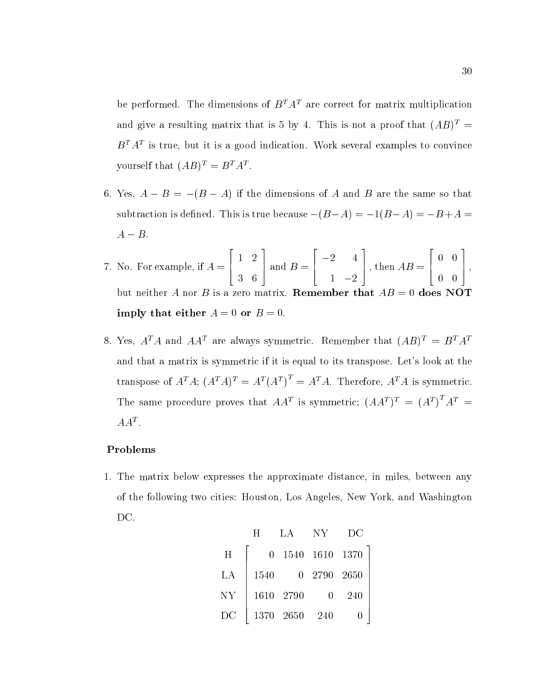be performed. The dimensions of  $B^T A^T$  are correct for matrix multiplication and give a resulting matrix that is 5 by 4. This is not a proof that  $(AB)^T$  =  $D$   $A$  is true, but it is a good indication. Work several examples to convince yourself that  $(AB)^{\dagger} = B^{\dagger} A^{\dagger}$ .

- 6. Yes,  $A B = -(B A)$  if the dimensions of A and B are the same so that subtraction is defined. This is true because  $-(B-A) = -1(B-A) = -B+A$  $A - B$ .
- 7. No. For example, if A =  $\overline{2}$  2  $\overline{2}$  2  $\overline{2}$  2  $\overline{2}$  2  $\overline{2}$  2  $\overline{2}$  2  $\overline{2}$  2  $\overline{2}$  2  $\overline{2}$  2  $\overline{2}$  2  $\overline{2}$  2  $\overline{2}$  2  $\overline{2}$  2  $\overline{2}$  2  $\overline{2}$  2  $\overline{2}$  2  $\overline{2}$  2  $\overline{2}$  2  $\overline{2}$  2  $\overline{2}$  2 **1 a** 1 2 3 6 3  $\text{and } B = \text{)}$  $\mathbb{R}^2$  . The contract of the contract of the contract of the contract of the contract of the contract of the contract of the contract of the contract of the contract of the contract of the contract of the contract of  $\begin{array}{c} \begin{array}{c} \end{array}$ , then 1 2 3  $\Box$ , then  $AB = \Box$ 2 6 4  $\sim$  0  $\,$  1  $\,$  0  $\,$  0  $\,$  1  $\,$  0  $\,$  0  $\,$  0  $\,$  0  $\,$  0  $\,$  0  $\,$  0  $\,$  0  $\,$  0  $\,$  0  $\,$  0  $\,$  0  $\,$  0  $\,$  0  $\,$  0  $\,$  0  $\,$  0  $\,$  0  $\,$  0  $\,$  0  $\,$  0  $\,$  0  $\,$  0  $\,$  0  $\,$  0  $\,$  0  $\,$ 0 0 3 **1 5**  $\sim$  5  $\sim$  5  $\sim$  5  $\sim$ but neither A nor B is a zero matrix. **Remember that**  $AB = 0$  does NOT imply that either  $A = 0$  or  $B = 0$ .
- 8. Yes,  $A^T A$  and  $A A^T$  are always symmetric. Remember that  $(A B)^T = B^T A^T$ and that a matrix is symmetric if it is equal to its transpose. Let's look at the transpose of  $A^T A$ ;  $(A^T A)^T = A^T (A^T) = A^T A$ . Therefore,  $A^T A$  is symmetric. The same procedure proves that  $AA^t$  is symmetric;  $(AA^t)^t = (A^t) A^t =$  $AA^{\dagger}$  .

### Problems

1. The matrix below expresses the approximate distance, in miles, between any of the following two cities: Houston, Los Angeles, New York, and Washington DC.

|    | H        | $\mathbf{I} \cdot \mathbf{A}$ | NY.            | DС  |
|----|----------|-------------------------------|----------------|-----|
| H  | $\theta$ |                               | 1540 1610 1370 |     |
| LA | 1540     |                               | 0 2790 2650    |     |
| NY |          | 1610 2790                     | O              | 240 |
| DC |          | 1370 2650                     | 240            |     |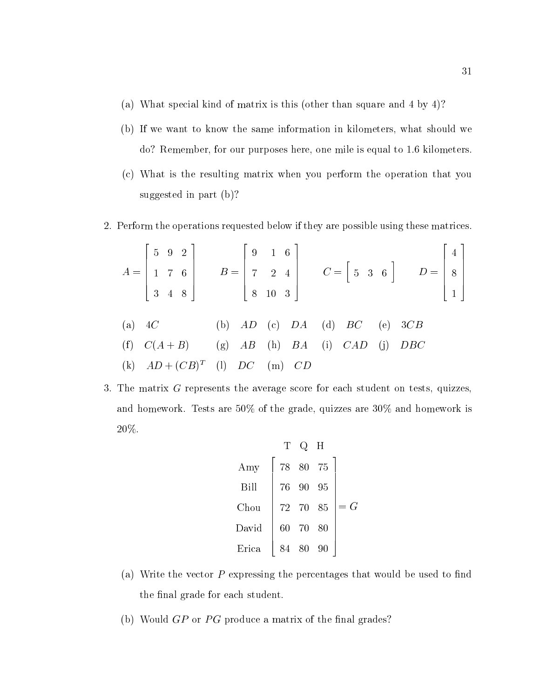- (a) What special kind of matrix is this (other than square and 4 by 4)?
- (b) If we want to know the same information in kilometers, what should we do? Remember, for our purposes here, one mile is equal to 1.6 kilometers.
- (c) What is the resulting matrix when you perform the operation that you suggested in part (b)?
- 2. Perform the operations requested below if they are possible using these matrices.

$$
A = \begin{bmatrix} 5 & 9 & 2 \\ 1 & 7 & 6 \\ 3 & 4 & 8 \end{bmatrix} \qquad B = \begin{bmatrix} 9 & 1 & 6 \\ 7 & 2 & 4 \\ 8 & 10 & 3 \end{bmatrix} \qquad C = \begin{bmatrix} 5 & 3 & 6 \end{bmatrix} \qquad D = \begin{bmatrix} 4 \\ 8 \\ 1 \end{bmatrix}
$$
  
(a) 4C (b) AD (c) DA (d) BC (e) 3CB  
(f) C(A + B) (g) AB (h) BA (i) CAD (j) DBC  
(k)  $AD + (CB)^T$  (l) DC (m) CD

3. The matrix G represents the average score for each student on tests, quizzes, and homework. Tests are 50% of the grade, quizzes are 30% and homework is 20%.

| T     | Q    | H    |      |       |
|-------|------|------|------|-------|
| Any   | $78$ | $80$ | $75$ |       |
| Bill  | $76$ | $90$ | $95$ |       |
| Chou  | $72$ | $70$ | $85$ | $= G$ |
| David | $60$ | $70$ | $80$ |       |
| Erica | $84$ | $80$ | $90$ |       |

- (a) Write the vector  $P$  expressing the percentages that would be used to find the final grade for each student.
- (b) Would  $GP$  or  $PG$  produce a matrix of the final grades?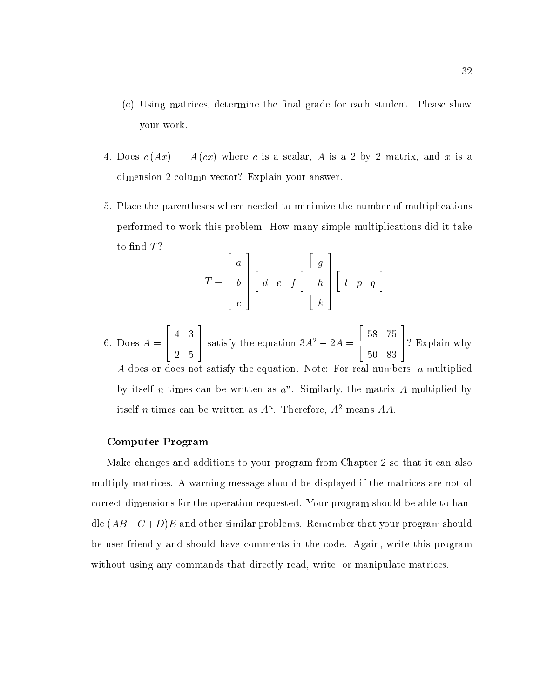- $(c)$  Using matrices, determine the final grade for each student. Please show your work.
- 4. Does  $c(Ax) = A(cx)$  where c is a scalar, A is a 2 by 2 matrix, and x is a dimension 2 column vector? Explain your answer.
- 5. Place the parentheses where needed to minimize the number of multiplications performed to work this problem. How many simple multiplications did it take to find  $T$ ?

$$
T = \begin{bmatrix} a \\ b \\ c \end{bmatrix} \begin{bmatrix} d & e & f \end{bmatrix} \begin{bmatrix} g \\ h \\ k \end{bmatrix} \begin{bmatrix} l & p & q \end{bmatrix}
$$

6. Does A = 22 P. L. M. S. L. M. S. L. M. S. L. M. S. L. M. S. L. M. S. L. M. S. L. M. S. L. M. S. L. M. S. L. M. S. L. M. 4 | Sa 4 3  $255$  5  $255$  5  $255$  5  $255$  5  $255$  5  $255$  5  $255$  5  $255$  5  $255$  5  $255$  5  $255$  5  $255$ and the state of the state of the state of the state of the state of the state of the state of the state of th satisfy the equation  $3A^2 - 2A =$  [17] <u>2000 - 2000 - 2000 - 2000 - 2000 - 2000 - 2000 - 2000 - 2000 - 2000 - 2000 - 2000 - 2000 - 2000 - 2000 - 200</u> 6 4 58 75 50 83 and the state of the state of the state of the state of the state of the state of the state of the state of th 7 5 ? Explain why A does or does not satisfy the equation. Note: For real numbers, a multiplied by itself n times can be written as  $a$  . Similarly, the matrix A multiplied by itself  $n$  times can be written as  $A^{\perp}$ . Therefore,  $A^{\perp}$  means  $AA$ .

#### Computer Program

Make changes and additions to your program from Chapter 2 so that it can also multiply matrices. A warning message should be displayed if the matrices are not of correct dimensions for the operation requested. Your program should be able to handle  $(AB - C + D)E$  and other similar problems. Remember that your program should be user-friendly and should have comments in the code. Again, write this program without using any commands that directly read, write, or manipulate matrices.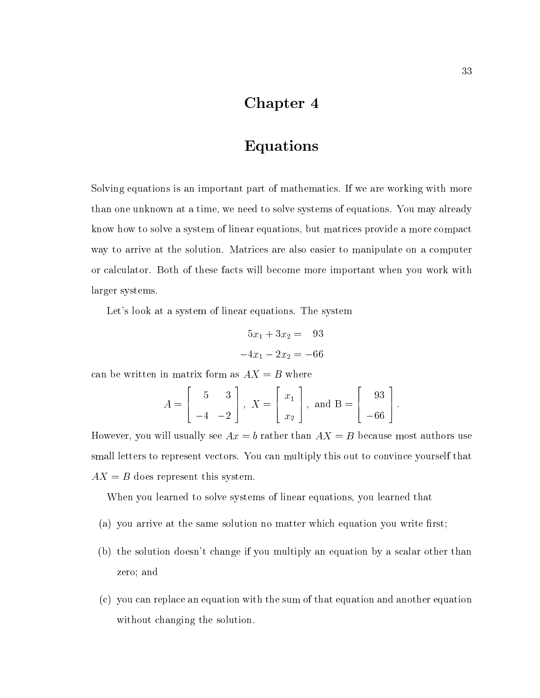# Chapter 4

# Equations

Solving equations is an important part of mathematics. If we are working with more than one unknown at a time, we need to solve systems of equations. You may already know how to solve a system of linear equations, but matrices provide a more compact way to arrive at the solution. Matrices are also easier to manipulate on a computer or calculator. Both of these facts will become more important when you work with larger systems.

Let's look at a system of linear equations. The system

$$
5x_1 + 3x_2 = 93
$$

$$
-4x_1 - 2x_2 = -66
$$

can be written in matrix form as  $AX = B$  where

$$
A = \begin{bmatrix} 5 & 3 \\ -4 & -2 \end{bmatrix}, \ X = \begin{bmatrix} x_1 \\ x_2 \end{bmatrix}, \text{ and } B = \begin{bmatrix} 93 \\ -66 \end{bmatrix}.
$$

However, you will usually see  $Ax = b$  rather than  $AX = B$  because most authors use small letters to represent vectors. You can multiply this out to convince yourself that  $AX = B$  does represent this system.

When you learned to solve systems of linear equations, you learned that

- (a) you arrive at the same solution no matter which equation you write first;
- (b) the solution doesn't change if you multiply an equation by a scalar other than zero; and
- (c) you can replace an equation with the sum of that equation and another equation without changing the solution.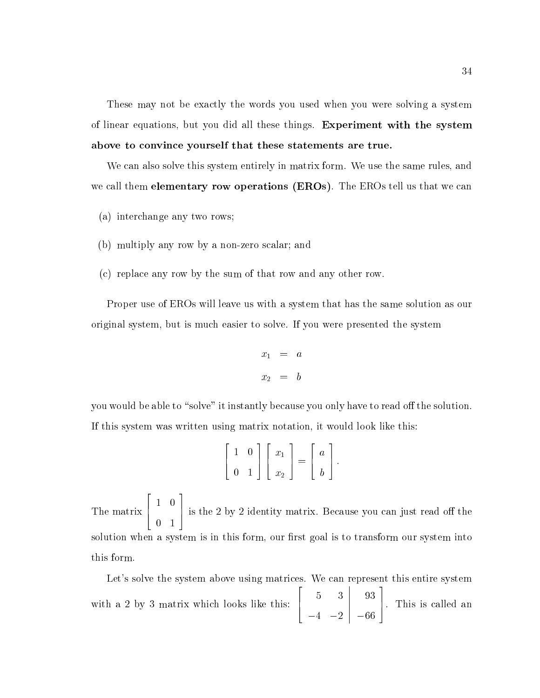These may not be exactly the words you used when you were solving a system of linear equations, but you did all these things. Experiment with the system above to convince yourself that these statements are true.

We can also solve this system entirely in matrix form. We use the same rules, and we call them **elementary row operations (EROs)**. The EROs tell us that we can

- (a) interchange any two rows;
- (b) multiply any row by a non-zero scalar; and
- (c) replace any row by the sum of that row and any other row.

Proper use of EROs will leave us with a system that has the same solution as our original system, but is much easier to solve. If you were presented the system

$$
x_1 = a
$$
  

$$
x_2 = b
$$

you would be able to "solve" it instantly because you only have to read off the solution. If this system was written using matrix notation, it would look like this:

$$
\left[\begin{array}{cc} 1 & 0 \\ 0 & 1 \end{array}\right] \left[\begin{array}{c} x_1 \\ x_2 \end{array}\right] = \left[\begin{array}{c} a \\ b \end{array}\right].
$$

The matrix  $\left[\begin{array}{cc} 1 & 0 \end{array}\right]$  is 1 0  $\sim$  1  $\sim$  1  $\sim$  1  $\sim$  1  $\sim$  1  $\sim$  1  $\sim$  1  $\sim$  1  $\sim$  1  $\sim$  1  $\sim$  1  $\sim$  1  $\sim$  1  $\sim$  1  $\sim$  1  $\sim$  1  $\sim$  1  $\sim$  1  $\sim$  1  $\sim$  1  $\sim$  1  $\sim$  1  $\sim$  1  $\sim$  1  $\sim$  1  $\sim$  1  $\sim$  1  $\sim$  1  $\sim$  1  $\sim$  1  $\sim$  1  $\sim$ 3  $\pm$  is the 2 by 2 identity matrix. Because you can just read off the solution when a system is in this form, our first goal is to transform our system into this form.

Let's solve the system above using matrices. We can represent this entire system with a 2 by 3 matrix which looks like this:  $\begin{bmatrix} 5 & 3 \end{bmatrix}$ 5 3 — — — <del>—</del> 20  $\begin{vmatrix} 93 \\ -66 \end{vmatrix}$ 93 93 93 94 95 96 97 98 99 66 3 7 5. This is called an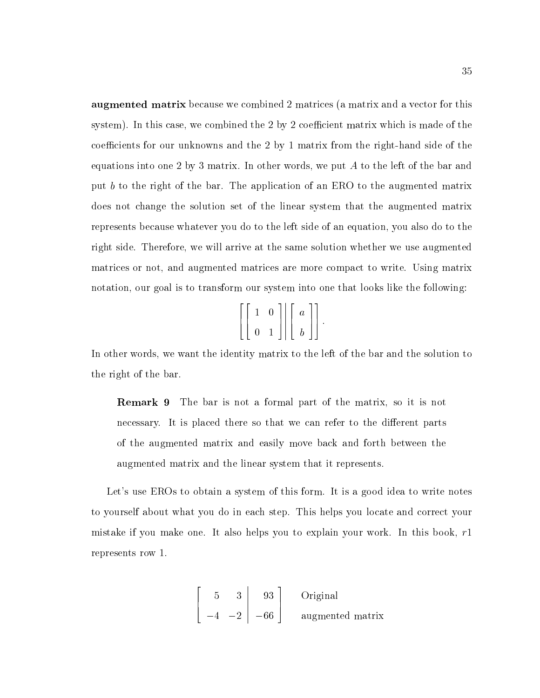augmented matrix because we combined 2 matrices (a matrix and a vector for this system). In this case, we combined the  $2$  by  $2$  coefficient matrix which is made of the coefficients for our unknowns and the 2 by 1 matrix from the right-hand side of the equations into one 2 by 3 matrix. In other words, we put A to the left of the bar and put b to the right of the bar. The application of an ERO to the augmented matrix does not change the solution set of the linear system that the augmented matrix represents because whatever you do to the left side of an equation, you also do to the right side. Therefore, we will arrive at the same solution whether we use augmented matrices or not, and augmented matrices are more compact to write. Using matrix notation, our goal is to transform our system into one that looks like the following:

| $\left[\left[\begin{array}{cc} 1 & 0 \\ 0 & 1 \end{array}\right] \middle  \left[\begin{array}{c} a \\ b \end{array}\right] \right].$ |  |  |
|--------------------------------------------------------------------------------------------------------------------------------------|--|--|
|                                                                                                                                      |  |  |

In other words, we want the identity matrix to the left of the bar and the solution to the right of the bar.

Remark 9 The bar is not a formal part of the matrix, so it is not necessary. It is placed there so that we can refer to the different parts of the augmented matrix and easily move back and forth between the augmented matrix and the linear system that it represents.

Let's use EROs to obtain a system of this form. It is a good idea to write notes to yourself about what you do in each step. This helps you locate and correct your mistake if you make one. It also helps you to explain your work. In this book,  $r1$ represents row 1.

$$
\begin{bmatrix} 5 & 3 & 93 \\ -4 & -2 & -66 \end{bmatrix}
$$
 Original augmented matrix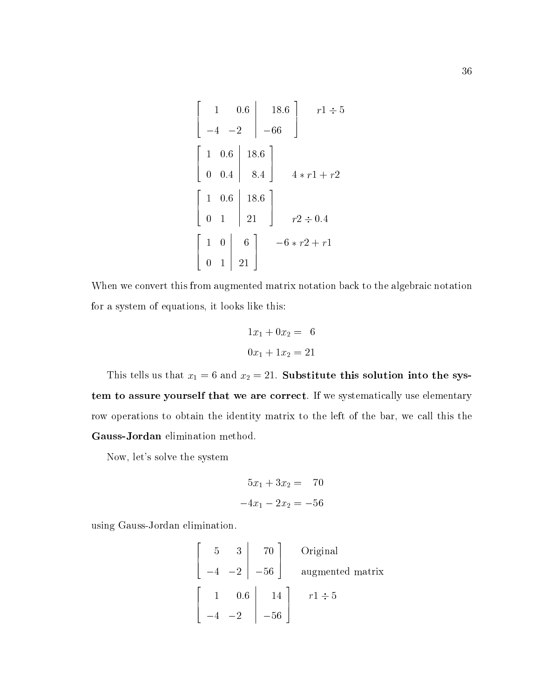$$
\begin{bmatrix} 1 & 0.6 & 18.6 \\ -4 & -2 & -66 \end{bmatrix} \quad r1 \div 5
$$
  

$$
\begin{bmatrix} 1 & 0.6 & 18.6 \\ 0 & 0.4 & 8.4 \end{bmatrix} \quad 4 * r1 + r2
$$
  

$$
\begin{bmatrix} 1 & 0.6 & 18.6 \\ 0 & 1 & 21 \end{bmatrix} \quad r2 \div 0.4
$$
  

$$
\begin{bmatrix} 1 & 0 & 6 \\ 0 & 1 & 21 \end{bmatrix} \quad -6 * r2 + r1
$$

When we convert this from augmented matrix notation back to the algebraic notation for a system of equations, it looks like this:

$$
1x_1 + 0x_2 = 6
$$

$$
0x_1 + 1x_2 = 21
$$

This tells us that  $x_1 = 6$  and  $x_2 = 21$ . Substitute this solution into the system to assure yourself that we are correct. If we systematically use elementary row operations to obtain the identity matrix to the left of the bar, we call this the Gauss-Jordan elimination method.

Now, let's solve the system

$$
5x_1 + 3x_2 = 70
$$
  

$$
-4x_1 - 2x_2 = -56
$$

using Gauss-Jordan elimination.

$$
\begin{bmatrix} 5 & 3 & 70 \ -4 & -2 & -56 \end{bmatrix}
$$
Original augmented matrix  

$$
\begin{bmatrix} 1 & 0.6 & 14 \ -4 & -2 & -56 \end{bmatrix}
$$
  $r1 \div 5$ 

<u>and the second contract of the second contract of the second contract of the second contract of the second con</u>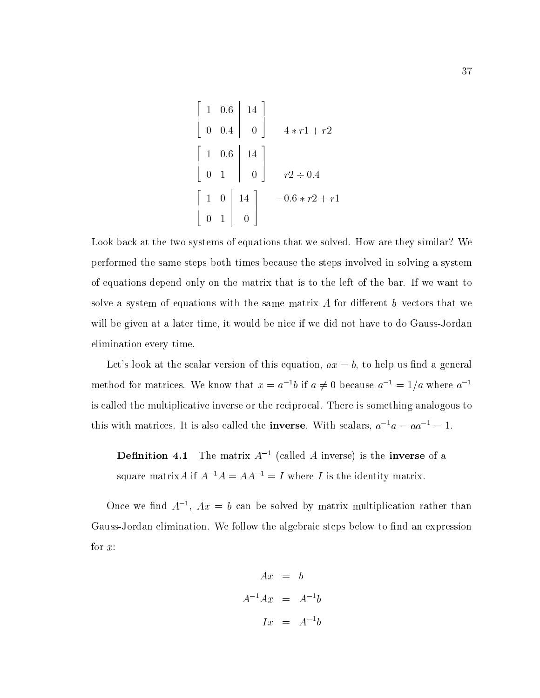$$
\begin{bmatrix} 1 & 0.6 & 14 \\ 0 & 0.4 & 0 \end{bmatrix}
$$
  
\n
$$
4 * r1 + r2
$$
  
\n
$$
\begin{bmatrix} 1 & 0.6 & 14 \\ 0 & 1 & 0 \end{bmatrix}
$$
  
\n
$$
r2 \div 0.4
$$
  
\n
$$
\begin{bmatrix} 1 & 0 & 14 \\ 0 & 1 & 0 \end{bmatrix}
$$
  
\n
$$
-0.6 * r2 + r1
$$

Look back at the two systems of equations that we solved. How are they similar? We performed the same steps both times because the steps involved in solving a system of equations depend only on the matrix that is to the left of the bar. If we want to solve a system of equations with the same matrix  $A$  for different  $b$  vectors that we will be given at a later time, it would be nice if we did not have to do Gauss-Jordan elimination every time.

Let's look at the scalar version of this equation,  $ax = b$ , to help us find a general method for matrices. We know that  $x = a^{-1}b$  if  $a \neq 0$  because  $a^{-1} = 1/a$  where  $a^{-1}$ is called the multiplicative inverse or the reciprocal. There is something analogous to this with matrices. It is also called the **inverse**. With scalars,  $a^{-1}a = aa^{-1} = 1$ .

**Definition 4.1** The matrix  $A^{-1}$  (called A inverse) is the **inverse** of a square matrix A if  $A^{-1}A = AA^{-1} = I$  where I is the identity matrix.

Once we find  $A^{-1}$ ,  $Ax = b$  can be solved by matrix multiplication rather than Gauss-Jordan elimination. We follow the algebraic steps below to find an expression for  $x$ :

$$
Ax = b
$$
  

$$
A^{-1}Ax = A^{-1}b
$$
  

$$
Ix = A^{-1}b
$$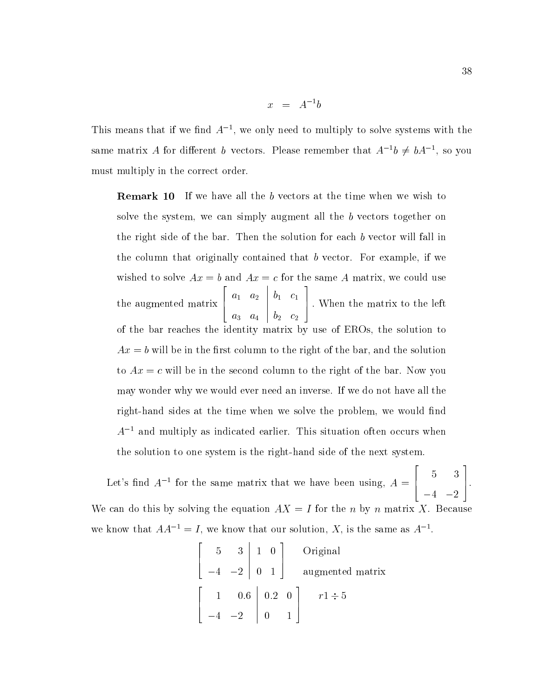$$
x = A^{-1}b
$$

This means that if we find A<sup>--</sup>, we only need to multiply to solve systems with the same matrix A for different b vectors. Please remember that  $A^{-1}b \neq bA^{-1}$ , so you must multiply in the correct order.

Remark 10 If we have all the b vectors at the time when we wish to solve the system, we can simply augment all the b vectors together on the right side of the bar. Then the solution for each b vector will fall in the column that originally contained that b vector. For example, if we wished to solve  $Ax = b$  and  $Ax = c$  for the same A matrix, we could use the augmented matrix  $\begin{bmatrix} a_1 & a_2 \end{bmatrix}$ a1 a2 a3 a4  $\begin{array}{|c|} \hline b_1 \ \hline b_2 \ \hline \end{array}$ b1 c1 b2 c2 and the second contract of the second contract of the second contract of the second contract of the second con 7 5 : When the matrix to the left of the bar reaches the identity matrix by use of EROs, the solution to  $Ax = b$  will be in the first column to the right of the bar, and the solution to  $Ax = c$  will be in the second column to the right of the bar. Now you may wonder why we would ever need an inverse. If we do not have all the right-hand sides at the time when we solve the problem, we would find  $A^{-1}$  and multiply as indicated earlier. This situation often occurs when the solution to one system is the right-hand side of the next system.

Let's find  $A^{-1}$  for the same matrix that we have been using,  $A = \begin{bmatrix} 1 & 1 \\ 1 & 1 \end{bmatrix}$ 6 4 5 3  $4.2$  2  $-$  2  $-$  2  $-$  2  $-$  2  $-$  2  $-$  2  $-$  2  $-$  2  $-$  2  $-$  2  $-$  2  $-$  2  $-$  2  $-$  2  $-$  2  $-$  2  $-$  2  $-$  2  $-$  2  $-$  2  $-$  2  $-$  2  $-$  2  $-$  2  $-$  2  $-$  2  $-$  2  $-$  2  $-$  2  $-$  2  $-$  2  $-$  2  $-$  2  $-$  2  $-$  2  $-$ 7 5. We can do this by solving the equation  $AX = I$  for the n by n matrix X. Because we know that  $AA^{-1} = I$ , we know that our solution, X, is the same as  $A^{-1}$ .

and the contract of the contract of the contract of the contract of the contract of the contract of the contract of the contract of the contract of the contract of the contract of the contract of the contract of the contra

 $\overline{\phantom{a}}$  22  $\overline{\phantom{a}}$  22  $\overline{\phantom{a}}$  22  $\overline{\phantom{a}}$  22  $\overline{\phantom{a}}$  22  $\overline{\phantom{a}}$  22  $\overline{\phantom{a}}$  22  $\overline{\phantom{a}}$  22  $\overline{\phantom{a}}$  22  $\overline{\phantom{a}}$  22  $\overline{\phantom{a}}$  22  $\overline{\phantom{a}}$  22  $\overline{\phantom{a}}$  22  $\overline{\phantom{a}}$  22  $\overline{\phantom{a}}$ 

| $5 \t3 \t1 \t0$                     |            | Original         |
|-------------------------------------|------------|------------------|
| $-4$ $-2$ 0 1                       |            | augmented matrix |
| $1 \t 0.6 \t 0.2 \t 0 \t r1 \div 5$ |            |                  |
| $-4$ $-2$                           | $\sqrt{0}$ |                  |

3

 $\overline{2}$  2  $\overline{2}$  2  $\overline{2}$  2  $\overline{2}$  2  $\overline{2}$  2  $\overline{2}$  2  $\overline{2}$  2  $\overline{2}$  2  $\overline{2}$  2  $\overline{2}$  2  $\overline{2}$  2  $\overline{2}$  2  $\overline{2}$  2  $\overline{2}$  2  $\overline{2}$  2  $\overline{2}$  2  $\overline{2}$  2  $\overline{2}$  2  $\overline{2}$  2  $\overline{2}$  2

3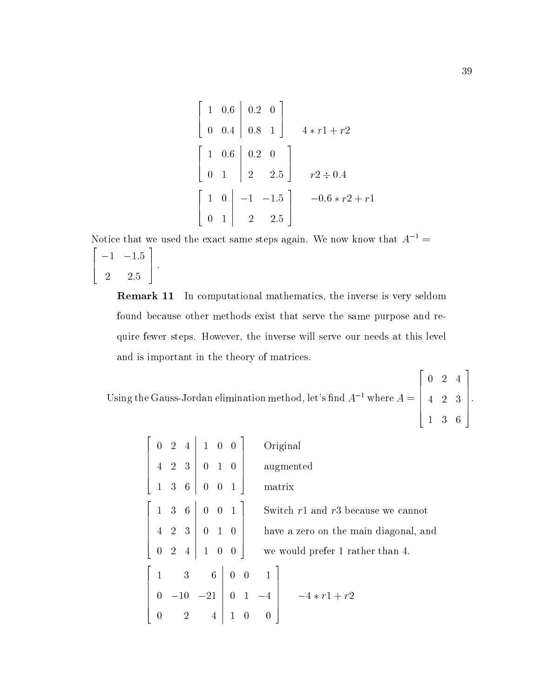$$
\begin{bmatrix} 1 & 0.6 & 0.2 & 0 \ 0 & 0.4 & 0.8 & 1 \end{bmatrix}
$$
  

$$
4 * r1 + r2
$$
  

$$
\begin{bmatrix} 1 & 0.6 & 0.2 & 0 \ 0 & 1 & 2 & 2.5 \end{bmatrix}
$$
  

$$
r2 \div 0.4
$$
  

$$
\begin{bmatrix} 1 & 0 & -1 & -1.5 \ 0 & 1 & 2 & 2.5 \end{bmatrix}
$$
  

$$
r0.6 * r2 + r1
$$

Notice that we used the exact same steps again. We now know that  $A^{-1}$  =  $\overline{\phantom{a}}$  22  $\overline{\phantom{a}}$  22  $\overline{\phantom{a}}$  22  $\overline{\phantom{a}}$  22  $\overline{\phantom{a}}$  22  $\overline{\phantom{a}}$  22  $\overline{\phantom{a}}$  22  $\overline{\phantom{a}}$  22  $\overline{\phantom{a}}$  22  $\overline{\phantom{a}}$  22  $\overline{\phantom{a}}$  22  $\overline{\phantom{a}}$  22  $\overline{\phantom{a}}$  22  $\overline{\phantom{a}}$  22  $\overline{\phantom{a}}$ 6 4 1 1:5  $2.5$  2:55  $\pm$  2:55  $\pm$  2:55  $\pm$  2:55  $\pm$  2:55  $\pm$  2:55  $\pm$  2:55  $\pm$  2:55  $\pm$  2:55  $\pm$  2:55  $\pm$  2:55  $\pm$  2:55  $\pm$  2:55  $\pm$  2:55  $\pm$  2:55  $\pm$  2:55  $\pm$  2:55  $\pm$  2:55  $\pm$  2:55  $\pm$  2:55  $\pm$  2:55  $\pm$  2:55 3 7 5 :

Remark 11 In computational mathematics, the inverse is very seldom found because other methods exist that serve the same purpose and require fewer steps. However, the inverse will serve our needs at this level and is important in the theory of matrices.

Using the Gauss-Jordan elimination method, let's find  $A^{-1}$  where  $A = \begin{bmatrix} 4 & 2 & 3 \end{bmatrix}$ .  $\begin{bmatrix} 4 & 2 & 3 \end{bmatrix}$  $\overline{a}$  and  $\overline{a}$  and  $\overline{a}$  and  $\overline{a}$  and  $\overline{a}$  and  $\overline{a}$  and  $\overline{a}$  and  $\overline{a}$  and  $\overline{a}$  and  $\overline{a}$  and  $\overline{a}$  and  $\overline{a}$  and  $\overline{a}$  and  $\overline{a}$  and  $\overline{a}$  and  $\overline{a}$  and  $\overline{a}$  and 4 2 3  $\Bigg\}$ .

|                |                         | $0 \t2 \t4 \t1 \t0 \t0$                         |                   | Original                               |
|----------------|-------------------------|-------------------------------------------------|-------------------|----------------------------------------|
|                |                         | $4 \t2 \t3 \t0 \t1 \t0$                         |                   | augmented                              |
|                |                         | 136001                                          |                   | matrix                                 |
|                |                         | $1 \t3 \t6 \t0 \t0 \t1$                         |                   | Switch $r1$ and $r3$ because we cannot |
|                |                         | $4\quad 2\quad 3\quad 0\quad 1\quad 0$          |                   | have a zero on the main diagonal, and  |
|                |                         |                                                 |                   | we would prefer 1 rather than 4.       |
|                |                         | $1 \quad 3 \quad 6 \mid 0 \quad 0 \quad 1 \mid$ |                   |                                        |
| $\overline{0}$ |                         | $-10$ $-21$ 0 1 $-4$                            |                   | $-4*r1+r2$                             |
| $\overline{0}$ | $\overline{\mathbf{2}}$ |                                                 | $4 \mid 1 \mid 0$ | $\overline{\phantom{0}}$               |

22 22 23 24 25 26 27 28 29 20 21 22 23 24 25 26 27 28 29 29 20 21 22 23 24 25 26 27 28 29 29 29 29 29 29 29 29

1 3 6

3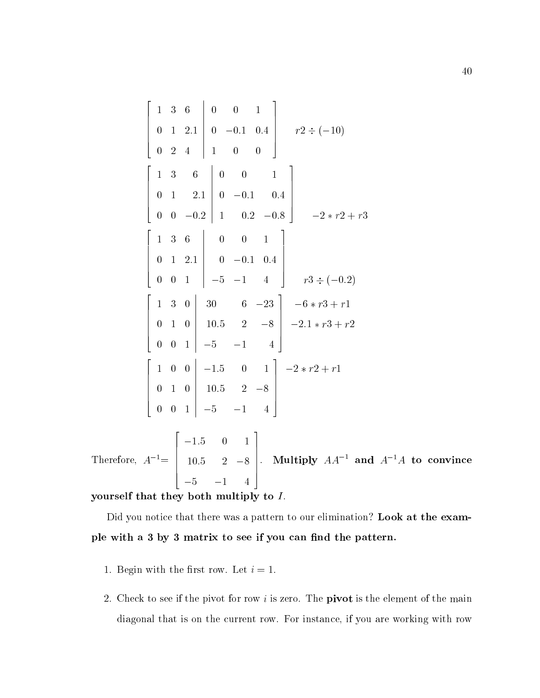$$
\begin{bmatrix}\n1 & 3 & 6 & 0 & 0 & 1 \\
0 & 1 & 2.1 & 0 & -0.1 & 0.4 \\
0 & 2 & 4 & 1 & 0 & 0\n\end{bmatrix}\n\begin{bmatrix}\n1 & 3 & 6 & 0 & 0 & 1 \\
0 & 1 & 2.1 & 0 & -0.1 & 0.4 \\
0 & 0 & -0.2 & 1 & 0.2 & -0.8\n\end{bmatrix}\n\begin{bmatrix}\n1 & 3 & 6 & 0 & 0 & 1 \\
0 & 1 & 2.1 & 0 & -0.1 & 0.4 \\
0 & 0 & 1 & -5 & -1 & 4\n\end{bmatrix}\n\begin{bmatrix}\n1 & 3 & 0 & 30 & 6 & -23 \\
0 & 1 & 0 & 10 & 5 & 2 \\
0 & 0 & 1 & -5 & -1 & 4\n\end{bmatrix}\n\begin{bmatrix}\n1 & 3 & 0 & 30 & 6 & -23 \\
0 & 1 & 0 & 10 & 5 & 2 \\
0 & 0 & 1 & -5 & -1 & 4\n\end{bmatrix}\n\begin{bmatrix}\n1 & 0 & 0 & -1.5 & 0 & 1 \\
-2 & 0 & 1 & 0 & 2 \\
0 & 0 & 1 & -5 & -1 & 4\n\end{bmatrix}\n\begin{bmatrix}\n2 & -2 & 1 & 0 & 1 \\
-2 & 0 & 1 & 0 & 1 \\
0 & 1 & 0 & 1 & 0 & 1 \\
0 & 0 & 1 & 0 & 1 & -5 \\
0 & 0 & 1 & 0 & 1 & -5\n\end{bmatrix}\n\begin{bmatrix}\n-2 & 0 & 1 & 0 \\
-2 & 0 & 1 & 0 \\
0 & 0 & 1 & 0 & 1 \\
0 & 0 & 1 & 0 & 1\n\end{bmatrix}\n\begin{bmatrix}\n-2 & 0 & 1 & 0 \\
-2 & 0 & 1 & 0 \\
0 & 0 & 1 & 0 & 1 \\
0 & 0 & 1 & 0 & 1\n\end{bmatrix}\n\begin{bmatrix}\n-2 & 0 & 1 & 0 \\
0 & 0 & 1 & 0 \\
0 & 0 & 1 & 0 & 1 \\
0 & 0 & 1 & 0 & 1\n\end{bmatrix}\n\begin{bmatrix}\n-2 & 0 & 1 & 0 \\
-2 & 0 & 1 & 0 \\
0 & 0 & 1 & 0 & 1 \\
0 & 0
$$

Therefore,  $A_1 \equiv 1$  to  $\Delta$  $\begin{bmatrix} 10.5 & 2 & -8 \ 10.5 & 2 & -8 \end{bmatrix}$ . Mu 10:5 2 8 5 1 4  $\Bigg| \cdot \Bigg| \text{Multi}$ . Multiply  $AA$  and  $A$   $^+A$  to convince

### yourself that they both multiply to  $I$ .

Did you notice that there was a pattern to our elimination? Look at the example with a 3 by 3 matrix to see if you can find the pattern.

- 1. Begin with the first row. Let  $i = 1$ .
- 2. Check to see if the pivot for row i is zero. The **pivot** is the element of the main diagonal that is on the current row. For instance, if you are working with row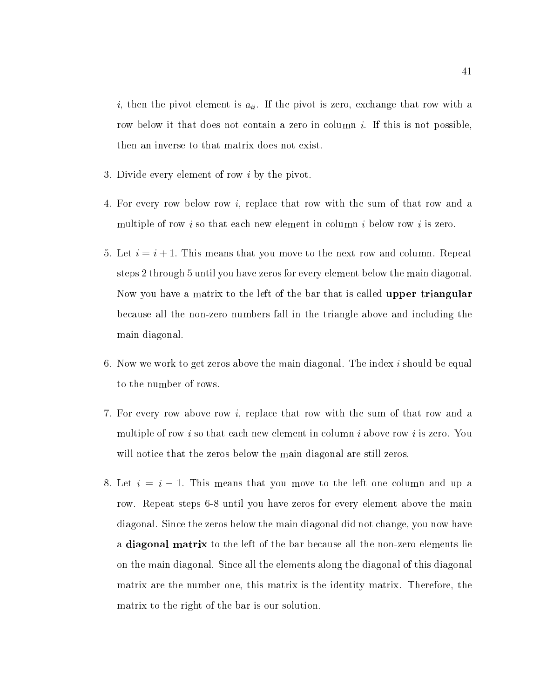$i$ , then the pivot element is  $a_{ii}$ . If the pivot is zero, exchange that row with a row below it that does not contain a zero in column  $i$ . If this is not possible, then an inverse to that matrix does not exist.

- 3. Divide every element of row i by the pivot.
- 4. For every row below row i, replace that row with the sum of that row and a multiple of row i so that each new element in column i below row i is zero.
- 5. Let  $i = i + 1$ . This means that you move to the next row and column. Repeat steps 2 through 5 until you have zeros for every element below the main diagonal. Now you have a matrix to the left of the bar that is called **upper triangular** because all the non-zero numbers fall in the triangle above and including the main diagonal.
- 6. Now we work to get zeros above the main diagonal. The index  $i$  should be equal to the number of rows.
- 7. For every row above row i, replace that row with the sum of that row and a multiple of row i so that each new element in column i above row i is zero. You will notice that the zeros below the main diagonal are still zeros.
- 8. Let  $i = i 1$ . This means that you move to the left one column and up a row. Repeat steps 6-8 until you have zeros for every element above the main diagonal. Since the zeros below the main diagonal did not change, you now have a diagonal matrix to the left of the bar because all the non-zero elements lie on the main diagonal. Since all the elements along the diagonal of this diagonal matrix are the number one, this matrix isthe identity matrix. Therefore, the matrix to the right of the bar is our solution.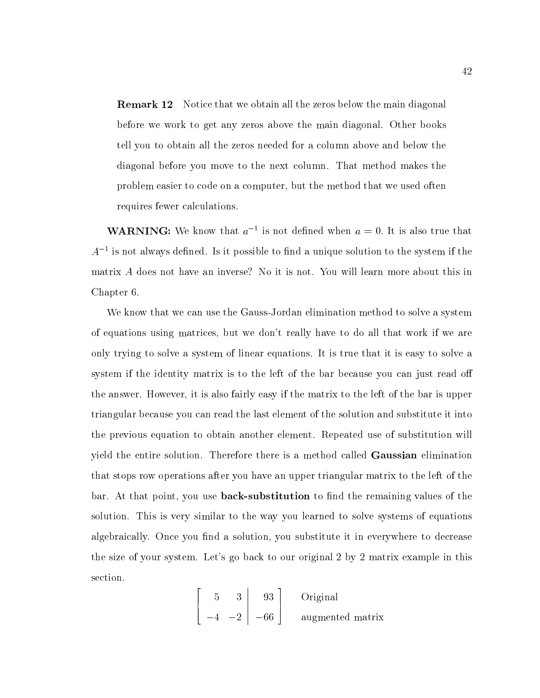**Remark 12** Notice that we obtain all the zeros below the main diagonal before we work to get any zeros above the main diagonal. Other books tell you to obtain all the zeros needed for a column above and below the diagonal before you move to the next column. That method makes the problem easier to code on a computer, but the method that we used often requires fewer calculations.

**WARINING:** We know that  $a^{-1}$  is not defined when  $a = 0$ . It is also true that  $A_\parallel$  - is not always defined. Is it possible to find a unique solution to the system if the  $\,$ matrix A does not have an inverse? No it is not. You willlearn more about this in Chapter 6.

We know that we can use the Gauss-Jordan elimination method to solve a system of equations using matrices, but we don't really have to do all that work if we are only trying to solve a system of linear equations. It is true that it is easy to solve a system if the identity matrix is to the left of the bar because you can just read off the answer. However, it is also fairly easy if the matrix to the left of the bar is upper triangular because you can read the last element of the solution and substitute it into the previous equation to obtain another element. Repeated use of substitution will yield the entire solution. Therefore there is a method called Gaussian elimination that stops row operations after you have an upper triangular matrix to the left of the bar. At that point, you use **back-substitution** to find the remaining values of the solution. This is very similar to the way you learned to solve systems of equations algebraically. Once you find a solution, you substitute it in everywhere to decrease the size of your system. Let's go back to our original 2 by 2 matrix example in this section.

$$
\begin{bmatrix} 5 & 3 & 93 \\ -4 & -2 & -66 \end{bmatrix}
$$
 Original augmented matrix

3

and the contract of the contract of the contract of the contract of the contract of the contract of the contract of the contract of the contract of the contract of the contract of the contract of the contract of the contra

 $\overline{\phantom{a}}$  22  $\overline{\phantom{a}}$  22  $\overline{\phantom{a}}$  22  $\overline{\phantom{a}}$  22  $\overline{\phantom{a}}$  22  $\overline{\phantom{a}}$  22  $\overline{\phantom{a}}$  22  $\overline{\phantom{a}}$  22  $\overline{\phantom{a}}$  22  $\overline{\phantom{a}}$  22  $\overline{\phantom{a}}$  22  $\overline{\phantom{a}}$  22  $\overline{\phantom{a}}$  22  $\overline{\phantom{a}}$  22  $\overline{\phantom{a}}$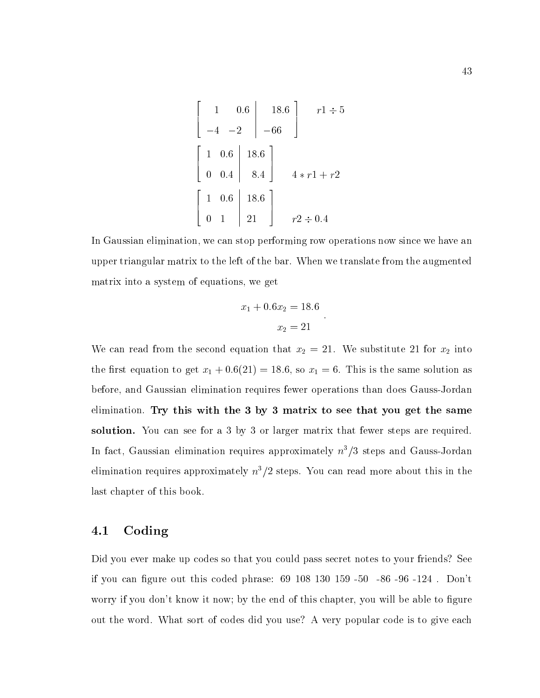$$
\begin{bmatrix} 1 & 0.6 & 18.6 \ -4 & -2 & -66 \ 0 & 0.4 & 8.4 \end{bmatrix} \begin{array}{c} r1 \div 5 \\ r1 \div 5 \end{array}
$$

$$
\begin{bmatrix} 1 & 0.6 & 18.6 \ 0 & 0.4 & 8.4 \end{bmatrix} \begin{array}{c} 4 \times r1 + r2 \ 4 \times r1 + r2 \end{array}
$$

$$
\begin{bmatrix} 1 & 0.6 & 18.6 \ 0 & 1 & 21 \end{bmatrix} \begin{array}{c} r2 \div 0.4 \end{array}
$$

In Gaussian elimination, we can stop performing row operations now since we have an upper triangular matrix to the left of the bar. When we translate from the augmented matrix into a system of equations, we get

$$
x_1 + 0.6x_2 = 18.6
$$
  

$$
x_2 = 21
$$

We can read from the second equation that  $x_2 = 21$ . We substitute 21 for  $x_2$  into the first equation to get  $x_1 + 0.6(21) = 18.6$ , so  $x_1 = 6$ . This is the same solution as before, and Gaussian elimination requires fewer operations than does Gauss-Jordan elimination. Try this with the 3 by 3 matrix to see that you get the same solution. You can see for a 3 by 3 or larger matrix that fewer steps are required. In fact, Gaussian elimination requires approximately  $n^3/3$  steps and Gauss-Jordan elimination requires approximately  $n^3/2$  steps. You can read more about this in the last chapter of this book.

## 4.1 Coding

Did you ever make up codes so that you could pass secret notes to your friends? See if you can figure out this coded phrase:  $69$   $108$   $130$   $159$   $-50$   $-86$   $-96$   $-124$  . Don't worry if you don't know it now; by the end of this chapter, you will be able to figure out the word. What sort of codes did you use? A very popular code is to give each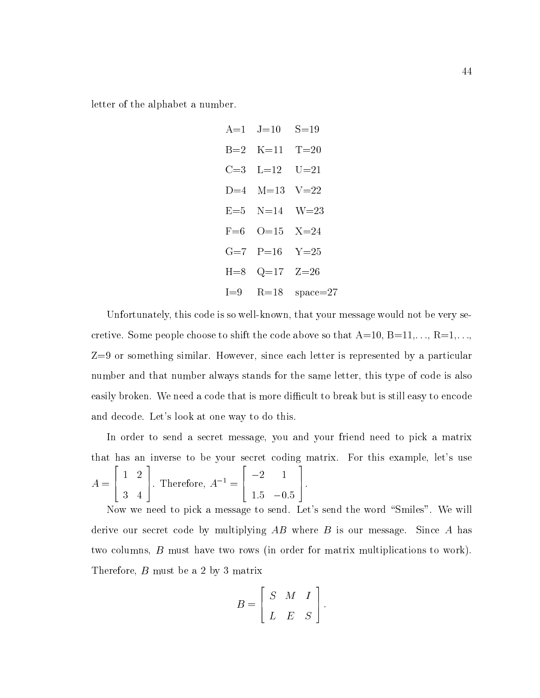letter of the alphabet a number.

H=8 Q=17 Z=26 I=9 R=18 space=27

Unfortunately, this code is so well-known, that your message would not be very secretive. Some people choose to shift the code above so that  $A=10, B=11,\ldots, R=1,\ldots,$ Z=9 or something similar. However, since each letter is represented by a particular number and that number always stands for the same letter, this type of code is also easily broken. We need a code that is more difficult to break but is still easy to encode and decode. Let's look at one way to do this.

In order to send a secret message, you and your friend need to pick a matrix that has an inverse to be your secret coding matrix. For this example, let's use A = 2 6 4 1 2 3 4 3  $\Gamma$ . Therefore,  $A^{-1} = \Gamma$  $\overline{\phantom{a}}$  22  $\overline{\phantom{a}}$  22  $\overline{\phantom{a}}$  22  $\overline{\phantom{a}}$  22  $\overline{\phantom{a}}$  22  $\overline{\phantom{a}}$  22  $\overline{\phantom{a}}$  22  $\overline{\phantom{a}}$  22  $\overline{\phantom{a}}$  22  $\overline{\phantom{a}}$  22  $\overline{\phantom{a}}$  22  $\overline{\phantom{a}}$  22  $\overline{\phantom{a}}$  22  $\overline{\phantom{a}}$  22  $\overline{\phantom{a}}$ **1** 2 1. 1:5 0:5 and the second contract of the second contract of the second contract of the second contract of the second con 7 5.

Now we need to pick a message to send. Let's send the word "Smiles". We will derive our secret code by multiplying  $AB$  where  $B$  is our message. Since  $A$  has two columns, B must have two rows (in order for matrix multiplications to work). Therefore, B must be a 2 by 3 matrix

$$
B = \left[ \begin{array}{ccc} S & M & I \\ L & E & S \end{array} \right].
$$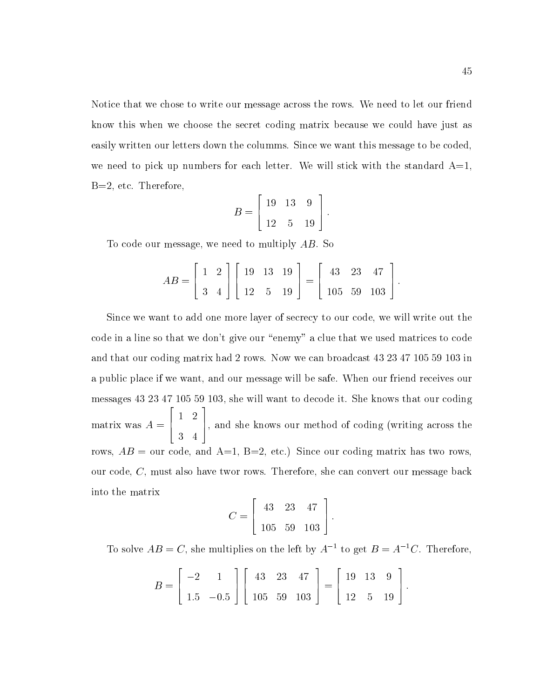Notice that we chose to write our message across the rows. We need to let our friend know this when we choose the secret coding matrix because we could have just as easily written our letters down the columms. Since we want this message to be coded, we need to pick up numbers for each letter. We will stick with the standard  $A=1$ , B=2, etc. Therefore,

$$
B = \left[ \begin{array}{rrr} 19 & 13 & 9 \\ 12 & 5 & 19 \end{array} \right].
$$

To code our message, we need to multiply AB. So

$$
AB = \begin{bmatrix} 1 & 2 \\ 3 & 4 \end{bmatrix} \begin{bmatrix} 19 & 13 & 19 \\ 12 & 5 & 19 \end{bmatrix} = \begin{bmatrix} 43 & 23 & 47 \\ 105 & 59 & 103 \end{bmatrix}.
$$

Since we want to add one more layer of secrecy to our code, we will write out the code in a line so that we don't give our "enemy" a clue that we used matrices to code and that our coding matrix had 2 rows. Now we can broadcast 43 23 47 105 59 103 in a public place if we want, and our message will be safe. When our friend receives our messages 43 23 47 105 59 103, she will want to decode it. She knows that our coding matrix was a series and a series and a series of the series of the series of the series of the series of the s 4. 1. 2 4 5, and she knows our method of coding (writing across the rows,  $AB =$  our code, and A=1, B=2, etc.) Since our coding matrix has two rows, our code, C, must also have twor rows. Therefore, she can convert our message back into the matrix

$$
C = \left[ \begin{array}{rrr} 43 & 23 & 47 \\ 105 & 59 & 103 \end{array} \right].
$$

To solve  $AB = C$ , she multiplies on the left by  $A^{-1}$  to get  $B = A^{-1}C$ . Therefore,

$$
B = \begin{bmatrix} -2 & 1 \\ 1.5 & -0.5 \end{bmatrix} \begin{bmatrix} 43 & 23 & 47 \\ 105 & 59 & 103 \end{bmatrix} = \begin{bmatrix} 19 & 13 & 9 \\ 12 & 5 & 19 \end{bmatrix}.
$$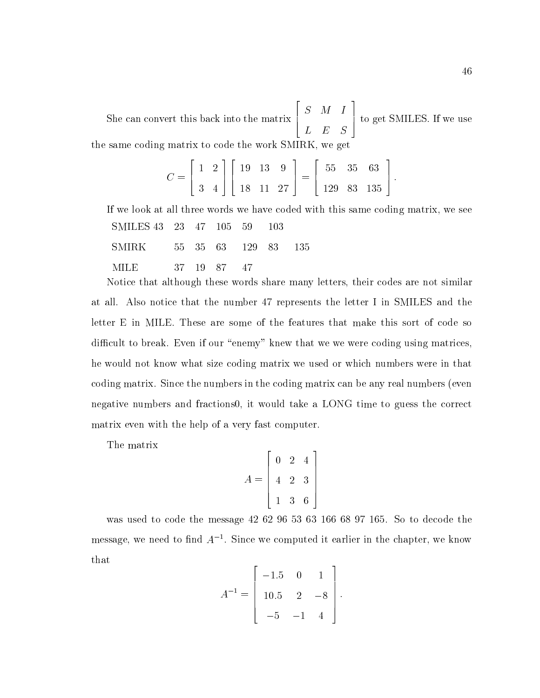She can convert this back into the matrix  $\begin{bmatrix} S & M \end{bmatrix}$ . S M IS A MONEY OF THE SERVICE OF THE SERVICE OF THE SERVICE OF THE SERVICE OF THE SERVICE OF THE SERVICE OF TH L E S 5 to get SMILES. If we use the same coding matrix to code the work SMIRK, we get

$$
C = \left[ \begin{array}{cc} 1 & 2 \\ 3 & 4 \end{array} \right] \left[ \begin{array}{ccc} 19 & 13 & 9 \\ 18 & 11 & 27 \end{array} \right] = \left[ \begin{array}{ccc} 55 & 35 & 63 \\ 129 & 83 & 135 \end{array} \right].
$$

If we look at all three words we have coded with this same coding matrix, we see SMILES 43 23 47 105 59 103

- SMIRK 55 35 63 129 83 135
- MILE 37 19 87 47

Notice that although these words share many letters, their codes are not similar at all. Also notice that the number 47 represents the letter I in SMILES and the letter E in MILE. These are some of the features that make this sort of code so difficult to break. Even if our "enemy" knew that we we were coding using matrices, he would not know what size coding matrix we used orwhich numbers were in that coding matrix. Since the numbers in the coding matrix can be any real numbers (even negative numbers and fractions0, it would take a LONG time to guess the correct matrix even with the help of a very fast computer.

The matrix

a material contracts of the contracts of the contracts of the contracts of the contracts of the contracts of the <u>2002 - John Stone Barbara and Stone Barbara and Stone Barbara and Stone Barbara and Stone Barbara and Stone Barbara and Stone Barbara and Stone Barbara and Stone Barbara and Stone Barbara and Stone Barbara and Stone Barba</u>  $\begin{array}{|ccc} 4 & 2 & 3 \end{array}$  2 4 2 3 3 6  $\vert$ 

was used to code the message 42 62 96 53 63 166 68 97 165. So to decode the message, we need to find  $A$  -. Since we computed it earlier in the chapter, we know that

 $\overline{\phantom{a}}$  2  $\overline{\phantom{a}}$  2  $\overline{\phantom{a}}$  2  $\overline{\phantom{a}}$  2  $\overline{\phantom{a}}$  2  $\overline{\phantom{a}}$  2  $\overline{\phantom{a}}$  2  $\overline{\phantom{a}}$  2  $\overline{\phantom{a}}$  2  $\overline{\phantom{a}}$  2  $\overline{\phantom{a}}$  2  $\overline{\phantom{a}}$  2  $\overline{\phantom{a}}$  2  $\overline{\phantom{a}}$  2  $\overline{\phantom{a}}$  2  $\overline{\phantom{a}}$ 

and the second contract of the second contract of the second contract of the second contract of the second con

$$
A^{-1} = \left[ \begin{array}{rrr} -1.5 & 0 & 1 \\ 10.5 & 2 & -8 \\ -5 & -1 & 4 \end{array} \right].
$$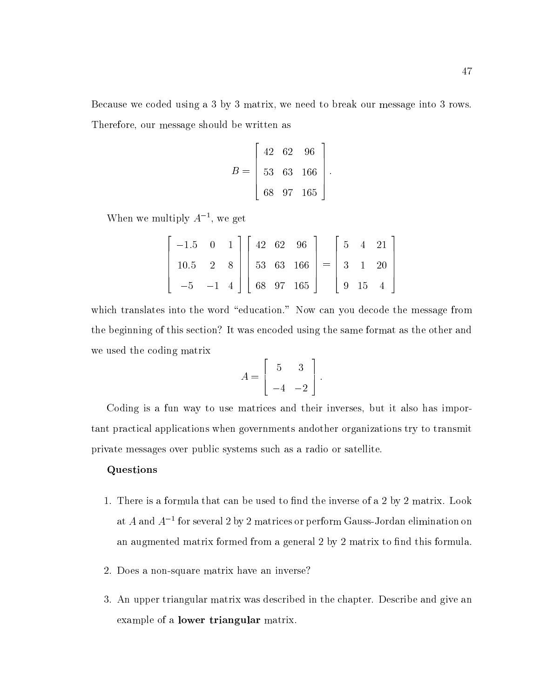Because we coded using a 3 by 3 matrix, we need to break our message into 3 rows. Therefore, our message should be written as

$$
B = \left[\begin{array}{ccc} 42 & 62 & 96 \\ 53 & 63 & 166 \\ 68 & 97 & 165 \end{array}\right].
$$

When we multiply  $A_1$ , we get

| $\begin{bmatrix} -1.5 & 0 & 1 \end{bmatrix} \begin{bmatrix} 42 & 62 & 96 \end{bmatrix} \begin{bmatrix} 5 & 4 & 21 \end{bmatrix}$ |  |  |  |  |  |
|----------------------------------------------------------------------------------------------------------------------------------|--|--|--|--|--|
| $10.5$ 2 8 $\begin{vmatrix} 53 & 63 & 166 \end{vmatrix}$ = $\begin{vmatrix} 3 & 1 & 20 \end{vmatrix}$                            |  |  |  |  |  |
| $\begin{bmatrix} -5 & -1 & 4 \end{bmatrix}$ 68 97 165 $\begin{bmatrix} 9 & 15 & 4 \end{bmatrix}$                                 |  |  |  |  |  |

which translates into the word "education." Now can you decode the message from the beginning of this section? It was encoded using the same format as the other and we used the coding matrix

$$
A = \left[ \begin{array}{cc} 5 & 3 \\ -4 & -2 \end{array} \right].
$$

Coding is a fun way to use matrices and their inverses, but it also has important practical applications when governments andother organizations try to transmit private messages over public systems such asa radio or satellite.

#### Questions

- 1. There is a formula that can be used to find the inverse of a 2 by 2 matrix. Look at A and A1 for several 2 by 2 matrices or perform Gauss-Jordan elimination on an augmented matrix formed from a general 2 by 2 matrix to find this formula.
- 2. Does a non-square matrix have an inverse?
- 3. An upper triangular matrix was described in the chapter. Describe and give an example of a lower triangular matrix.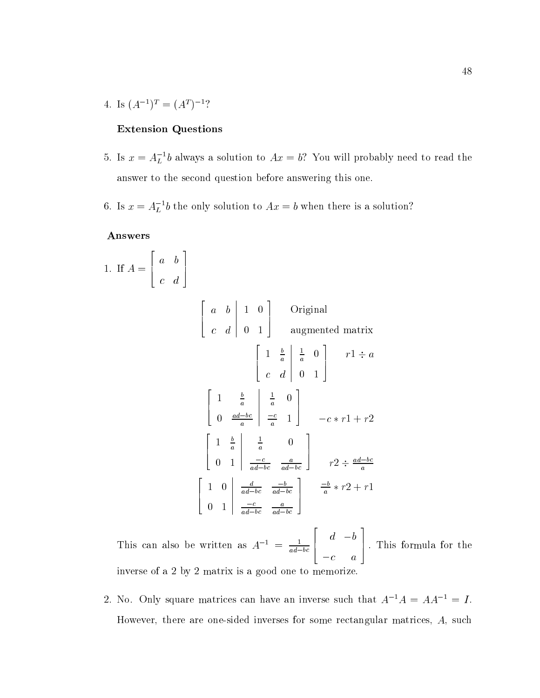4. IS  $(A^{\dagger})^{\dagger} \equiv (A^{\dagger})^{-1}$ .

## Extension Questions

- 5. Is  $x = A_L$  b always a solution to  $Ax = b$ ? You will probably need to read the answer to the second question before answering this one.
- 6. Is  $x = A_L$  b the only solution to  $Ax = b$  when there is a solution?

#### Answers

1. If 
$$
A = \begin{bmatrix} a & b \\ c & d \end{bmatrix}
$$
  
\n
$$
\begin{bmatrix} a & b & 1 & 0 \\ c & d & 0 & 1 \end{bmatrix}
$$
 Original augmented matrix  
\n
$$
\begin{bmatrix} 1 & \frac{b}{a} & \frac{1}{a} & 0 \\ c & d & 0 & 1 \end{bmatrix}
$$
  $r1 \div a$   
\n
$$
\begin{bmatrix} 1 & \frac{b}{a} & \frac{1}{a} & 0 \\ 0 & \frac{ad-bc}{a} & \frac{-c}{a} & 1 \end{bmatrix}
$$
  $-c * r1 + r2$   
\n
$$
\begin{bmatrix} 1 & \frac{b}{a} & \frac{1}{a} & 0 \\ 0 & 1 & \frac{-c}{ad-bc} & \frac{a}{ad-bc} \end{bmatrix}
$$
  $r2 \div \frac{ad-bc}{a}$   
\n
$$
\begin{bmatrix} 1 & 0 & \frac{d}{ad-bc} & \frac{-b}{ad-bc} \\ 0 & 1 & \frac{-c}{ad-bc} & \frac{a}{ad-bc} \end{bmatrix}
$$
  $\frac{-b}{a} * r2 + r1$ 

This can also be written as  $A^{-1} = \frac{1}{ad-bc}$ 6 4 d between the control of the control of the control of the control of the control of the control of the control of the control of the control of the control of the control of the control of the control of the control of th contract and contract and contract and contract and contract and contract and contract and contract and contract and 7 5 : This formula for the inverse of a 2 by 2 matrix is a good one to memorize.

 $\overline{\phantom{a}}$  22  $\overline{\phantom{a}}$  22  $\overline{\phantom{a}}$  22  $\overline{\phantom{a}}$  22  $\overline{\phantom{a}}$  22  $\overline{\phantom{a}}$  22  $\overline{\phantom{a}}$  22  $\overline{\phantom{a}}$  22  $\overline{\phantom{a}}$  22  $\overline{\phantom{a}}$  22  $\overline{\phantom{a}}$  22  $\overline{\phantom{a}}$  22  $\overline{\phantom{a}}$  22  $\overline{\phantom{a}}$  22  $\overline{\phantom{a}}$ 

3

2. No. Only square matrices can have an inverse such that  $A^{-1}A = AA^{-1} = I$ . However, there are one-sided inverses for some rectangular matrices, A, such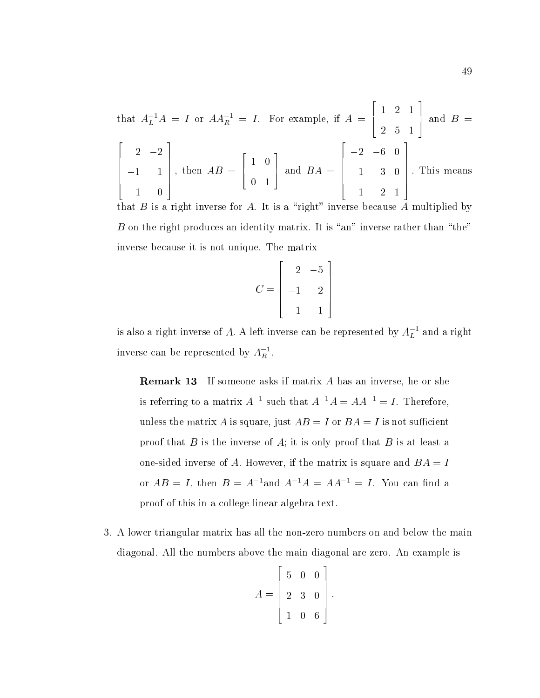that 
$$
A_L^{-1}A = I
$$
 or  $AA_R^{-1} = I$ . For example, if  $A = \begin{bmatrix} 1 & 2 & 1 \\ 2 & 5 & 1 \end{bmatrix}$  and  $B = \begin{bmatrix} 2 & -2 \\ -1 & 1 \\ 1 & 0 \end{bmatrix}$ , then  $AB = \begin{bmatrix} 1 & 0 \\ 0 & 1 \end{bmatrix}$  and  $BA = \begin{bmatrix} -2 & -6 & 0 \\ 1 & 3 & 0 \\ 1 & 2 & 1 \end{bmatrix}$ . This means

that  $B$  is a right inverse for  $A$ . It is a "right" inverse because  $A$  multiplied by  $B$  on the right produces an identity matrix. It is "an" inverse rather than "the" inverse because it is not unique. The matrix

$$
C = \begin{bmatrix} 2 & -5 \\ -1 & 2 \\ 1 & 1 \end{bmatrix}
$$

is also a right inverse of  $A.$  A left inverse can be represented by  $A_L^+$  and a right inverse can be represented by  $A_R^{\vphantom{\dagger}}$  .

Remark 13 If someone asks if matrix A has an inverse, he or she is referring to a matrix  $A^{-1}$  such that  $A^{-1}A = AA^{-1} = I$ . Therefore, unless the matrix A is square, just  $AB = I$  or  $BA = I$  is not sufficient proof that  $B$  is the inverse of  $A$ ; it is only proof that  $B$  is at least a one-sided inverse of A. However, if the matrix is square and  $BA = I$ or  $AB = I$ , then  $B = A^{-1}$  and  $A^{-1}A = AA^{-1} = I$ . You can find a proof of this in a college linear algebra text.

3. A lower triangular matrix has all the non-zero numbers on and below the main diagonal. All the numbers above the main diagonal are zero. An example is

$$
A = \left[ \begin{array}{rrr} 5 & 0 & 0 \\ 2 & 3 & 0 \\ 1 & 0 & 6 \end{array} \right].
$$

<u>2002 - John Stone Barbara and Stone Barbara and Stone Barbara and Stone Barbara and Stone Barbara and Stone Barbara and Stone Barbara and Stone Barbara and Stone Barbara and Stone Barbara and Stone Barbara and Stone Barba</u>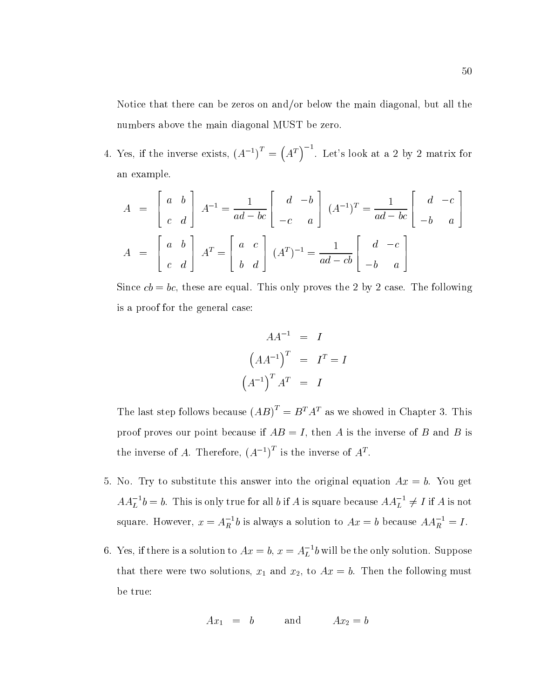Notice that there can be zeros on and/or below the main diagonal, but all the numbers above the main diagonal MUST be zero.

4. Yes, if the inverse exists,  $(A^{-1})^T = (A^T)^{-1}$ . Let's look at a 2 by 2 matrix for an example.

$$
A = \begin{bmatrix} a & b \\ c & d \end{bmatrix} A^{-1} = \frac{1}{ad - bc} \begin{bmatrix} d & -b \\ -c & a \end{bmatrix} (A^{-1})^T = \frac{1}{ad - bc} \begin{bmatrix} d & -c \\ -b & a \end{bmatrix}
$$

$$
A = \begin{bmatrix} a & b \\ c & d \end{bmatrix} A^T = \begin{bmatrix} a & c \\ b & d \end{bmatrix} (A^T)^{-1} = \frac{1}{ad - cb} \begin{bmatrix} d & -c \\ -b & a \end{bmatrix}
$$

Since  $cb = bc$ , these are equal. This only proves the 2 by 2 case. The following is a proof for the general case:

$$
AA^{-1} = I
$$

$$
(AA^{-1})^{T} = I^{T} = I
$$

$$
(A^{-1})^{T} A^{T} = I
$$

The last step follows because  $(AB)^T = B^T A^T$  as we showed in Chapter 3. This proof proves our point because if  $AB = I$ , then A is the inverse of B and B is the inverse of A. Therefore,  $(A^{-1})$  is the inverse of  $A^*$ .

- 5. No. Try to substitute this answer into the original equation  $Ax = b$ . You get  $A A_L^{\dagger}$   $\phi = b$ . This is only true for all  $\theta$  if A is square because  $A A_L^{\dagger} \neq I$  if A is not square. However,  $x = A_R$  b is always a solution to  $Ax = b$  because  $AA_R = I$ .
- 6. Yes, if there is a solution to  $Ax = 0,$   $x = A_L^{-}b$  will be the only solution. Suppose that there were two solutions,  $x_1$  and  $x_2$ , to  $Ax = b$ . Then the following must be true:

$$
Ax_1 = b \qquad \text{and} \qquad Ax_2 = b
$$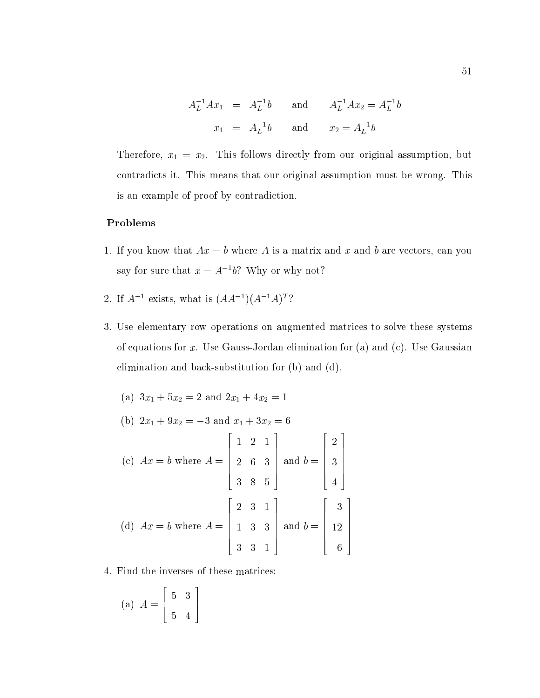$$
A_L^{-1}Ax_1 = A_L^{-1}b \text{ and } A_L^{-1}Ax_2 = A_L^{-1}b
$$
  

$$
x_1 = A_L^{-1}b \text{ and } x_2 = A_L^{-1}b
$$

Therefore,  $x_1 = x_2$ . This follows directly from our original assumption, but contradicts it. This means that our original assumption must be wrong. This is an example of proof by contradiction.

## Problems

- 1. If you know that  $Ax = b$  where A is a matrix and x and b are vectors, can you say for sure that  $x = A^{-1}b$ ? Why or why not?
- 2. If  $A^{-1}$  exists, what is  $(AA^{-1})(A^{-1}A)^T$ ?
- 3. Use elementary row operations on augmented matrices to solve these systems of equations for x. Use Gauss-Jordan elimination for (a) and (c). Use Gaussian elimination and back-substitution for (b) and (d).

(a) 
$$
3x_1 + 5x_2 = 2
$$
 and  $2x_1 + 4x_2 = 1$   
\n(b)  $2x_1 + 9x_2 = -3$  and  $x_1 + 3x_2 = 6$   
\n(c)  $Ax = b$  where  $A = \begin{bmatrix} 1 & 2 & 1 \\ 2 & 6 & 3 \\ 3 & 8 & 5 \end{bmatrix}$  and  $b = \begin{bmatrix} 2 \\ 3 \\ 4 \end{bmatrix}$   
\n(d)  $Ax = b$  where  $A = \begin{bmatrix} 2 & 3 & 1 \\ 1 & 3 & 3 \\ 3 & 3 & 1 \end{bmatrix}$  and  $b = \begin{bmatrix} 3 \\ 12 \\ 6 \end{bmatrix}$ 

4. Find the inverses of these matrices:

$$
\text{(a)}\ \ A = \left[\begin{array}{cc} 5 & 3 \\ 5 & 4 \end{array}\right]
$$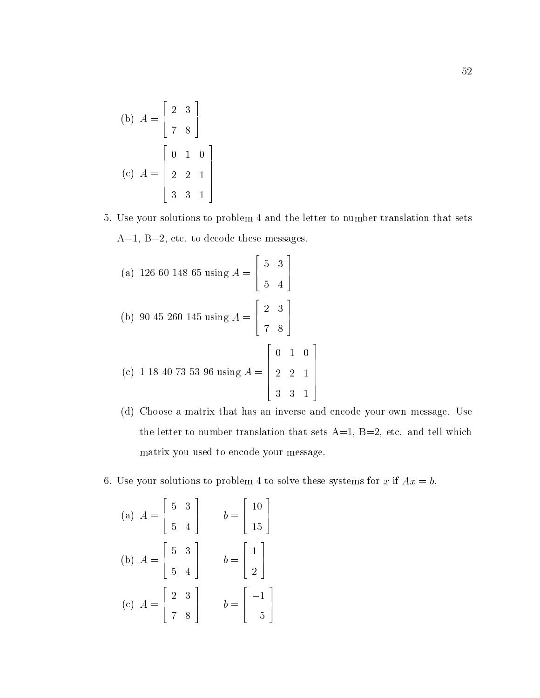(b) 
$$
A = \begin{bmatrix} 2 & 3 \\ 7 & 8 \end{bmatrix}
$$
  
(c)  $A = \begin{bmatrix} 0 & 1 & 0 \\ 2 & 2 & 1 \\ 3 & 3 & 1 \end{bmatrix}$ 

5. Use your solutions to problem 4 and the letter to number translation that sets  $A=1, B=2, etc.$  to decode these messages.

(a) 126 60 148 65 using 
$$
A = \begin{bmatrix} 5 & 3 \\ 5 & 4 \end{bmatrix}
$$
  
\n(b) 90 45 260 145 using  $A = \begin{bmatrix} 2 & 3 \\ 7 & 8 \end{bmatrix}$   
\n(c) 1 18 40 73 53 96 using  $A = \begin{bmatrix} 0 & 1 & 0 \\ 2 & 2 & 1 \\ 3 & 3 & 1 \end{bmatrix}$ 

- (d) Choose a matrix that has an inverse and encode your own message. Use the letter to number translation that sets  $A=1$ ,  $B=2$ , etc. and tell which matrix you used to encode your message.
- 6. Use your solutions to problem 4 to solve these systems for x if  $Ax = b$ .

(a) 
$$
A = \begin{bmatrix} 5 & 3 \\ 5 & 4 \end{bmatrix}
$$
  $b = \begin{bmatrix} 10 \\ 15 \end{bmatrix}$   
\n(b)  $A = \begin{bmatrix} 5 & 3 \\ 5 & 4 \end{bmatrix}$   $b = \begin{bmatrix} 1 \\ 2 \end{bmatrix}$   
\n(c)  $A = \begin{bmatrix} 2 & 3 \\ 7 & 8 \end{bmatrix}$   $b = \begin{bmatrix} -1 \\ 5 \end{bmatrix}$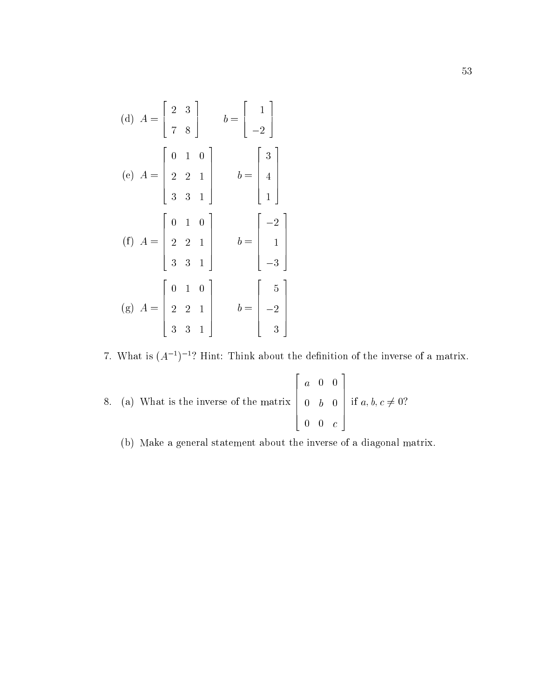(d) 
$$
A = \begin{bmatrix} 2 & 3 \\ 7 & 8 \end{bmatrix}
$$
  $b = \begin{bmatrix} 1 \\ -2 \end{bmatrix}$   
\n(e)  $A = \begin{bmatrix} 0 & 1 & 0 \\ 2 & 2 & 1 \\ 3 & 3 & 1 \end{bmatrix}$   $b = \begin{bmatrix} 3 \\ 4 \\ 1 \end{bmatrix}$   
\n(f)  $A = \begin{bmatrix} 0 & 1 & 0 \\ 2 & 2 & 1 \\ 3 & 3 & 1 \end{bmatrix}$   $b = \begin{bmatrix} -2 \\ 1 \\ -3 \end{bmatrix}$   
\n(g)  $A = \begin{bmatrix} 0 & 1 & 0 \\ 2 & 2 & 1 \\ 3 & 3 & 1 \end{bmatrix}$   $b = \begin{bmatrix} 5 \\ -2 \\ 3 \end{bmatrix}$ 

7. What is  $(A^{-1})^{-1}$ ? Hint: Think about the definition of the inverse of a matrix.

8. (a) What is the inverse of the matrix 
$$
\begin{bmatrix} a & 0 & 0 \ 0 & b & 0 \ 0 & 0 & c \end{bmatrix}
$$
 if  $a, b, c \neq 0$ ?

(b) Make a general statement about the inverse of a diagonal matrix.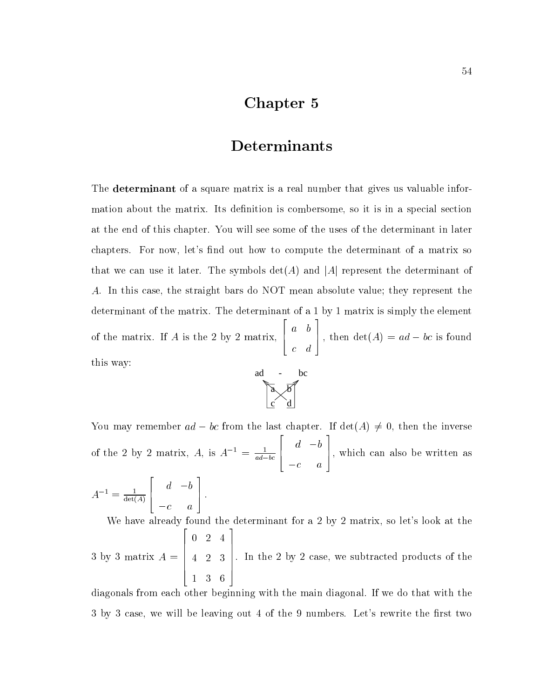# Chapter 5

# Determinants

The **determinant** of a square matrix is a real number that gives us valuable information about the matrix. Its definition is combersome, so it is in a special section at the end of this chapter. You will see some of the uses of the determinant in later chapters. For now, let's find out how to compute the determinant of a matrix so that we can use it later. The symbols  $\det(A)$  and  $|A|$  represent the determinant of A. In this case, the straight bars do NOT mean absolute value; they represent the determinant of the matrix. The determinant of a 1 by 1 matrix is simply the element of the matrix. If A is the 2 by 2 matrix,  $\begin{bmatrix} a & b \end{bmatrix}$ , a baransa da baransa da baransa a baransa a baransa a baransa a baransa a baransa a baransa a baransa a baran c de la construcción de la construcción de la construcción de la construcción de la construcción de la construcción de la construcción de la construcción de la construcción de la construcción de la construcción de la const 3 , then  $\det(A) = ad - bc$  is found this way:



You may remember  $ad - bc$  from the last chapter. If  $\det(A) \neq 0$ , then the inverse of the 2 by 2 matrix,  $A$ , is  $A^{-1} = \frac{1}{ad-bc}$  $\sim$  200  $\sim$  200  $\sim$  200  $\sim$  200  $\sim$  200  $\sim$  200  $\sim$  200  $\sim$  200  $\sim$  200  $\sim$  200  $\sim$ 6 4 d b contract the contract of the contract of the contract of the contract of the contract of the contract of the c 3 7 5, which can also be written as  $\overline{2}$  2  $\overline{2}$  2  $\overline{2}$  2  $\overline{2}$  2  $\overline{2}$  2  $\overline{2}$  2  $\overline{2}$  2  $\overline{2}$  2  $\overline{2}$  2  $\overline{2}$  2  $\overline{2}$  2  $\overline{2}$  2  $\overline{2}$  2  $\overline{2}$  2  $\overline{2}$  2  $\overline{2}$  2  $\overline{2}$  2  $\overline{2}$  2  $\overline{2}$  2  $\overline{2}$  2 for the contract of the contract of the contract of the contract of the contract of the contract of the contract of the contract of the contract of the contract of the contract of the contract of the contract of the contra d b 3 The contract of the contract of the contract of the contract of the contract of the contract of the contract of

$$
A^{-1} = \frac{1}{\det(A)} \begin{bmatrix} d & -b \\ -c & a \end{bmatrix}.
$$

We have already found the determinant for a 2 by 2 matrix, so let's look at the 3 by 3 matrix A  $\sim$  3 matrix  $\sim$  3 matrix  $\sim$  3 matrix  $\sim$  3 matrix  $\sim$ 22 P. L. Grand Construction of the Construction of the Construction of the Construction of the Construction of  $\begin{array}{|ccc} 4 & 2 & 3 \end{array}$ 0 2 4  $\sim$  3  $\sim$  3  $\sim$  3  $\sim$  3  $\sim$  3  $\sim$  3  $\sim$  3  $\sim$  3  $\sim$  3  $\sim$  3  $\sim$  3  $\sim$  3  $\sim$  3  $\sim$  3  $\sim$  3  $\sim$  3  $\sim$  3  $\sim$  3  $\sim$  3  $\sim$  3  $\sim$  3  $\sim$  3  $\sim$  3  $\sim$  3  $\sim$  3  $\sim$  3  $\sim$  3  $\sim$  3  $\sim$  3  $\sim$  3  $\sim$  3  $\sim$ 3  $\Bigg| \cdot \text{ In the } 2$ . In the 2 by 2 by 2 by 2 case, we subtracted products of the 2 by 2 case, we subtracted products of the 2 by 2 case, we subtracted products of the 2 by 2 case, we subtracted products of the 2 case, we subtracted products

diagonals from each other beginning with the main diagonal. If we do that with the 3 by 3 case, we will be leaving out 4 of the 9 numbers. Let's rewrite the first two

1 3 6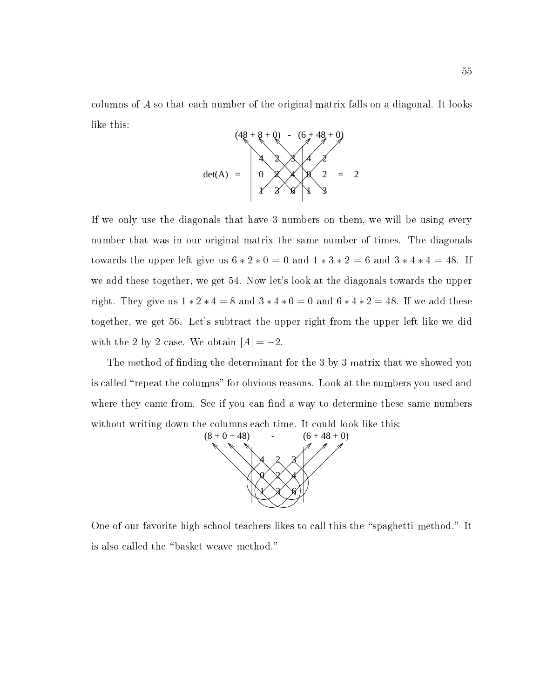columns of A so that each number of the original matrix falls on a diagonal. It looks like this:



If we only use the diagonals that have 3 numbers on them, we will be using every number that was in our original matrix the same number of times. The diagonals towards the upper left give us  $6 * 2 * 0 = 0$  and  $1 * 3 * 2 = 6$  and  $3 * 4 * 4 = 48$ . If we add these together, we get 54. Now let's look at the diagonals towards the upper right. They give us  $1 * 2 * 4 = 8$  and  $3 * 4 * 0 = 0$  and  $6 * 4 * 2 = 48$ . If we add these together, we get 56. Let's subtract the upper right from the upper left like we did with the 2 by 2 case. We obtain  $|A| = -2$ .

The method of finding the determinant for the 3 by 3 matrix that we showed you is called "repeat the columns" for obvious reasons. Look at the numbers you used and where they came from. See if you can find a way to determine these same numbers without writing down the columns each time. It could look like this:



One of our favorite high school teachers likes to call this the "spaghetti method." It is also called the "basket weave method."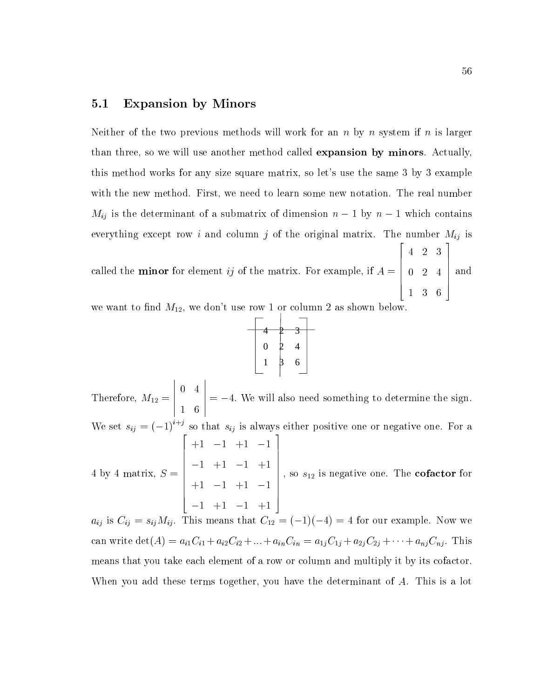## 5.1 Expansion by Minors

Neither of the two previous methods will work for an n by n system if n is larger than three, so we will use another method called expansion by minors. Actually, this method works for any size square matrix, so let's use the same 3 by 3 example with the new method. First, we need to learn some new notation. The real number  $M_{ij}$  is the determinant of a submatrix of dimension  $n-1$  by  $n-1$  which contains everything except row i and column j of the original matrix. The number  $M_{ij}$  is called the minor for element ij of the matrix. For example, if A = 22 22 23 24 25 26 27 28 29 20 21 22 23 24 25 26 27 28 29 29 20 21 22 23 24 25 26 27 28 29 29 29 29 29 29 29 29  $\begin{bmatrix} 0 & 2 & 4 \end{bmatrix}$ — <del>—</del> <del>—</del> 2 1 0 2 4 3 | and

we want to find  $M_{12}$ , we don't use row 1 or column 2 as shown below.

| 4                |   |  |  |  |  |
|------------------|---|--|--|--|--|
| $\boldsymbol{0}$ | 4 |  |  |  |  |
|                  | 6 |  |  |  |  |
|                  |   |  |  |  |  |

Therefore, M12 and M12 and M12 and M12 and M12 and M12 and M12 and M12 and M12 and M12 and M12 and M12 and M12  $\begin{array}{|c|c|c|}\n\hline\n0 & 4 \\
1 & 6\n\end{array}$  $\sim$  0  $\sim$  0  $\sim$  0  $\sim$  0  $\sim$  0  $\sim$  0  $\sim$  0  $\sim$  0  $\sim$  0  $\sim$  0  $\sim$  0  $\sim$  0  $\sim$  0  $\sim$  0  $\sim$  0  $\sim$  0  $\sim$  0  $\sim$  0  $\sim$  0  $\sim$  0  $\sim$  0  $\sim$  0  $\sim$  0  $\sim$  0  $\sim$  0  $\sim$  0  $\sim$  0  $\sim$  0  $\sim$  0  $\sim$  0  $\sim$  0  $\sim$ 1 6  $\vert$  = -4. We will also need something to determine the sign. We set  $s_{ij} = (-1)^{i+j}$  so that  $s_{ij}$  is always either positive one or negative one. For a 4 by 4 matrix, S = and the contract of the contract of the contract of the contract of the contract of the contract of the contract of the contract of the contract of the contract of the contract of the contract of the contract of the contra  $\begin{vmatrix} -1 & +1 \\ +1 & -1 \end{vmatrix}$ +1 1 +1 1 1 +1 1 +1 +1 1 +1 1 1 +1 1 +1  $\Bigg\}$ , so  $s_{12}$  is ; so s12 is informative one. The cofactor for  $\sim$ 

aij tijd is Cij is cijn means that City is constant controlled by the City is constant of  $\mathcal{A}$ can write  $\det(A) = a_{i1}C_{i1} + a_{i2}C_{i2} + ... + a_{in}C_{in} = a_{1j}C_{1j} + a_{2j}C_{2j} + ... + a_{nj}C_{nj}$ . This means that you take each element of a row or column and multiply it by its cofactor. When you add these terms together, you have the determinant of A. This is a lot

1 3 6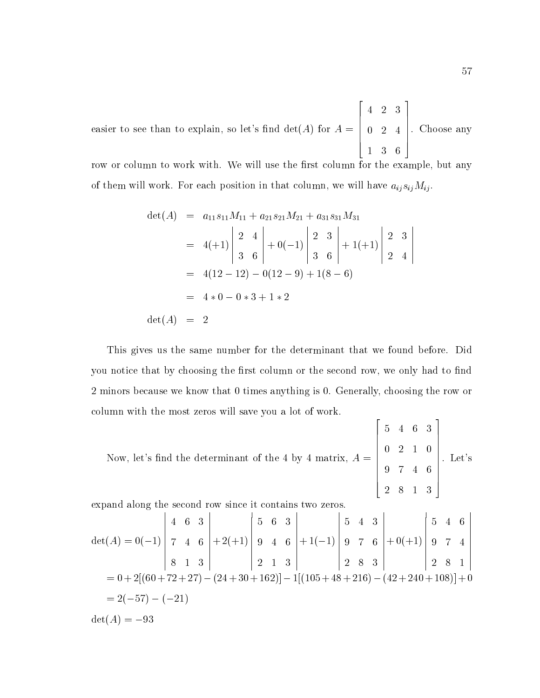easier to see than to explain, so let's find  $\det(A)$  for  $A = \begin{pmatrix} 0 & 2 & 4 \end{pmatrix}$ .  $\begin{bmatrix} 0 & 2 & 4 \end{bmatrix}$ 4 2 3  $\sim$   $\sim$   $-$ 1 3 6  $\Bigg| \cdot$  Choose . Choose any contract any contract any contract any contract any contract any contract any contract any contract of

row or column to work with. We will use the first column for the example, but any of them will work. For each position in that column, we will have  $a_{ij} s_{ij} M_{ij}$ .

$$
det(A) = a_{11}s_{11}M_{11} + a_{21}s_{21}M_{21} + a_{31}s_{31}M_{31}
$$
  
\n
$$
= 4(+1)\begin{vmatrix} 2 & 4 \\ 3 & 6 \end{vmatrix} + 0(-1)\begin{vmatrix} 2 & 3 \\ 3 & 6 \end{vmatrix} + 1(+1)\begin{vmatrix} 2 & 3 \\ 2 & 4 \end{vmatrix}
$$
  
\n
$$
= 4(12 - 12) - 0(12 - 9) + 1(8 - 6)
$$
  
\n
$$
= 4 * 0 - 0 * 3 + 1 * 2
$$
  
\n
$$
det(A) = 2
$$

This gives us the same number for the determinant that we found before. Did you notice that by choosing the first column or the second row, we only had to find 2 minors because we know that 0 times anything is 0. Generally, choosing the row or column with the most zeros will save you a lot of work.

Now, let's find the determinant of the 4 by 4 matrix,  $A = \square$ **2005 2006 2006 2006 2006**  $\begin{bmatrix} 0 & 2 & 1 \\ 9 & 7 & 4 \end{bmatrix}$ 5 4 6 3 0 2 1 0 1 0 1 1 0 1 1 1 1 0 1 1 0 1 1 0 1 1 0 1 0 1 0 1 0 1 0 1 0 1 0 1 0 1 0 1 0 1 0 1 0 1 0 1 0 1 0 1 0 1 0 1 0 1 0 1 0 1 0 1 0 1 0 1 0 1 0 1 0 1 0 1 0 1 0 1 0 1 0 1 0 1 0 1 0 1 0 1 0 1 0 1 0 1 0 1 0 1 0 1 0 1 0 1 0 1 0 1 9 7 4 6 2 8 1 3 3  $\Bigg\}$ . Let's . Let's

expand along the second row since it contains two zeros.

$$
\det(A) = 0(-1) \begin{vmatrix} 4 & 6 & 3 \\ 7 & 4 & 6 \\ 8 & 1 & 3 \end{vmatrix} + 2(+1) \begin{vmatrix} 5 & 6 & 3 \\ 9 & 4 & 6 \\ 2 & 1 & 3 \end{vmatrix} + 1(-1) \begin{vmatrix} 5 & 4 & 3 \\ 9 & 7 & 6 \\ 2 & 8 & 3 \end{vmatrix} + 0(+1) \begin{vmatrix} 5 & 4 & 6 \\ 9 & 7 & 4 \\ 2 & 8 & 1 \end{vmatrix}
$$
  
= 0 + 2[(60 + 72 + 27) - (24 + 30 + 162)] - 1[(105 + 48 + 216) - (42 + 240 + 108)] + 0  
= 2(-57) - (-21)  

$$
\det(A) = -93
$$

3

2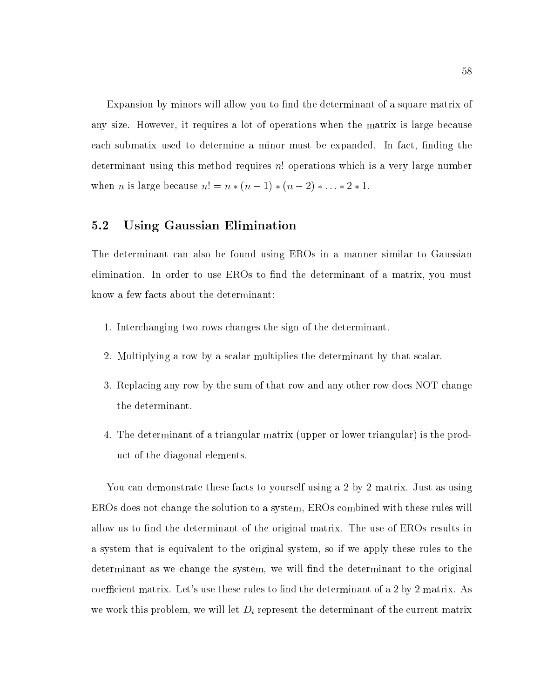Expansion by minors will allow you to find the determinant of a square matrix of any size. However, it requires a lot of operations when the matrix is large because each submatix used to determine a minor must be expanded. In fact, finding the determinant using this method requires n! operations which is a very large number when *n* is large because  $n! = n * (n - 1) * (n - 2) * ... * 2 * 1$ .

### 5.2 Using Gaussian Elimination

The determinant can also be found using EROs in a manner similar to Gaussian elimination. In order to use EROs to find the determinant of a matrix, you must know a few facts about the determinant:

- 1. Interchanging two rows changes the sign of the determinant.
- 2. Multiplying a row by a scalar multiplies the determinant by that scalar.
- 3. Replacing any row by the sum of that row and any other row does NOT change the determinant.
- 4. The determinant of a triangular matrix (upper or lower triangular) is the product of the diagonal elements.

You can demonstrate these facts to yourself using a 2 by 2 matrix. Just as using EROs does not change the solution to a system, EROs combined with these rules will allow us to find the determinant of the original matrix. The use of EROs results in a system that is equivalent to the original system, so if we apply these rules to the determinant as we change the system, we will find the determinant to the original coefficient matrix. Let's use these rules to find the determinant of a 2 by 2 matrix. As we work this problem, we will let  $D_i$  represent the determinant of the current matrix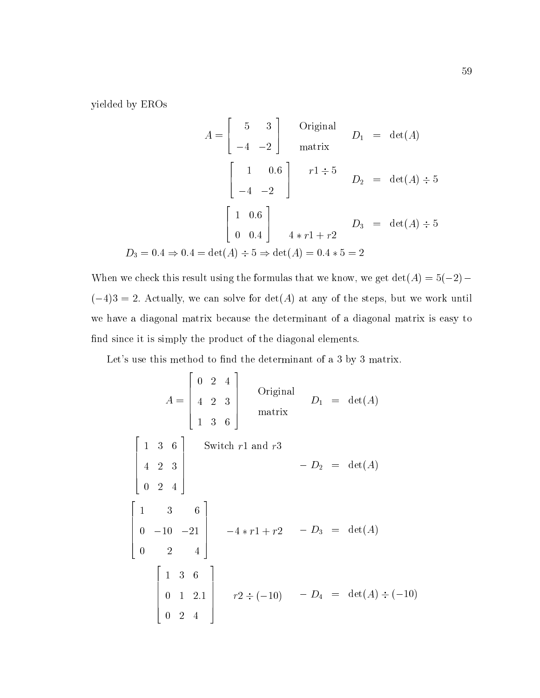yielded by EROs

$$
A = \begin{bmatrix} 5 & 3 \\ -4 & -2 \end{bmatrix}
$$
 Original  $D_1$  = det(A)  
matrix  

$$
\begin{bmatrix} 1 & 0.6 \\ -4 & -2 \end{bmatrix}
$$
  $r1 \div 5$   $D_2$  = det(A) ÷ 5  

$$
\begin{bmatrix} 1 & 0.6 \\ 0 & 0.4 \end{bmatrix}
$$
  $D_3$  = det(A) ÷ 5  

$$
D_3 = 0.4 \Rightarrow 0.4 = det(A) \div 5 \Rightarrow det(A) = 0.4 * 5 = 2
$$

When we check this result using the formulas that we know, we get  $\det(A) = 5(-2) (-4)3 = 2.$  Actually, we can solve for  $det(A)$  at any of the steps, but we work until we have a diagonal matrix because the determinant of a diagonal matrix is easy to find since it is simply the product of the diagonal elements.

Let's use this method to find the determinant of a 3 by 3 matrix.

$$
A = \begin{bmatrix} 0 & 2 & 4 \\ 4 & 2 & 3 \\ 1 & 3 & 6 \end{bmatrix}
$$
 Original  
matrix  

$$
\begin{bmatrix} 1 & 3 & 6 \\ 4 & 2 & 3 \\ 0 & 2 & 4 \end{bmatrix}
$$
 Switch r1 and r3  

$$
-D_2 = \det(A)
$$
  

$$
\begin{bmatrix} 1 & 3 & 6 \\ 0 & -10 & -21 \\ 0 & 2 & 4 \end{bmatrix}
$$

$$
-4 * r1 + r2 - D_3 = \det(A)
$$
  

$$
\begin{bmatrix} 1 & 3 & 6 \\ 0 & 2 & 4 \end{bmatrix}
$$

$$
r2 \div (-10) - D_4 = \det(A) \div (-10)
$$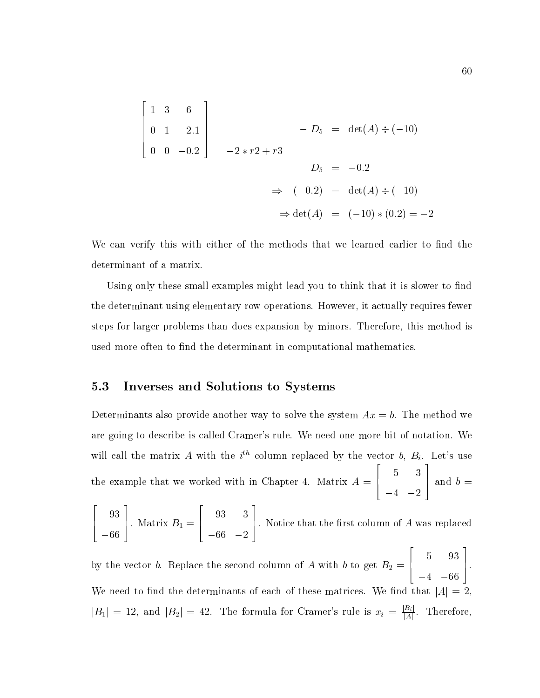$$
\begin{bmatrix} 1 & 3 & 6 \ 0 & 1 & 2.1 \ 0 & 0 & -0.2 \end{bmatrix} \qquad -D_5 = \det(A) \div (-10)
$$
  
\n
$$
-2 \times r2 + r3
$$
  
\n
$$
D_5 = -0.2
$$
  
\n
$$
\Rightarrow -(-0.2) = \det(A) \div (-10)
$$
  
\n
$$
\Rightarrow \det(A) = (-10) \times (0.2) = -2
$$

We can verify this with either of the methods that we learned earlier to find the determinant of a matrix.

Using only these small examples might lead you to think that it is slower to find the determinant using elementary row operations. However, it actually requires fewer steps for larger problems than does expansion by minors. Therefore, this method is used more often to find the determinant in computational mathematics.

### 5.3 Inverses and Solutions to Systems

Determinants also provide another way to solve the system  $Ax = b$ . The method we are going to describe is called Cramer's rule. We need one more bit of notation. We will call the matrix A with the  $i^{th}$  column replaced by the vector b,  $B_i$ . Let's use the example that we worked with in Chapter 4. Matrix  $A = \begin{bmatrix} 1 & 1 \\ 1 & 1 \end{bmatrix}$ 5 3 3 | and  $b =$ 

2 6 4  $\sim$  9  $\,$  1  $\,$  9  $\,$  9  $\,$  9  $\,$  9  $\,$  9  $\,$  9  $\,$  9  $\,$  9  $\,$  9  $\,$  9  $\,$  9  $\,$  9  $\,$  9  $\,$  9  $\,$  9  $\,$  9  $\,$  9  $\,$  9  $\,$  9  $\,$  9  $\,$  9  $\,$  9  $\,$  9  $\,$  9  $\,$  9  $\,$  9  $\,$  9  $\,$  9  $\,$  9  $\,$ 66 3 . Matrix  $B_1 =$  $\mathbb{R}^2$  . The contract of the contract of the contract of the contract of the contract of the contract of the contract of the contract of the contract of the contract of the contract of the contract of the contract of 6 4 93 3 66 2 3  $\perp$ . Notice that the first column of A was replaced  $\mathbb{R}^2$  . The contract of the contract of the contract of the contract of the contract of the contract of the contract of the contract of the contract of the contract of the contract of the contract of the contract of 3

by the vector b. Replace the second column of  $\alpha$  with  $\alpha$  and  $\alpha$  with b to get  $\alpha$  with b to get  $\alpha$ 6 4 - 931 - 932 - 933 - 933 - 933 - 933 - 933 - 933 - 933 - 933 - 933 - 933 - 933 - 933 - 933 - 933 - 933 - 933 - 933 - 933 - 933 - 933 - 933 - 933 - 933 - 933 - 933 - 933 - 933 - 933 - 933 - 933 - 933 - 933 - 933 - 933 - 933 -4 66 7 5. We need to find the determinants of each of these matrices. We find that  $|A|=2$  $|B_1| = 12$ , and  $|B_2| = 42$ . The formula for Cramer's rule is  $x_i = \frac{|B_i|}{|A|}$ . Therefore,

4 2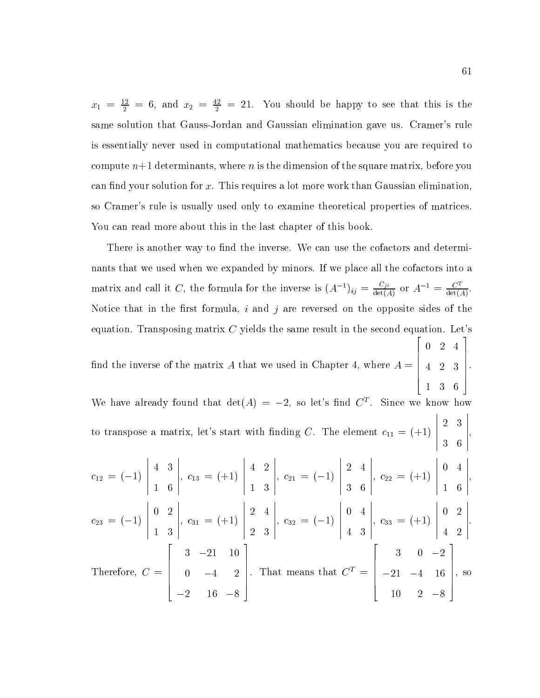$x_1 = \frac{1}{2} = 6$ , and  $x_2 = \frac{1}{2} = 21$ . You should be happy to see that this is the same solution that Gauss-Jordan and Gaussian elimination gave us. Cramer's rule is essentially never used in computational mathematics because you are required to compute  $n+1$  determinants, where n is the dimension of the square matrix, before you can find your solution for  $x$ . This requires a lot more work than Gaussian elimination, so Cramer's rule is usually used only to examine theoretical properties of matrices. You can read more about this in the last chapter of this book.

There is another way to find the inverse. We can use the cofactors and determinants that we used when we expanded by minors. If we place all the cofactors into a matrix and call it C, the formula for the inverse is  $(A^{-1})_{ij} = \frac{C_{ji}}{\det(A)}$  or  $A^{-1} = \frac{C^{-1}}{\det(A)}$ . Notice that in the first formula,  $i$  and  $j$  are reversed on the opposite sides of the equation. Transposing matrix  $C$  yields the same result in the second equation. Let's nd the inverse of the matrix A that we used in Chapter 4, where A = <u>2002</u> - Paul Barbara and Paul Barbara and Paul Barbara and Paul Barbara and Paul Barbara and Paul Barbara and P  $\begin{bmatrix} 4 & 2 & 3 \end{bmatrix}$ 0 2 4 4 2 3 1 3 6 3  $\Big\}$ . We have already found that  $\det(A) = -2$ , so let's find  $C<sup>T</sup>$ . Since we know how to transpose a matrix, let's start with finding C. The element  $c_{11} = (+1)$  $\begin{array}{|c|c|c|}\n\hline\n2 & 3 \\
3 & 6\n\end{array}$  $2$  3  $3$  3  $3$  3  $3$  3  $3$  3  $3$  3  $3$  3  $3$  3  $3$  3  $3$  3  $3$  3  $3$  3  $3$  3  $3$  3  $3$  3  $3$  3  $3$  3  $3$  3  $3$  3  $3$  3  $3$  3  $3$  3  $3$  3  $3$  3  $3$  3  $3$  3  $3$  3  $3$  3  $3$  3  $3$  3  $3$  3  $3$  3  $3$  3  $3$  3  $3$  3  $3$  3  $3$  3  $\sim$  6  $\,$  6  $\,$  6  $\,$  6  $\,$  6  $\,$  6  $\,$  6  $\,$  6  $\,$  6  $\,$  6  $\,$  6  $\,$  6  $\,$  6  $\,$  6  $\,$  6  $\,$  6  $\,$  6  $\,$  6  $\,$  6  $\,$  6  $\,$  6  $\,$  6  $\,$  6  $\,$  6  $\,$  6  $\,$  6  $\,$  6  $\,$  6  $\,$  6  $\,$  6  $\,$  6  $\,$  $\begin{bmatrix} 1 & 1 \\ 1 & 1 \end{bmatrix}$  $\overline{12}$  (1)  $\begin{array}{|c|c|} \hline 4 & 3 \\ \hline 1 & 6 \end{array}$ 4 3 1 6  $\Bigg\vert, \; c_{13}$ , c13 <sup>=</sup> (+1)  $\begin{vmatrix} 4 & 2 \\ 1 & 3 \end{vmatrix}$ 4 2 - - 1  $\Bigg\vert, \; c_{21}$ ,  $\omega$  is a contract of  $\omega$  $\begin{array}{|c|c|c|}\n\hline\n2 & 4 \\
3 & 6\n\end{array}$ 2 4 3 6  $\Bigg\vert,\,\,c_{22}$ , c22 <sup>=</sup> (+1)  $\begin{bmatrix} 0 & 4 \\ 1 & 6 \end{bmatrix}$ 0 4 1 6  $\begin{array}{c} \begin{array}{ccc} \end{array} \end{array}$ c23 <sup>=</sup> (1)  $\begin{bmatrix} 0 & 2 \\ 1 & 3 \end{bmatrix}$ 0 2 1 3  $\Bigg\vert, \; c_{31}$ , can also define  $\mathcal{A}$  $\begin{array}{|c|c|c|}\n\hline\n2 & 4 \\
\hline\n2 & 3\n\end{array}$ 2 4  $2^2$  3  $2^2$  3  $2^2$  3  $2^2$  3  $2^2$  3  $2^2$  3  $2^2$  3  $2^2$  3  $2^2$  3  $2^2$  3  $2^2$  3  $2^2$  3  $2^2$  3  $2^2$  3  $2^2$  3  $2^2$  3  $2^2$  3  $2^2$  3  $2^2$  3  $2^2$  3  $2^2$  3  $2^2$  3  $2^2$  3  $2^2$  3  $2^2$  3  $2^2$  3  $2^2$  3  $2^2$  $\Bigg\vert, \; c_{32}$ , c32 <sup>=</sup> (1)  $\begin{array}{|c|c|c|}\n\hline\n0 & 4 \\
4 & 3\n\end{array}$ 0 4 4 3  $\Bigg\vert, \; c_{33}$ ,  $\sim$   $\sim$  (+1)  $\sim$  (+1)  $\sim$  (+1)  $\sim$  (+1)  $\sim$  (+1)  $\sim$  (+1)  $\sim$  (+1)  $\sim$  (+1)  $\sim$  (+1)  $\sim$  (+1)  $\sim$  (+1)  $\sim$  (+1)  $\sim$  (+1)  $\sim$  (+1)  $\sim$  (+1)  $\sim$  (+1)  $\sim$  (+1)  $\sim$  (+1)  $\sim$  (+1)  $\sim$  (+1)  $\sim$  (+1)  $\sim$  $\begin{array}{|c|c|c|}\n\hline\n0 & 2 \\
4 & 2\n\end{array}$ 0 2 4 2  $\cdot$ Therefore, C =  $\sim$  200  $\sim$  200  $\sim$  200  $\sim$  200  $\sim$  200  $\sim$  200  $\sim$  200  $\sim$  200  $\sim$  200  $\sim$  200  $\sim$  $\begin{bmatrix} 0 & -4 \\ 0 & -4 \end{bmatrix}$ 3 21 10  $\sim$  2  $\sim$  2  $\sim$  2  $\sim$  2  $\sim$  2  $\sim$  2  $\sim$  2  $\sim$  2  $\sim$  2  $\sim$  2  $\sim$  2  $\sim$  2  $\sim$  2  $\sim$  2  $\sim$  2  $\sim$  2  $\sim$  2  $\sim$  2  $\sim$  2  $\sim$  2  $\sim$  2  $\sim$  2  $\sim$  2  $\sim$  2  $\sim$  2  $\sim$  2  $\sim$  2  $\sim$  2  $\sim$  2  $\sim$  2  $\sim$  2  $\sim$  $2.6$  16  $\pm$  16  $\pm$  16  $\pm$  16  $\pm$  16  $\pm$  16  $\pm$  16  $\pm$  16  $\pm$  16  $\pm$  16  $\pm$  16  $\pm$  16  $\pm$  16  $\pm$ 3  $\Bigg|$ . That m . That means that  $C_\pm = \pm 21$   $-4$ **2005 2006 2006 2006 2006**  $\begin{vmatrix} -21 & -4 \end{vmatrix}$ 3 0 2  $21$  4  $16$  16  $16$  16  $16$  16  $16$  16  $16$  16  $16$  16  $16$  16  $16$  16  $16$  16  $16$  16  $16$ 10 2 8 3  $\Bigg\}$ , so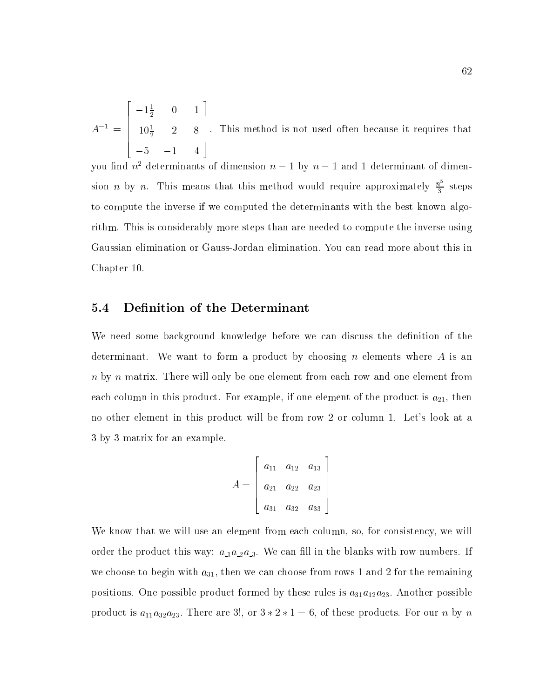$A$  = 1  $10^{\circ}$   $2^{\circ}$  $\sim$  200  $\sim$  200  $\sim$  200  $\sim$  200  $\sim$  200  $\sim$  200  $\sim$  200  $\sim$  200  $\sim$  200  $\sim$  200  $\sim$  $\begin{bmatrix} -1\frac{1}{2} & 0 & 1 \\ 10\frac{1}{2} & 2 & -8 \end{bmatrix}$ . This  $10\frac{1}{2}$  2 -8 | 1 1111 5 1 4 3  $\Bigg| \cdot$  This m . This method is not used of the method is not used of the contribution of the contribution of the contribution of the contribution of the contribution of the contribution of the contribution of the contribution of the co

you find  $n^2$  determinants of dimension  $n-1$  by  $n-1$  and 1 determinant of dimension *n* by *n*. This means that this method would require approximately  $\frac{n^5}{3}$  steps to compute the inverse if we computed the determinants with the best known algorithm. This is considerably more steps than are needed to compute the inverse using Gaussian elimination or Gauss-Jordan elimination: You can read more about this in Chapter 10.

### 5.4 Definition of the Determinant

We need some background knowledge before we can discuss the definition of the determinant. We want to form a product by choosing n elements where A is an n by n matrix. There will only be one element from each row and one element from each column in this product. For example, if one element of the product is  $a_{21}$ , then no other element in this product will be from row 2 or column 1. Let's look at a 3 by 3 matrix for an example.

$$
A = \left[ \begin{array}{ccc} a_{11} & a_{12} & a_{13} \\ a_{21} & a_{22} & a_{23} \\ a_{31} & a_{32} & a_{33} \end{array} \right]
$$

We know that we will use an element from each column, so, for consistency, we will order the product this way: a 1a 2a 3. We can be can be can be can be calculated by  $\mu$ we choose to begin with  $a_{31}$ , then we can choose from rows 1 and 2 for the remaining positions. One possible product formed by these rules is  $a_{31}a_{12}a_{23}$ . Another possible product is  $a_{11}a_{32}a_{23}$ . There are 3!, or  $3 * 2 * 1 = 6$ , of these products. For our n by n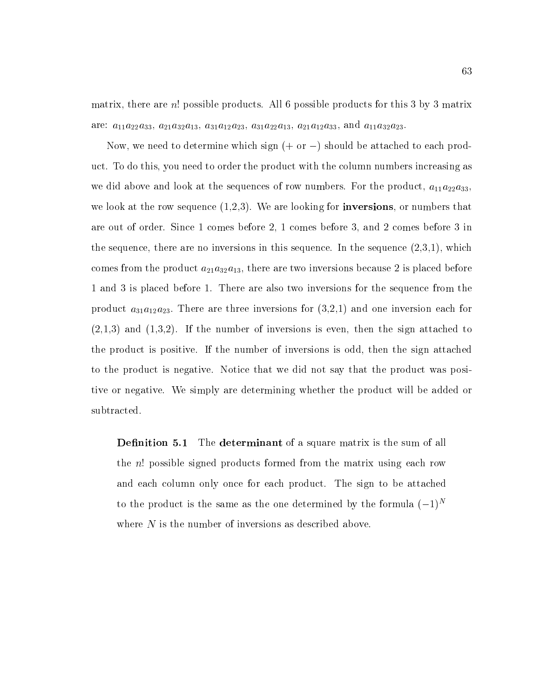matrix, there are n! possible products. All 6 possible products for this 3 by 3 matrix are:  $a_{11}a_{22}a_{33},\,a_{21}a_{32}a_{13},\,a_{31}a_{12}a_{23},\,a_{31}a_{22}a_{13},\,a_{21}a_{12}a_{33},\,{\rm and}\,\,a_{11}a_{32}a_{23}.$ 

Now, we need to determine which sign  $(+$  or  $-)$  should be attached to each product. To do this, you need to order the product with the column numbers increasing as we did above and look at the sequences of row numbers. For the product,  $a_{11}a_{22}a_{33}$ , we look at the row sequence  $(1,2,3)$ . We are looking for **inversions**, or numbers that are out of order. Since 1 comes before 2, 1 comes before 3, and 2 comes before 3 in the sequence, there are no inversions in this sequence. In the sequence  $(2,3,1)$ , which comes from the product  $a_{21}a_{32}a_{13}$ , there are two inversions because 2 is placed before 1 and 3 is placed before 1. There are also two inversions for the sequence from the product  $a_{31}a_{12}a_{23}$ . There are three inversions for  $(3,2,1)$  and one inversion each for  $(2,1,3)$  and  $(1,3,2)$ . If the number of inversions is even, then the sign attached to the product is positive. If the number of inversions is odd, then the sign attached to the product is negative. Notice that we did not say that the product was positive or negative. We simply are determining whether the product will be added or subtracted.

**Definition 5.1** The determinant of a square matrix is the sum of all the n! possible signed products formed from the matrix using each row and each column only once for each product. The sign to be attached to the product is the same as the one determined by the formula  $(-1)^N$ where  $N$  is the number of inversions as described above.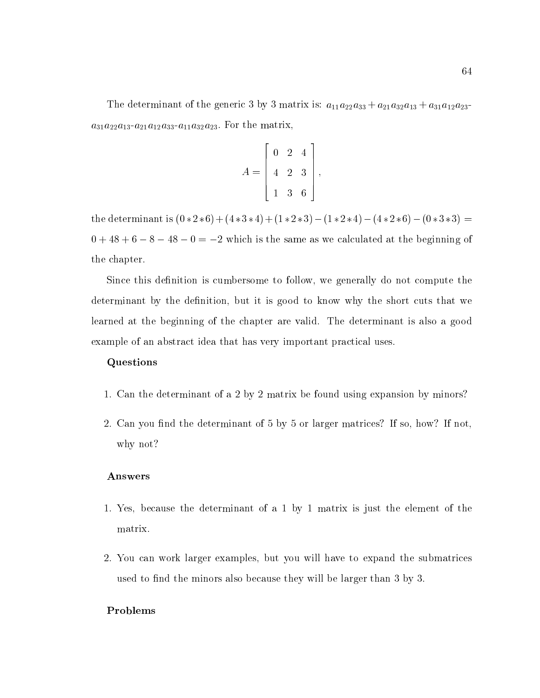The determinant of the generic 3 by 3 matrix is:  $a_{11}a_{22}a_{33} + a_{21}a_{32}a_{13} + a_{31}a_{12}a_{23}$  $a_{31}a_{22}a_{13}-a_{21}a_{12}a_{33}-a_{11}a_{32}a_{23}$ . For the matrix,

$$
A = \left[ \begin{array}{rrr} 0 & 2 & 4 \\ 4 & 2 & 3 \\ 1 & 3 & 6 \end{array} \right],
$$

the determinant is  $(0 * 2 * 6) + (4 * 3 * 4) + (1 * 2 * 3) - (1 * 2 * 4) - (4 * 2 * 6) - (0 * 3 * 3) =$  $0 + 48 + 6 - 8 - 48 - 0 = -2$  which is the same as we calculated at the beginning of the chapter.

Since this definition is cumbersome to follow, we generally do not compute the determinant by the definition, but it is good to know why the short cuts that we learned at the beginning of the chapter are valid. The determinant is also a good example of an abstract idea that has very important practical uses.

#### Questions

- 1. Can the determinant of a 2 by 2 matrix be found using expansion by minors?
- 2. Can you find the determinant of 5 by 5 or larger matrices? If so, how? If not, why not?

#### Answers

- 1. Yes, because the determinant of a 1 by 1 matrix is just the element of the matrix.
- 2. You can work larger examples, but you willhave to expand the submatrices used to find the minors also because they will be larger than 3 by 3.

### Problems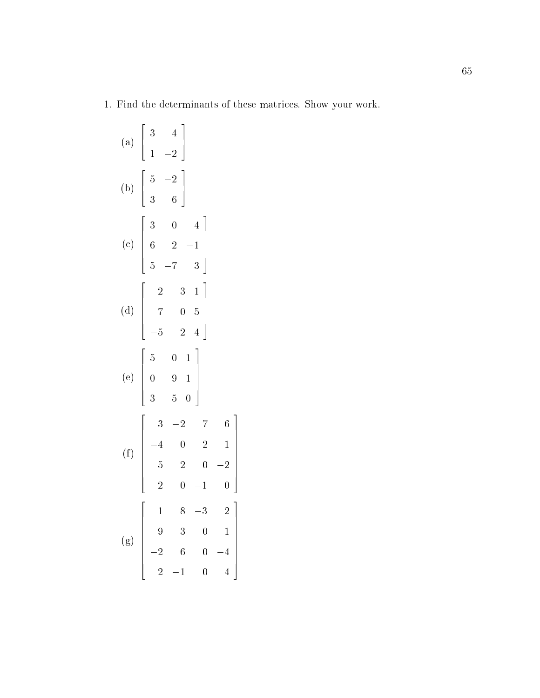. Find the determinants of these matrices. Show we have the determinants of the show

|     | (a) $\begin{bmatrix} 3 & 4 \\ 1 & -2 \end{bmatrix}$                                                                                                                                                                    |
|-----|------------------------------------------------------------------------------------------------------------------------------------------------------------------------------------------------------------------------|
|     | (b) $\begin{bmatrix} 5 & -2 \\ 3 & 6 \end{bmatrix}$                                                                                                                                                                    |
|     | (c) $\begin{bmatrix} 3 & 0 & 4 \\ 6 & 2 & -1 \\ 5 & -7 & 3 \end{bmatrix}$                                                                                                                                              |
|     | (d) $\begin{bmatrix} 2 & -3 & 1 \\ 7 & 0 & 5 \\ -5 & 2 & 4 \end{bmatrix}$                                                                                                                                              |
|     | (e) $\begin{bmatrix} 5 & 0 & 1 \\ 0 & 9 & 1 \\ 3 & -5 & 0 \end{bmatrix}$                                                                                                                                               |
|     | (f) $\begin{bmatrix} 3 & -2 & 7 & 6 \\ -4 & 0 & 2 & 1 \\ 5 & 2 & 0 & -2 \\ 2 & 0 & -1 & 0 \end{bmatrix}$                                                                                                               |
| (g) | $\overline{2}$<br>$1 \t 8 \t -3$<br>3<br>9<br>$\overline{0}$<br>$\mathbf{1}$<br>$\overline{2}$<br>$\sqrt{6}$<br>$\overline{0}$<br>$\overline{4}$<br>$\overline{4}$<br>$\overline{2}$<br>$\mathbf{1}$<br>$\overline{0}$ |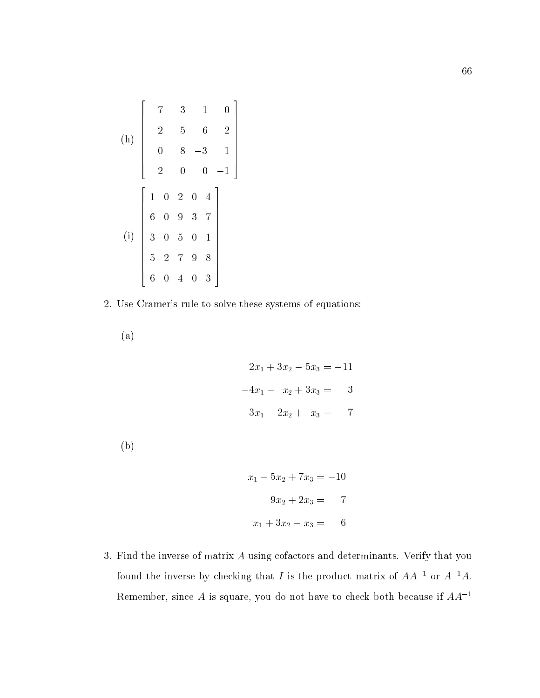(h)
$$
\begin{bmatrix} 7 & 3 & 1 & 0 \ -2 & -5 & 6 & 2 \ 0 & 8 & -3 & 1 \ 2 & 0 & 0 & -1 \end{bmatrix}
$$

$$
\begin{bmatrix} 1 & 0 & 2 & 0 & 4 \ 6 & 0 & 9 & 3 & 7 \ 3 & 0 & 5 & 0 & 1 \ 5 & 2 & 7 & 9 & 8 \ 6 & 0 & 4 & 0 & 3 \end{bmatrix}
$$

2. Use Cramer's rule to solve these systems of equations:

(a)

$$
2x_1 + 3x_2 - 5x_3 = -11
$$

$$
-4x_1 - x_2 + 3x_3 = 3
$$

$$
3x_1 - 2x_2 + x_3 = 7
$$

(b)

$$
x_1 - 5x_2 + 7x_3 = -10
$$

$$
9x_2 + 2x_3 = 7
$$

$$
x_1 + 3x_2 - x_3 = 6
$$

3. Find the inverse of matrix  $A$  using cofactors and determinants. Verify that you found the inverse by checking that I is the product matrix of  $AA^{-1}$  or  $A^{-1}A$ . Remember, since  $A$  is square, you do not have to check both because if  $AA^{-1}$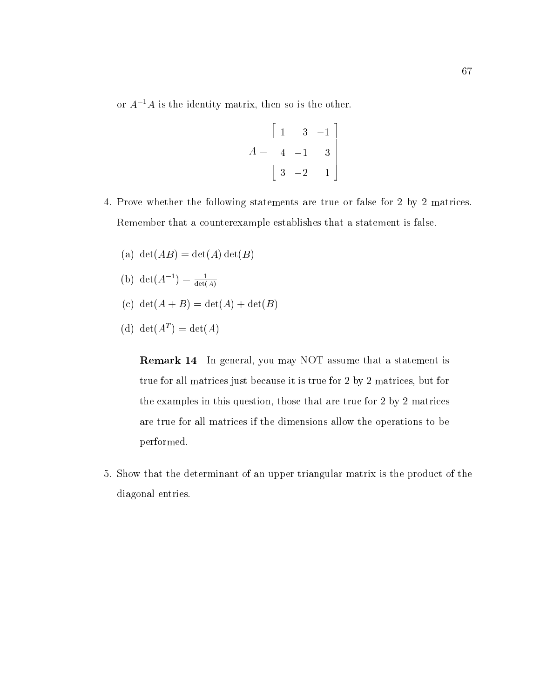or  $A^{-1}A$  is the identity matrix, then so is the other.

$$
A = \begin{bmatrix} 1 & 3 & -1 \\ 4 & -1 & 3 \\ 3 & -2 & 1 \end{bmatrix}
$$

- 4. Prove whether the following statements are true or false for 2 by 2 matrices. Remember that a counterexample establishes that a statement is false.
	- (a)  $\det(AB) = \det(A) \det(B)$
	- (b)  $det(A^{-1}) = \frac{det(A)}{det(A)}$
	- (c) det $(A + B) = det(A) + det(B)$
	- (d) det( $A_{\perp}$ )  $=$  det( $A_{\perp}$ )

Remark 14 In general, you may NOT assume that a statement is true for all matrices just because it is true for 2 by 2 matrices, but for the examples in this question, those that are true for 2 by 2 matrices are true for all matrices if the dimensions allow the operations to be performed.

5. Show that the determinant of an upper triangular matrix is the product of the diagonal entries.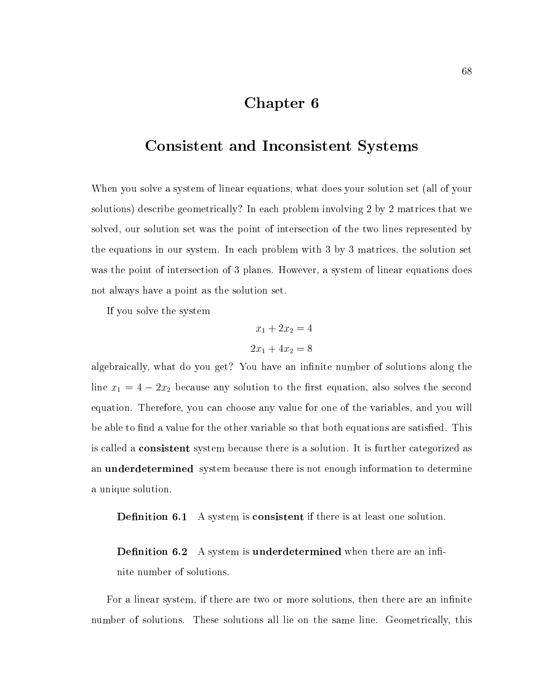# Chapter 6

### Consistent and Inconsistent Systems

When you solve a system of linear equations, what does your solution set (all of your solutions) describe geometrically? In each problem involving 2 by 2 matrices that we solved, our solution set was the point of intersection of the two lines represented by the equations in our system. In each problem with 3 by 3 matrices, the solution set was the point of intersection of 3 planes. However, a system of linear equations does not always have a point as the solution set.

If you solve the system

$$
x_1 + 2x_2 = 4
$$

$$
2x_1 + 4x_2 = 8
$$

algebraically, what do you get? You have an infinite number of solutions along the line  $x_1 = 4 - 2x_2$  because any solution to the first equation, also solves the second equation. Therefore, you can choose any value for one of the variables, and you will be able to find a value for the other variable so that both equations are satisfied. This is called a consistent system because there is a solution. It is further categorized as an **underdetermined** system because there is not enough information to determine a unique solution.

**Definition 6.1** A system is **consistent** if there is at least one solution.

**Definition 6.2** A system is **underdetermined** when there are an infinite number of solutions.

For a linear system, if there are two or more solutions, then there are an infinite number of solutions. These solutions all lie on the same line. Geometrically, this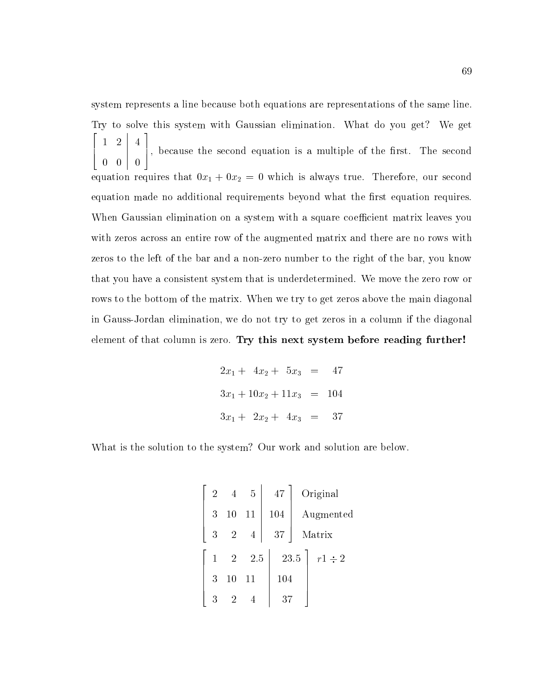system represents a line because both equations are representations of the same line. Try to solve this system with Gaussian elimination. What do you get? We get 2 6 4 1 2 0 0 0 1  $\left[\begin{array}{c} 4 \\ 0 \end{array}\right]$ and the contract of the contract of the contract of the contract of the contract of the contract of the contract of  $\sim$  1  $\sim$  1  $\sim$  1  $\sim$  1  $\sim$  1  $\sim$  1  $\sim$  1  $\sim$  1  $\sim$  1  $\sim$  1  $\sim$  1  $\sim$  1  $\sim$  1  $\sim$  1  $\sim$  1  $\sim$  1  $\sim$  1  $\sim$  1  $\sim$  1  $\sim$  1  $\sim$  1  $\sim$  1  $\sim$  1  $\sim$  1  $\sim$  1  $\sim$  1  $\sim$  1  $\sim$  1  $\sim$  1  $\sim$  1  $\sim$  1  $\sim$ and the second contract of the second contract of the second contract of the second contract of the second con 7 5, because the second equation is <sup>a</sup> multiple of the rst. The second equation requires that  $0x_1 + 0x_2 = 0$  which is always true. Therefore, our second equation made no additional requirements beyond what the first equation requires. When Gaussian elimination on a system with a square coefficient matrix leaves you with zeros across an entire row of the augmented matrix and there are no rows with zeros to the left of the bar and a non-zero number to the right of the bar, you know that you have a consistent system that is underdetermined. We move the zero row or rows to the bottom of the matrix. When we try to get zeros above the main diagonal in Gauss-Jordan elimination, we do not try to get zeros in a column if the diagonal element of that column is zero. Try this next system before reading further!

$$
2x_1 + 4x_2 + 5x_3 = 47
$$
  
\n
$$
3x_1 + 10x_2 + 11x_3 = 104
$$
  
\n
$$
3x_1 + 2x_2 + 4x_3 = 37
$$

What is the solution to the system? Our work and solution are below.

| $\overline{2}$ | $\overline{4}$ | 5              | 47     | Original            |
|----------------|----------------|----------------|--------|---------------------|
| 3              | 10             | 11             | 104    | Augmented           |
| 3              | $\sqrt{2}$     | $\overline{4}$ | $37\,$ | Matrix              |
| $\mathbf{1}$   | $\overline{2}$ | 2.5            |        | 23.5<br>$r1 \div 2$ |
| 3              | 10             | 11             | 104    |                     |
| 3              | 2              |                | 37     |                     |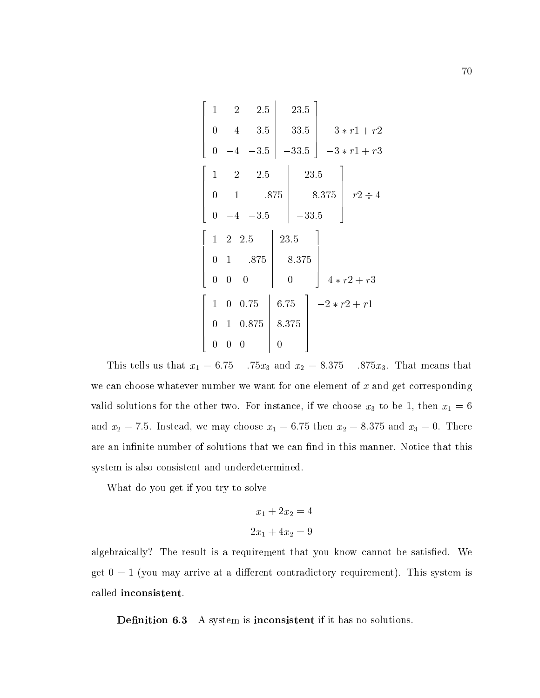$$
\begin{bmatrix}\n1 & 2 & 2.5 & 23.5 \\
0 & 4 & 3.5 & 33.5 \\
0 & -4 & -3.5 & -33.5\n\end{bmatrix}\n\xrightarrow{-3 * r1 + r2}\n\begin{bmatrix}\n1 & 2 & 2.5 & 23.5 \\
0 & 1 & .875 & 8.375 \\
0 & -4 & -3.5 & -33.5\n\end{bmatrix}\n\xrightarrow{r2 \div 4}\n\begin{bmatrix}\n1 & 2 & 2.5 & 23.5 \\
0 & 1 & .875 & 8.375 \\
0 & 0 & 0 & 0\n\end{bmatrix}\n\begin{bmatrix}\n1 & 2 & 2.5 & 8.375 \\
0 & 1 & .875 & 8.375 \\
0 & 0 & 0 & 0\n\end{bmatrix}\n\begin{bmatrix}\n4 * r2 + r3 \\
4 * r2 + r3 \\
0 & 1 & 0.875 & 8.375 \\
0 & 0 & 0 & 0\n\end{bmatrix}
$$

This tells us that  $x_1 = 6.75 - .75x_3$  and  $x_2 = 8.375 - .875x_3$ . That means that we can choose whatever number we want for one element of  $x$  and get corresponding valid solutions for the other two. For instance, if we choose  $x_3$  to be 1, then  $x_1 = 6$ and  $x_2 = 7.5$ . Instead, we may choose  $x_1 = 6.75$  then  $x_2 = 8.375$  and  $x_3 = 0$ . There are an infinite number of solutions that we can find in this manner. Notice that this system is also consistent and underdetermined.

What do you get if you try to solve

$$
x_1 + 2x_2 = 4
$$

$$
2x_1 + 4x_2 = 9
$$

algebraically? The result is a requirement that you know cannot be satisfied. We get  $0 = 1$  (you may arrive at a different contradictory requirement). This system is called inconsistent.

Definition 6.3 A system is inconsistent if it has no solutions.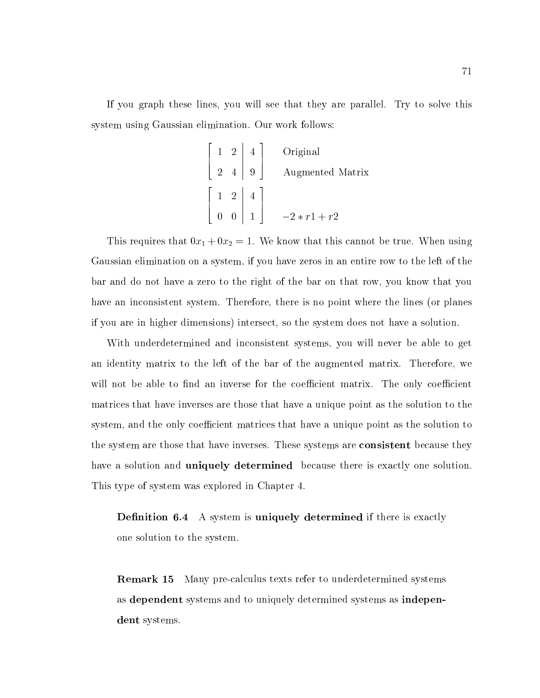If you graph these lines, you will see that they are parallel. Try to solve this system using Gaussian elimination. Our work follows:

$$
\begin{bmatrix} 1 & 2 & 4 \ 2 & 4 & 9 \end{bmatrix}
$$
 Original  
Augmented Matrix  

$$
\begin{bmatrix} 1 & 2 & 4 \ 0 & 0 & 1 \end{bmatrix}
$$
 
$$
-2*r1 + r2
$$

This requires that  $0x_1 + 0x_2 = 1$ . We know that this cannot be true. When using Gaussian elimination on a system, if you have zeros in an entire row to the left of the bar and do not have a zero to the right of the bar on that row, you know that you have an inconsistent system. Therefore, there is no point where the lines (or planes if you are in higher dimensions) intersect, so the system does not have a solution.

With underdetermined and inconsistent systems, you will never be able to get an identity matrix to the left of the bar of the augmented matrix. Therefore, we will not be able to find an inverse for the coefficient matrix. The only coefficient matrices that have inverses are those that have a unique point as the solution to the system, and the only coefficient matrices that have a unique point as the solution to the system are those that have inverses. These systems are consistent because they have a solution and **uniquely determined** because there is exactly one solution. This type of system was explored in Chapter 4.

**Definition 6.4** A system is uniquely determined if there is exactly one solution to the system.

Remark 15 Many pre-calculus texts refer to underdetermined systems as dependent systems and to uniquely determined systems as independent systems.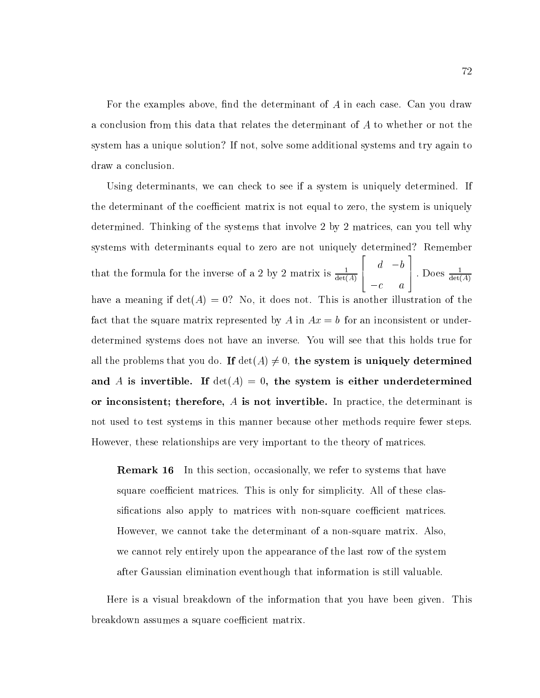For the examples above, find the determinant of  $A$  in each case. Can you draw a conclusion from this data that relates the determinant of  $A$  to whether or not the system has a unique solution? If not, solve some additional systems and try again to draw a conclusion.

Using determinants, we can check to see if a system is uniquely determined. If the determinant of the coefficient matrix is not equal to zero, the system is uniquely determined. Thinking of the systems that involve 2 by 2 matrices, can you tell why systems with determinants equal to zero are not uniquely determined? Remember that the formula for the inverse of a 2 by 2 matrix is  $\frac{d}{det(A)}$  $\overline{\phantom{a}}$  2  $\overline{\phantom{a}}$  2  $\overline{\phantom{a}}$  2  $\overline{\phantom{a}}$  2  $\overline{\phantom{a}}$  2  $\overline{\phantom{a}}$  2  $\overline{\phantom{a}}$  2  $\overline{\phantom{a}}$  2  $\overline{\phantom{a}}$  2  $\overline{\phantom{a}}$  2  $\overline{\phantom{a}}$  2  $\overline{\phantom{a}}$  2  $\overline{\phantom{a}}$  2  $\overline{\phantom{a}}$  2  $\overline{\phantom{a}}$  2  $\overline{\phantom{a}}$ 6 4 d between the control of the control of the control of the control of the control of the control of the control of the control of the control of the control of the control of the control of the control of the control of th contract and contract and contract and contract and contract and contract and contract and contract and contract and and the second contract of the second contract of the second contract of the second contract of the second con | Does  $\frac{1}{\det(A)}$ have a meaning if  $det(A) = 0$ ? No, it does not. This is another illustration of the fact that the square matrix represented by A in  $Ax = b$  for an inconsistent or underdetermined systems does not have an inverse. You willsee that this holds true for all the problems that you do. If  $\det(A) \neq 0$ , the system is uniquely determined and A is invertible. If  $det(A) = 0$ , the system is either underdetermined or inconsistent; therefore, A is not invertible. In practice, the determinant is not used to test systems in this manner because other methods require fewer steps. However, these relationships are very important to the theory of matrices.

**Remark 16** In this section, occasionally, we refer to systems that have square coefficient matrices. This is only for simplicity. All of these classifications also apply to matrices with non-square coefficient matrices. However, we cannot take the determinant of a non-square matrix. Also, we cannot rely entirely upon the appearance of the last row of the system after Gaussian elimination eventhough that information is still valuable.

Here is a visual breakdown of the information that you have been given. This breakdown assumes a square coefficient matrix.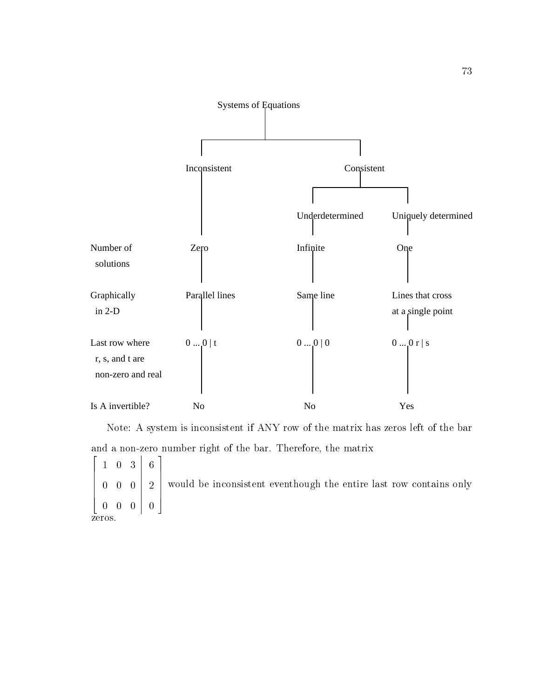

Note: A system is inconsistent if ANY row of the matrix has zeros left of the bar and a non-zero number right of the bar. Therefore, the matrix

**2005 2006 2006 2006 2006** 6 6  $\begin{array}{cc} 0 & 0 \end{array}$ design and the contract of the contract of the contract of the contract of the contract of the contract of the and the contract of the contract of the contract of the contract of the contract of the contract of the contract of the contract of the contract of the contract of the contract of the contract of the contract of the contra 1 0 3 0 0 0 0 0 0  $6<sup>1</sup>$  $\mathbf{1}$  and  $\mathbf{1}$  and  $\mathbf{1}$ and the contract of the contract of the contract of the contract of the contract of the contract of the contract of  $\begin{array}{cc} \end{array}$    0 2 7 7 would be inconsistent eventhough the entire last row contains only 3 The contract of the contract of the contract of the contract of the contract of the contract of the contract of The contract of the contract of the contract of the contract of the contract of the contract of the contract of The contract of the contract of the contract of the contract of the contract of the contract of the contract of the contract of the contract of the contract of the contract of the contract of the contract of the contract o zeros.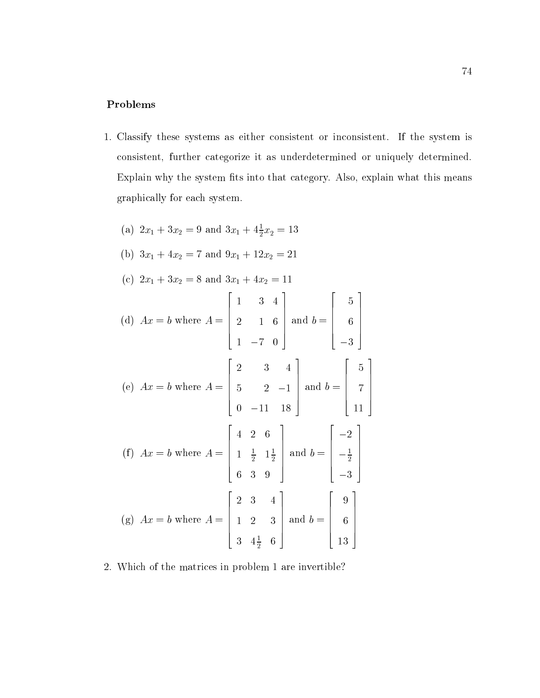### Problems

- 1. Classify these systems as either consistent or inconsistent. If the system is consistent, further categorize it as underdetermined or uniquely determined. Explain why the system fits into that category. Also, explain what this means graphically for each system.
	- (a)  $2x_1 + 3x_2 = 9$  and  $3x_1 + 4\frac{1}{2}x_2 = 13$ (b)  $3x_1 + 4x_2 = 7$  and  $9x_1 + 12x_2 = 21$ (c)  $2x_1 + 3x_2 = 8$  and  $3x_1 + 4x_2 = 11$ (d) Ax  $\mathcal{A}$  and  $\mathcal{A}$  are A  $\mathcal{A}$  and  $\mathcal{A}$ **2005 2006 2006 2006 2006**  $\begin{bmatrix} 2 & 1 & 0 \end{bmatrix}$ 1 3 4 2 1 6 1 7 0 3 and  $b =$ and b  $\mathbf{B}$  and b  $\mathbf{B}$  and b  $\mathbf{B}$  and b  $\mathbf{B}$  and b  $\mathbf{B}$ 2022 - 2022 - 2022 - 2022 - 2022 - 2022 - 2022 - 2022 - 2022 - 2022 - 2022 - 2022 - 2022 - 2022 - 2022 - 2022 6 6 6 6 6 4  $-$  5  $-$  5  $-$  5  $-$  5  $-$  5  $-$  5  $-$  5  $-$  5  $-$  5  $-$  5  $-$  5  $-$  5  $-$  5  $-$  5  $-$  5  $-$  5  $-$  5  $-$  5  $-$  5  $-$  5  $-$  5  $-$  5  $-$  5  $-$  5  $-$  5  $-$  5  $-$  5  $-$  5  $-$  5  $-$  5  $-$  5  $-$  5  $-$  5  $-$  5  $-$  5  $-$  5  $-$  5  $\sim$  1  $\sim$  1  $\sim$  $3.33$  3  $3.33$  3  $3.33$  3  $3.33$  3  $3.33$  3  $3.33$  3  $3.33$  3  $3.33$  3  $3.33$  3  $3.33$  3  $3.33$  3  $3.33$  3  $3.33$  3  $3.33$  3  $3.33$  3  $3.33$  3  $3.33$  3  $3.33$  3  $3.33$  3  $3.33$  3  $3.33$  3  $3.33$  3  $3.33$  3  $3.33$  3  $3.33$ 3  $\vert$ (e) Ax  $e$  and  $e$  and  $e$  and  $e$  and  $e$  where  $\theta$  and  $e$  where  $\theta$  and  $e$  where  $\theta$  and  $e$  and  $e$ **2005 2006 2006 2006 2006**  $\begin{vmatrix} 5 & 2 \end{vmatrix}$ 2 3 4  $\sim$  2  $\sim$  2  $\sim$  2  $\sim$  2  $\sim$  2  $\sim$  2  $\sim$  2  $\sim$  2  $\sim$  2  $\sim$  2  $\sim$  2  $\sim$  2  $\sim$  2  $\sim$  2  $\sim$  2  $\sim$  2  $\sim$  2  $\sim$  2  $\sim$  2  $\sim$  2  $\sim$  2  $\sim$  2  $\sim$  2  $\sim$  2  $\sim$  2  $\sim$  2  $\sim$  2  $\sim$  2  $\sim$  2  $\sim$  2  $\sim$  2  $\sim$ 0 11 18 3 and  $b =$ and b = 2  $\begin{bmatrix} 7 \end{bmatrix}$  $\sim$  1.  $\sim$  1.  $\sim$  1.  $\sim$  1.  $\sim$  1.  $\sim$  1.  $\sim$  1.  $\sim$  1.  $\sim$  1.  $\sim$  1.  $\sim$  1.  $\sim$  1.  $\sim$  1.  $\sim$  1.  $\sim$  1.  $\sim$  1.  $\sim$  1.  $\sim$  1.  $\sim$  1.  $\sim$  1.  $\sim$  1.  $\sim$  1.  $\sim$  1.  $\sim$  1.  $\sim$  1.  $\sim$  1.  $\sim$  1.  $\sim$  7 <u>– – 11. oktober – 11. oktober – 11. oktober – 11. oktober – 11. oktober – 11. oktober – 11. oktober – 11. oktober – 11. oktober – 11. oktober – 11. oktober – 11. oktober – 11. oktober – 11. oktober – 11. oktober – 11. okt</u> 3  $\Big\}$ (f ) axis are a set of the property of  $\mathbf{r}$  and  $\mathbf{r}$  and  $\mathbf{r}$  are a set of  $\mathbf{r}$  $\overline{\phantom{a}}$  22  $\overline{\phantom{a}}$  22  $\overline{\phantom{a}}$  22  $\overline{\phantom{a}}$  22  $\overline{\phantom{a}}$  22  $\overline{\phantom{a}}$  22  $\overline{\phantom{a}}$  22  $\overline{\phantom{a}}$  22  $\overline{\phantom{a}}$  22  $\overline{\phantom{a}}$  22  $\overline{\phantom{a}}$  22  $\overline{\phantom{a}}$  22  $\overline{\phantom{a}}$  22  $\overline{\phantom{a}}$  22  $\overline{\phantom{a}}$  $\begin{bmatrix} 1 & \frac{1}{2} & 1\frac{1}{2} \end{bmatrix}$ — <del>—</del> <del>—</del> <del>—</del>  $1 \frac{1}{2}$   $1\frac{1}{2}$   $\alpha$ <sup>114</sup> <u>2001 - Andrea Station Andrea Station Andrea Station Andrea Station Andrea Station Andrea Station Andrea Station Andrea Station Andrea Station Andrea Station Andrea Station Andrea Station Andrea Station Andrea Station Andr</u> 6 3 9 3 and  $b =$ and b = 2  $\left| \begin{array}{c} -\frac{1}{2} \end{array} \right|$ 3 3  $\vert$ (g) Ax = b where A =  $\overline{\phantom{a}}$  22  $\overline{\phantom{a}}$  22  $\overline{\phantom{a}}$  22  $\overline{\phantom{a}}$  22  $\overline{\phantom{a}}$  22  $\overline{\phantom{a}}$  22  $\overline{\phantom{a}}$  22  $\overline{\phantom{a}}$  22  $\overline{\phantom{a}}$  22  $\overline{\phantom{a}}$  22  $\overline{\phantom{a}}$  22  $\overline{\phantom{a}}$  22  $\overline{\phantom{a}}$  22  $\overline{\phantom{a}}$  22  $\overline{\phantom{a}}$  $\begin{bmatrix} 1 & 2 & 3 \end{bmatrix}$ 2 3 4 1 2 3 3 4 <sup>1</sup> <sup>2</sup> <sup>6</sup> and the second contract of the second contract of the second contract of the second contract of the second con and  $b =$ and b = 2 6 6 6 6 6 4 9  $\sim$  600  $\sim$  600  $\sim$  600  $\sim$  600  $\sim$  600  $\sim$  600  $\sim$  600  $\sim$  600  $\sim$  600  $\sim$  600  $\sim$  600  $\sim$  600  $\sim$  600  $\sim$  600  $\sim$  600  $\sim$  600  $\sim$  600  $\sim$  600  $\sim$  600  $\sim$  600  $\sim$  600  $\sim$  600  $\sim$  600  $\sim$  600  $\sim$   $\sim$  13  $\sim$  13  $\sim$  13  $\sim$  13  $\sim$  13  $\sim$  13  $\sim$  13  $\sim$  13  $\sim$  13  $\sim$  13  $\sim$  13  $\sim$  13  $\sim$  13  $\sim$  13  $\sim$  13  $\sim$  13  $\sim$  13  $\sim$  13  $\sim$  13  $\sim$  13  $\sim$  13  $\sim$  13  $\sim$  13  $\sim$  13  $\sim$  13  $\sim$  13  $\sim$  13  $\sim$  3  $\vert$
- 2. Which of the matrices in problem 1 are invertible?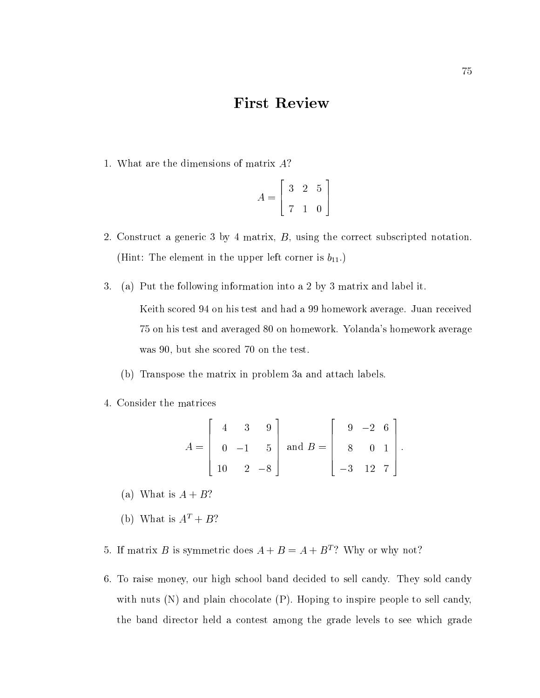# First Review

1. What are the dimensions of matrix A?

$$
A = \left[ \begin{array}{rrr} 3 & 2 & 5 \\ 7 & 1 & 0 \end{array} \right]
$$

- 2. Construct a generic 3 by 4 matrix, B, using the correct subscripted notation. (Hint: The element in the upper left corner is  $b_{11}$ .)
- 3. (a) Put the following information into a 2 by 3 matrix and label it. Keith scored 94 on his test and had a 99 homework average. Juan received 75 on his test and averaged 80 on homework. Yolanda's homework average was 90, but she scored 70 on the test.
	- (b) Transpose the matrix in problem 3a and attach labels.
- 4. Consider the matrices

$$
A = \begin{bmatrix} 4 & 3 & 9 \\ 0 & -1 & 5 \\ 10 & 2 & -8 \end{bmatrix} \text{ and } B = \begin{bmatrix} 9 & -2 & 6 \\ 8 & 0 & 1 \\ -3 & 12 & 7 \end{bmatrix}.
$$

- (a) What is  $A + B$ ?
- (b) What is  $A^T + B$ ?
- 5. If matrix B is symmetric does  $A + B = A + B<sup>T</sup>$ ? Why or why not?
- 6. To raise money, our high school band decided to sell candy. They sold candy with nuts  $(N)$  and plain chocolate  $(P)$ . Hoping to inspire people to sell candy, the band director held a contest among the grade levels to see which grade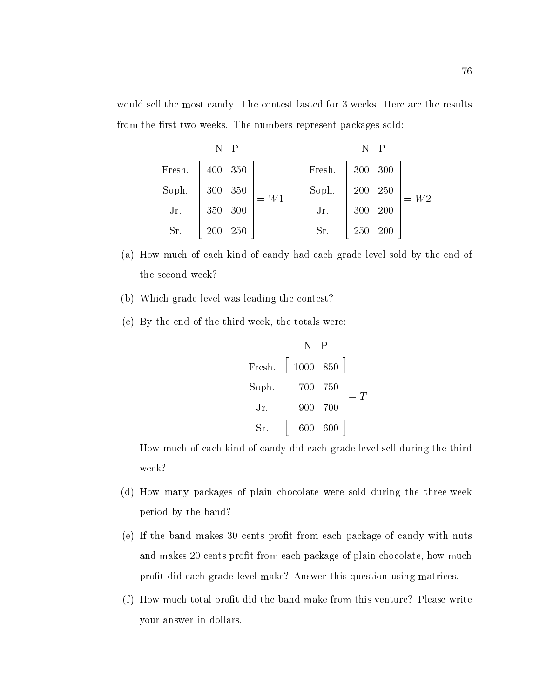would sell the most candy. The contest lasted for 3 weeks. Here are the results from the first two weeks. The numbers represent packages sold:

| N       | P                                                                                             | N    | P                                                                                       |      |
|---------|-----------------------------------------------------------------------------------------------|------|-----------------------------------------------------------------------------------------|------|
| French. | \n $\begin{bmatrix}\n 400 & 350 \\  300 & 350 \\  350 & 300 \\  200 & 250\n \end{bmatrix}$ \n | = W1 | \n $\begin{bmatrix}\n 300 & 300 \\  200 & 250 \\  300 & 200 \\  5r.\n \end{bmatrix}$ \n | = W2 |
| Sr.     | \n $\begin{bmatrix}\n 350 & 300 \\  200 & 250 \\  250 & 200\n \end{bmatrix}$ \n               | = W2 |                                                                                         |      |

- (a) How much of each kind of candy had each grade level sold by the end of the second week?
- (b) Which grade level was leading the contest?
- (c) By the end of the third week, the totals were:

| N      | P                                                                                    |
|--------|--------------------------------------------------------------------------------------|
| Frank. | \n $\begin{bmatrix}\n 1000 & 850 \\  700 & 750 \\  900 & 700\n \end{bmatrix} = T$ \n |
| Sr.    | \n $\begin{bmatrix}\n 900 & 700 \\  600 & 600\n \end{bmatrix} = T$ \n                |

How much of each kind of candy did each grade level sell during the third week?

- (d) How many packages of plain chocolate were sold during the three-week period by the band?
- (e) If the band makes 30 cents prot from each package of candy with nuts and makes 20 cents profit from each package of plain chocolate, how much profit did each grade level make? Answer this question using matrices.
- (f ) How much total prot did the band make from this venture? Please write your answer in dollars.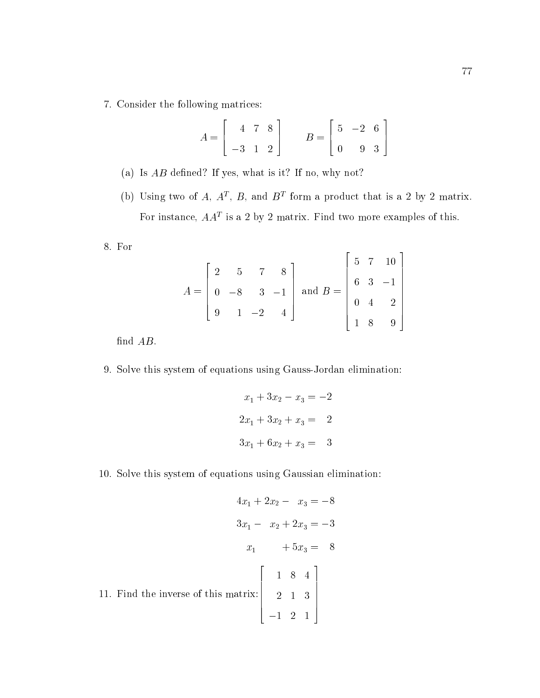7. Consider the following matrices:

$$
A = \begin{bmatrix} 4 & 7 & 8 \\ -3 & 1 & 2 \end{bmatrix} \qquad B = \begin{bmatrix} 5 & -2 & 6 \\ 0 & 9 & 3 \end{bmatrix}
$$

- (a) Is  $AB$  defined? If yes, what is it? If no, why not?
- (b) Using two of  $A$ ,  $A^*$ ,  $D$ , and  $D^*$  form a product that is a  $\bar{z}$  by  $\bar{z}$  matrix. For instance, AAT is a 2 by 2 matrix. Find two more examples of this.

8. For

$$
A = \begin{bmatrix} 2 & 5 & 7 & 8 \\ 0 & -8 & 3 & -1 \\ 9 & 1 & -2 & 4 \end{bmatrix} \text{ and } B = \begin{bmatrix} 5 & 7 & 10 \\ 6 & 3 & -1 \\ 0 & 4 & 2 \\ 1 & 8 & 9 \end{bmatrix}
$$

find  $AB$ .

9. Solve this system of equations using Gauss-Jordan elimination:

$$
x_1 + 3x_2 - x_3 = -2
$$
  

$$
2x_1 + 3x_2 + x_3 = 2
$$
  

$$
3x_1 + 6x_2 + x_3 = 3
$$

10. Solve this system of equations using Gaussian elimination:

$$
4x_1 + 2x_2 - x_3 = -8
$$
  
\n
$$
3x_1 - x_2 + 2x_3 = -3
$$
  
\n
$$
x_1 + 5x_3 = 8
$$
  
\n11. Find the inverse of this matrix:  
\n
$$
\begin{bmatrix}\n1 & 8 & 4 \\
2 & 1 & 3 \\
-1 & 2 & 1\n\end{bmatrix}
$$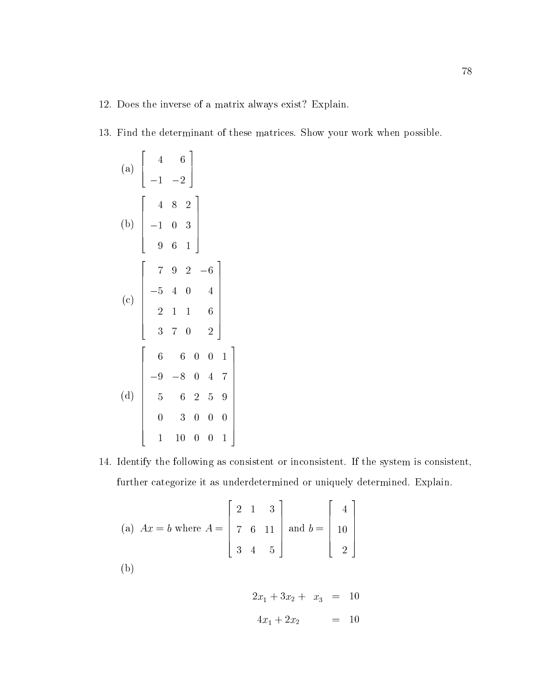- 12. Does the inverse of a matrix always exist? Explain.
- 13. Find the determinant of these matrices. Show your work when possible.

(a) 
$$
\begin{bmatrix} 4 & 6 \ -1 & -2 \end{bmatrix}
$$
  
\n(b) 
$$
\begin{bmatrix} 4 & 8 & 2 \ -1 & 0 & 3 \ 9 & 6 & 1 \end{bmatrix}
$$
  
\n(c) 
$$
\begin{bmatrix} 7 & 9 & 2 & -6 \ -5 & 4 & 0 & 4 \ 2 & 1 & 1 & 6 \ 3 & 7 & 0 & 2 \end{bmatrix}
$$
  
\n(d) 
$$
\begin{bmatrix} 6 & 6 & 0 & 0 & 1 \ -9 & -8 & 0 & 4 & 7 \ 5 & 6 & 2 & 5 & 9 \ 0 & 3 & 0 & 0 & 0 \ 1 & 10 & 0 & 0 & 1 \end{bmatrix}
$$

14. Identify the following as consistent or inconsistent. If the system is consistent, further categorize it as underdetermined or uniquely determined. Explain.

The contract of the contract of the contract of the contract of the contract of the contract of the contract of the contract of the contract of the contract of the contract of the contract of the contract of the contract o

(a) 
$$
Ax = b
$$
 where  $A = \begin{bmatrix} 2 & 1 & 3 \\ 7 & 6 & 11 \\ 3 & 4 & 5 \end{bmatrix}$  and  $b = \begin{bmatrix} 4 \\ 10 \\ 2 \end{bmatrix}$   
\n(b)

$$
2x_1 + 3x_2 + x_3 = 10
$$
  

$$
4x_1 + 2x_2 = 10
$$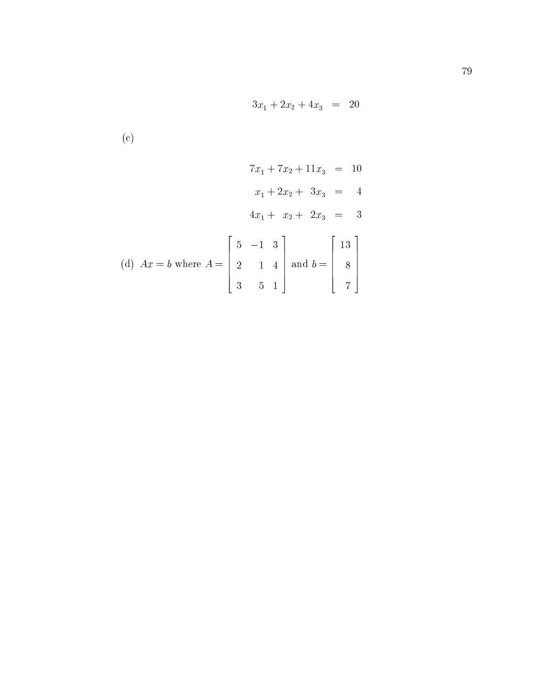$$
3x_1 + 2x_2 + 4x_3 = 20
$$

(c)

$$
7x_1 + 7x_2 + 11x_3 = 10
$$
  
\n
$$
x_1 + 2x_2 + 3x_3 = 4
$$
  
\n
$$
4x_1 + x_2 + 2x_3 = 3
$$
  
\n(d) 
$$
Ax = b \text{ where } A = \begin{bmatrix} 5 & -1 & 3 \\ 2 & 1 & 4 \\ 3 & 5 & 1 \end{bmatrix} \text{ and } b = \begin{bmatrix} 13 \\ 8 \\ 7 \end{bmatrix}
$$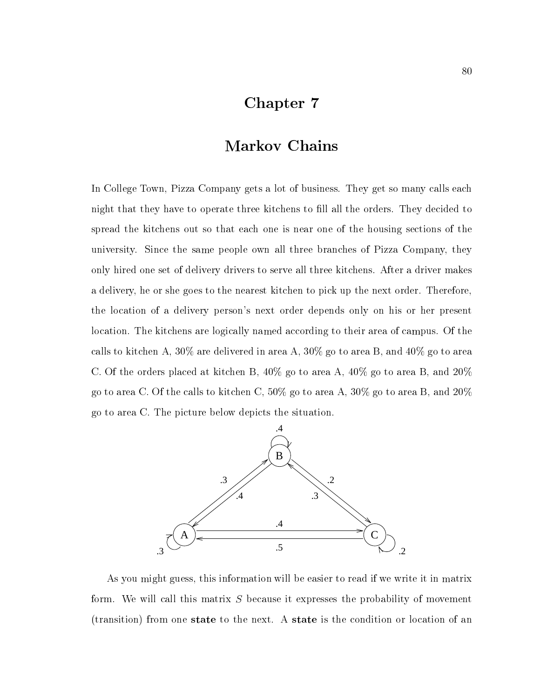# Chapter 7

# Markov Chains

In College Town, Pizza Company gets a lot of business. They get so many calls each night that they have to operate three kitchens to fill all the orders. They decided to spread the kitchens out so that each one is near one of the housing sections of the university. Since the same people own all three branches of Pizza Company, they only hired one set of delivery drivers to serve all three kitchens. After a driver makes a delivery, he or she goes to the nearest kitchen to pick up the next order. Therefore, the location of a delivery person's next order depends only on his or her present location. The kitchens are logically named according to their area of campus. Of the calls to kitchen A, 30% are delivered in area A, 30% go to area B, and 40% go to area C. Of the orders placed at kitchen B, 40% go to area A, 40% go to area B, and 20% go to area C. Of the calls to kitchen C, 50% go to area A, 30% go to area B, and 20% go to area C. The picture below depicts the situation.



As you might guess, this information will be easier to read if we write it in matrix form. We will call this matrix  $S$  because it expresses the probability of movement (transition) from one state to the next. A state is the condition or location of an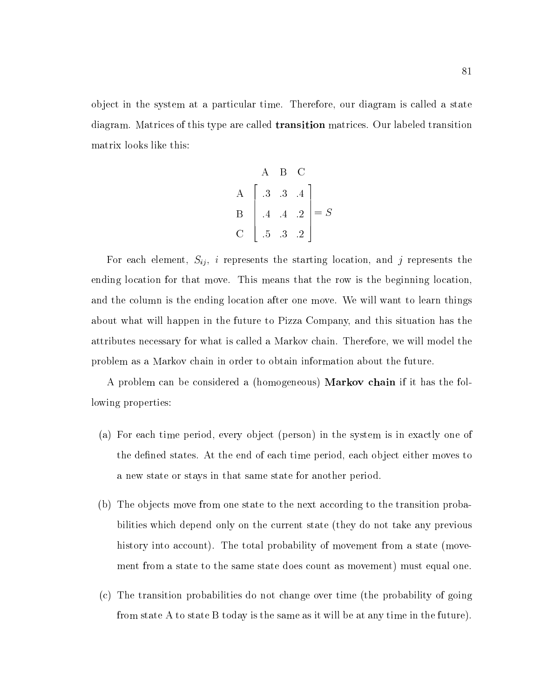ob ject in the system at a particular time. Therefore, our diagram is called a state diagram. Matrices of this type are called transition matrices. Our labeled transition matrix looks like this:

$$
\begin{bmatrix}\nA & B & C \\
A & 3 & 3 & 4 \\
B & 4 & 4 & 2 \\
C & 5 & 3 & 2\n\end{bmatrix} = S
$$

For each element,  $S_{ij}$ , i represents the starting location, and j represents the ending location for that move. This means that the row is the beginning location, and the column is the ending location after one move. We will want to learn things about what will happen in the future to Pizza Company, and this situation has the attributes necessary for what is called a Markov chain. Therefore, we will model the problem as a Markov chain in order to obtain information about the future.

A problem can be considered a (homogeneous) Markov chain if it has the following properties:

- (a) For each time period, every object (person) in the system is in exactly one of the defined states. At the end of each time period, each object either moves to a new state or stays in that same state for another period.
- (b) The objects move from one state to the next according to the transition probabilities which depend only on the current state (they do not take any previous history into account). The total probability of movement from a state (movement from a state to the same state does count as movement) must equal one.
- (c) The transition probabilities do not change over time (the probability of going from state A to state B today is the same as it will be at any time in the future).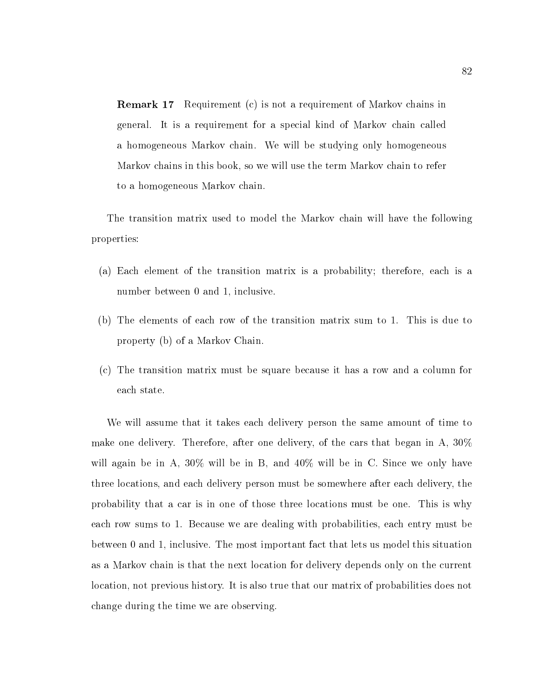Remark 17 Requirement (c) is not a requirement of Markov chains in general. It is a requirement for a special kind of Markov chain called a homogeneous Markov chain. We will be studying only homogeneous Markov chains in this book, so we will use the term Markov chain to refer to a homogeneous Markov chain.

The transition matrix used to model the Markov chain will have the following properties:

- (a) Each element of the transition matrix is a probability; therefore, each is a number between 0 and 1, inclusive.
- (b) The elements of each row of the transition matrix sum to 1. This is due to property (b) of a Markov Chain.
- (c) The transition matrix must be square because it has a row and a column for each state.

We will assume that it takes each delivery person the same amount of time to make one delivery. Therefore, after one delivery, of the cars that began in A, 30% will again be in A, 30% will be in B, and 40% will be in C. Since we only have three locations, and each delivery person must be somewhere after each delivery, the probability that a car is in one of those three locations must be one. This is why each row sums to 1. Because we are dealing with probabilities, each entry must be between 0 and 1, inclusive. The most important fact that lets us model this situation as a Markov chain is that the next location for delivery depends only on the current location, not previous history. It is also true that our matrix of probabilities does not change during the time we are observing.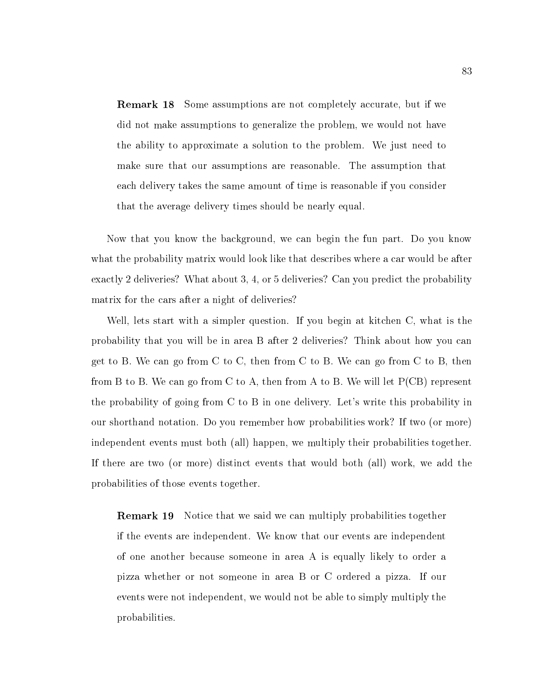Remark 18 Some assumptions are not completely accurate, but if we did not make assumptions to generalize the problem, we would not have the ability to approximate a solution to the problem. We just need to make sure that our assumptions are reasonable. The assumption that each delivery takes the same amount of time is reasonable if you consider that the average delivery times should be nearly equal.

Now that you know the background, we can begin the fun part. Do you know what the probability matrix would look like that describes where a car would be after exactly 2 deliveries? What about 3, 4, or 5 deliveries? Can you predict the probability matrix for the cars after a night of deliveries?

Well, lets start with a simpler question. If you begin at kitchen C, what is the probability that you will be in area B after 2 deliveries? Think about how you can get to B. We can go from C to C, then from C to B. We can go from C to B, then from B to B. We can go from C to A, then from A to B. We will let  $P(CB)$  represent the probability of going from C to B in one delivery. Let's write this probability in our shorthand notation. Do you remember how probabilities work? If two (or more) independent events must both (all) happen, we multiply their probabilities together. If there are two (or more) distinct events that would both (all) work, we add the probabilities of those events together.

Remark 19 Notice that we said we can multiply probabilities together if the events are independent. We know that our events are independent of one another because someone in area A is equally likely to order a pizza whether or not someone in area B or C ordered a pizza. If our events were not independent, we would not be able to simply multiply the probabilities.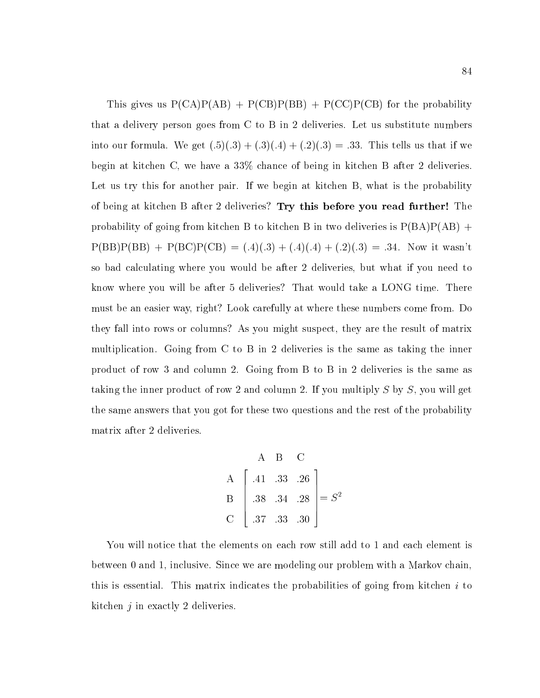This gives us  $P(CA)P(AB) + P(CB)P(BB) + P(CC)P(CB)$  for the probability that a delivery person goes from C to B in 2 deliveries. Let us substitute numbers into our formula. We get  $(.5)(.3) + (.3)(.4) + (.2)(.3) = .33$ . This tells us that if we begin at kitchen C, we have a 33% chance of being in kitchen B after 2 deliveries. Let us try this for another pair. If we begin at kitchen B, what is the probability of being at kitchen B after 2 deliveries? Try this before you read further! The probability of going from kitchen B to kitchen B in two deliveries is  $P(BA)P(AB)$  +  $P(BB)P(BB) + P(BC)P(CB) = (.4)(.3) + (.4)(.4) + (.2)(.3) = .34$ . Now it wasn't so bad calculating where you would be after 2 deliveries, but what if you need to know where you will be after 5 deliveries? That would take a LONG time. There must be an easier way, right? Look carefully at where these numbers come from. Do they fallinto rows or columns? As you might suspect, they are the result of matrix multiplication. Going from C to B in 2 deliveries is the same as taking the inner product of row 3 and column 2. Going from B to B in 2 deliveries is the same as taking the inner product of row 2 and column 2. If you multiply S by S, you will get the same answers that you got for these two questions and the rest of the probability matrix after 2 deliveries.

$$
\begin{bmatrix}\n & A & B & C \\
A & .33 & .26 \\
B & .38 & .34 & .28 \\
C & .37 & .33 & .30\n\end{bmatrix} = S^2
$$

You will notice that the elements on each row still add to 1 and each element is between 0 and 1, inclusive. Since we are modeling our problem with a Markov chain, this is essential. This matrix indicates the probabilities of going from kitchen  $i$  to kitchen j in exactly 2 deliveries.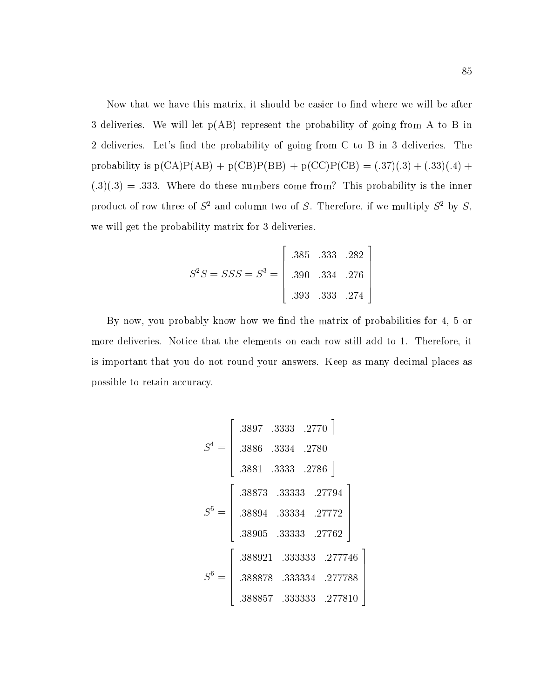Now that we have this matrix, it should be easier to find where we will be after 3 deliveries. We will let  $p(AB)$  represent the probability of going from A to B in 2 deliveries. Let's find the probability of going from C to B in 3 deliveries. The probability is  $p(CA)P(AB) + p(CB)P(BB) + p(CC)P(CB) = (.37)(.3) + (.33)(.4) +$  $(.3)(.3) = .333$ . Where do these numbers come from? This probability is the inner product of row three of  $S^2$  and column two of S. Therefore, if we multiply  $S^2$  by S, we will get the probability matrix for 3 deliveries.

$$
S^{2}S = SSS = S^{3} = \begin{bmatrix} .385 & .333 & .282 \\ .390 & .334 & .276 \\ .393 & .333 & .274 \end{bmatrix}
$$

By now, you probably know how we find the matrix of probabilities for 4, 5 or more deliveries. Notice that the elements on each row still add to 1. Therefore, it is important that you do not round your answers. Keep as many decimal places as possible to retain accuracy.

$$
S^{4} = \begin{bmatrix} .3897 & .3333 & .2770 \\ .3886 & .3334 & .2780 \\ .3881 & .3333 & .2786 \end{bmatrix}
$$

$$
S^{5} = \begin{bmatrix} .38873 & .33333 & .27794 \\ .38894 & .33334 & .27772 \\ .38905 & .33333 & .27762 \end{bmatrix}
$$

$$
S^{6} = \begin{bmatrix} .388921 & .333333 & .277746 \\ .388878 & .333334 & .277788 \\ .388857 & .333333 & .277810 \end{bmatrix}
$$

 The contract of the contract of the contract of the contract of the contract of the contract of the contract of The contract of the contract of the contract of the contract of the contract of the contract of the contract of The contract of the contract of the contract of the contract of the contract of the contract of the contract of The contract of the contract of the contract of the contract of the contract of the contract of the contract of The contract of the contract of the contract of the contract of the contract of the contract of the contract of

55.55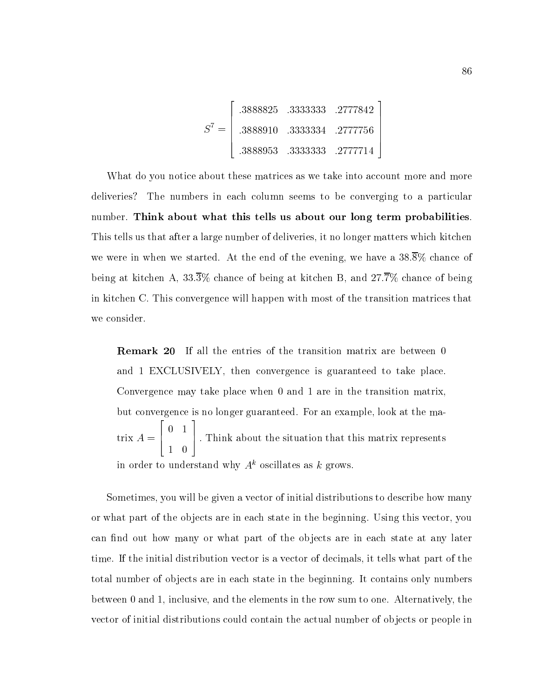$$
S^{7} = \begin{bmatrix} .3888825 & .3333333 & .2777842 \\ .3888910 & .3333334 & .2777756 \\ .3888953 & .3333333 & .2777714 \end{bmatrix}
$$

**2005 2006 2006 2006 2006** 

What do you notice about these matrices as we take into account more and more deliveries? The numbers in each column seems to be converging to a particular number. Think about what this tells us about our long term probabilities. This tells us that after a large number of deliveries, it no longer matters which kitchen we were in when we started. At the end of the evening, we have a  $38.\overline{8}\%$  chance of being at kitchen A,  $33.\overline{3}\%$  chance of being at kitchen B, and  $27.\overline{7}\%$  chance of being in kitchen C. This convergence will happen with most of the transition matrices that we consider.

Remark 20 If all the entries of the transition matrix are between 0 and 1 EXCLUSIVELY, then convergence is guaranteed to take place. Convergence may take place when 0 and 1 are in the transition matrix, but convergence is no longer guaranteed. For an example, look at the matrix  $A = \begin{bmatrix} 1 \\ 1 \end{bmatrix}$ . Il 22 P  $\sim$  1  $\sim$  1  $\sim$  1  $\sim$  1  $\sim$  1  $\sim$  1  $\sim$  1  $\sim$  1  $\sim$  1  $\sim$  1  $\sim$  1  $\sim$  1  $\sim$  1  $\sim$  1  $\sim$  1  $\sim$  1  $\sim$  1  $\sim$  1  $\sim$  1  $\sim$  1  $\sim$  1  $\sim$  1  $\sim$  1  $\sim$  1  $\sim$  1  $\sim$  1  $\sim$  1  $\sim$  1  $\sim$  1  $\sim$  1  $\sim$  1  $\sim$ 1 0 3 7 5 : Think about the situation that this matrix represents in order to understand why  $A<sup>k</sup>$  oscillates as k grows.

Sometimes, you will be given a vector of initial distributions to describe how many or what part of the ob jects are in each state in the beginning. Using this vector, you can find out how many or what part of the objects are in each state at any later time. If the initial distribution vector is a vector of decimals, it tells what part of the total number of objects are in each state in the beginning. It contains only numbers between 0 and 1, inclusive, and the elements in the row sum to one. Alternatively, the vector of initial distributions could contain the actual number of objects or people in

3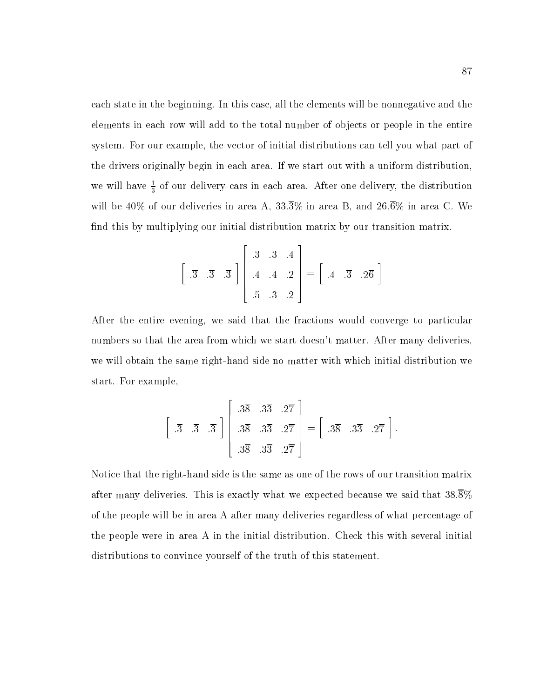each state in the beginning. In this case, all the elements will be nonnegative and the elements in each row will add to the total number of objects or people in the entire system. For our example, the vector of initial distributions can tell you what part of the drivers originally begin in each area. If we start out with a uniform distribution, we will have  $\frac{1}{3}$  of our delivery cars in each area. After one delivery, the distribution will be 40% of our deliveries in area A,  $33.\overline{3}\%$  in area B, and  $26.\overline{6}\%$  in area C. We find this by multiplying our initial distribution matrix by our transition matrix.

$$
\begin{bmatrix} .3 & .3 & .3 \\ .3 & .3 & .3 \end{bmatrix} \begin{bmatrix} .3 & .3 & .4 \\ .4 & .4 & .2 \\ .5 & .3 & .2 \end{bmatrix} = \begin{bmatrix} .4 & .3 & .2\overline{6} \end{bmatrix}
$$

3

 $\sim$  200  $\sim$  200  $\sim$  200  $\sim$  200  $\sim$  200  $\sim$  200  $\sim$  200  $\sim$  200  $\sim$  200  $\sim$  200  $\sim$ 

After the entire evening, we said that the fractions would converge to particular numbers so that the area from which we start doesn't matter. After many deliveries, we will obtain the same right-hand side no matter with which initial distribution we start. For example,

$$
\begin{bmatrix} .3 & .3 & .3 \end{bmatrix} \begin{bmatrix} .3\overline{8} & .3\overline{3} & .2\overline{7} \\ .3\overline{8} & .3\overline{3} & .2\overline{7} \\ .3\overline{8} & .3\overline{3} & .2\overline{7} \end{bmatrix} = \begin{bmatrix} .3\overline{8} & .3\overline{3} & .2\overline{7} \end{bmatrix}.
$$

Notice that the right-hand side is the same as one of the rows of our transition matrix after many deliveries. This is exactly what we expected because we said that 38.8% of the people will be in area A after many deliveries regardless of what percentage of the people were in area A in the initial distribution. Check this with several initial distributions to convince yourself of the truth of this statement.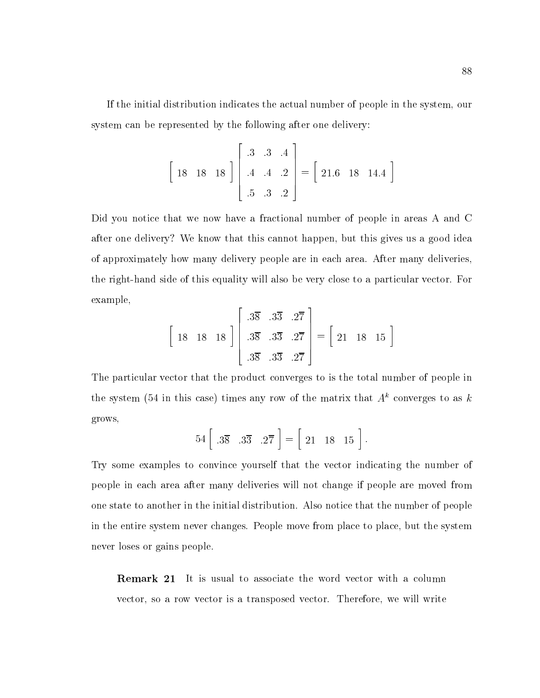If the initial distribution indicates the actual number of people in the system, our system can be represented by the following after one delivery:

$$
\begin{bmatrix} 18 & 18 & 18 \end{bmatrix} \begin{bmatrix} .3 & .3 & .4 \\ .4 & .4 & .2 \\ .5 & .3 & .2 \end{bmatrix} = \begin{bmatrix} 21.6 & 18 & 14.4 \end{bmatrix}
$$

Did you notice that we now have a fractional number of people in areas A and C after one delivery? We know that this cannot happen, but this gives us a good idea of approximately how many delivery people are in each area. After many deliveries, the right-hand side of this equality will also be very close to a particular vector. For example,

$$
\begin{bmatrix} 18 & 18 & 18 \end{bmatrix} \begin{bmatrix} .3\overline{8} & .3\overline{3} & .2\overline{7} \\ .3\overline{8} & .3\overline{3} & .2\overline{7} \\ .3\overline{8} & .3\overline{3} & .2\overline{7} \end{bmatrix} = \begin{bmatrix} 21 & 18 & 15 \end{bmatrix}
$$

The particular vector that the product converges to is the total number of people in the system (54 in this case) times any row of the matrix that  $A<sup>k</sup>$  converges to as k grows,

$$
54\left[\begin{array}{cc} .3\overline{8} & .3\overline{3} & .2\overline{7} \end{array}\right] = \left[\begin{array}{cc} 21 & 18 & 15 \end{array}\right].
$$

Try some examples to convince yourself that the vector indicating the number of people in each area after many deliveries will not change if people are moved from one state to another in the initial distribution. Also notice that the number of people in the entire system never changes. People move from place to place, but the system never loses or gains people.

Remark 21 It is usual to associate the word vector with a column vector, so a row vector is a transposed vector. Therefore, we will write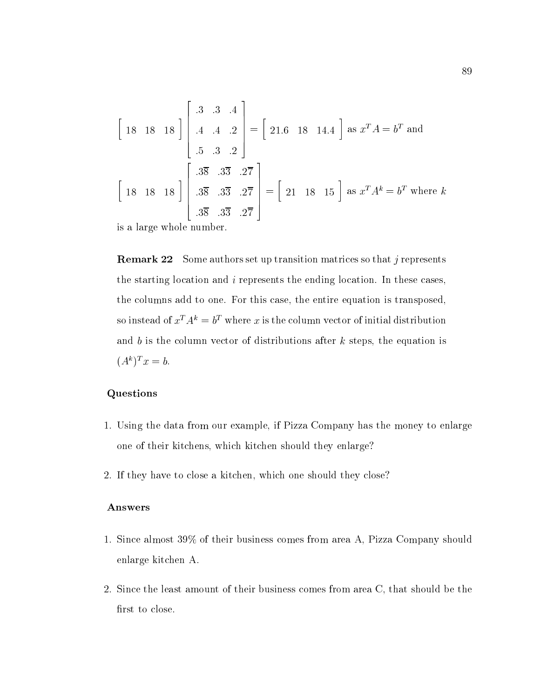$$
\begin{bmatrix} 18 & 18 & 18 \end{bmatrix} \begin{bmatrix} .3 & .3 & .4 \ .4 & .4 & .2 \ .5 & .3 & .2 \end{bmatrix} = \begin{bmatrix} 21.6 & 18 & 14.4 \end{bmatrix} \text{ as } x^T A = b^T \text{ and}
$$

$$
\begin{bmatrix} .3\overline{8} & .3\overline{3} & .2\overline{7} \\ .3\overline{8} & .3\overline{3} & .2\overline{7} \\ .3\overline{8} & .3\overline{3} & .2\overline{7} \end{bmatrix} = \begin{bmatrix} 21 & 18 & 15 \end{bmatrix} \text{ as } x^T A^k = b^T \text{ where } k
$$

is a large whole number.

**Remark 22** Some authors set up transition matrices so that j represents the starting location and i represents the ending location. In these cases, the columns add to one. For this case, the entire equation is transposed, so instead of  $x_A \equiv b$  where x is the column vector of initial distribution and b is the column vector of distributions after  $k$  steps, the equation is  $(A^k)^T x = b.$ 

### Questions

- 1. Using the data from our example, if Pizza Company has the money to enlarge one of their kitchens, which kitchen should they enlarge?
- 2. If they have to close a kitchen, which one should they close?

#### Answers

- 1. Since almost 39% of their business comes from area A, Pizza Company should enlarge kitchen A.
- 2. Since the least amount of their business comes from area C, that should be the first to close.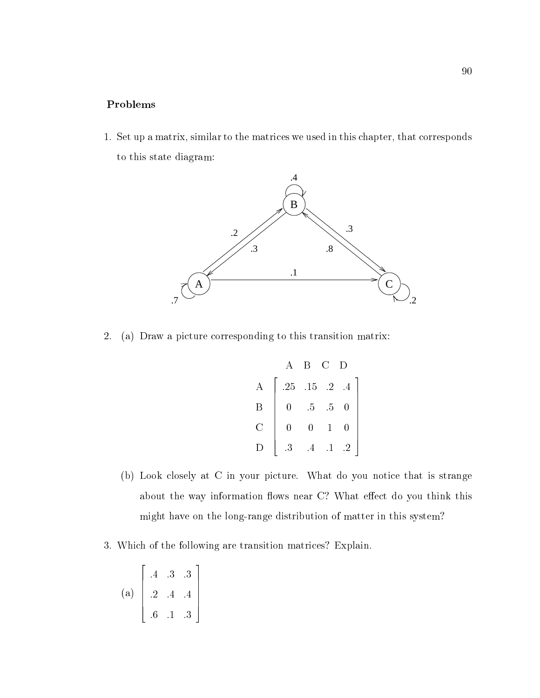### Problems

1. Set up a matrix, similar to the matrices we used in this chapter, that corresponds to this state diagram:



2. (a) Draw a picture corresponding to this transition matrix:

$$
\begin{bmatrix}\n & A & B & C & D \\
 & .25 & .15 & .2 & .4 \\
 & 0 & .5 & .5 & 0 \\
 & 0 & 0 & 1 & 0 \\
 & .3 & .4 & .1 & .2\n\end{bmatrix}
$$

- (b) Look closely at C in your picture. What do you notice that is strange about the way information flows near C? What effect do you think this might have on the long-range distribution of matter in this system?
- 3. Which of the following are transition matrices? Explain.

$$
(a) \begin{bmatrix} .4 & .3 & .3 \\ .2 & .4 & .4 \\ .6 & .1 & .3 \end{bmatrix}
$$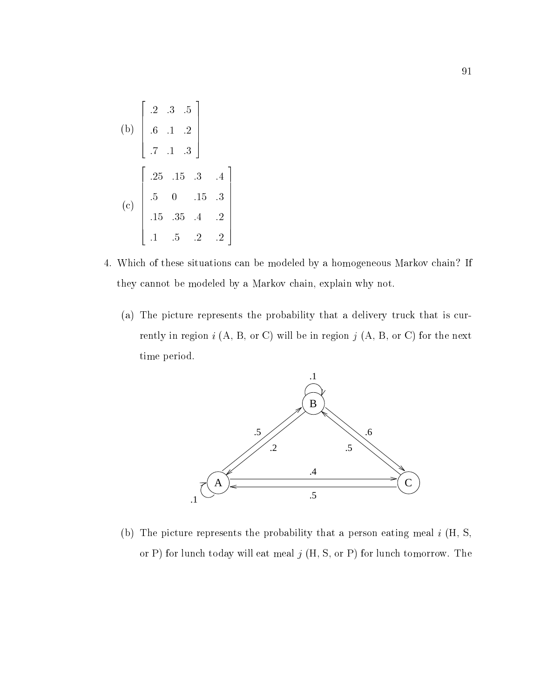(b) 
$$
\begin{bmatrix} .2 & .3 & .5 \\ .6 & .1 & .2 \\ .7 & .1 & .3 \end{bmatrix}
$$
  
(c) 
$$
\begin{bmatrix} .25 & .15 & .3 & .4 \\ .5 & 0 & .15 & .3 \\ .15 & .35 & .4 & .2 \\ .1 & .5 & .2 & .2 \end{bmatrix}
$$

- 4. Which of these situations can be modeled by a homogeneous Markov chain? If they cannot be modeled by a Markov chain, explain why not.
	- (a) The picture represents the probability that a delivery truck that is currently in region  $i$  (A, B, or C) will be in region  $j$  (A, B, or C) for the next time period.



(b) The picture represents the probability that a person eating meal  $i$  (H, S, or P) for lunch today will eat meal  $j$  (H, S, or P) for lunch tomorrow. The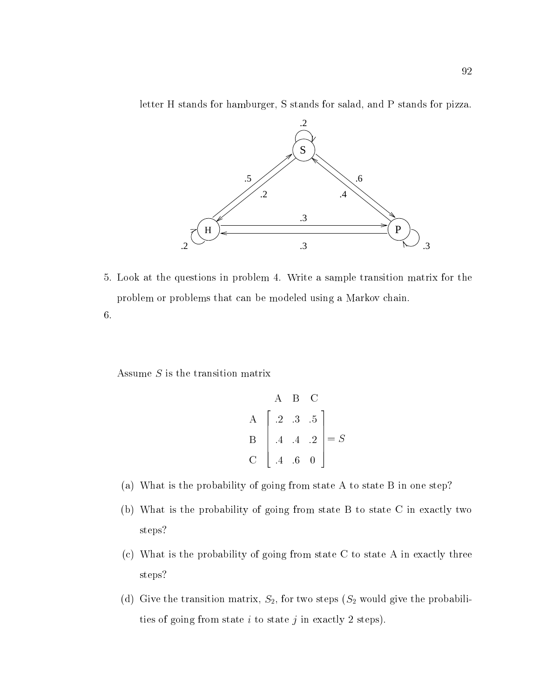letter H stands for hamburger, S stands for salad, and P stands for pizza.



5. Look at the questions in problem 4. Write a sample transition matrix for the problem or problems that can be modeled using a Markov chain.

6.

Assume  $S$  is the transition matrix

$$
\begin{bmatrix}\nA & B & C \\
A & 2 & .3 & .5 \\
B & .4 & .4 & .2 \\
C & .4 & .6 & 0\n\end{bmatrix} = S
$$

- (a) What is the probability of going from state A to state B in one step?
- (b) What is the probability of going from state B to state C in exactly two steps?
- (c) What is the probability of going from state C to state A in exactly three steps?
- (d) Give the transition matrix,  $S_2$ , for two steps  $(S_2$  would give the probabilities of going from state  $i$  to state  $j$  in exactly 2 steps).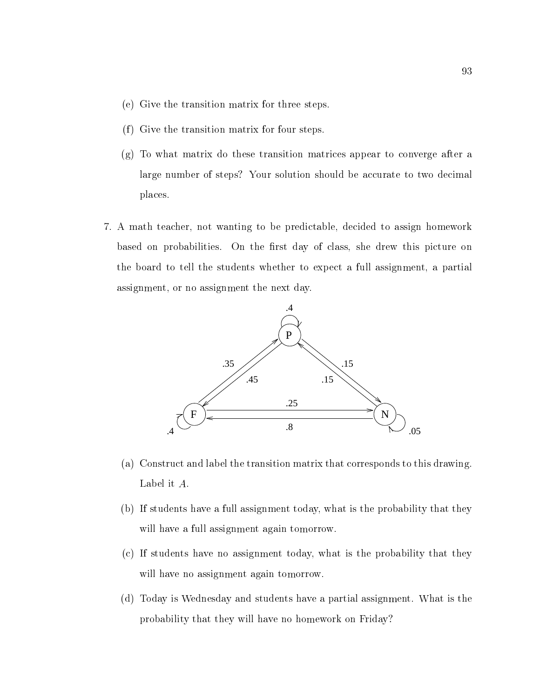- (e) Give the transition matrix for three steps.
- $(f)$  Give the transition matrix for four steps.
- (g) To what matrix do these transition matrices appear to converge after a large number of steps? Your solution should be accurate to two decimal places.
- 7. A math teacher, not wanting to be predictable, decided to assign homework based on probabilities. On the first day of class, she drew this picture on the board to tell the students whether to expect a full assignment, a partial assignment, or no assignment the next day.



- (a) Construct and label the transition matrix that corresponds to this drawing. Label it A:
- (b) If students have a full assignment today, what is the probability that they will have a full assignment again tomorrow.
- (c) If students have no assignment today, what is the probability that they will have no assignment again tomorrow.
- (d) Today is Wednesday and students have a partial assignment. What is the probability that they will have no homework on Friday?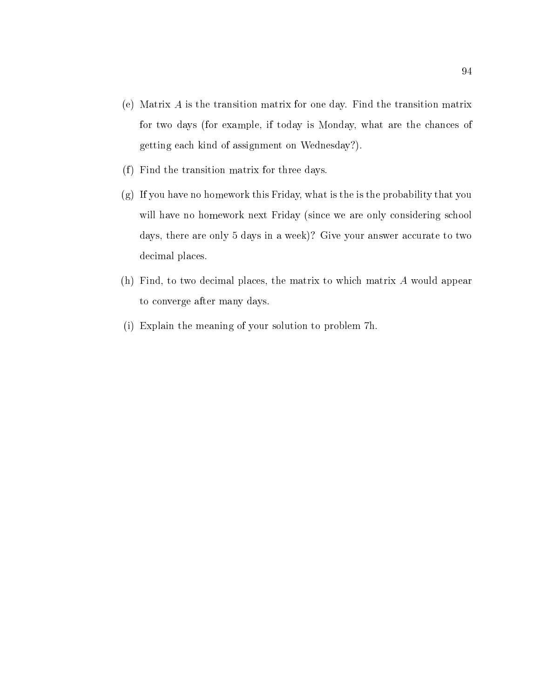- (e) Matrix A is the transition matrix for one day. Find the transition matrix for two days (for example, if today is Monday, what are the chances of getting each kind of assignment on Wednesday?).
- $(f)$  Find the transition matrix for three days.
- (g) If you have no homework this Friday, what is the is the probability that you will have no homework next Friday (since we are only considering school days, there are only 5 days in a week)? Give your answer accurate to two decimal places.
- (h) Find, to two decimal places, the matrix to which matrix A would appear to converge after many days.
- (i) Explain the meaning of your solution to problem 7h.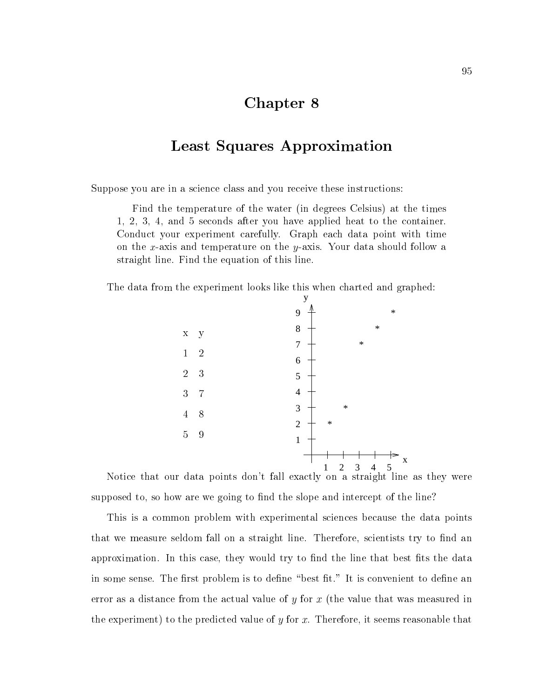# Chapter 8

### Least Squares Approximation

Suppose you are in a science class and you receive these instructions:

Find the temperature of the water (in degrees Celsius) at the times 1, 2, 3, 4, and 5 seconds after you have applied heat to the container. Conduct your experiment carefully. Graph each data point with time on the x-axis and temperature on the y-axis. Your data should follow a straight line. Find the equation of this line.

The data from the experiment looks like this when charted and graphed:



Notice that our data points don't fall exactly on a straight line as they were supposed to, so how are we going to find the slope and intercept of the line?

This is a common problem with experimental sciences because the data points that we measure seldom fall on a straight line. Therefore, scientists try to find an approximation. In this case, they would try to find the line that best fits the data in some sense. The first problem is to define "best fit." It is convenient to define an error as a distance from the actual value of  $y$  for  $x$  (the value that was measured in the experiment) to the predicted value of  $y$  for  $x$ . Therefore, it seems reasonable that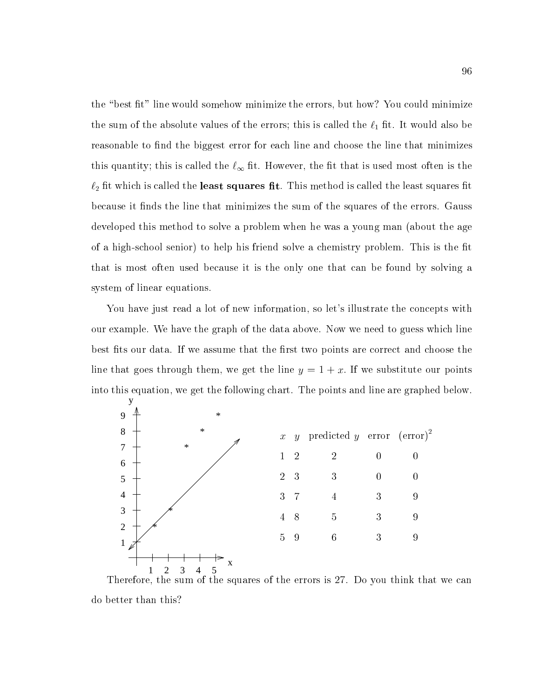the "best fit" line would somehow minimize the errors, but how? You could minimize the sum of the absolute values of the errors; this is called the  $\ell_1$  fit. It would also be reasonable to find the biggest error for each line and choose the line that minimizes this quantity; this is called the  $\ell_{\infty}$  fit. However, the fit that is used most often is the  $\ell_2$  fit which is called the **least squares fit**. This method is called the least squares fit because it finds the line that minimizes the sum of the squares of the errors. Gauss developed this method to solve a problem when he was a young man (about the age of a high-school senior) to help his friend solve a chemistry problem. This is the fit that is most often used because it is the only one that can be found by solving a system of linear equations.

You have just read a lot of new information, so let's illustrate the concepts with our example. We have the graph of the data above. Now we need to guess which line best fits our data. If we assume that the first two points are correct and choose the line that goes through them, we get the line  $y = 1 + x$ . If we substitute our points into this equation, we get the following chart. The points and line are graphed below.



Therefore, the sum of the squares of the errors is 27. Do you think that we can do better than this?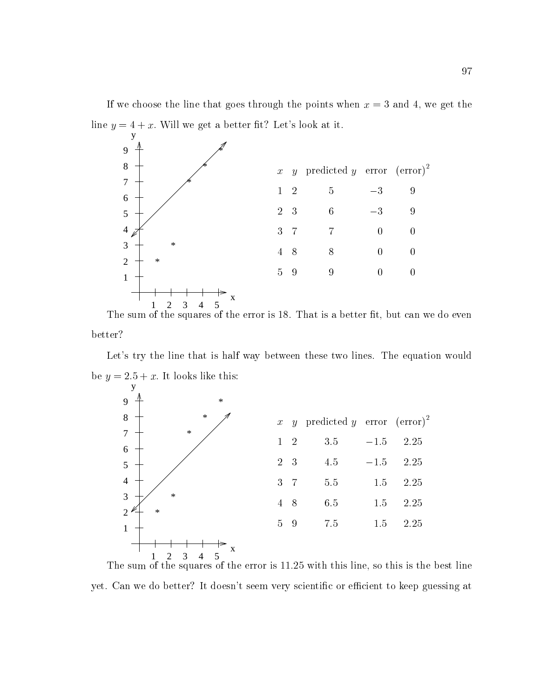If we choose the line that goes through the points when  $x = 3$  and 4, we get the line  $y = 4 + x$ . Will we get a better fit? Let's look at it.



The sum of the squares of the error is 18. That is a better t, but can we do even better?

Let's try the line that is half way between these two lines. The equation would be  $y = 2.5 + x$ . It looks like this:



The sum of the squares of the error is 11.25 with this line, so this is the best line yet. Can we do better? It doesn't seem very scientific or efficient to keep guessing at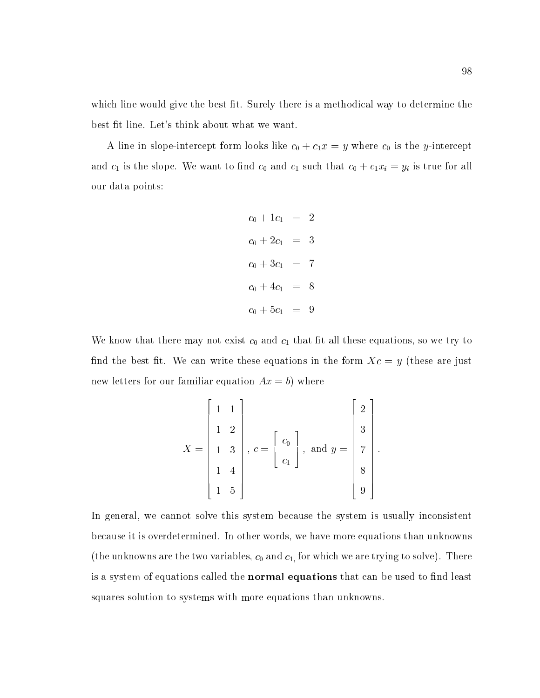which line would give the best fit. Surely there is a methodical way to determine the best fit line. Let's think about what we want.

A line in slope-intercept form looks like  $c_0 + c_1 x = y$  where  $c_0$  is the y-intercept and  $c_1$  is the slope. We want to find  $c_0$  and  $c_1$  such that  $c_0 + c_1x_i = y_i$  is true for all our data points:

$$
c_0 + 1c_1 = 2
$$
  
\n
$$
c_0 + 2c_1 = 3
$$
  
\n
$$
c_0 + 3c_1 = 7
$$
  
\n
$$
c_0 + 4c_1 = 8
$$
  
\n
$$
c_0 + 5c_1 = 9
$$

We know that there may not exist  $c_0$  and  $c_1$  that fit all these equations, so we try to find the best fit. We can write these equations in the form  $Xc = y$  (these are just new letters for our familiar equation  $Ax = b$ ) where

$$
X = \begin{bmatrix} 1 & 1 \\ 1 & 2 \\ 1 & 3 \\ 1 & 4 \\ 1 & 5 \end{bmatrix}, c = \begin{bmatrix} c_0 \\ c_1 \end{bmatrix}, \text{ and } y = \begin{bmatrix} 2 \\ 3 \\ 7 \\ 8 \\ 9 \end{bmatrix}.
$$

In general, we cannot solve this system because the system is usually inconsistent because it is overdetermined. In other words, we have more equations than unknowns (the unknowns are the two variables,  $c_0$  and  $c_1$ , for which we are trying to solve). There is a system of equations called the **normal equations** that can be used to find least squares solution to systems with more equations than unknowns.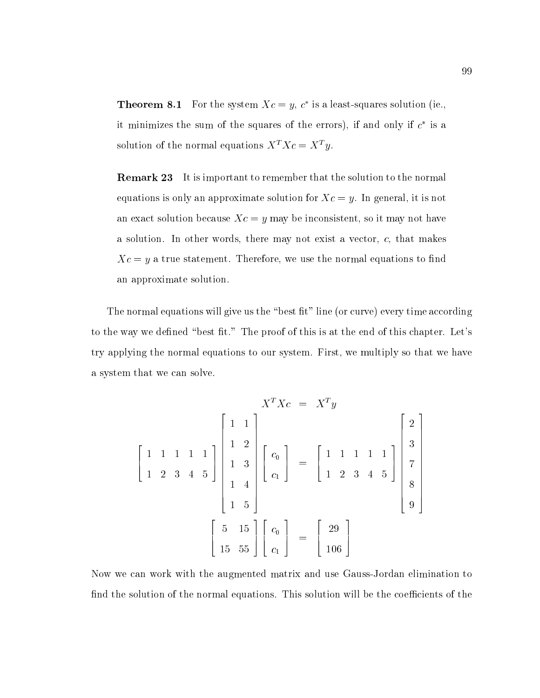**I neorem 8.1** For the system  $AC = y$ , c is a least-squares solution (ie., it minimizes the sum of the squares of the errors), if and only if  $c$  is a solution of the normal equations  $X^T X c = X^T y$ .

**Remark 23** It is important to remember that the solution to the normal equations is only an approximate solution for  $Xc = y$ . In general, it is not an exact solution because  $Xc = y$  may be inconsistent, so it may not have a solution. In other words, there may not exist a vector, c, that makes  $Xc = y$  a true statement. Therefore, we use the normal equations to find an approximate solution.

The normal equations will give us the "best fit" line (or curve) every time according to the way we defined "best fit." The proof of this is at the end of this chapter. Let's try applying the normal equations to our system. First, we multiply so that we have a system that we can solve.

$$
\begin{bmatrix}\n1 & 1 & 1 & 1 & 1 \\
1 & 1 & 1 & 1 & 1 \\
1 & 2 & 3 & 4 & 5\n\end{bmatrix}\n\begin{bmatrix}\n1 & 1 \\
1 & 2 \\
1 & 3 \\
1 & 4 \\
1 & 5\n\end{bmatrix}\n\begin{bmatrix}\nc_0 \\
c_1\n\end{bmatrix} =\n\begin{bmatrix}\n1 & 1 & 1 & 1 & 1 \\
1 & 2 & 3 & 4 & 5\n\end{bmatrix}\n\begin{bmatrix}\n2 \\
3 \\
7 \\
8 \\
9\n\end{bmatrix}
$$
\n
$$
\begin{bmatrix}\n5 & 15 \\
15 & 55\n\end{bmatrix}\n\begin{bmatrix}\nc_0 \\
c_1\n\end{bmatrix} =\n\begin{bmatrix}\n29 \\
106\n\end{bmatrix}
$$

Now we can work with the augmented matrix and use Gauss-Jordan elimination to find the solution of the normal equations. This solution will be the coefficients of the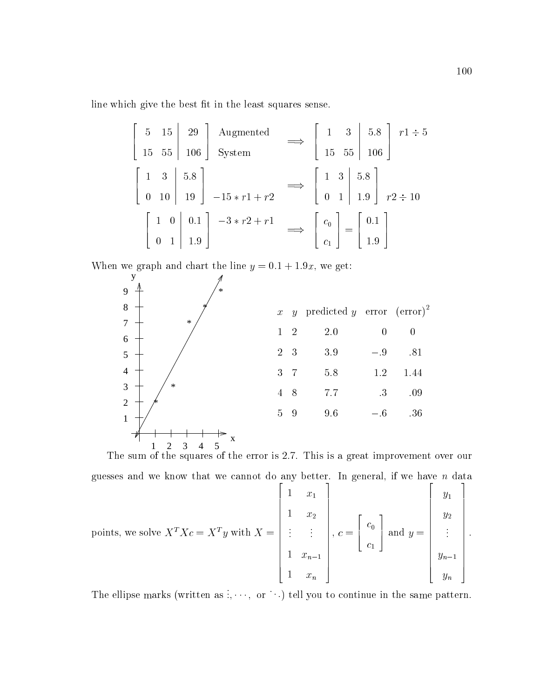line which give the best fit in the least squares sense.

$$
\begin{bmatrix} 5 & 15 & 29 \ 15 & 55 & 106 \end{bmatrix} \xrightarrow{\text{Augmented}} \implies \begin{bmatrix} 1 & 3 & 5.8 \ 15 & 55 & 106 \end{bmatrix} \xrightarrow{r1 \div 5}
$$

$$
\begin{bmatrix} 1 & 3 & 5.8 \ 0 & 10 & 19 \ 0 & 1 & 19 \end{bmatrix} \xrightarrow{-15 * r1 + r2} \implies \begin{bmatrix} 1 & 3 & 5.8 \ 0 & 1 & 1.9 \end{bmatrix} \xrightarrow{r2 \div 10}
$$

$$
\begin{bmatrix} 1 & 0 & 0.1 \ 0 & 1 & 1.9 \end{bmatrix} \xrightarrow{-3 * r2 + r1} \implies \begin{bmatrix} c_0 \ c_1 \end{bmatrix} = \begin{bmatrix} 0.1 \ 1.9 \end{bmatrix}
$$

When we graph and chart the line  $y = 0.1 + 1.9x$ , we get:



The sum of thesquares of the error is 2.7. This is a great improvement over our

$$
\text{points, we solve } X^T X c = X^T y \text{ with } X = \begin{bmatrix} 1 & x_1 \\ 1 & x_2 \\ \vdots & \vdots \\ 1 & x_{n-1} \\ 1 & x_n \end{bmatrix}, c = \begin{bmatrix} c_0 \\ c_1 \\ \vdots \end{bmatrix} \text{ and } y = \begin{bmatrix} y_1 \\ y_2 \\ \vdots \\ y_{n-1} \\ y_n \end{bmatrix}.
$$

The ellipse marks (written as  $\ldots$ , or  $\ldots$ ) tell you to continue in the same pattern.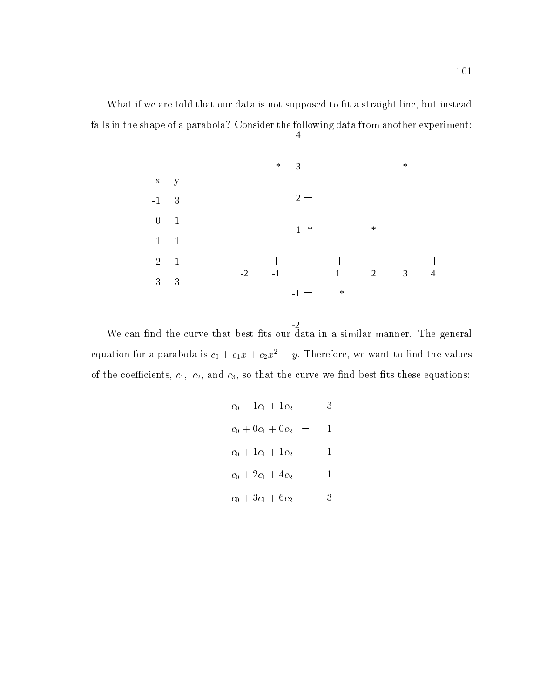What if we are told that our data is not supposed to fit a straight line, but instead falls in the shape of a parabola? Consider the following data from another experiment:



We can nd the curve that best ts our data in a similar manner. The general equation for a parabola is  $c_0 + c_1 x + c_2 x^2 = y$ . Therefore, we want to find the values of the coefficients,  $c_1$ ,  $c_2$ , and  $c_3$ , so that the curve we find best fits these equations:

$$
c_0 - 1c_1 + 1c_2 = 3
$$
  
\n
$$
c_0 + 0c_1 + 0c_2 = 1
$$
  
\n
$$
c_0 + 1c_1 + 1c_2 = -1
$$
  
\n
$$
c_0 + 2c_1 + 4c_2 = 1
$$
  
\n
$$
c_0 + 3c_1 + 6c_2 = 3
$$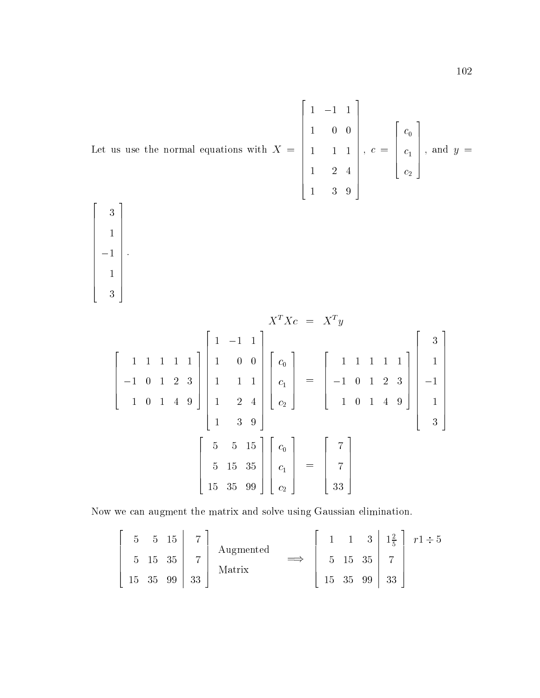Let us use the normal equations with 
$$
X = \begin{bmatrix} 1 & -1 & 1 \\ 1 & 0 & 0 \\ 1 & 1 & 1 \\ 1 & 2 & 4 \\ 1 & 3 & 9 \end{bmatrix}
$$
,  $c = \begin{bmatrix} c_0 \\ c_1 \\ c_2 \end{bmatrix}$ , and  $y = \begin{bmatrix} 3 \end{bmatrix}$ 

 $\begin{bmatrix} 1 \\ -1 \\ 1 \end{bmatrix}.$  $\sim$  100  $\sim$  100  $\sim$  100  $\sim$  100  $\sim$  100  $\sim$  100  $\sim$  100  $\sim$  100  $\sim$  100  $\sim$  100  $\sim$  100  $\sim$  100  $\sim$  100  $\sim$  100  $\sim$  100  $\sim$  100  $\sim$  100  $\sim$  100  $\sim$  100  $\sim$  100  $\sim$  100  $\sim$  100  $\sim$  100  $\sim$  100  $\sim$   $\sim$  100  $\sim$  100  $\sim$  100  $\sim$  100  $\sim$  100  $\sim$  100  $\sim$  100  $\sim$  100  $\sim$  100  $\sim$  100  $\sim$  100  $\sim$  100  $\sim$  100  $\sim$  100  $\sim$  100  $\sim$  100  $\sim$  100  $\sim$  100  $\sim$  100  $\sim$  100  $\sim$  100  $\sim$  100  $\sim$  100  $\sim$  100  $\sim$  33 and 33 and 33 and 34 and 35 and 36 and 36 and 36 and 36 and 36 and 36 and 36 and 36 and 36 and 36 and 36 

$$
X^{T}Xc = X^{T}y
$$
\n
$$
\begin{bmatrix}\n1 & 1 & 1 & 1 & 1 \\
-1 & 0 & 1 & 2 & 3 \\
1 & 0 & 1 & 4 & 9\n\end{bmatrix}\n\begin{bmatrix}\n1 & -1 & 1 \\
1 & 0 & 0 \\
1 & 1 & 1 \\
1 & 2 & 4 \\
1 & 3 & 9\n\end{bmatrix}\n\begin{bmatrix}\nc_0 \\
c_1 \\
c_2\n\end{bmatrix} =\n\begin{bmatrix}\n1 & 1 & 1 & 1 & 1 \\
-1 & 0 & 1 & 2 & 3 \\
1 & 0 & 1 & 4 & 9\n\end{bmatrix}\n\begin{bmatrix}\n1 \\
-1 \\
-1 \\
1 \\
1\n\end{bmatrix}
$$
\n
$$
\begin{bmatrix}\n5 & 5 & 15 \\
5 & 15 & 35 \\
15 & 35 & 99\n\end{bmatrix}\n\begin{bmatrix}\nc_0 \\
c_1 \\
c_2\n\end{bmatrix} =\n\begin{bmatrix}\n7 \\
7 \\
33\n\end{bmatrix}
$$

Now we can augment the matrix and solve using Gaussian elimination.

$$
\begin{bmatrix} 5 & 5 & 15 & 7 \ 5 & 15 & 35 & 7 \ 15 & 35 & 99 & 33 \end{bmatrix} \begin{array}{c} \text{Augmented} \\ \text{Matrix} \end{array} \implies \begin{bmatrix} 1 & 1 & 3 & 1\frac{2}{5} & 7 \ 5 & 15 & 35 & 7 \ 15 & 35 & 99 & 33 \end{bmatrix} \begin{array}{c} r1 \div 5 \\ 7 \\ 33 \end{array}
$$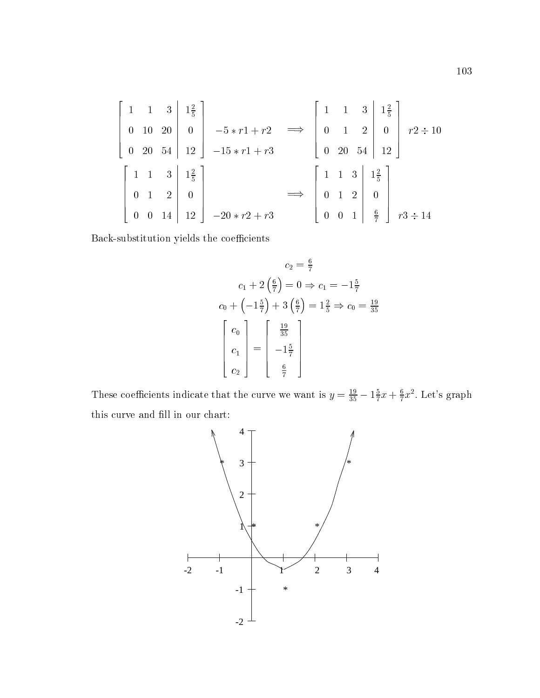$$
\begin{bmatrix} 1 & 1 & 3 & | & 1\frac{2}{5} \\ 0 & 10 & 20 & | & 0 \\ 0 & 20 & 54 & | & 12 \end{bmatrix} \xrightarrow{-5*r1+r2} \xrightarrow{\Longrightarrow} \begin{bmatrix} 1 & 1 & 3 & | & 1\frac{2}{5} \\ 0 & 1 & 2 & | & 0 \\ 0 & 20 & 54 & | & 12 \end{bmatrix} \xrightarrow{r2 \div 10}
$$

$$
\begin{bmatrix} 1 & 1 & 3 & | & 1\frac{2}{5} \\ 0 & 1 & 2 & | & 0 \\ 0 & 0 & 14 & | & 12 \end{bmatrix} \xrightarrow{-20*r2+r3} \xrightarrow{\Longrightarrow} \begin{bmatrix} 1 & 1 & 3 & | & 1\frac{2}{5} \\ 0 & 1 & 2 & | & 0 \\ 0 & 0 & 1 & | & \frac{6}{7} \end{bmatrix} \xrightarrow{r3 \div 14}
$$

Back-substitution yields the coefficients

$$
c_2 = \frac{6}{7}
$$
  
\n
$$
c_1 + 2\left(\frac{6}{7}\right) = 0 \Rightarrow c_1 = -1\frac{5}{7}
$$
  
\n
$$
c_0 + \left(-1\frac{5}{7}\right) + 3\left(\frac{6}{7}\right) = 1\frac{2}{5} \Rightarrow c_0 = \frac{19}{35}
$$
  
\n
$$
\begin{bmatrix} c_0 \\ c_1 \\ c_2 \end{bmatrix} = \begin{bmatrix} \frac{19}{35} \\ -1\frac{5}{7} \\ \frac{6}{7} \end{bmatrix}
$$

These coefficients indicate that the curve we want is  $y = \frac{19}{35} - 1\frac{5}{7}x + \frac{6}{7}x^2$ . Let's graph this curve and fill in our chart:

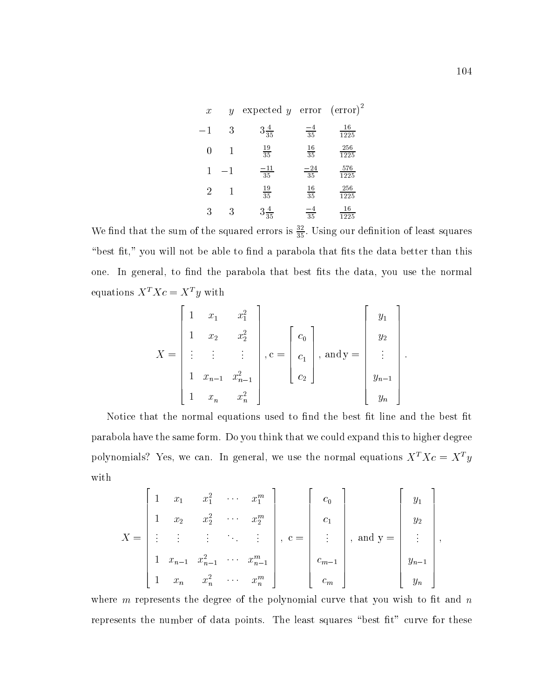| $\boldsymbol{x}$ | $\boldsymbol{y}$ | expected y error $(\text{error})^2$ |                  |                    |
|------------------|------------------|-------------------------------------|------------------|--------------------|
|                  | 3                | $3\frac{4}{35}$                     | $\frac{-4}{35}$  | 16<br>1225         |
|                  |                  | $\frac{19}{35}$                     | $\frac{16}{35}$  | $\frac{256}{1225}$ |
|                  | —1               | $\frac{-11}{35}$                    | $\frac{-24}{35}$ | $\frac{576}{1225}$ |
| 2                |                  | $\frac{19}{35}$                     | $\frac{16}{35}$  | $\frac{256}{1225}$ |
| 3                | 3                | $3\frac{4}{35}$                     | $\frac{-4}{35}$  | $\tfrac{16}{1225}$ |

We find that the sum of the squared errors is  $\frac{37}{35}$ . Using our definition of least squares "best fit," you will not be able to find a parabola that fits the data better than this one. In general, to find the parabola that best fits the data, you use the normal equations  $X^T X c = X^T y$  with

$$
X = \begin{bmatrix} 1 & x_1 & x_1^2 \\ 1 & x_2 & x_2^2 \\ \vdots & \vdots & \vdots \\ 1 & x_{n-1} & x_{n-1}^2 \\ 1 & x_n & x_n^2 \end{bmatrix}, \mathbf{c} = \begin{bmatrix} c_0 \\ c_1 \\ c_2 \end{bmatrix}, \text{ and } \mathbf{y} = \begin{bmatrix} y_1 \\ y_2 \\ \vdots \\ y_{n-1} \\ y_n \end{bmatrix}.
$$

Notice that the normal equations used to find the best fit line and the best fit parabola have the same form. Do you think that we could expand this to higher degree polynomials? Yes, we can. In general, we use the normal equations  $X^T X c = X^T y$ with

$$
X = \begin{bmatrix} 1 & x_1 & x_1^2 & \cdots & x_1^m \\ 1 & x_2 & x_2^2 & \cdots & x_2^m \\ \vdots & \vdots & \vdots & \ddots & \vdots \\ 1 & x_{n-1} & x_{n-1}^2 & \cdots & x_{n-1}^m \\ 1 & x_n & x_n^2 & \cdots & x_n^m \end{bmatrix}, \ c = \begin{bmatrix} c_0 \\ c_1 \\ \vdots \\ c_{m-1} \\ c_m \end{bmatrix}, \text{ and } y = \begin{bmatrix} y_1 \\ y_2 \\ \vdots \\ y_{n-1} \\ y_n \end{bmatrix},
$$

where  $m$  represents the degree of the polynomial curve that you wish to fit and  $n$ represents the number of data points. The least squares "best fit" curve for these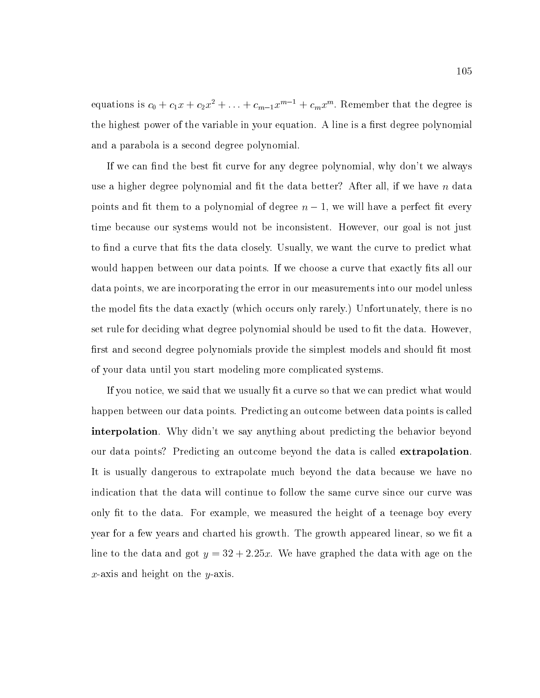equations is  $c_0 + c_1 x + c_2 x^2 + \ldots + c_{m-1} x^{m-1} + c_m x^m$ . Remember that the degree is the highest power of the variable in your equation. A line is a first degree polynomial and a parabola is a second degree polynomial.

If we can find the best fit curve for any degree polynomial, why don't we always use a higher degree polynomial and fit the data better? After all, if we have  $n$  data points and fit them to a polynomial of degree  $n-1$ , we will have a perfect fit every time because our systems would not be inconsistent. However, our goal is not just to find a curve that fits the data closely. Usually, we want the curve to predict what would happen between our data points. If we choose a curve that exactly fits all our data points, we are incorporating the error in our measurements into our model unless the model fits the data exactly (which occurs only rarely.) Unfortunately, there is no set rule for deciding what degree polynomial should be used to fit the data. However, first and second degree polynomials provide the simplest models and should fit most of your data until you start modeling more complicated systems.

If you notice, we said that we usually fit a curve so that we can predict what would happen between our data points. Predicting an outcome between data points is called interpolation. Why didn't we say anything about predicting the behavior beyond our data points? Predicting an outcome beyond the data is called extrapolation. It is usually dangerous to extrapolate much beyond the data because we have no indication that the data will continue to follow the same curve since our curve was only fit to the data. For example, we measured the height of a teenage boy every year for a few years and charted his growth. The growth appeared linear, so we fit a line to the data and got  $y = 32 + 2.25x$ . We have graphed the data with age on the x-axis and height on the y-axis.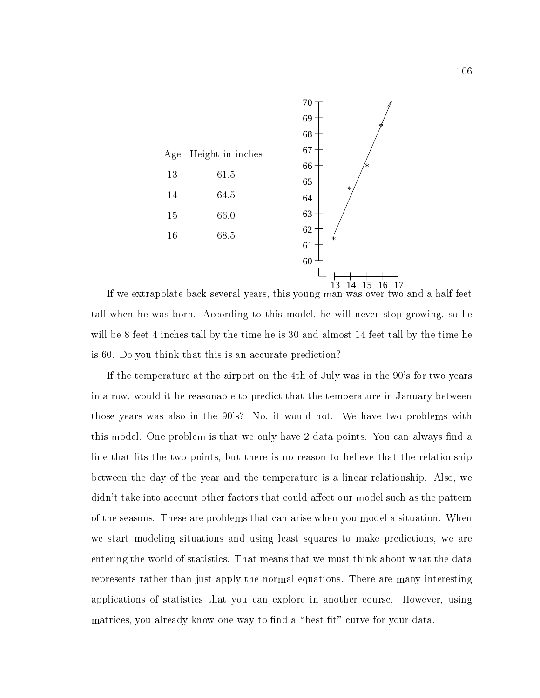

If we extrapolate back several years, this young man was over two and a half feet tall when he was born. According to this model, he will never stop growing, so he will be 8 feet 4 inches tall by the time he is 30 and almost 14 feet tall by the time he is 60. Do you think that this is an accurate prediction?

If the temperature at the airport on the 4th of July was in the 90's for two years in a row, would it be reasonable to predict that the temperature in January between those years was also in the 90's? No, it would not. We have two problems with this model. One problem is that we only have 2 data points. You can always find a line that fits the two points, but there is no reason to believe that the relationship between the day of the year and the temperature is a linear relationship. Also, we didn't take into account other factors that could affect our model such as the pattern of the seasons. These are problems that can arise when you model a situation. When we start modeling situations and using least squares to make predictions, we are entering the world of statistics. That means that we must think about what the data represents rather than just apply the normal equations. There are many interesting applications of statistics that you can explore in another course. However, using matrices, you already know one way to find a "best fit" curve for your data.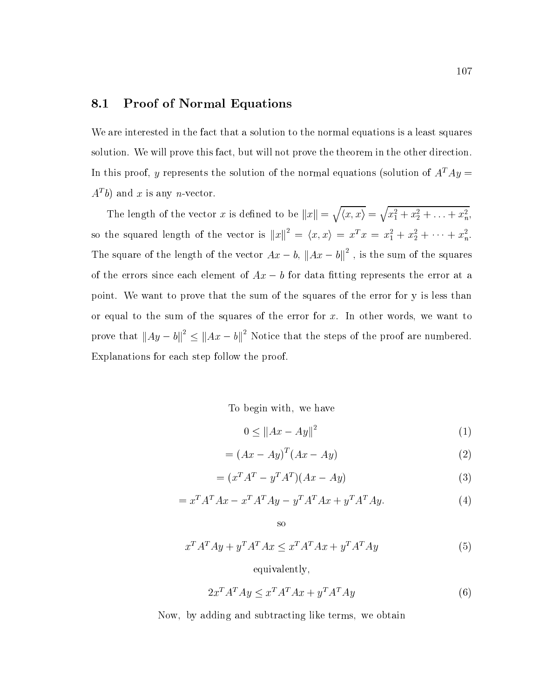### 8.1 Proof of Normal Equations

We are interested in the fact that a solution to the normal equations is a least squares solution. We will prove this fact, but will not prove the theorem in the other direction. In this proof, y represents the solution of the normal equations (solution of  $A<sup>T</sup> A y =$  $A^{\perp}$   $\theta$ ) and  $x$  is any  $n$ -vector.

The length of the vector x is defined to be  $||x|| = \sqrt{\langle x, x \rangle} = \sqrt{x_1^2 + x_2^2 + \ldots + x_n^2}$ , so the squared length of the vector is  $||x||^2 = \langle x, x \rangle = x^2 \cdot x = x_1^2 + x_2^2 + \cdots + x_n^2$ . The square of the length of the vector  $Ax - b$ ,  $||Ax - b||$ , is the sum of the squares of the errors since each element of  $Ax - b$  for data fitting represents the error at a point. We want to prove that the sum of the squares of the error for y is less than or equal to the sum of the squares of the error for  $x$ . In other words, we want to prove that  $||Ay - b|| \le ||Ax - b||$  Notice that the steps of the proof are numbered. Explanations for each step follow the proof.

To begin with; we have

$$
0 \le ||Ax - Ay||^2 \tag{1}
$$

$$
= (Ax - Ay)^{T} (Ax - Ay)
$$
 (2)

$$
= (xT AT - yT AT)(Ax - Ay)
$$
\n(3)

$$
= xT AT A x - xT AT A y - yT AT A x + yT AT A y.
$$
 (4)

$$
x^T A^T A y + y^T A^T A x \le x^T A^T A x + y^T A^T A y \tag{5}
$$

equivalently;

so

$$
2x^{T}A^{T}Ay \le x^{T}A^{T}Ax + y^{T}A^{T}Ay \tag{6}
$$

Now; by adding and subtracting like terms; we obtain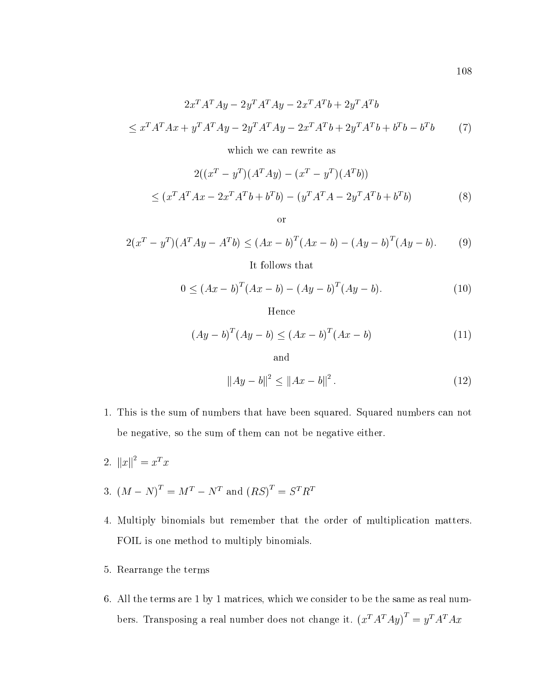$$
2x^{T}A^{T}Ay - 2y^{T}A^{T}Ay - 2x^{T}A^{T}b + 2y^{T}A^{T}b
$$
  

$$
\leq x^{T}A^{T}Ax + y^{T}A^{T}Ay - 2y^{T}A^{T}Ay - 2x^{T}A^{T}b + 2y^{T}A^{T}b + b^{T}b - b^{T}b
$$
 (7)

which we can rewrite as

$$
2((x^{T} - y^{T})(A^{T}Ay) - (x^{T} - y^{T})(A^{T}b))
$$
  
 
$$
\leq (x^{T}A^{T}Ax - 2x^{T}A^{T}b + b^{T}b) - (y^{T}A^{T}A - 2y^{T}A^{T}b + b^{T}b)
$$
(8)

or

$$
2(x^{T} - y^{T})(A^{T}Ay - A^{T}b) \le (Ax - b)^{T}(Ax - b) - (Ay - b)^{T}(Ay - b).
$$
 (9)

It follows that

$$
0 \le (Ax - b)^{T} (Ax - b) - (Ay - b)^{T} (Ay - b).
$$
 (10)

Hence

$$
(Ay - b)^{T} (Ay - b) \le (Ax - b)^{T} (Ax - b)
$$
\n(11)

and

$$
||Ay - b||^2 \le ||Ax - b||^2. \tag{12}
$$

- 1. This is the sum of numbers that have been squared. Squared numbers can not be negative, so the sum of them can not be negative either.
- 2.  $||x||^2 = x^2 x$
- 3.  $(M N)^T = M^T N^T$  and  $(RS)^T = S^T R^T$
- 4. Multiply binomials but remember that the order of multiplication matters. FOIL is one method to multiply binomials.
- 5. Rearrange the terms
- 6. All the terms are 1 by 1 matrices, which we consider to be the same as real numbers. Transposing a real number does not change it.  $(x^T A^T A y)^T = y^T A^T A x$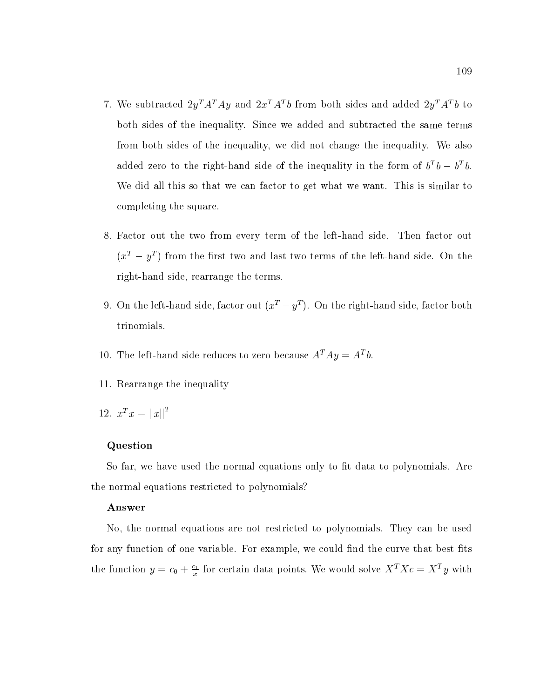- T. We subtracted  $2y$  A  $Ay$  and  $2x$  A  $y$  from both sides and added  $2y$  A  $y$  to both sides of the inequality. Since we added and subtracted the same terms from both sides of the inequality, we did not change the inequality. We also added zero to the right-hand side of the inequality in the form of  $b^+b^-\bar{b}^-\bar{b}$ . We did all this so that we can factor to get what we want. This is similar to completing the square.
- 8. Factor out the two from every term of the left-hand side. Then factor out  $(x^2 - y^2)$  from the first two and last two terms of the left-hand side. On the  $y$ right-hand side, rearrange the terms.
- 9. On the left-hand side, factor out ( $x^2 y^2$  ). On the right-hand side, factor both trinomials.
- 10. The left-hand side reduces to zero because  $A$   $Ay \equiv A_0$ .
- 11. Rearrange the inequality
- 12.  $x^T x = ||x||^2$

#### Question

So far, we have used the normal equations only to fit data to polynomials. Are the normal equations restricted to polynomials?

#### Answer

No, the normal equations are not restricted to polynomials. They can be used for any function of one variable. For example, we could find the curve that best fits the function  $y = c_0 + \frac{1}{x}$  for certain data points. We would solve  $X^T X c = X^T y$  with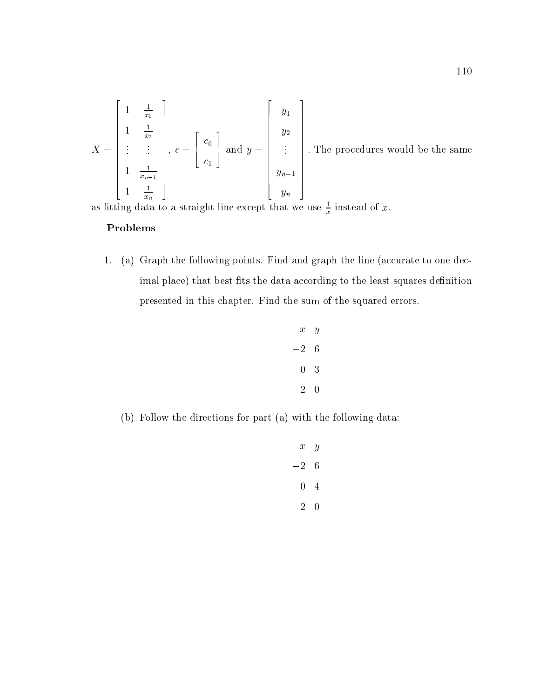$$
X = \begin{bmatrix} 1 & \frac{1}{x_1} \\ \frac{1}{x_2} & \frac{1}{x_2} \\ \vdots & \vdots & \vdots \\ 1 & \frac{1}{x_n-1} \\ 1 & \frac{1}{x_n} \end{bmatrix}, c = \begin{bmatrix} c_0 \\ c_1 \end{bmatrix} \text{ and } y = \begin{bmatrix} y_1 \\ y_2 \\ \vdots \\ y_{n-1} \\ y_n \end{bmatrix}.
$$
 The procedures would be the same as fitting data to a straight line except that we use  $\frac{1}{x}$  instead of  $x$ .

#### Problems

1. (a) Graph the following points. Find and graph the line (accurate to one decimal place) that best fits the data according to the least squares definition presented in this chapter. Find the sum of the squared errors.

$$
\begin{array}{ccc}\nx & y \\
-2 & 6 \\
0 & 3 \\
2 & 0\n\end{array}
$$

(b) Follow the directions for part (a) with the following data:

$$
\begin{array}{ccc}\nx & y \\
-2 & 6 \\
0 & 4 \\
2 & 0\n\end{array}
$$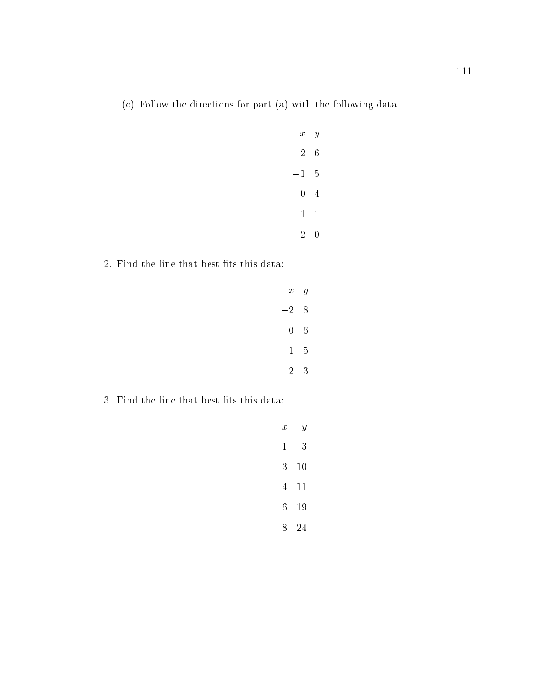(c) Follow the directions for part (a) with the following data:

| $x \ y$        |   |  |
|----------------|---|--|
| $-2$           | 6 |  |
| $-1$ 5         |   |  |
| $0\quad 4$     |   |  |
| $1 \quad 1$    |   |  |
| 2 <sup>1</sup> | 0 |  |

2. Find the line that best fits this data:

| $x \ y$    |             |  |
|------------|-------------|--|
| $-28$      |             |  |
| $0\quad 6$ |             |  |
|            | $1\quad 5$  |  |
|            | $2 \quad 3$ |  |

 $3.$  Find the line that best fits this data:  $\,$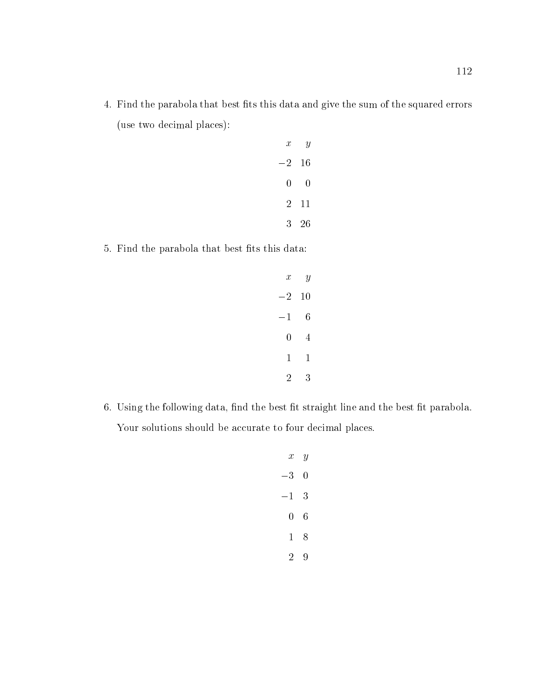4. Find the parabola that best fits this data and give the sum of the squared errors (use two decimal places):

| $\boldsymbol{x}$ | Y            |  |
|------------------|--------------|--|
| $-2\quad 16$     |              |  |
| 0                | 0            |  |
|                  | $2 \quad 11$ |  |
|                  | $3\quad 26$  |  |

5. Find the parabola that best fits this data:

| $\boldsymbol{x}$ | $\boldsymbol{y}$ |  |
|------------------|------------------|--|
| $-2$ 10          |                  |  |
| $-1$             | 6                |  |
| 0                | 4                |  |
| 1                | 1                |  |
| 2                | 3                |  |

6. Using the following data, find the best fit straight line and the best fit parabola. Your solutions should be accurate to four decimal places.

| $\mathcal{X}^-$ | $\boldsymbol{y}$ |  |
|-----------------|------------------|--|
| $-3$            | 0                |  |
| $^{-1}$         | 3                |  |
| 0               | 6                |  |
| 1               | 8                |  |
| 2               | 9                |  |
|                 |                  |  |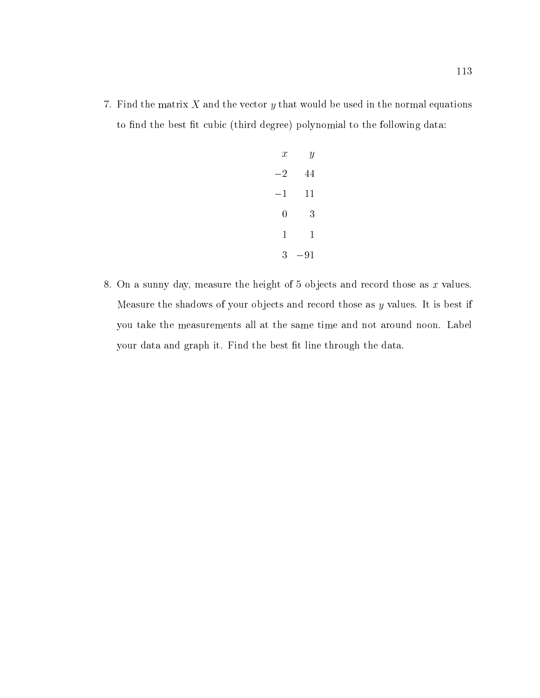7. Find the matrix  $X$  and the vector  $y$  that would be used in the normal equations to find the best fit cubic (third degree) polynomial to the following data:

| $\boldsymbol{x}$ | Y            |  |
|------------------|--------------|--|
| $-2$             | 44           |  |
| $-1$             | 11           |  |
| 0                | 3            |  |
| $\mathbf{1}$     | $\mathbf{1}$ |  |
| 3                | $-91$        |  |

8. On a sunny day, measure the height of 5 objects and record those as  $x$  values. Measure the shadows of your objects and record those as  $y$  values. It is best if you take the measurements all at the same time and not around noon. Label your data and graph it. Find the best fit line through the data.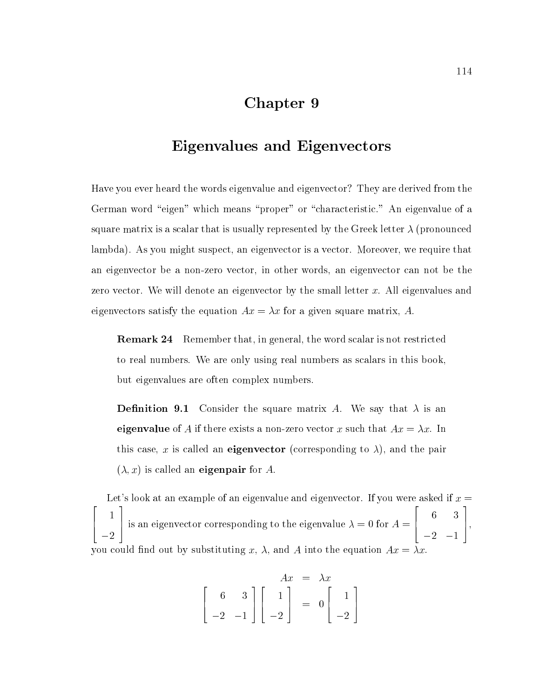## Chapter 9

## Eigenvalues and Eigenvectors

Have you ever heard the words eigenvalue and eigenvector? They are derived from the German word "eigen" which means "proper" or "characteristic." An eigenvalue of a square matrix is a scalar that is usually represented by the Greek letter  $\lambda$  (pronounced lambda). As you might suspect, an eigenvector is a vector. Moreover, we require that an eigenvector be a non-zero vector, in other words, an eigenvector can not be the zero vector. We will denote an eigenvector by the small letter  $x$ . All eigenvalues and eigenvectors satisfy the equation  $Ax = \lambda x$  for a given square matrix, A.

Remark 24 Remember that, in general, the word scalar is not restricted to real numbers. We are only using real numbers as scalars in this book, but eigenvalues are often complex numbers.

**Definition 9.1** Consider the square matrix A. We say that  $\lambda$  is an eigenvalue of A if there exists a non-zero vector x such that  $Ax = \lambda x$ . In this case, x is called an **eigenvector** (corresponding to  $\lambda$ ), and the pair  $(\lambda, x)$  is called an **eigenpair** for A.

Let's look at an example of an eigenvalue and eigenvector. If you were asked if  $x =$ 2022 - 2022 - 2022 - 2022 - 2022 - 2022 - 2022 - 2022 - 2022 - 2022 - 2022 - 2022 - 2022 - 2022 - 2022 - 2022 6 4 the contract of the contract of the contract of the contract of the contract of the contract of the contract of  $2.22$  and  $2.22$  and  $2.22$  and  $2.22$  and  $2.22$  and  $2.22$  and  $2.22$  and  $2.22$  and  $2.22$  and  $2.22$  and  $2.22$  and  $2.22$  and  $2.22$  and  $2.22$  and  $2.22$  and  $2.22$  and  $2.22$  and  $2.22$  and  $2.22$  and  $2.22$  and 3 | is an eigenvector corresponding to the eigenvalue  $\lambda = 0$  for  $A =$  [  $\sim$  200  $\sim$  200  $\sim$  200  $\sim$  200  $\sim$  200  $\sim$  200  $\sim$  200  $\sim$  200  $\sim$  200  $\sim$  200  $\sim$ 6 4  $\sim$  3  $\sim$  3  $\sim$  3  $\sim$  3  $\sim$  3  $\sim$  3  $\sim$  3  $\sim$  3  $\sim$  3  $\sim$  3  $\sim$  3  $\sim$  3  $\sim$  3  $\sim$  3  $\sim$  3  $\sim$  3  $\sim$  3  $\sim$  3  $\sim$  3  $\sim$  3  $\sim$  3  $\sim$  3  $\sim$  3  $\sim$  3  $\sim$  3  $\sim$  3  $\sim$  3  $\sim$  3  $\sim$  3  $\sim$  3  $\sim$  3  $\sim$ 2 1 3 7 5, you could find out by substituting x,  $\lambda$ , and A into the equation  $Ax = \lambda x$ .

$$
\begin{bmatrix} 6 & 3 \ -2 & -1 \end{bmatrix} \begin{bmatrix} 1 \ 0 \ -2 \end{bmatrix} = 0 \begin{bmatrix} 1 \ -2 \end{bmatrix}
$$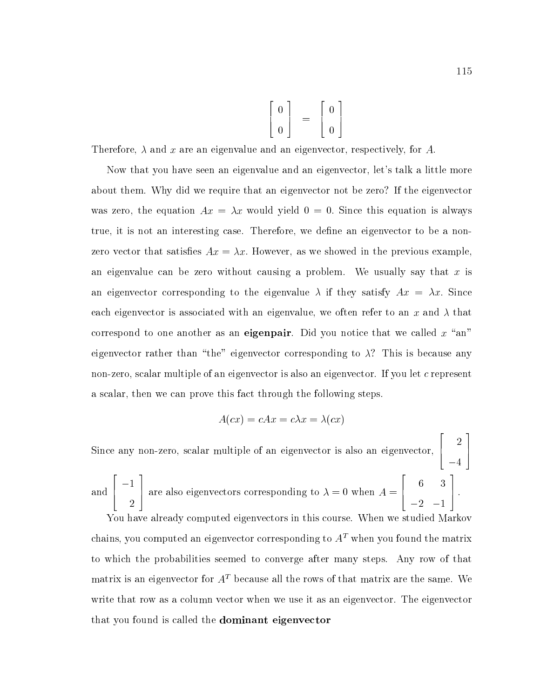$$
\left[\begin{array}{c}0\\0\end{array}\right] = \left[\begin{array}{c}0\\0\end{array}\right]
$$

Therefore,  $\lambda$  and x are an eigenvalue and an eigenvector, respectively, for A.

Now that you have seen an eigenvalue and an eigenvector, let's talk a little more about them. Why did we require that an eigenvector not be zero? If the eigenvector was zero, the equation  $Ax = \lambda x$  would yield  $0 = 0$ . Since this equation is always true, it is not an interesting case. Therefore, we define an eigenvector to be a nonzero vector that satisfies  $Ax = \lambda x$ . However, as we showed in the previous example, an eigenvalue can be zero without causing a problem. We usually say that x is an eigenvector corresponding to the eigenvalue  $\lambda$  if they satisfy  $Ax = \lambda x$ . Since each eigenvector is associated with an eigenvalue, we often refer to an x and  $\lambda$  that correspond to one another as an eigenpair. Did you notice that we called  $x$  "an" eigenvector rather than "the" eigenvector corresponding to  $\lambda$ ? This is because any non-zero, scalar multiple of an eigenvector is also an eigenvector. If you let c represent a scalar, then we can prove this fact through the following steps.

$$
A(cx) = cAx = c\lambda x = \lambda(cx)
$$

Since any non-zero, scalar multiple of an eigenvector is also an eigenvector,  $\left[\begin{array}{c} 2 \end{array}\right]$ <u>2002 - Andrea San Andrea San Andrea San Andrea San Andrea San Andrea San Andrea San Andrea San Andrea San Andr</u> the contract of the contract of the contract of the contract of the contract of the contract of the contract o 3 7 5 and  $\left[\begin{array}{c} -1 \end{array}\right]$  are al <u>2000 - 2000 - 2000 - 2000 - 2000 - 2000 - 2000 - 2000 - 2000 - 2000 - 2000 - 2000 - 2000 - 2000 - 2000 - 200</u> 3 are also eigenvectors corresponding to  $\lambda = 0$  when  $A = \lceil$ **2005 2006 2006 2006 2006** 6 4  $\sim$  3  $\,$  3  $\,$  3  $\,$  3  $\,$  3  $\,$  3  $\,$  3  $\,$  3  $\,$  3  $\,$  3  $\,$  3  $\,$  3  $\,$  3  $\,$  3  $\,$  3  $\,$  3  $\,$  3  $\,$  3  $\,$  3  $\,$  3  $\,$  3  $\,$  3  $\,$  3  $\,$  3  $\,$  3  $\,$  3  $\,$  3  $\,$  3  $\,$  3  $\,$  3  $\,$  3  $\,$  $\overline{\phantom{a}}$  2 1  $\overline{\phantom{a}}$  1  $\overline{\phantom{a}}$  1  $\overline{\phantom{a}}$  1  $\overline{\phantom{a}}$  1  $\overline{\phantom{a}}$  1  $\overline{\phantom{a}}$  1  $\overline{\phantom{a}}$  1  $\overline{\phantom{a}}$  1  $\overline{\phantom{a}}$  1  $\overline{\phantom{a}}$  1  $\overline{\phantom{a}}$  1  $\overline{\phantom{a}}$  1  $\overline{\phantom{a}}$  1  $\overline{\phantom{a}}$  1  $\overline{\phantom{a$ 3 7 5 :

You have already computed eigenvectors in this course. When we studied Markov chains, you computed an eigenvector corresponding to  $A<sup>T</sup>$  when you found the matrix to which the probabilities seemed to converge after many steps. Any row of that matrix is an eigenvector for  $A<sup>T</sup>$  because all the rows of that matrix are the same. We write that row as a column vector when we use it as an eigenvector. The eigenvector that you found is called the dominant eigenvector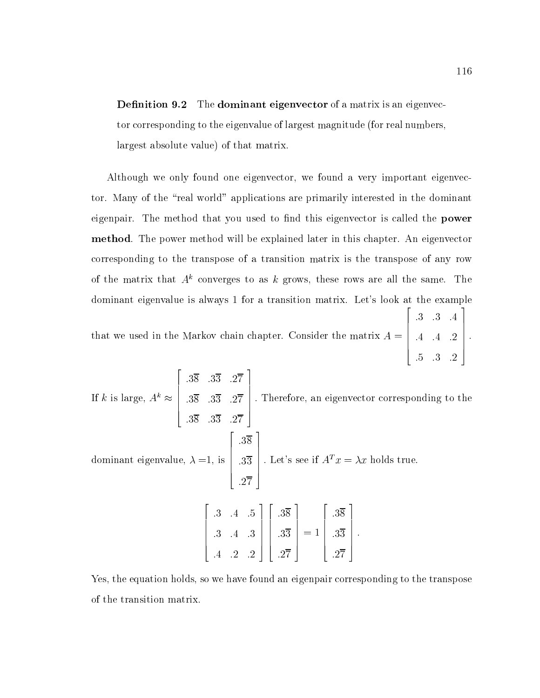**Definition 9.2** The **dominant eigenvector** of a matrix is an eigenvector corresponding to the eigenvalue of largest magnitude (for real numbers, largest absolute value) of that matrix.

Although we only found one eigenvector, we found a very important eigenvector. Many of the \real world" applications are primarily interested in the dominant eigenpair. The method that you used to find this eigenvector is called the **power** method. The power method will be explained later in this chapter. An eigenvector corresponding to the transpose of a transition matrix is the transpose of any row of the matrix that  $A^k$  converges to as k grows, these rows are all the same. The dominant eigenvalue is always 1 for a transition matrix. Let's look at the example  $\sim$  200  $\sim$  200  $\sim$  200  $\sim$  200  $\sim$  200  $\sim$  200  $\sim$  200  $\sim$  200  $\sim$  200  $\sim$  200  $\sim$ 3

that we used in the Markov chain chapter. Consider the matrix A =  $\begin{bmatrix} .4 & .4 & .4 \end{bmatrix}$ :3 :3 :4 :4 :4 :2  $\Bigg\}$ .

and the second contract of the second contract of the second contract of the second contract of the second con

 $\overline{\phantom{a}}$  22  $\overline{\phantom{a}}$  22  $\overline{\phantom{a}}$  22  $\overline{\phantom{a}}$  22  $\overline{\phantom{a}}$  22  $\overline{\phantom{a}}$  22  $\overline{\phantom{a}}$  22  $\overline{\phantom{a}}$  22  $\overline{\phantom{a}}$  22  $\overline{\phantom{a}}$  22  $\overline{\phantom{a}}$  22  $\overline{\phantom{a}}$  22  $\overline{\phantom{a}}$  22  $\overline{\phantom{a}}$  22  $\overline{\phantom{a}}$ 

II K is large,  $A \approx 1.38$  33.  $3\overline{8}$  .33 :38 :33 :27 :38 :33 :27 :38 :33 :27  $\Bigg\}$ . Therefo : Therefore, and the corresponding to the theory and the there is the corresponding to the corresponding to the corresponding to the corresponding to the corresponding to the corresponding to the corresponding to the corre dominant eigenvalue, is a state of the state of the state of the state of the state of the state of the state o 2  $\Bigg| .3\overline{3} \Bigg| . \hspace{0.1cm} \mathrm{L}$ :38 :33 :27 and the second contract of the second contract of the second contract of the second contract of the second con  $\Bigg\vert$  . Let's se . Let's see if  $A<sup>T</sup> x = \lambda x$  holds true.  $\overline{\phantom{a}}$  22  $\overline{\phantom{a}}$  22  $\overline{\phantom{a}}$  22  $\overline{\phantom{a}}$  22  $\overline{\phantom{a}}$  22  $\overline{\phantom{a}}$  22  $\overline{\phantom{a}}$  22  $\overline{\phantom{a}}$  22  $\overline{\phantom{a}}$  22  $\overline{\phantom{a}}$  22  $\overline{\phantom{a}}$  22  $\overline{\phantom{a}}$  22  $\overline{\phantom{a}}$  22  $\overline{\phantom{a}}$  22  $\overline{\phantom{a}}$  $\begin{bmatrix} .3 & .4 & .4 \end{bmatrix}$ :3 :4 :5 :3 :4 :3 :4 :2 :2 3  $\Bigg| \Bigg| .3\overline{3} \Bigg] =$ 2  $\Bigg| .3\overline{3} \Bigg] =$ :38 : 1 :33 :27 3  $\Bigg| = 1 \Bigg| .3\overline{3}$ = 1 2  $\Bigg\vert .3\overline{3} \Bigg\vert .$ :38 :33 :27 and the second contract of the second contract of the second contract of the second contract of the second con  $\Bigg\}$ .

Yes, the equation holds, so we have found an eigenpair corresponding to the transpose of the transition matrix.

:5 :3 :2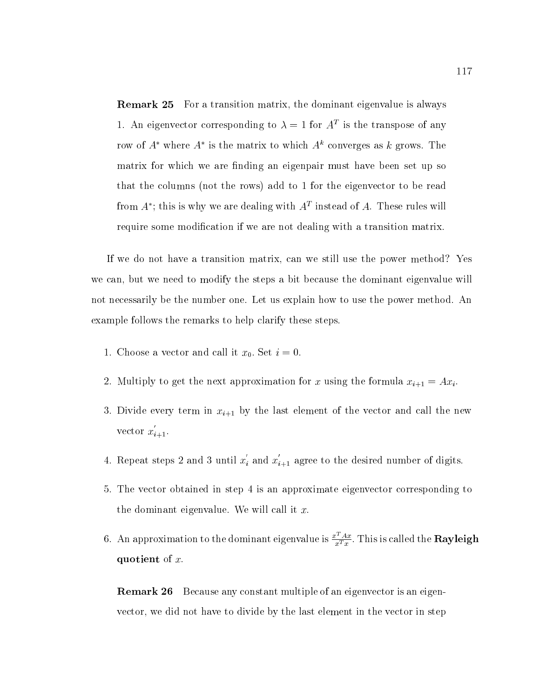Remark 25 For a transition matrix, the dominant eigenvalue is always 1. An eigenvector corresponding to  $\lambda = 1$  for  $A$  is the transpose of any row of  $A$  –where  $A$  is the matrix to which  $A$  –converges as  $\kappa$  grows. The matrix for which we are finding an eigenpair must have been set up so that the columns (not the rows) add to 1 for the eigenvector to be read from  $A$ ; this is why we are dealing with  $A$  -filstead of  $A$ . These rules will require some modication if we are not dealing with a transition matrix.

If we do not have a transition matrix, can we still use the power method? Yes we can, but we need to modify the steps a bit because the dominant eigenvalue will not necessarily be the number one. Let us explain how to use the power method. An example follows the remarks to help clarify these steps.

- 1. Choose a vector and call it  $x_0$ . Set  $i = 0$ .
- 2. Multiply to get the next approximation for x using the formula  $x_{i+1} = Ax_i$ .
- 3. Divide every term in  $x_{i+1}$  by the last element of the vector and call the new vector  $x_{i+1}$ .
- 4. Repeat steps 2 and 3 until  $x_i$  and  $x_{i+1}$  agree to the desired number of digits.
- 5. The vector obtained in step 4 is an approximate eigenvector corresponding to the dominant eigenvalue. We will call it  $x$ .
- 6. An approximation to the dominant eigenvalue is  $\frac{x-Ax}{x^Tx}$ . This is called the  ${\rm Rayleigh}$ quotient of  $x$ .

Remark 26 Because any constant multiple of an eigenvector is an eigenvector, we did not have to divide by the last element in the vector in step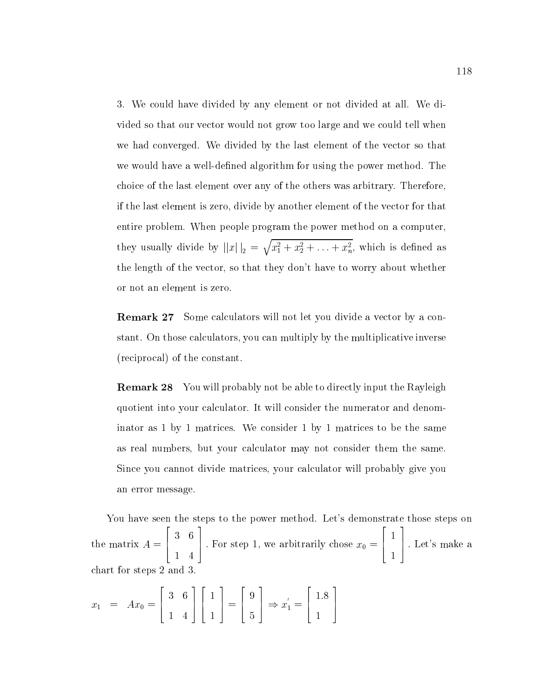3. We could have divided by any element or not divided at all. We divided so that our vector would not grow too large and we could tell when we had converged. We divided by the last element of the vector so that we would have a well-defined algorithm for using the power method. The choice of the last element over any of the others was arbitrary. Therefore, if the last element is zero, divide by another element of the vector for that entire problem. When people program the power method on a computer, they usually divide by  $||x||_2 = \sqrt{x_1^2 + x_2^2 + \ldots + x_n^2}$ , which is defined as the length of the vector, so that they don't have to worry about whether or not an element is zero.

Remark 27 Some calculators will not let you divide a vector by a constant. On those calculators, you can multiply by the multiplicative inverse (reciprocal) of the constant.

Remark 28 You will probably not be able to directly input the Rayleigh quotient into your calculator. It will consider the numerator and denominator as 1 by 1 matrices. We consider 1 by 1 matrices to be the same as real numbers, but your calculator may not consider them the same. Since you cannot divide matrices, your calculator will probably give you an error message.

You have seen the steps to the power method. Let's demonstrate those steps on the matrix  $\mathbf{A} = \mathbf{A} \mathbf{A} + \mathbf{A} \mathbf{A} + \mathbf{A} \mathbf{A} + \mathbf{A} \mathbf{A} + \mathbf{A} \mathbf{A} + \mathbf{A} \mathbf{A} + \mathbf{A} \mathbf{A} + \mathbf{A} \mathbf{A} + \mathbf{A} \mathbf{A} + \mathbf{A} \mathbf{A} + \mathbf{A} \mathbf{A} + \mathbf{A} \mathbf{A} + \mathbf{A} \mathbf{A} + \mathbf{A} \mathbf{A} + \mathbf{A} \mathbf{A} + \mathbf{A} \$ 22 P 6 4  $\sim$  6  $\sim$  6  $\sim$  6  $\sim$  6  $\sim$  6  $\sim$  6  $\sim$  6  $\sim$  6  $\sim$  6  $\sim$  6  $\sim$  6  $\sim$  6  $\sim$  6  $\sim$  6  $\sim$  6  $\sim$  6  $\sim$  6  $\sim$  6  $\sim$  6  $\sim$  6  $\sim$  6  $\sim$  6  $\sim$  6  $\sim$  6  $\sim$  6  $\sim$  6  $\sim$  6  $\sim$  6  $\sim$  6  $\sim$  6  $\sim$  6  $\sim$  $14.4$  4.4  $\pm$  4.4  $\pm$  4.4  $\pm$  4.4  $\pm$  4.4  $\pm$  4.4  $\pm$  4.4  $\pm$  4.4  $\pm$  4.4  $\pm$  4.4  $\pm$  4.4  $\pm$  4.4  $\pm$  4.4  $\pm$  4.4  $\pm$  4.4  $\pm$  4.4  $\pm$  4.4  $\pm$  4.4  $\pm$  4.4  $\pm$  4.4  $\pm$  4.4  $\pm$  4.4  $\pm$  4.4  $\pm$  4.4  $\pm$ 3 | For step 1, we arbitrarily chose  $x_0 = |$  | Let's <u>2000 - 2000 - 2000 - 2000 - 2000 - 2000 - 2000 - 2000 - 2000 - 2000 - 2000 - 2000 - 2000 - 2000 - 2000 - 200</u>  $\vert$   $\vert$  . Let  $\sim$  1.1  $\sim$  1.1  $\sim$  1.1  $\sim$  1.1  $\sim$  1.1  $\sim$  1.1  $\sim$  1.1  $\sim$  1.1  $\sim$  1.1  $\sim$  1.1  $\sim$  1.1  $\sim$  1.1  $\sim$  1.1  $\sim$  1.1  $\sim$  1.1  $\sim$  1.1  $\sim$  1.1  $\sim$  1.1  $\sim$  1.1  $\sim$  1.1  $\sim$  1.1  $\sim$  1.1  $\sim$  1.1  $\sim$  1.1  $\sim$  <u>1986 - Andrea Stein, Amerikaansk politiker († 1958)</u> 3 7 5 : Let's make <sup>a</sup> chart for steps 2 and 3.

$$
x_1 = Ax_0 = \begin{bmatrix} 3 & 6 \\ 1 & 4 \end{bmatrix} \begin{bmatrix} 1 \\ 1 \end{bmatrix} = \begin{bmatrix} 9 \\ 5 \end{bmatrix} \Rightarrow x_1' = \begin{bmatrix} 1.8 \\ 1 \end{bmatrix}
$$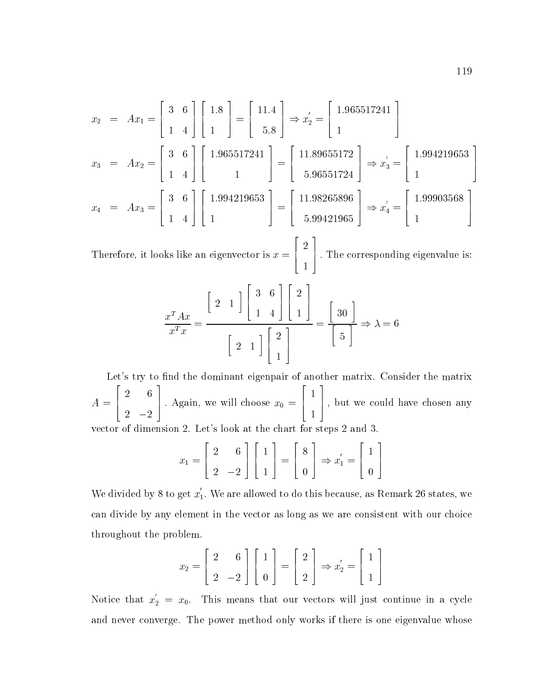$$
x_2 = Ax_1 = \begin{bmatrix} 3 & 6 \\ 1 & 4 \end{bmatrix} \begin{bmatrix} 1.8 \\ 1 \end{bmatrix} = \begin{bmatrix} 11.4 \\ 5.8 \end{bmatrix} \Rightarrow x_2' = \begin{bmatrix} 1.965517241 \\ 1 \end{bmatrix}
$$
  
\n
$$
x_3 = Ax_2 = \begin{bmatrix} 3 & 6 \\ 1 & 4 \end{bmatrix} \begin{bmatrix} 1.965517241 \\ 1 \end{bmatrix} = \begin{bmatrix} 11.89655172 \\ 5.96551724 \end{bmatrix} \Rightarrow x_3' = \begin{bmatrix} 1.994219653 \\ 1 \end{bmatrix}
$$
  
\n
$$
x_4 = Ax_3 = \begin{bmatrix} 3 & 6 \\ 1 & 4 \end{bmatrix} \begin{bmatrix} 1.994219653 \\ 1 \end{bmatrix} = \begin{bmatrix} 11.98265896 \\ 5.99421965 \end{bmatrix} \Rightarrow x_4' = \begin{bmatrix} 1.99903568 \\ 1 \end{bmatrix}
$$

Therefore, it looks like an eigenvector is  $\mathcal{F}$  and it looks like an eigenvector is  $\mathcal{F}$  4 and the control of the control of the control of the control of the control of the control of the control of the  $\sim$  1.1  $\sim$  1.1  $\sim$  1.1  $\sim$  1.1  $\sim$  1.1  $\sim$  1.1  $\sim$  1.1  $\sim$  1.1  $\sim$  1.1  $\sim$  1.1  $\sim$  1.1  $\sim$  1.1  $\sim$  1.1  $\sim$  1.1  $\sim$  1.1  $\sim$  1.1  $\sim$  1.1  $\sim$  1.1  $\sim$  1.1  $\sim$  1.1  $\sim$  1.1  $\sim$  1.1  $\sim$  1.1  $\sim$  1.1  $\sim$  5 : The corresponding eigenvalue is:

<u>2002 - 2003 - 2004 - 2005 - 2006 - 2006 - 2006 - 2006 - 2006 - 2006 - 2006 - 2006 - 2006 - 2006 - 2006 - 200</u>

$$
\frac{x^T A x}{x^T x} = \frac{\begin{bmatrix} 2 & 1 \end{bmatrix} \begin{bmatrix} 3 & 6 \ 1 & 4 \end{bmatrix} \begin{bmatrix} 2 \ 1 \end{bmatrix}}{\begin{bmatrix} 2 & 1 \end{bmatrix} \begin{bmatrix} 2 \ 1 \end{bmatrix}} = \frac{\begin{bmatrix} 30 \ 5 \end{bmatrix}} \Rightarrow \lambda = 6
$$

Let's try to find the dominant eigenpair of another matrix. Consider the matrix A = <u>2000 - 2000 - 2000 - 2000 - 2000 - 2000 - 2000 - 2000 - 2000 - 2000 - 2000 - 2000 - 2000 - 2000 - 2000 - 2000 - 2000 - 2000 - 2000 - 2000 - 2000 - 2000 - 2000 - 2000 - 2000 - 2000 - 2000 - 2000 - 2000 - 2000 - 2000 - 2000</u> 4 6 2 |  $\Delta$  Again, we will choose  $x_0 =$  | |, but  $\vert \vert$ , but <u>1986 - Andrea San Andrea San Andrea San Andrea San Andrea San Andrea San Andrea San Andrea San Andrea San Andr</u>  $\sim$  1.1  $\sim$  1.1  $\sim$  1.1  $\sim$  1.1  $\sim$  1.1  $\sim$  1.1  $\sim$  1.1  $\sim$  1.1  $\sim$  1.1  $\sim$  1.1  $\sim$  1.1  $\sim$  1.1  $\sim$  1.1  $\sim$  1.1  $\sim$  1.1  $\sim$  1.1  $\sim$  1.1  $\sim$  1.1  $\sim$  1.1  $\sim$  1.1  $\sim$  1.1  $\sim$  1.1  $\sim$  1.1  $\sim$  1.1  $\sim$  5 ; but we could have chosen any vector of dimension 2. Let's look at the chart for steps 2 and 3.

$$
x_1 = \begin{bmatrix} 2 & 6 \\ 2 & -2 \end{bmatrix} \begin{bmatrix} 1 \\ 1 \end{bmatrix} = \begin{bmatrix} 8 \\ 0 \end{bmatrix} \Rightarrow x_1' = \begin{bmatrix} 1 \\ 0 \end{bmatrix}
$$

We divided by 8 to get  $x_1$ . We are allowed to do this because, as Remark 26 states, we can divide by any element in the vector as long as we are consistent with our choice throughout the problem.

$$
x_2 = \begin{bmatrix} 2 & 6 \\ 2 & -2 \end{bmatrix} \begin{bmatrix} 1 \\ 0 \end{bmatrix} = \begin{bmatrix} 2 \\ 2 \end{bmatrix} \Rightarrow x'_2 = \begin{bmatrix} 1 \\ 1 \end{bmatrix}
$$

Notice that  $x_2 = x_0$ . This means that our vectors will just continue in a cycle and never converge. The power method only works if there is one eigenvalue whose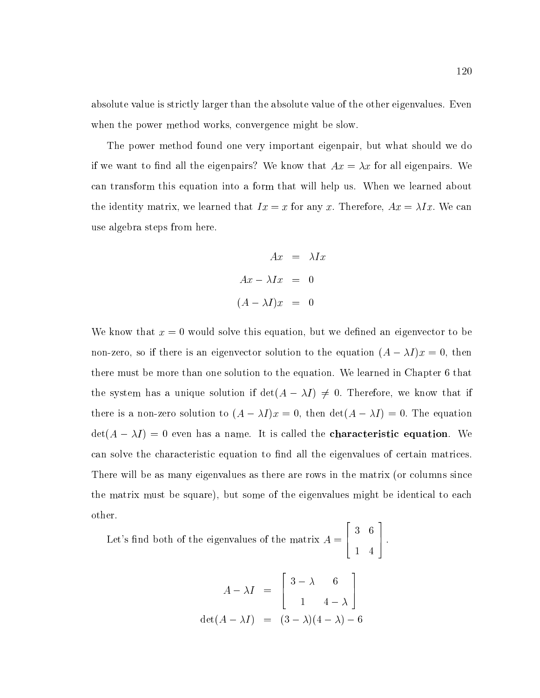absolute value is strictly larger than the absolute value of the other eigenvalues. Even when the power method works, convergence might be slow.

The power method found one very important eigenpair, but what should we do if we want to find all the eigenpairs? We know that  $Ax = \lambda x$  for all eigenpairs. We can transform this equation into a form that will help us. When we learned about the identity matrix, we learned that  $Ix = x$  for any x. Therefore,  $Ax = \lambda Ix$ . We can use algebra steps from here.

$$
Ax = \lambda Ix
$$
  

$$
Ax - \lambda Ix = 0
$$
  

$$
(A - \lambda I)x = 0
$$

We know that  $x = 0$  would solve this equation, but we defined an eigenvector to be non-zero, so if there is an eigenvector solution to the equation  $(A - \lambda I)x = 0$ , then there must be more than one solution to the equation. We learned in Chapter 6 that the system has a unique solution if  $\det(A - \lambda I) \neq 0$ . Therefore, we know that if there is a non-zero solution to  $(A - \lambda I)x = 0$ , then  $\det(A - \lambda I) = 0$ . The equation  $\det(A - \lambda I) = 0$  even has a name. It is called the **characteristic equation**. We can solve the characteristic equation to find all the eigenvalues of certain matrices. There will be as many eigenvalues as there are rows in the matrix (or columns since the matrix must be square), but some of the eigenvalues might be identical to each other.

Let's find both of the eigenvalues of the matrix  $A = \begin{bmatrix} 1 & 1 \end{bmatrix}$ . 6 4 3 6  $-1$   $-1$ 7 5 :

$$
A - \lambda I = \begin{bmatrix} 3 - \lambda & 6 \\ 1 & 4 - \lambda \end{bmatrix}
$$
  
det $(A - \lambda I)$  =  $(3 - \lambda)(4 - \lambda) - 6$ 

2

3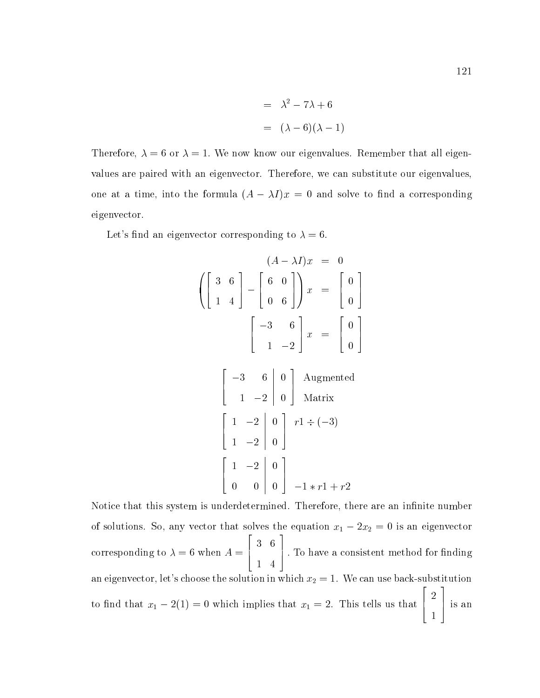$$
= \lambda^2 - 7\lambda + 6
$$

$$
= (\lambda - 6)(\lambda - 1)
$$

Therefore,  $\lambda = 6$  or  $\lambda = 1$ . We now know our eigenvalues. Remember that all eigenvalues are paired with an eigenvector. Therefore, we can substitute our eigenvalues, one at a time, into the formula  $(A - \lambda I)x = 0$  and solve to find a corresponding eigenvector.

Let's find an eigenvector corresponding to  $\lambda = 6$ .

$$
\begin{pmatrix}\n(3 & 6) \\
1 & 4\n\end{pmatrix} -\n\begin{pmatrix}\n6 & 0 \\
0 & 6\n\end{pmatrix} x =\n\begin{pmatrix}\n0 \\
0\n\end{pmatrix}
$$
\n
$$
\begin{bmatrix}\n-3 & 6 \\
1 & -2\n\end{bmatrix} x =\n\begin{bmatrix}\n0 \\
0\n\end{bmatrix}
$$

 $\sim$  200  $\sim$  200  $\sim$  200  $\sim$  200  $\sim$  200  $\sim$  200  $\sim$  200  $\sim$  200  $\sim$  200  $\sim$  200  $\sim$ 

$$
\begin{bmatrix} -3 & 6 & 0 \ 1 & -2 & 0 \end{bmatrix}
$$
 Augmented  
\n
$$
\begin{bmatrix} 1 & -2 & 0 \ 1 & -2 & 0 \ 0 & 0 & 0 \end{bmatrix}
$$
  $r1 \div (-3)$   
\n
$$
\begin{bmatrix} 1 & -2 & 0 \ 0 & 0 & 0 \end{bmatrix}
$$
  $-1 * r1 + r2$ 

 

Notice that this system is underdetermined. Therefore, there are an infinite number of solutions. So, any vector that solves the equation x1 2x2 <sup>=</sup> <sup>0</sup> is an eigenvector 2 3 corresponding to  $\lambda = 6$  when  $A = [$  [.e. 6 4 dependence in the local method for finding the 10 have a consistent method for finding an eigenvector, let's choose the solution in which  $x_2 = 1$ . We can use back-substitution to find that  $x_1 - 2(1) = 0$  which implies that  $x_1 = 2$ . This tells us that  $\begin{bmatrix} 2 \end{bmatrix}$  is an and the control of the control of the control of the control of the control of the control of the control of the  $\sim$  1.1  $\sim$  1.1  $\sim$  1.1  $\sim$  1.1  $\sim$  1.1  $\sim$  1.1  $\sim$  1.1  $\sim$  1.1  $\sim$  1.1  $\sim$  1.1  $\sim$  1.1  $\sim$  1.1  $\sim$  1.1  $\sim$  1.1  $\sim$  1.1  $\sim$  1.1  $\sim$  1.1  $\sim$  1.1  $\sim$  1.1  $\sim$  1.1  $\sim$  1.1  $\sim$  1.1  $\sim$  1.1  $\sim$  1.1  $\sim$  5 is an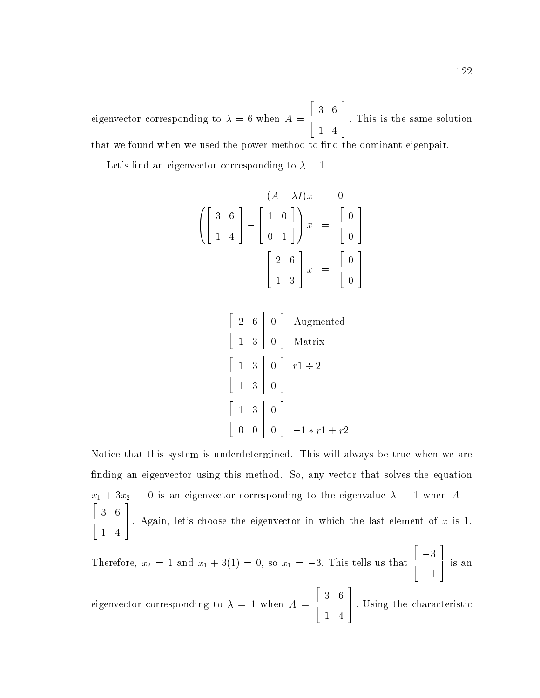eigenvector corresponding to = 6 when A = 4 6 4 5 : This is the same solution that we found when we used the power method to find the dominant eigenpair.

Let's find an eigenvector corresponding to  $\lambda = 1$ .

$$
\begin{pmatrix}\nA - \lambda I)x &= 0 \\
1 & 4\n\end{pmatrix}
$$
\n
$$
\begin{pmatrix}\n3 & 6 \\
1 & 4\n\end{pmatrix} - \begin{pmatrix}\n1 & 0 \\
0 & 1\n\end{pmatrix}\n\begin{pmatrix}\nx &= \begin{pmatrix}\n0 \\
0\n\end{pmatrix}\n\end{pmatrix}
$$
\n
$$
\begin{bmatrix}\n2 & 6 \\
1 & 3\n\end{bmatrix} x = \begin{bmatrix}\n0 \\
0\n\end{bmatrix}
$$

$$
\begin{bmatrix} 2 & 6 & 0 \ 1 & 3 & 0 \end{bmatrix}
$$
 Augmented  
Matrix  

$$
\begin{bmatrix} 1 & 3 & 0 \ 1 & 3 & 0 \end{bmatrix}
$$
  $r1 \div 2$   

$$
\begin{bmatrix} 1 & 3 & 0 \ 0 & 0 & 0 \end{bmatrix}
$$
  $-1 * r1 + r2$ 

Notice that this system is underdetermined. This will always be true when we are finding an eigenvector using this method. So, any vector that solves the equation  $\begin{array}{ccccccccccc}\n1 & -3 & - & & 0 & & 1 & 0 & & 0 \\
\hline\n2 & 3 & - & & 0 & & 1 & 0 & 0\n\end{array}$  4 6  $-1$   $-1$  | Again, let's choose the eigenvector in which the last element of  $x$  is 1.

Therefore, 
$$
x_2 = 1
$$
 and  $x_1 + 3(1) = 0$ , so  $x_1 = -3$ . This tells us that  $\begin{bmatrix} -3 \\ 1 \end{bmatrix}$  is an

eigenvector corresponding to  $\lambda = 1$  when  $A = [$  6 4 5 : Using the characteristic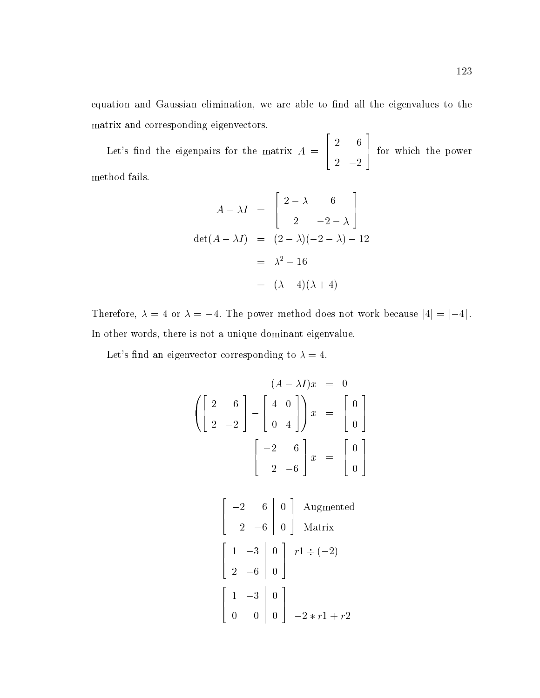equation and Gaussian elimination, we are able to find all the eigenvalues to the matrix and corresponding eigenvectors.

<u>2000 - 2000 - 2000 - 2000 - 2000 - 2000 - 2000 - 2000 - 2000 - 2000 - 2000 - 2000 - 2000 - 2000 - 2000 - 200</u>

Let's find the eigenpairs for the matrix  $A = |$  4 6 2 5 for which the power method fails.

$$
A - \lambda I = \begin{bmatrix} 2 - \lambda & 6 \\ 2 & -2 - \lambda \end{bmatrix}
$$
  
det $(A - \lambda I)$  =  $(2 - \lambda)(-2 - \lambda) - 12$   
=  $\lambda^2 - 16$   
=  $(\lambda - 4)(\lambda + 4)$ 

Therefore,  $\lambda = 4$  or  $\lambda = -4$ . The power method does not work because  $|4| = |-4|$ . In other words, there is not a unique dominant eigenvalue.

Let's find an eigenvector corresponding to  $\lambda = 4$ .

$$
(A - \lambda I)x = 0
$$
  
\n
$$
\left( \begin{bmatrix} 2 & 6 \\ 2 & -2 \end{bmatrix} - \begin{bmatrix} 4 & 0 \\ 0 & 4 \end{bmatrix} \right) x = \begin{bmatrix} 0 \\ 0 \end{bmatrix}
$$
  
\n
$$
\left( \begin{bmatrix} -2 & 6 \\ 2 & -6 \end{bmatrix} x = \begin{bmatrix} 0 \\ 0 \end{bmatrix} \right)
$$
  
\n
$$
\left( \begin{bmatrix} -2 & 6 & 0 \\ 2 & -6 & 0 \end{bmatrix} \right)
$$
 Augmented  
\nMatrix

$$
\begin{bmatrix} 1 & -3 & 0 \\ 2 & -6 & 0 \end{bmatrix} \begin{array}{l} r1 \div (-2) \\ r1 \div (-2) \end{array}
$$
\n
$$
\begin{bmatrix} 1 & -3 & 0 \\ 0 & 0 & 0 \end{bmatrix} \begin{array}{l} -2 \times r1 + r2 \end{array}
$$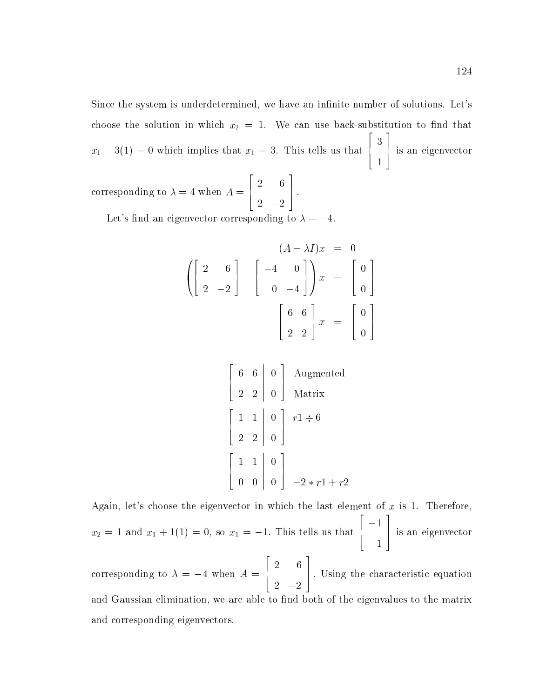Since the system is underdetermined, we have an infinite number of solutions. Let's choose the solution in which  $x_2 = 1$ . We can use back-substitution to find that  $x_1 - 3(1) = 0$  which implies that  $x_1 = 3$ . This tells us that  $\begin{bmatrix} 3 \end{bmatrix}$  is an the contract of the contract of the contract of the contract of the contract of the contract of the contract o 5 is an eigenvector corresponding to  $\mathbf{f}(\mathbf{A})$  and  $\mathbf{f}(\mathbf{A})$  and  $\mathbf{f}(\mathbf{A})$  and  $\mathbf{f}(\mathbf{A})$  and  $\mathbf{f}(\mathbf{A})$  and  $\mathbf{f}(\mathbf{A})$  and  $\mathbf{f}(\mathbf{A})$  and  $\mathbf{f}(\mathbf{A})$  and  $\mathbf{f}(\mathbf{A})$  and  $\mathbf{f}(\mathbf{A})$  and  $\mathbf{f}(\mathbf{A})$  4 6 2 5 :

Let's find an eigenvector corresponding to  $\lambda = -4$ .

$$
\begin{pmatrix}\n2 & 6 \\
2 & -2\n\end{pmatrix} -\n\begin{pmatrix}\n-4 & 0 \\
0 & -4\n\end{pmatrix} x =\n\begin{pmatrix}\n0 \\
0\n\end{pmatrix}
$$
\n
$$
\begin{bmatrix}\n6 & 6 \\
2 & 2\n\end{bmatrix} x =\n\begin{bmatrix}\n0 \\
0\n\end{bmatrix}
$$

$$
\begin{bmatrix} 6 & 6 & 0 \ 2 & 2 & 0 \end{bmatrix}
$$
 Augmented  
Matrix  

$$
\begin{bmatrix} 1 & 1 & 0 \ 2 & 2 & 0 \end{bmatrix}
$$
  $r1 \div 6$   

$$
\begin{bmatrix} 1 & 1 & 0 \ 0 & 0 & 0 \end{bmatrix}
$$
  $-2 * r1 + r2$ 

Again, let's choose the eigenvector in which the last element of  $x$  is 1. Therefore,  $x_2 = 1$  and  $x_1 + 1(1) = 0$ , so  $x_1 = -1$ . This tells us that  $\begin{bmatrix} -1 \end{bmatrix}$  is an the contract of the contract of the contract of the contract of the contract of the contract of the contract o 5 is an eigenvector corresponding to the annual corresponding to the second contract of the second contract of the second contract of the second contract of the second contract of the second contract of the second contract of the second contr <u>2000 - 2000 - 2000 - 2000 - 2000 - 2000 - 2000 - 2000 - 2000 - 2000 - 2000 - 2000 - 2000 - 2000 - 2000 - 2000 - 2000 - 2000 - 2000 - 2000 - 2000 - 2000 - 2000 - 2000 - 2000 - 2000 - 2000 - 2000 - 2000 - 2000 - 2000 - 2000</u> 4 6 2 5 : Using the characteristic equation and Gaussian elimination, we are able to find both of the eigenvalues to the matrix and corresponding eigenvectors.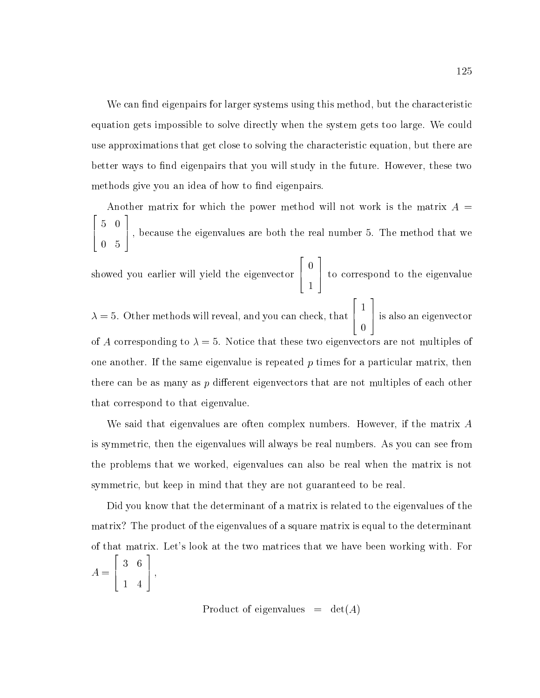We can find eigenpairs for larger systems using this method, but the characteristic equation gets impossible to solve directly when the system gets too large. We could use approximations that get close to solving the characteristic equation, but there are better ways to find eigenpairs that you will study in the future. However, these two methods give you an idea of how to find eigenpairs.

Another matrix for which the power method will not work is the matrix  $A =$ 2 6 4  $\sim$  0  $\sim$  0  $\sim$  0  $\sim$  0  $\sim$  0  $\sim$  0  $\sim$  0  $\sim$  0  $\sim$  0  $\sim$  0  $\sim$  0  $\sim$  0  $\sim$  0  $\sim$  0  $\sim$  0  $\sim$  0  $\sim$  0  $\sim$  0  $\sim$  0  $\sim$  0  $\sim$  0  $\sim$  0  $\sim$  0  $\sim$  0  $\sim$  0  $\sim$  0  $\sim$  0  $\sim$  0  $\sim$  0  $\sim$  0  $\sim$  0  $\sim$ 0 5 3 7 5 ; because the eigenvalues are both the real number 5. The method that we showed you earlier will yield the eigenvector  $\left[\begin{array}{c} 0 \end{array}\right]$  to c  $\sim$  1  $\sim$  1  $\sim$  1  $\sim$  1  $\sim$  1  $\sim$  1  $\sim$  1  $\sim$  1  $\sim$  1  $\sim$  1  $\sim$  1  $\sim$  1  $\sim$  1  $\sim$  1  $\sim$  1  $\sim$  1  $\sim$  1  $\sim$  1  $\sim$  1  $\sim$  1  $\sim$  1  $\sim$  1  $\sim$  1  $\sim$  1  $\sim$  1  $\sim$  1  $\sim$  1  $\sim$  1  $\sim$  1  $\sim$  1  $\sim$  1  $\sim$  $\sim$  1.1  $\sim$  1.1  $\sim$  1.1  $\sim$  1.1  $\sim$  1.1  $\sim$  1.1  $\sim$  1.1  $\sim$  1.1  $\sim$  1.1  $\sim$  1.1  $\sim$  1.1  $\sim$  1.1  $\sim$  1.1  $\sim$  1.1  $\sim$  1.1  $\sim$  1.1  $\sim$  1.1  $\sim$  1.1  $\sim$  1.1  $\sim$  1.1  $\sim$  1.1  $\sim$  1.1  $\sim$  1.1  $\sim$  1.1  $\sim$  3 7 5 to correspond to the eigenvalue  $\lambda = 5. \,\,$  Other methods will reveal, and you can check, that  $\left[\begin{array}{c} 1 \end{array}\right]$  is als  $\sim$  1.1  $\sim$  1.1  $\sim$  1.1  $\sim$  1.1  $\sim$  1.1  $\sim$  1.1  $\sim$  1.1  $\sim$  1.1  $\sim$  1.1  $\sim$  1.1  $\sim$  1.1  $\sim$  1.1  $\sim$  1.1  $\sim$  1.1  $\sim$  1.1  $\sim$  1.1  $\sim$  1.1  $\sim$  1.1  $\sim$  1.1  $\sim$  1.1  $\sim$  1.1  $\sim$  1.1  $\sim$  1.1  $\sim$  1.1  $\sim$   $\sim$  0.000  $\sim$  0.000  $\sim$  0.000  $\sim$  0.000  $\sim$  0.000  $\sim$  0.000  $\sim$  0.000  $\sim$  0.000  $\sim$  0.000  $\sim$  0.000  $\sim$  0.000  $\sim$  0.000  $\sim$  0.000  $\sim$  0.000  $\sim$  0.000  $\sim$  0.000  $\sim$  0.000  $\sim$  0.000  $\sim$  0.000  $\sim$  0.000 3 7 5 is also an eigenvector of A corresponding to  $\lambda = 5$ . Notice that these two eigenvectors are not multiples of one another. If the same eigenvalue is repeated  $p$  times for a particular matrix, then there can be as many as  $p$  different eigenvectors that are not multiples of each other that correspond to that eigenvalue.

We said that eigenvalues are often complex numbers. However, if the matrix A is symmetric, then the eigenvalues will always be real numbers. As you can see from the problems that we worked, eigenvalues can also be real when the matrix is not symmetric, but keep in mind that they are not guaranteed to be real.

Did you know that the determinant of a matrix is related to the eigenvalues of the matrix? The product of the eigenvalues of a square matrix is equal to the determinant of that matrix. Let's look at the two matrices that we have been working with. For A = 2 6 4 3 6 3 **1 5**  $\sim$  5  $\sim$  5  $\sim$  5  $\sim$ 

Product of eigenvalues  $= det(A)$ 

1 4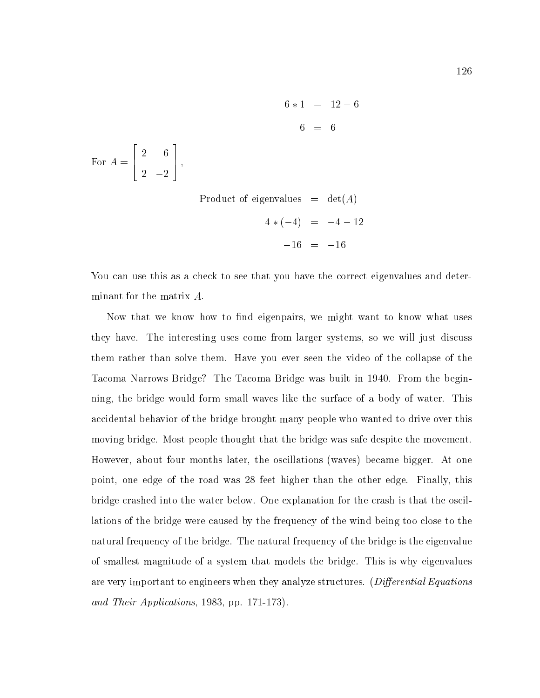$6 * 1 = 12 - 6$  $6 = 6$ 3 2 6 1. **5 seconds** For A  $=$  A  $=$  A  $=$  A  $=$  A  $=$  A  $=$  A  $=$  A  $=$  A  $=$  A  $=$  A  $=$  A  $=$  A  $=$  A  $=$  A  $=$  A  $=$  A  $=$  A  $=$  A  $=$  A  $=$  A  $=$  A  $=$  A  $=$  A  $=$  A  $=$  A  $=$  A  $=$  A  $=$  A  $=$  A  $=$  A  $=$  A  $=$  A  $=$  A  $=$  A  $=$  A  $=$  A 2 2 Product of eigenvalues  $= det(A)$  $4*(-4) = -4 - 12$  $-16 = -16$ 

2

6 4

You can use this as a check to see that you have the correct eigenvalues and determinant for the matrix A:

Now that we know how to find eigenpairs, we might want to know what uses they have. The interesting uses come from larger systems, so we will just discuss them rather than solve them. Have you ever seen the video of the collapse of the Tacoma Narrows Bridge? The Tacoma Bridge was built in 1940. From the beginning, the bridge would form small waves like the surface of a body of water. This accidental behavior of the bridge brought many people who wanted to drive over this moving bridge. Most people thought that the bridge was safe despite the movement. However, about four months later, the oscillations (waves) became bigger. At one point, one edge of the road was 28 feet higher than the other edge. Finally, this bridge crashed into the water below. One explanation for the crash is that the oscillations of the bridge were caused by the frequency of the wind being too close to the natural frequency of the bridge. The natural frequency of the bridge is the eigenvalue of smallest magnitude of a system that models the bridge. This is why eigenvalues are very important to engineers when they analyze structures. (Differential Equations and Their Applications, 1983, pp. 171-173).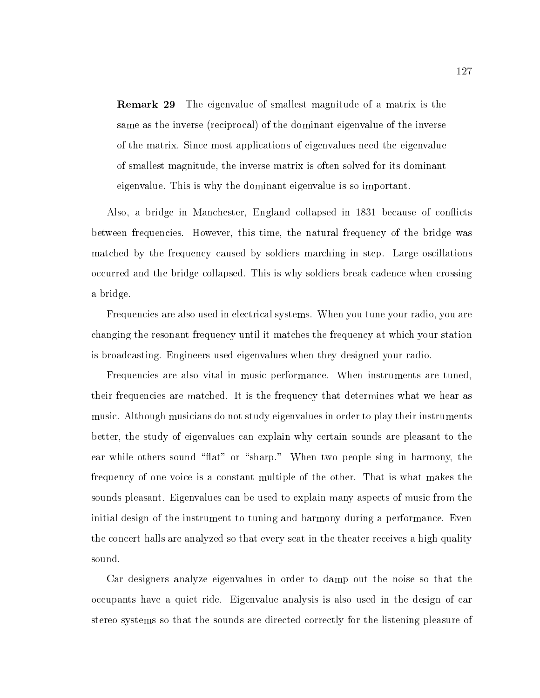Remark 29 The eigenvalue of smallest magnitude of a matrix is the same as the inverse (reciprocal) of the dominant eigenvalue of the inverse of the matrix. Since most applications of eigenvalues need the eigenvalue of smallest magnitude, the inverse matrix is often solved for its dominant eigenvalue. This is why the dominant eigenvalue is so important.

Also, a bridge in Manchester, England collapsed in 1831 because of con
icts between frequencies. However, this time, the natural frequency of the bridge was matched by the frequency caused by soldiers marching in step. Large oscillations occurred and the bridge collapsed. This is why soldiers break cadence when crossing a bridge.

Frequencies are also used in electrical systems. When you tune your radio, you are changing the resonant frequency until it matches the frequency at which your station is broadcasting. Engineers used eigenvalues when they designed your radio.

Frequencies are also vital in music performance. When instruments are tuned, their frequencies are matched. It is the frequency that determines what we hear as music. Although musicians do not study eigenvalues in order to play their instruments better, the study of eigenvalues can explain why certain sounds are pleasant to the ear while others sound "flat" or "sharp." When two people sing in harmony, the frequency of one voice is a constant multiple of the other. That is what makes the sounds pleasant. Eigenvalues can be used to explain many aspects of music from the initial design of the instrument to tuning and harmony during a performance. Even the concert halls are analyzed so that every seat in the theater receives a high quality sound.

Car designers analyze eigenvalues in order to damp out the noise so that the occupants have a quiet ride. Eigenvalue analysis is also used in the design of car stereo systems so that the sounds are directed correctly for the listening pleasure of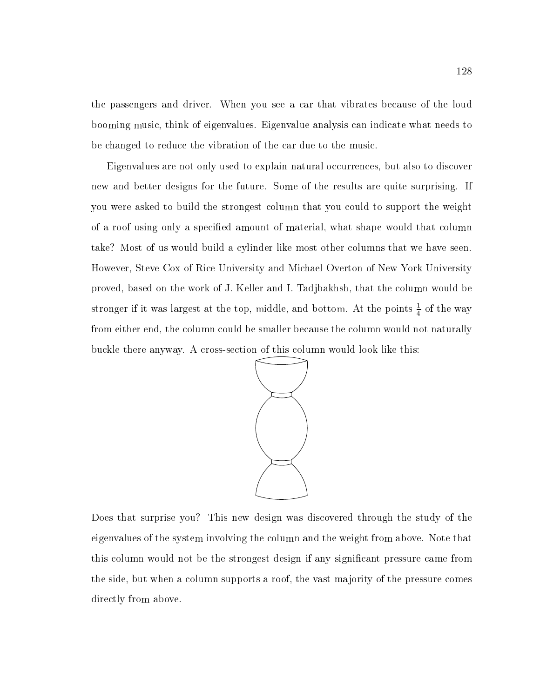the passengers and driver. When you see a car that vibrates because of the loud booming music, think of eigenvalues. Eigenvalue analysis can indicate what needs to be changed to reduce the vibration of the car due to the music.

Eigenvalues are not only used to explain natural occurrences, but also to discover new and better designs for the future. Some of the results are quite surprising. If you were asked to build the strongest column that you could to support the weight of a roof using only a specied amount of material, what shape would that column take? Most of us would build a cylinder like most other columns that we have seen. However, Steve Cox of Rice University and Michael Overton of New York University proved, based on the work of J. Keller and I. Tadjbakhsh, that the column would be stronger if it was largest at the top, middle, and bottom. At the points  $\frac{1}{4}$  of the way from either end, the column could be smaller because the column would not naturally buckle there anyway. A cross-section of this column would look like this:



Does that surprise you? This new design was discovered through the study of the eigenvalues of the system involving the column and the weight from above. Note that this column would not be the strongest design if any signicant pressure came from the side, but when a column supports a roof, the vast ma jority of the pressure comes directly from above.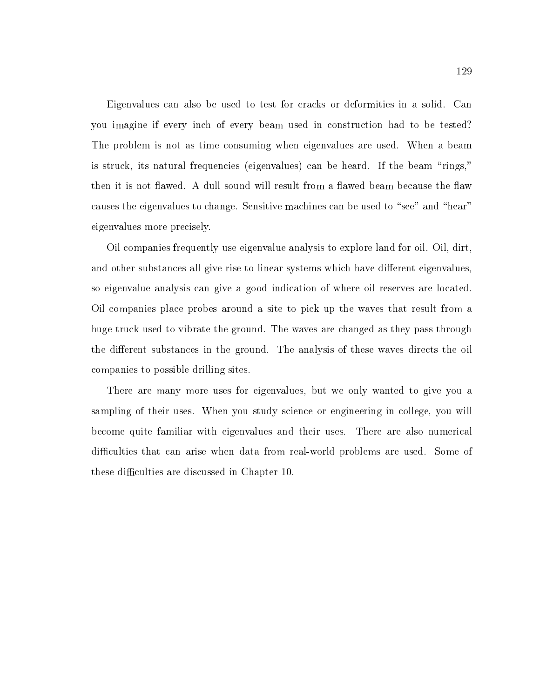Eigenvalues can also be used to test for cracks or deformities in a solid. Can you imagine if every inch of every beam used in construction had to be tested? The problem is not as time consuming when eigenvalues are used. When a beam is struck, its natural frequencies (eigenvalues) can be heard. If the beam "rings," then it is not flawed. A dull sound will result from a flawed beam because the flaw causes the eigenvalues to change. Sensitive machines can be used to "see" and "hear" eigenvalues more precisely.

Oil companies frequently use eigenvalue analysis to explore land for oil. Oil, dirt, and other substances all give rise to linear systems which have different eigenvalues, so eigenvalue analysis can give a good indication of where oil reserves are located. Oil companies place probes around a site to pick up the waves that result from a huge truck used to vibrate the ground. The waves are changed asthey pass through the different substances in the ground. The analysis of these waves directs the oil companies to possible drilling sites.

There are many more uses for eigenvalues, but we only wanted to give you a sampling of their uses. When you study science or engineering in college, you will become quite familiar with eigenvalues and their uses. There are also numerical difficulties that can arise when data from real-world problems are used. Some of these difficulties are discussed in Chapter 10.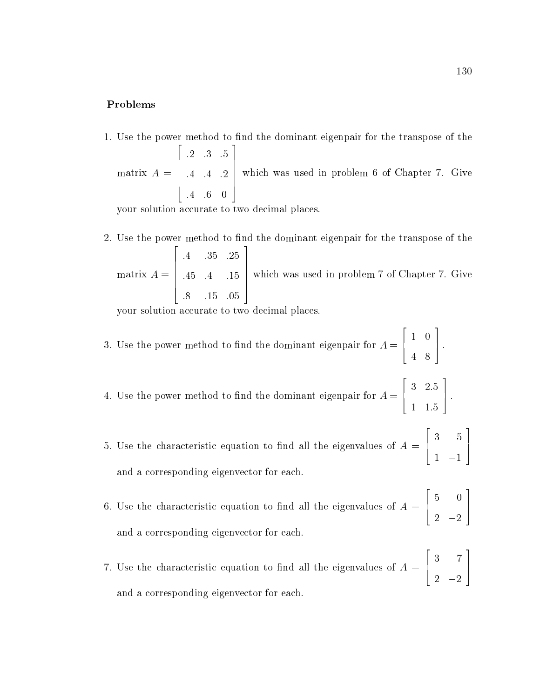#### Problems

1. Use the power method to find the dominant eigenpair for the transpose of the matrix A = **2005 2006 2006 2006 2006**  $\begin{bmatrix} .4 & .4 & .4 \end{bmatrix}$ :2 :3 :5 :4 :4 :2 :4 :6 0 3 which  $w_i$ which was used in problem 6 of Chapter 7. Given 6 of Chapter 7. Given 7. Given 7. Given 7. Given 7. Given 7. G

your solution accurate to two decimal places.

2. Use the power method to find the dominant eigenpair for the transpose of the matrix A =  $\overline{2}$  2  $\overline{2}$  2  $\overline{2}$  2  $\overline{2}$  2  $\overline{2}$  2  $\overline{2}$  2  $\overline{2}$  2  $\overline{2}$  2  $\overline{2}$  2  $\overline{2}$  2  $\overline{2}$  2  $\overline{2}$  2  $\overline{2}$  2  $\overline{2}$  2  $\overline{2}$  2  $\overline{2}$  2  $\overline{2}$  2  $\overline{2}$  2  $\overline{2}$  2  $\overline{2}$  2  $\begin{vmatrix} .45 & .4 \end{vmatrix}$ :4 :35 :25 :45 :4 :15 :8 :15 :05 3 which  $w\in$ which was used in problem 7 of Chapter 7. Given 7 of Chapter 7. Given 7. Given 7. Given 7. Given 7. Given 7. G

your solution accurate to two decimal places.

3. Use the power method to find the dominant eigenpair for  $A = [$  [  $]$  .  $\begin{array}{c} \begin{array}{c} \hline \hline \hline \hline \hline \hline \hline \hline \hline \end{array} \end{array}$ 4 8

4. Use the power method to nd the dominant eigenpair for A = 6 4 3 2:5 1 1:5 7 5 :

- $\mathbf{S}$ . Use the characteristic equation to the eigenvalues of A  $\mathbf{A}$  =  $\mathbf{A}$ 6 4 3 5 7 5 1 1 and a corresponding eigenvector for each.
- 6. Use the characteristic equation to find all the eigenvalues of  $A = \lceil \cdot \cdot \cdot \rceil$ 5 0 7 5 2 2 and a corresponding eigenvector for each.
- 7. Use the characteristic equation to find all the eigenvalues of  $A = [$ 3 7 7 5 2 2 and a corresponding eigenvector for each.

2

22 July 2012 12:20:20 12:20 12:20 12:20 12:20 12:20 12:20 12:20 12:20 12:20 12:20 12:20 12:20 12:20 12:20 12:20

3

and the second contract of the second contract of the second contract of the second contract of the second con

3

and the second contract of the second contract of the second contract of the second contract of the second con

3

<u>2000 - 2000 - 2000 - 2000 - 2000 - 2000 - 2000 - 2000 - 2000 - 2000 - 2000 - 2000 - 2000 - 2000 - 2000 - 2000 - 2000 - 2000 - 2000 - 2000 - 2000 - 2000 - 2000 - 2000 - 2000 - 2000 - 2000 - 2000 - 2000 - 2000 - 2000 - 2000</u>

22 July 2012 12:25

<u>2000 - 2000 - 2000 - 2000 - 2000 - 2000 - 2000 - 2000 - 2000 - 2000 - 2000 - 2000 - 2000 - 2000 - 2000 - 200</u>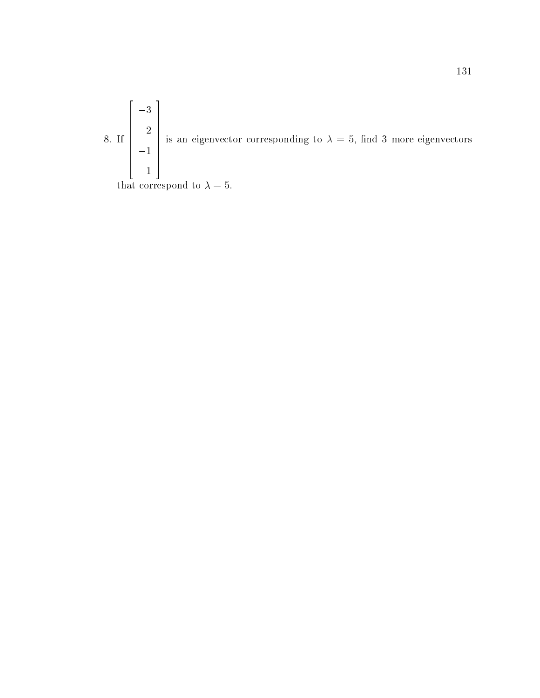a. If you have a set of the set of the set of the set of the set of the set of the set of the set of the set of the set of the set of the set of the set of the set of the set of the set of the set of the set of the set of  $\begin{bmatrix} 2 \\ 2 \\ -1 \end{bmatrix}$  is an <u>2000 - 2000 - 2000 - 2000 - 2000 - 2000 - 2000 - 2000 - 2000 - 2000 - 2000 - 2000 - 2000 - 2000 - 2000 - 200</u> the contract of the contract of the contract of the contract of the contract of the contract of the contract o  $\sim$  1.1  $\sim$  1.1  $\sim$  1.1  $\sim$  1.1  $\sim$  1.1  $\sim$  1.1  $\sim$  1.1  $\sim$  1.1  $\sim$  1.1  $\sim$  1.1  $\sim$  1.1  $\sim$  1.1  $\sim$  1.1  $\sim$  1.1  $\sim$  1.1  $\sim$  1.1  $\sim$  1.1  $\sim$  1.1  $\sim$  1.1  $\sim$  1.1  $\sim$  1.1  $\sim$  1.1  $\sim$  1.1  $\sim$  1.1  $\sim$   $\left| \begin{array}{c} 1 \\ 1 \\ 1 \end{array} \right|$  is an eig is an eigenvector corresponding to  $\mathcal{N}$  and 3 more eigenvectors  $\mathcal{N}$  more eigenvectors eigenvectors eigenvectors eigenvectors eigenvectors eigenvectors eigenvectors eigenvectors eigenvectors eigenvectors eigenvect

2022 - 2022 - 2022 - 2022 - 2022 - 2022 - 2022 - 2022 - 2022 - 2022 - 2022 - 2022 - 2022 - 2022 - 2022 - 2022

3

that corresponds to  $\mathbb{R}^n$  . The set of  $\mathbb{R}^n$  is the set of  $\mathbb{R}^n$  is the set of  $\mathbb{R}^n$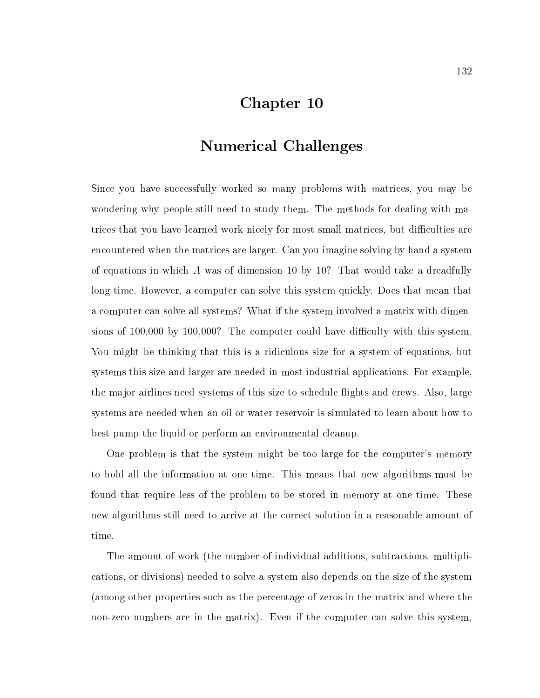### Chapter 10

# Numerical Challenges

Since you have successfully worked so many problems with matrices, you may be wondering why people still need to study them. The methods for dealing with matrices that you have learned work nicely for most small matrices, but difficulties are encountered when the matrices are larger. Can you imagine solving by hand a system of equations in which A was of dimension 10 by 10? That would take a dreadfully long time. However, a computer can solve this system quickly. Does that mean that a computer can solve all systems? What if the system involved a matrix with dimensions of  $100,000$  by  $100,000$ ? The computer could have difficulty with this system. You might be thinking that this is a ridiculous size for a system of equations, but systems this size and larger are needed in most industrial applications. For example, the major airlines need systems of this size to schedule flights and crews. Also, large systems are needed when an oil or water reservoir is simulated to learn about how to best pump the liquid or perform an environmental cleanup.

One problem is that the system might be too large for the computer's memory to hold all the information at one time. This means that new algorithms must be found that require less of the problem to be stored in memory at one time. These new algorithms still need to arrive at the correct solution in a reasonable amount of time.

The amount of work (the number of individual additions, subtractions, multiplications, or divisions) needed to solve a system also depends on the size of the system (among other properties such as the percentage of zeros in the matrix and where the non-zero numbers are in the matrix). Even if the computer can solve this system,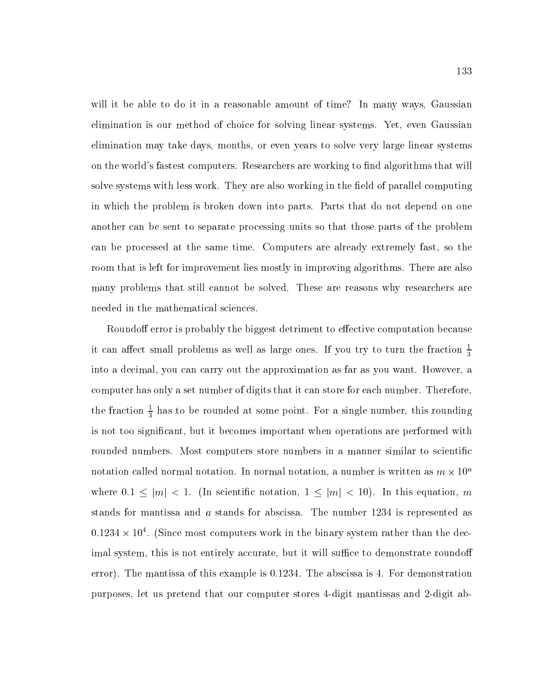will it be able to do it in a reasonable amount of time? In many ways, Gaussian elimination is our method of choice for solving linear systems. Yet, even Gaussian elimination may take days, months, or even years to solve very large linear systems on the world's fastest computers. Researchers are working to find algorithms that will solve systems with less work. They are also working in the field of parallel computing in which the problem is broken down into parts. Parts that do not depend on one another can be sent to separate processing units so that those parts of the problem can be processed at the same time. Computers are already extremely fast, so the room that is left for improvement lies mostly in improving algorithms. There are also many problems that still cannot be solved. These are reasons why researchers are needed in the mathematical sciences.

Roundoff error is probably the biggest detriment to effective computation because it can affect small problems as well as large ones. If you try to turn the fraction  $\frac{1}{3}$ into a decimal, you can carry out the approximation as far as you want. However, a computer has only a set number of digits that it can store for each number. Therefore, the fraction  $\frac{2}{3}$  has to be rounded at some point. For a single number, this rounding is not too signicant, but it becomes important when operations are performed with rounded numbers. Most computers store numbers in a manner similar to scientific notation called normal notation. In normal notation, a number is written as  $m \times 10^{\circ}$ where  $0.1 \leq |m| < 1$ . (In scientific notation,  $1 \leq |m| < 10$ ). In this equation, m stands for mantissa and a stands for abscissa. The number 1234 is represented as  $0.1254 \times 10^{+1}$ . (Since most computers work in the binary system rather than the decimal system, this is not entirely accurate, but it will suffice to demonstrate roundoff error). The mantissa of this example is 0.1234. The abscissa is 4. For demonstration purposes, let us pretend that our computer stores 4-digit mantissas and 2-digit ab-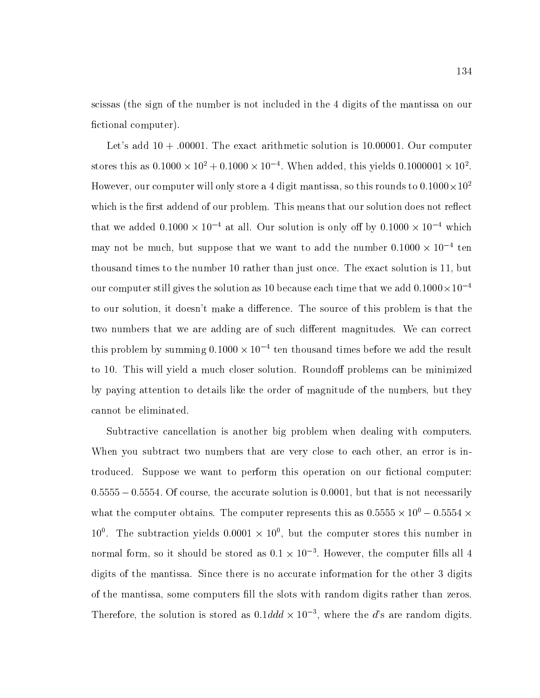scissas (the sign of the number is not included in the 4 digits of the mantissa on our fictional computer).

Let's add  $10 + .00001$ . The exact arithmetic solution is 10.00001. Our computer stores this as 0.1000  $\times$  10  $\,$  + 0.1000  $\times$  10  $\,$  . When added, this yields 0.1000001  $\times$  10  $\,$  . However, our computer will only store a 4 digit mantissa, so this rounds to 0.1000  $\times$  10 $^\circ$ which is the first addend of our problem. This means that our solution does not reflect that we added  $0.1000 \times 10^{-4}$  at all. Our solution is only on by  $0.1000 \times 10^{-4}$  which  $\max$  not be much, but suppose that we want to add the number 0.1000  $\times$  10  $^{-1}$  ten thousand times to the number 10 rather than just once. The exact solution is 11, but our computer still gives the solution as 10 because each time that we add  $0.1000 \times 10^{-4}$ to our solution, it doesn't make a difference. The source of this problem is that the two numbers that we are adding are of such different magnitudes. We can correct  $\overline{\rm{u}}$  problem by summing 0.1000  $\times$  10  $^{-1}$  ten thousand times before we add the result to 10. This will yield a much closer solution. Roundoff problems can be minimized by paying attention to details like the order of magnitude of the numbers, but they cannot be eliminated.

Subtractive cancellation is another big problem when dealing with computers. When you subtract two numbers that are very close to each other, an error is introduced. Suppose we want to perform this operation on our fictional computer:  $0.5555 - 0.5554$ . Of course, the accurate solution is 0.0001, but that is not necessarily what the computer obtains. The computer represents this as 0.5555  $\times$  10  $-$  0.5554  $\times$  $10^\circ$ . The subtraction yields  $0.0001 \times 10^\circ$ , but the computer stores this number in  $\rm{normal}$  form, so it should be stored as  $0.1 \times 10^{-5}$  . However, the computer hils all  $4$ digits of the mantissa. Since there is no accurate information for the other 3 digits of the mantissa, some computers ll the slots with random digits rather than zeros. Therefore, the solution is stored as  $0.1ddd \times 10^{-3}$ , where the d's are random digits.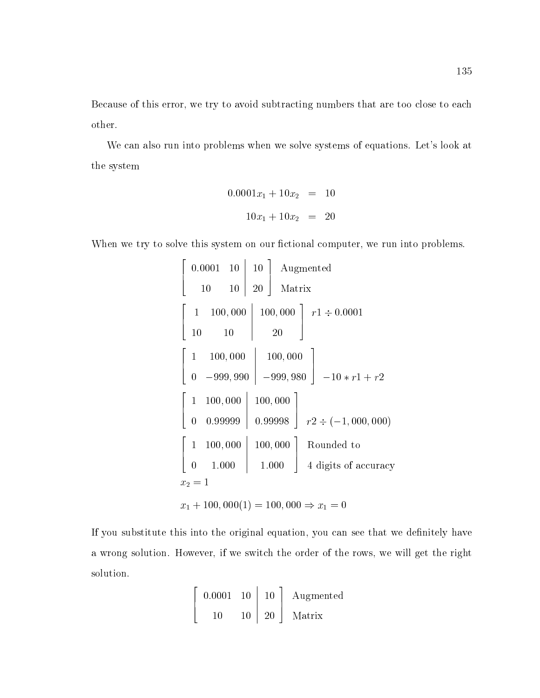Because of this error, we try to avoid subtracting numbers that are too close to each other.

We can also run into problems when we solve systems of equations. Let's look at the system

$$
0.0001x_1 + 10x_2 = 10
$$
  

$$
10x_1 + 10x_2 = 20
$$

When we try to solve this system on our fictional computer, we run into problems.

$$
\begin{bmatrix}\n0.0001 & 10 & 10 \\
10 & 10 & 20\n\end{bmatrix}\n\begin{bmatrix}\n\text{Augmented} \\
\text{Matrix} \\
10 & 10 & 10\n\end{bmatrix}\n\begin{bmatrix}\n1 & 100,000 & 100,000 \\
20 & 10 & 20\n\end{bmatrix}\n\begin{bmatrix}\n1 & 100,000 & 100,000 \\
0 & -999,990 & -999,980\n\end{bmatrix}\n\begin{bmatrix}\n1 & 100,000 & 100,000 \\
0 & 0.99999 & 0.99998\n\end{bmatrix}\n\begin{bmatrix}\n1 & 100,000 & 100,000 \\
0 & 1.000 & 1.000\n\end{bmatrix}\n\begin{bmatrix}\n\text{Rounded to} \\
\text{Quart} \\
\text{Quart} \\
\text{Quart} \\
\text{Quart} \\
\text{Quart} \\
\text{Quart} \\
\text{Quart} \\
\text{Quart} \\
\text{Quart} \\
\text{Quart} \\
\text{Quart} \\
\text{Quart} \\
\text{Quart} \\
\text{Quart} \\
\text{Quart} \\
\text{Quart} \\
\text{Quart} \\
\text{Quart} \\
\text{Quart} \\
\text{Quart} \\
\text{Quart} \\
\text{Quart} \\
\text{Quart} \\
\text{Quart} \\
\text{Quart} \\
\text{Quart} \\
\text{Quart} \\
\text{Quart} \\
\text{Quart} \\
\text{Quart} \\
\text{Quart} \\
\text{Quart} \\
\text{Quart} \\
\text{Quart} \\
\text{Quart} \\
\text{Quart} \\
\text{Quart} \\
\text{Quart} \\
\text{Quart} \\
\text{Quart} \\
\text{Quart} \\
\text{Quart} \\
\text{Quart} \\
\text{Quart} \\
\text{Quart} \\
\text{Quart} \\
\text{Quart} \\
\text{Quart} \\
\text{Quart} \\
\text{Quart} \\
\text{Quart} \\
\text{Quart} \\
\text{Quart} \\
\text{Quart} \\
\text{Quart} \\
\text{Quart} \\
\text{Quart} \\
\text{Quart} \\
\text{Quart} \\
\text{Quart} \\
\text{Quart} \\
\text{Quart} \\
\text{Quart} \\
\text{Quart} \\
\text{Quart} \\
\text{Quart} \\
\text
$$

If you substitute this into the original equation, you can see that we definitely have a wrong solution. However, if we switch the order of the rows, we will get the right solution.

$$
\left[\begin{array}{cc|c} 0.0001 & 10 & 10 \\ 10 & 10 & 20 \end{array}\right] \begin{array}{c} \text{Augmented} \\ \text{Matrix} \end{array}
$$

<u>2005 - Johann Stone, amerikan bahasa perangan pada sebagai personal perangan perangan perangan perangan perang</u>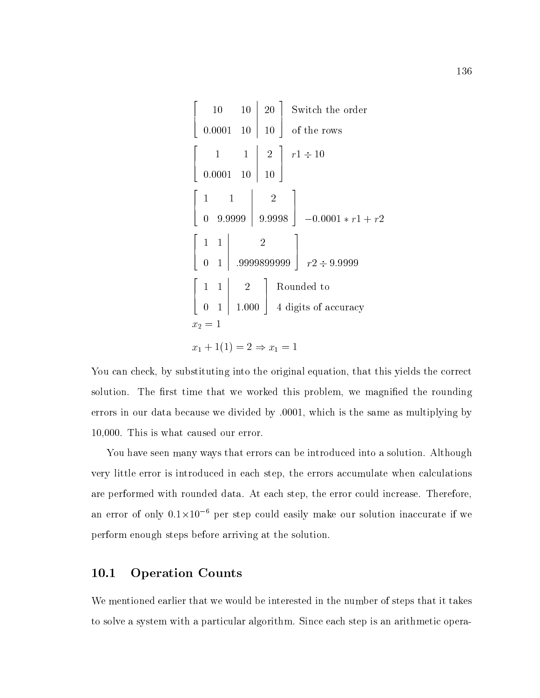$$
\begin{bmatrix}\n10 & 10 & 20 \\
0.0001 & 10 & 10\n\end{bmatrix}\n\begin{bmatrix}\n\text{Switch the order} \\
0.0001 & 10 & 10\n\end{bmatrix}
$$
\n
$$
\begin{bmatrix}\n1 & 1 & 2 \\
0.0001 & 10 & 10\n\end{bmatrix}\n\begin{bmatrix}\nr1 \div 10 \\
0.9.9999 & 9.9998\n\end{bmatrix}\n\begin{bmatrix}\n1 & 1 & 2 \\
-0.0001 * r1 + r2\n\end{bmatrix}
$$
\n
$$
\begin{bmatrix}\n1 & 1 & 2 \\
0 & 1 & 0.9998999999 \\
0 & 1 & 1.000\n\end{bmatrix}\n\begin{bmatrix}\n1 & 1 & 2 \\
R \text{ounded to} \\
0 & 1 & 1.000\n\end{bmatrix}\n\begin{bmatrix}\n\text{Rounded to} \\
\text{d digits of accuracy} \\
x_2 = 1\n\end{bmatrix}
$$
\n
$$
x_1 + 1(1) = 2 \Rightarrow x_1 = 1
$$

 

You can check, by substituting into the original equation, that this yields the correct solution. The first time that we worked this problem, we magnified the rounding errors in our data because we divided by .0001, which is the same as multiplying by 10,000. This is what caused our error.

You have seen many ways that errors can be introduced into a solution. Although very little error is introduced in each step, the errors accumulate when calculations are performed with rounded data. At each step, the error could increase. Therefore, an error of only 0.1×10 – per step could easily make our solution maccurate if we perform enough steps before arriving at the solution.

### 10.1 Operation Counts

We mentioned earlier that we would be interested in the number of steps that it takes to solve a system with a particular algorithm. Since each step is an arithmetic opera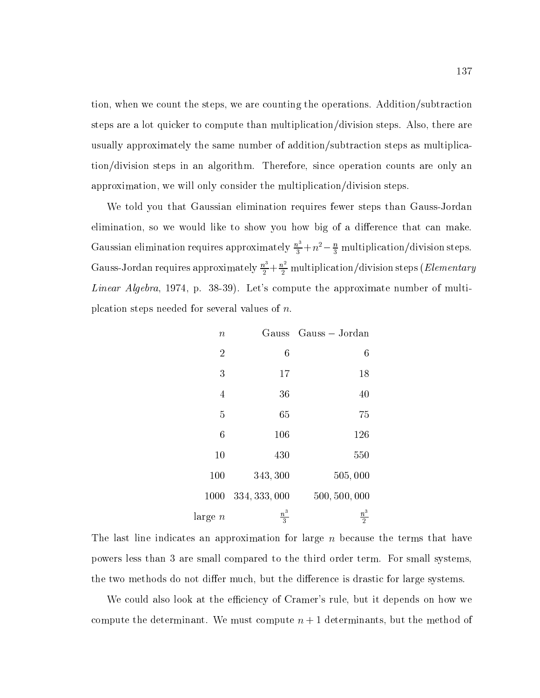tion, when we count the steps, we are counting the operations. Addition/subtraction steps are a lot quicker to compute than multiplication/division steps. Also, there are usually approximately the same number of addition/subtraction steps as multiplication/division steps in an algorithm. Therefore, since operation counts are only an approximation, we will only consider the multiplication/division steps.

We told you that Gaussian elimination requires fewer steps than Gauss-Jordan elimination, so we would like to show you how big of a difference that can make. Gaussian elimination requires approximately  $\frac{n}{3} + n^2 - \frac{n}{3}$  multiplication/division steps. Gauss-Jordan requires approximately  $\frac{n^3}{2} + \frac{n^2}{2}$  multiplication/division steps (*Elementary* Linear Algebra, 1974, p. 38-39). Let's compute the approximate number of multiplcation steps needed for several values of n.

| Gauss Gauss - Jordan |                  | $\, n$            |
|----------------------|------------------|-------------------|
| 6                    | $\boldsymbol{6}$ | $\overline{2}$    |
| 18                   | 17               | 3                 |
| 40                   | 36               | $\overline{4}$    |
| 75                   | 65               | $\overline{5}$    |
| 126                  | 106              | $6\phantom{.}6$   |
| 550                  | 430              | 10                |
| 505,000              | 343,300          | 100               |
| 500, 500, 000        | 334, 333, 000    | 1000              |
| $\frac{n^3}{2}$      | $\frac{n^3}{3}$  | $_{\rm large\;n}$ |

The last line indicates an approximation for large  $n$  because the terms that have powers less than 3 are small compared to the third order term. For small systems, the two methods do not differ much, but the difference is drastic for large systems.

We could also look at the efficiency of Cramer's rule, but it depends on how we compute the determinant. We must compute  $n + 1$  determinants, but the method of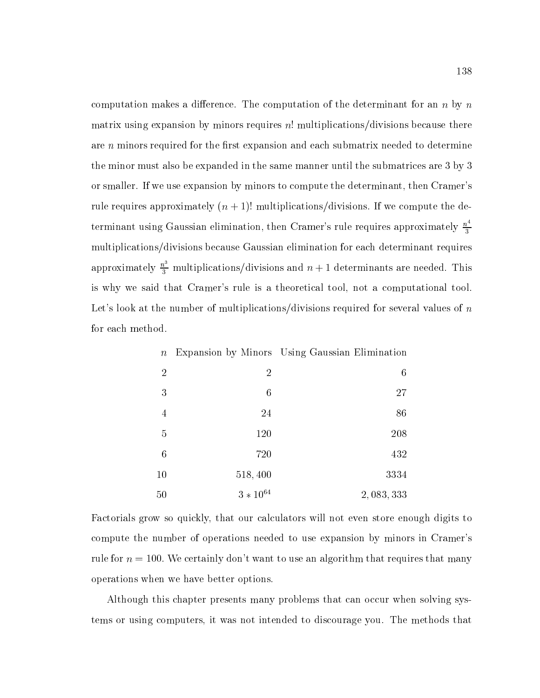computation makes a difference. The computation of the determinant for an  $n$  by  $n$ matrix using expansion by minors requires  $n!$  multiplications/divisions because there are  $n$  minors required for the first expansion and each submatrix needed to determine the minor must also be expanded in the same manner until the submatrices are 3 by 3 or smaller. If we use expansion by minors to compute the determinant, then Cramer's rule requires approximately  $(n + 1)!$  multiplications/divisions. If we compute the determinant using Gaussian elimination, then Cramer's rule requires approximately  $\frac{n^4}{3}$ multiplications/divisions because Gaussian elimination for each determinant requires approximately  $\frac{n^3}{3}$  multiplications/divisions and  $n + 1$  determinants are needed. This is why we said that Cramer's rule is a theoretical tool, not a computational tool. Let's look at the number of multiplications/divisions required for several values of  $n$ for each method.

| Expansion by Minors Using Gaussian Elimination |                  | $\,n$          |
|------------------------------------------------|------------------|----------------|
| 6                                              | $\overline{2}$   | $\overline{2}$ |
| 27                                             | $\boldsymbol{6}$ | 3              |
| 86                                             | 24               | 4              |
| 208                                            | 120              | 5              |
| 432                                            | 720              | 6              |
| 3334                                           | 518,400          | 10             |
| 2,083,333                                      | $3 * 10^{64}$    | 50             |

Factorials grow so quickly, that our calculators will not even store enough digits to compute the number of operations needed to use expansion by minors in Cramer's rule for  $n = 100$ . We certainly don't want to use an algorithm that requires that many operations when we have better options.

Although this chapter presents many problems that can occur when solving systems or using computers, it was not intended to discourage you. The methods that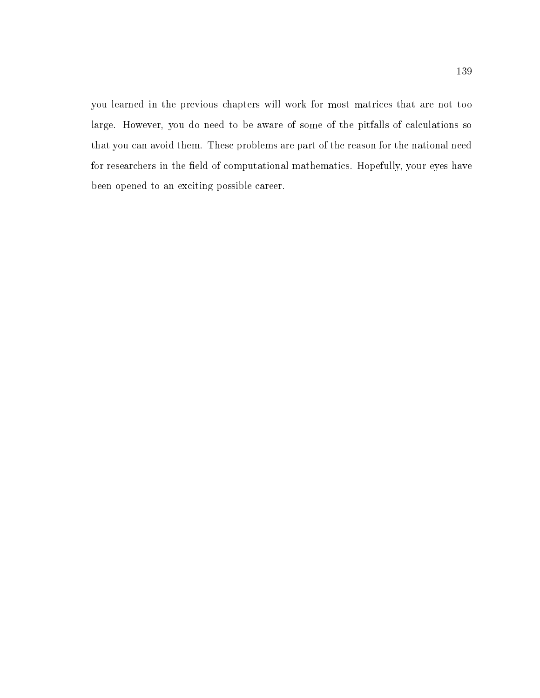you learned in the previous chapters will work for most matrices that are not too large. However, you do need to be aware of some of the pitfalls of calculations so that you can avoid them. These problems are part of the reason for the national need for researchers in the field of computational mathematics. Hopefully, your eyes have been opened to an exciting possible career.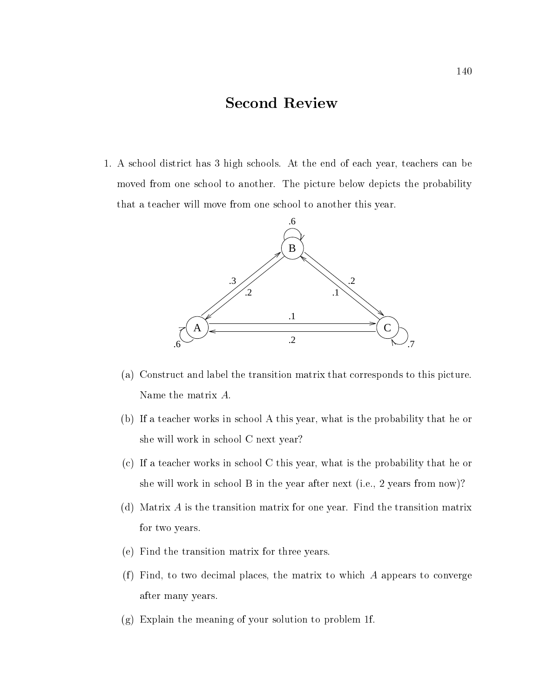# Second Review

1. A school district has 3 high schools. At the end of each year, teachers can be moved from one school to another. The picture below depicts the probability that a teacher will move from one school to another this year.



- (a) Construct and label the transition matrix that corresponds to this picture. Name the matrix A:
- (b) If a teacher works in school A this year, what is the probability that he or she will work in school C next year?
- (c) If a teacher works in school C this year, what is the probability that he or she will work in school B in the year after next (i.e., 2 years from now)?
- (d) Matrix A is the transition matrix for one year. Find the transition matrix for two years.
- (e) Find the transition matrix for three years.
- (f) Find, to two decimal places, the matrix to which  $A$  appears to converge after many years.
- (g) Explain the meaning of your solution to problem 1f.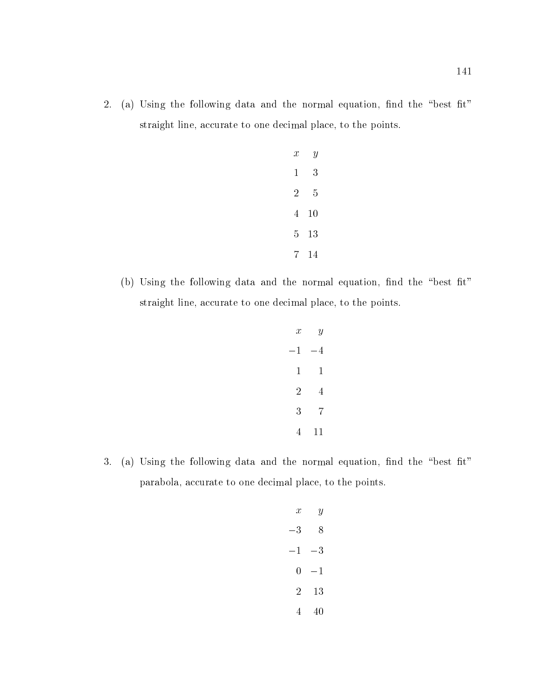2. (a) Using the following data and the normal equation, find the "best fit" straight line, accurate to one decimal place, to the points.

| $\boldsymbol{x}$ | Y         |  |
|------------------|-----------|--|
| $\mathbf 1$      | 3         |  |
| $\overline{2}$   | 5         |  |
| 4                | <b>10</b> |  |
| 5                | 13        |  |
| 7                | 14        |  |

(b) Using the following data and the normal equation, find the "best fit" straight line, accurate to one decimal place, to the points.

| $\boldsymbol{x}$ | $\boldsymbol{y}$ |  |
|------------------|------------------|--|
| $^{-1}$          | $-4$             |  |
| 1                | 1                |  |
| $\overline{2}$   | $\overline{4}$   |  |
| 3                | 7                |  |
| 4                | 11               |  |

3. (a) Using the following data and the normal equation, find the "best fit" parabola, accurate to one decimal place, to the points.

| $\boldsymbol{x}$ | Y           |  |
|------------------|-------------|--|
| $-3$             | 8           |  |
| $-1$             | $-3$        |  |
| 0                | $^{\rm -1}$ |  |
| $\overline{2}$   | 13          |  |
| 4                | 40          |  |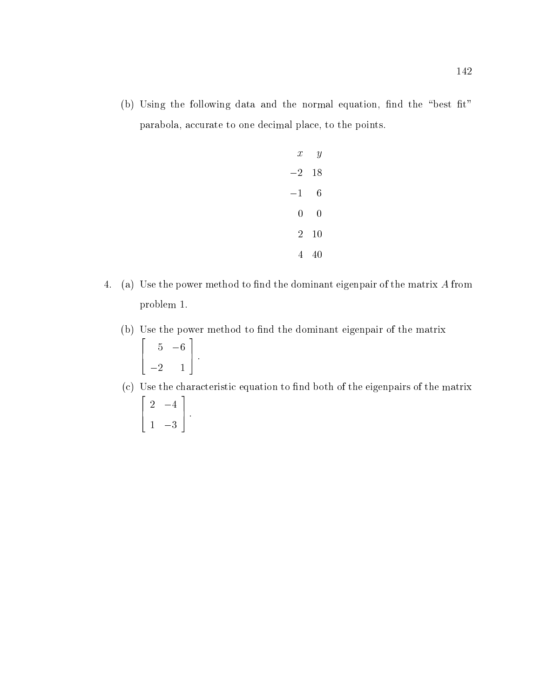(b) Using the following data and the normal equation, find the "best fit" parabola, accurate to one decimal place, to the points.

| $\mathcal{X}$ | Y  |  |
|---------------|----|--|
| $-2$          | 18 |  |
| $-1$          | 6  |  |
| 0             | 0  |  |
| 2             | 10 |  |
| 4             | 40 |  |

- 4. (a) Use the power method to find the dominant eigenpair of the matrix  $A$  from problem 1.
	- (b) Use the power method to find the dominant eigenpair of the matrix  $\overline{2}$  2  $\overline{2}$  2  $\overline{2}$  2  $\overline{2}$  2  $\overline{2}$  2  $\overline{2}$  2  $\overline{2}$  2  $\overline{2}$  2  $\overline{2}$  2  $\overline{2}$  2  $\overline{2}$  2  $\overline{2}$  2  $\overline{2}$  2  $\overline{2}$  2  $\overline{2}$  2  $\overline{2}$  2  $\overline{2}$  2  $\overline{2}$  2  $\overline{2}$  2  $\overline{2}$  2 6 4  $\sim$  6  $\,$  6  $\,$  6  $\,$  6  $\,$  6  $\,$  6  $\,$  6  $\,$  6  $\,$  6  $\,$  6  $\,$  6  $\,$  6  $\,$  6  $\,$  6  $\,$  6  $\,$  6  $\,$  6  $\,$  6  $\,$  6  $\,$  6  $\,$  6  $\,$  6  $\,$  6  $\,$  6  $\,$  6  $\,$  6  $\,$  6  $\,$  6  $\,$  6  $\,$  6  $\,$  6  $\,$ 2 1 3 7 5 :
	- (c) Use the characteristic equation to find both of the eigenpairs of the matrix 22 July 2012 12:25 6 4 2 4 1 3 and the second contract of the second contract of the second contract of the second contract of the second con 7 5 :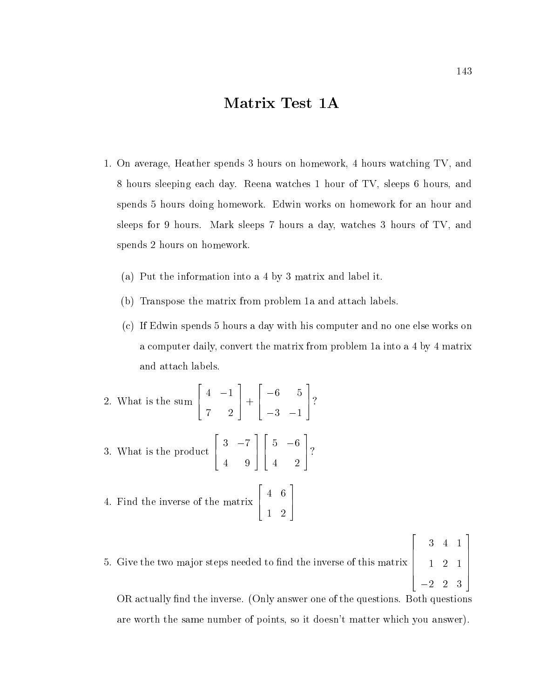# Matrix Test 1A

- 1. On average, Heather spends 3 hours on homework, 4 hours watching TV, and hours sleeping each day. Reena watches 1 hour of TV, sleeps 6 hours, and spends 5 hours doing homework. Edwin works on homework for an hour and sleeps for 9 hours. Mark sleeps 7 hours a day, watches 3 hours of TV, and spends 2 hours on homework.
	- (a) Put the information into a 4 by 3 matrix and label it.
	- (b) Transpose the matrix from problem 1a and attach labels.
	- (c) If Edwin spends 5 hours a day with his computer and no one else works on a computer daily, convert the matrix from problem 1a into a 4 by 4 matrix and attach labels.

2. What is the sum 
$$
\begin{bmatrix} 4 & -1 \\ 7 & 2 \end{bmatrix} + \begin{bmatrix} -6 & 5 \\ -3 & -1 \end{bmatrix}
$$
?  
3. What is the product  $\begin{bmatrix} 3 & -7 \\ 4 & 9 \end{bmatrix} \begin{bmatrix} 5 & -6 \\ 4 & 2 \end{bmatrix}$ ?  
4. Find the inverse of the matrix  $\begin{bmatrix} 4 & 6 \\ 1 & 2 \end{bmatrix}$ 

5. Give the two major steps needed to nd the inverse of this matrix  $\begin{bmatrix} 1 & 2 \end{bmatrix}$  $\sim$  1  $\sim$  1  $\sim$  1  $\sim$  1  $\sim$  1  $\sim$  1  $\sim$  1  $\sim$  1  $\sim$  1  $\sim$  1  $\sim$  1  $\sim$  1  $\sim$  1  $\sim$  1  $\sim$  1  $\sim$  1  $\sim$  1  $\sim$  1  $\sim$  1  $\sim$  1  $\sim$  1  $\sim$  1  $\sim$  1  $\sim$  1  $\sim$  1  $\sim$  1  $\sim$  1  $\sim$  1  $\sim$  1  $\sim$  1  $\sim$  1  $\sim$  2 1  $\vert -2 \vert 2 \vert 3 \vert$ 

OR actually find the inverse. (Only answer one of the questions. Both questions are worth the same number of points, so it doesn't matter which you answer).

 $\overline{\phantom{a}}$  22  $\overline{\phantom{a}}$  22  $\overline{\phantom{a}}$  22  $\overline{\phantom{a}}$  22  $\overline{\phantom{a}}$  22  $\overline{\phantom{a}}$  22  $\overline{\phantom{a}}$  22  $\overline{\phantom{a}}$  22  $\overline{\phantom{a}}$  22  $\overline{\phantom{a}}$  22  $\overline{\phantom{a}}$  22  $\overline{\phantom{a}}$  22  $\overline{\phantom{a}}$  22  $\overline{\phantom{a}}$  22  $\overline{\phantom{a}}$ 

and the second contract of the second contract of the second contract of the second contract of the second con  $77.77$   $\sim$  500  $\pm$  500  $\pm$  500  $\pm$  500  $\pm$  500  $\pm$  500  $\pm$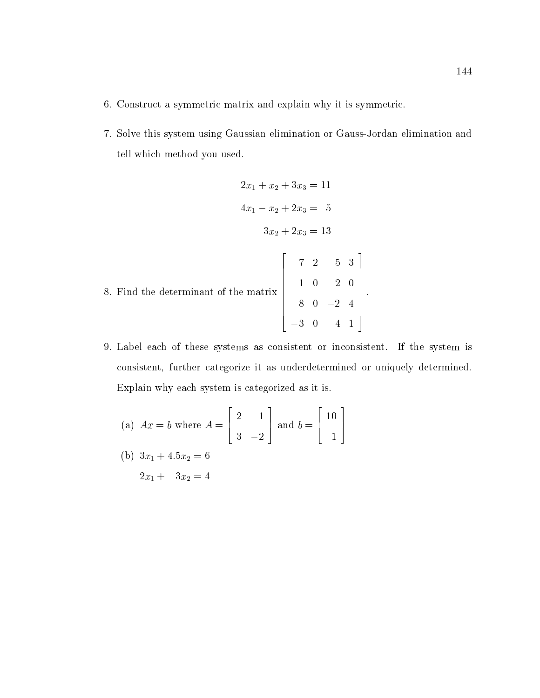- 6. Construct a symmetric matrix and explain why it is symmetric.
- 7. Solve this system using Gaussian elimination or Gauss-Jordan elimination and tell which method you used.

$$
2x_1 + x_2 + 3x_3 = 11
$$
  
\n
$$
4x_1 - x_2 + 2x_3 = 5
$$
  
\n
$$
3x_2 + 2x_3 = 13
$$
  
\n8. Find the determinant of the matrix  
\n
$$
\begin{bmatrix}\n7 & 2 & 5 & 3 \\
1 & 0 & 2 & 0 \\
8 & 0 & -2 & 4 \\
-3 & 0 & 4 & 1\n\end{bmatrix}
$$

9. Label each of these systems as consistent or inconsistent. If the system is consistent, further categorize it as underdetermined or uniquely determined. Explain why each system is categorized as it is.

(a) 
$$
Ax = b
$$
 where  $A = \begin{bmatrix} 2 & 1 \\ 3 & -2 \end{bmatrix}$  and  $b = \begin{bmatrix} 10 \\ 1 \end{bmatrix}$   
\n(b)  $3x_1 + 4.5x_2 = 6$   
\n $2x_1 + 3x_2 = 4$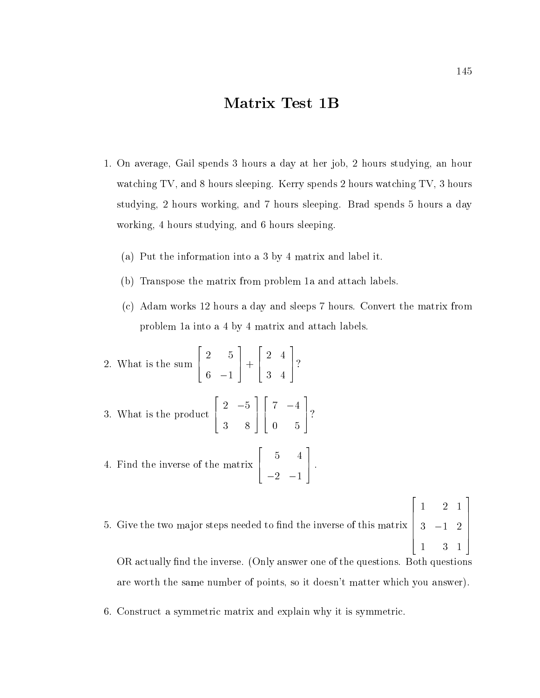## Matrix Test 1B

- 1. On average, Gail spends 3 hours a day at her job, 2 hours studying, an hour watching TV, and 8 hours sleeping. Kerry spends 2 hours watching TV, 3 hours studying, 2 hours working, and 7 hours sleeping. Brad spends 5 hours a day working, 4 hours studying, and 6 hours sleeping.
	- (a) Put the information into a 3 by 4 matrix and label it.
	- (b) Transpose the matrix from problem 1a and attach labels.
	- (c) Adam works 12 hours a day and sleeps 7 hours. Convert the matrix from problem 1a into a 4 by 4 matrix and attach labels.

2. What is the sum 
$$
\begin{bmatrix} 2 & 5 \\ 6 & -1 \end{bmatrix} + \begin{bmatrix} 2 & 4 \\ 3 & 4 \end{bmatrix}
$$
?  
3. What is the product  $\begin{bmatrix} 2 & -5 \\ 3 & 8 \end{bmatrix} \begin{bmatrix} 7 & -4 \\ 0 & 5 \end{bmatrix}$ ?  
4. Find the inverse of the matrix  $\begin{bmatrix} 5 & 4 \\ -2 & -1 \end{bmatrix}$ .

5. Give the two major steps needed to nd the inverse of this matrix **2006 2006 2006 2006**  $\begin{vmatrix} 3 & -1 & 2 \end{vmatrix}$  2 1 1 2 3 1  $77.77$  The contract of the contract of the contract of the contract of the contract of the contract of the contract of The contract of the contract of the contract of the contract of the contract of the contract of the contract of the contract of the contract of the contract of the contract of the contract of the contract of the contract of

OR actually find the inverse. (Only answer one of the questions. Both questions are worth the same number of points, so it doesn't matter which you answer).

6. Construct a symmetric matrix and explain why it is symmetric.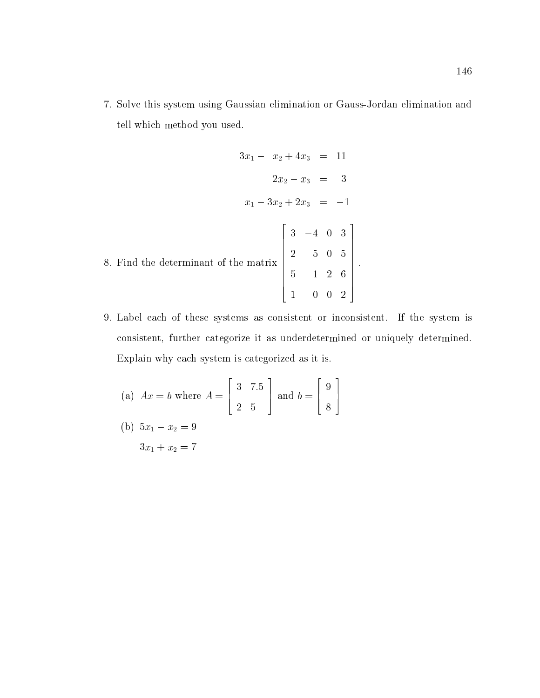7. Solve this system using Gaussian elimination or Gauss-Jordan elimination and tell which method you used.

$$
3x_1 - x_2 + 4x_3 = 11
$$
  
\n
$$
2x_2 - x_3 = 3
$$
  
\n
$$
x_1 - 3x_2 + 2x_3 = -1
$$
  
\n8. Find the determinant of the matrix 
$$
\begin{bmatrix} 3 & -4 & 0 & 3 \\ 2 & 5 & 0 & 5 \\ 5 & 1 & 2 & 6 \\ 1 & 0 & 0 & 2 \end{bmatrix}.
$$

9. Label each of these systems as consistent or inconsistent. If the system is consistent, further categorize it as underdetermined or uniquely determined. Explain why each system is categorized as it is.

(a) 
$$
Ax = b
$$
 where  $A = \begin{bmatrix} 3 & 7.5 \\ 2 & 5 \end{bmatrix}$  and  $b = \begin{bmatrix} 9 \\ 8 \end{bmatrix}$   
\n(b)  $5x_1 - x_2 = 9$   
\n $3x_1 + x_2 = 7$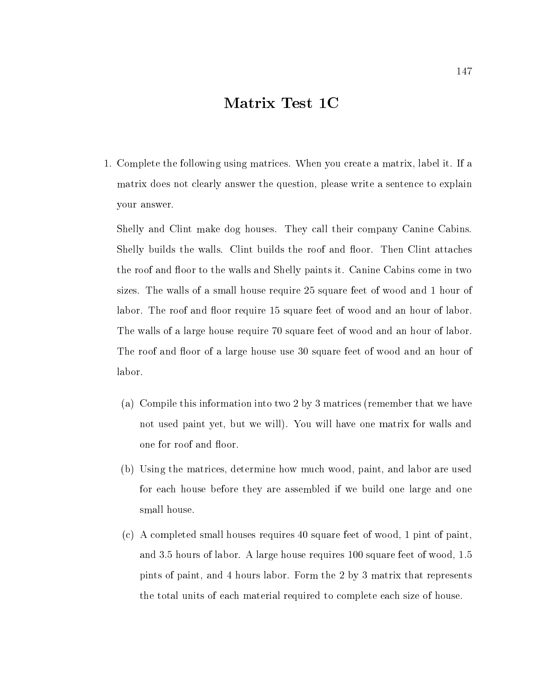# Matrix Test 1C

1. Complete the following using matrices. When you create a matrix, label it. If a matrix does not clearly answer the question, please write a sentence to explain your answer.

Shelly and Clint make dog houses. They call their company Canine Cabins. Shelly builds the walls. Clint builds the roof and floor. Then Clint attaches the roof and floor to the walls and Shelly paints it. Canine Cabins come in two sizes. The walls of a small house require 25 square feet of wood and 1 hour of labor. The roof and floor require 15 square feet of wood and an hour of labor. The walls of a large house require 70 square feet of wood and an hour of labor. The roof and floor of a large house use 30 square feet of wood and an hour of labor.

- (a) Compile this information into two2by 3 matrices (remember that we have not used paint yet, but we will). You willhave one matrix for walls and one for roof and floor.
- (b) Using the matrices, determine how much wood, paint, and labor are used for each house before they are assembled if we build one large and one small house.
- (c) A completed small houses requires 40 square feet of wood, 1 pint of paint, and 3.5 hours of labor. A large house requires 100 square feet of wood, 1.5 pints of paint, and 4 hours labor. Form the 2 by 3 matrix that represents the total units of each material required to complete each size of house.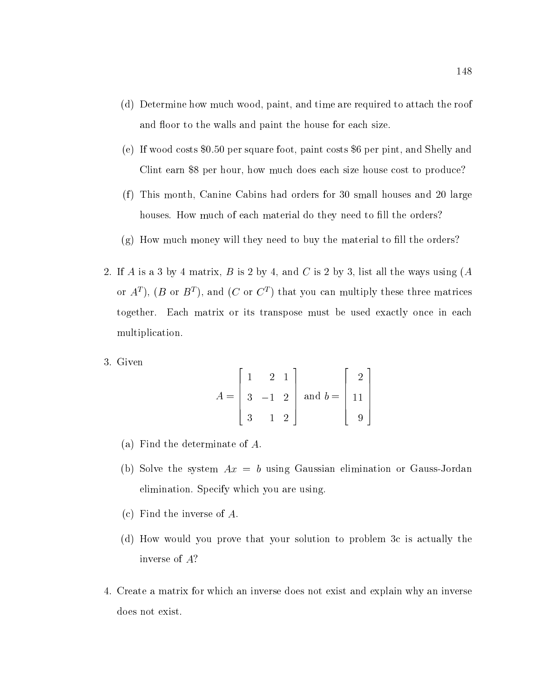- (d) Determine how much wood, paint, and time are required to attach the roof and floor to the walls and paint the house for each size.
- (e) If wood costs \$0.50 per square foot, paint costs \$6 per pint, and Shelly and Clint earn \$8 per hour, how much does each size house cost to produce?
- (f) This month, Canine Cabins had orders for 30 small houses and 20 large houses. How much of each material do they need to fill the orders?
- $(g)$  How much money will they need to buy the material to fill the orders?
- 2. If A is a 3 by 4 matrix, B is 2 by 4, and C is 2 by 3, list all the ways using  $(A)$ or  $A$  ), ( $D$  or  $D$  ), and ( $C$  or  $C$  ) that you can multiply these three matrices together. Each matrix or its transpose must be used exactly once in each multiplication.
- 3. Given

$$
A = \begin{bmatrix} 1 & 2 & 1 \\ 3 & -1 & 2 \\ 3 & 1 & 2 \end{bmatrix} \text{ and } b = \begin{bmatrix} 2 \\ 11 \\ 9 \end{bmatrix}
$$

- (a) Find the determinate of A.
- (b) Solve the system  $Ax = b$  using Gaussian elimination or Gauss-Jordan elimination. Specify which you are using.
- (c) Find the inverse of A.
- (d) How would you prove that your solution to problem 3c is actually the inverse of A?
- 4. Create a matrix for which an inverse does not exist and explain why an inverse does not exist.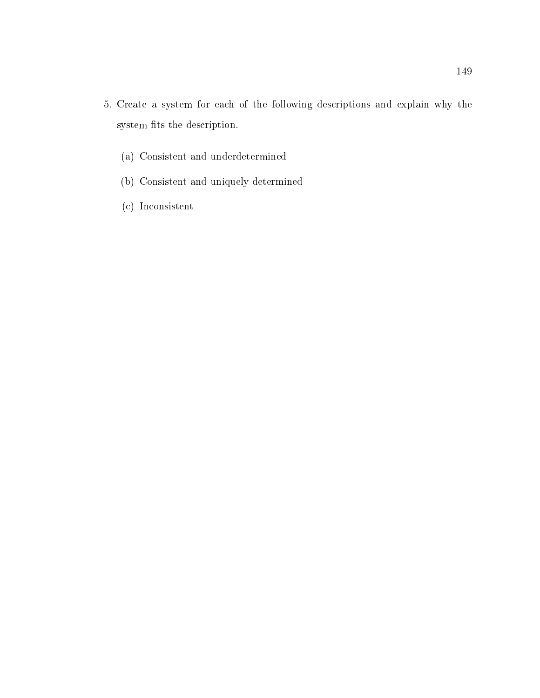- 5. Create a system for each of the following descriptions and explain why the system fits the description.
	- (a) Consistent and underdetermined
	- (b) Consistent and uniquely determined
	- (c) Inconsistent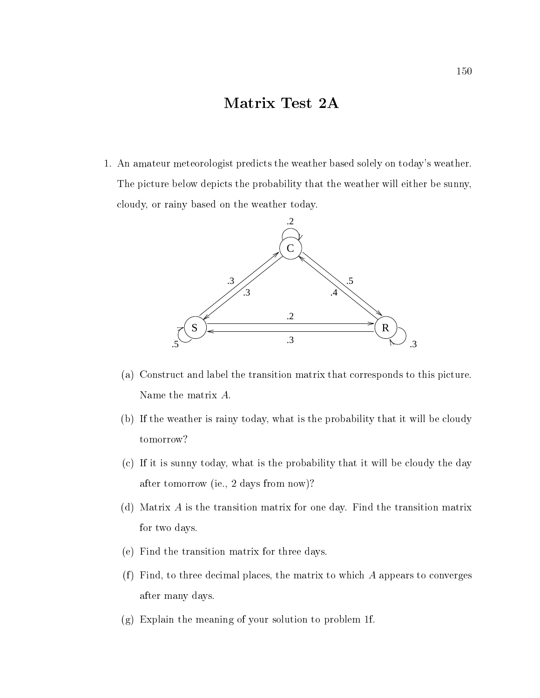# Matrix Test 2A

1. An amateur meteorologist predicts the weather based solely on today's weather. The picture below depicts the probability that the weather will either be sunny, cloudy, or rainy based on the weather today.



- (a) Construct and label the transition matrix that corresponds to this picture. Name the matrix A:
- (b) If the weather is rainy today, what is the probability that it will be cloudy tomorrow?
- (c) If it is sunny today, what is the probability that it will be cloudy the day after tomorrow (ie., 2 days from now)?
- (d) Matrix  $\vec{A}$  is the transition matrix for one day. Find the transition matrix for two days.
- (e) Find the transition matrix for three days.
- (f) Find, to three decimal places, the matrix to which  $A$  appears to converges after many days.
- (g) Explain the meaning of your solution to problem 1f.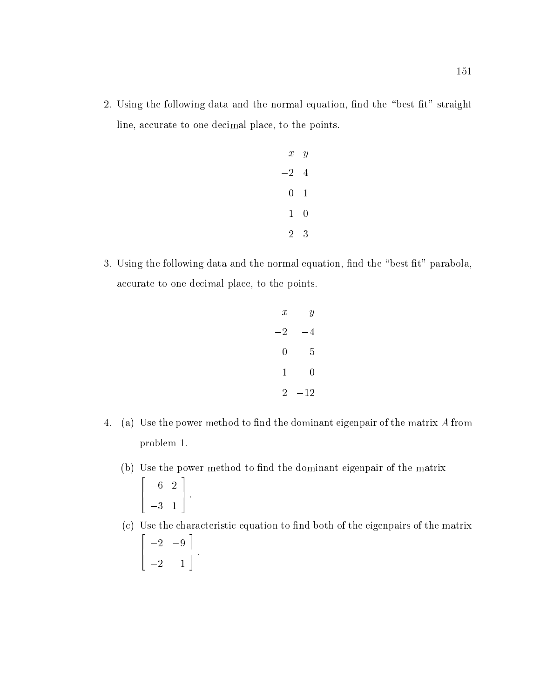2. Using the following data and the normal equation, find the "best fit" straight line, accurate to one decimal place, to the points.

| $x \quad y$  |                |  |
|--------------|----------------|--|
| $-2 \quad 4$ |                |  |
|              | $0\quad 1$     |  |
| $1 -$        | $\overline{0}$ |  |
| 2            | - 3            |  |

3. Using the following data and the normal equation, find the "best fit" parabola, accurate to one decimal place, to the points.

$$
\begin{array}{ccc}\nx & y \\
-2 & -4 \\
0 & 5 \\
1 & 0 \\
2 & -12\n\end{array}
$$

- 4. (a) Use the power method to find the dominant eigenpair of the matrix  $A$  from problem 1.
	- (b) Use the power method to find the dominant eigenpair of the matrix 2  $\begin{array}{c} \begin{array}{c} \end{array} \end{array}$ 3 1 3 7 5 :
	- (c) Use the characteristic equation to find both of the eigenpairs of the matrix  $\overline{\phantom{a}}$  2  $\overline{\phantom{a}}$  2  $\overline{\phantom{a}}$  2  $\overline{\phantom{a}}$  2  $\overline{\phantom{a}}$  2  $\overline{\phantom{a}}$  2  $\overline{\phantom{a}}$  2  $\overline{\phantom{a}}$  2  $\overline{\phantom{a}}$  2  $\overline{\phantom{a}}$  2  $\overline{\phantom{a}}$  2  $\overline{\phantom{a}}$  2  $\overline{\phantom{a}}$  2  $\overline{\phantom{a}}$  2  $\overline{\phantom{a}}$  2  $\overline{\phantom{a}}$ 6 4 2 9  $\overline{\phantom{a}}$  2 1  $\overline{\phantom{a}}$  1  $\overline{\phantom{a}}$  2 1  $\overline{\phantom{a}}$  2 1  $\overline{\phantom{a}}$  2 1  $\overline{\phantom{a}}$  2 1  $\overline{\phantom{a}}$  2 1  $\overline{\phantom{a}}$  2 1  $\overline{\phantom{a}}$  2 1  $\overline{\phantom{a}}$  2 1  $\overline{\phantom{a}}$  2 1  $\overline{\phantom{a}}$  2 1  $\overline{\phantom{a}}$  2 1  $\overline{\phantom{a}}$  2 1 and the second contract of the second contract of the second contract of the second contract of the second con 7 5 :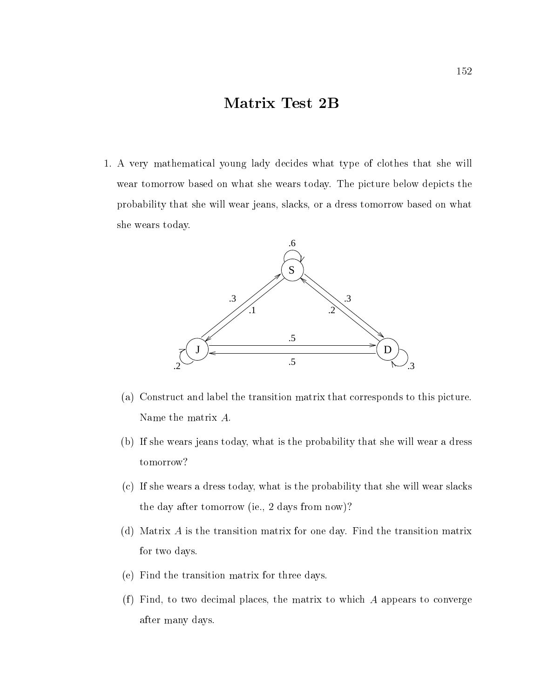# Matrix Test 2B

1. A very mathematical young lady decides what type of clothes that she will wear tomorrow based on what she wears today. The picture below depicts the probability that she will wear jeans, slacks, or a dress tomorrow based on what she wears today.



- (a) Construct and label the transition matrix that corresponds to this picture. Name the matrix A:
- (b) If she wears jeans today, what is the probability that she will wear a dress tomorrow?
- (c) If she wears a dress today, what is the probability that she will wear slacks the day after tomorrow (ie., 2 days from now)?
- (d) Matrix  $A$  is the transition matrix for one day. Find the transition matrix for two days.
- (e) Find the transition matrix for three days.
- (f) Find, to two decimal places, the matrix to which  $A$  appears to converge after many days.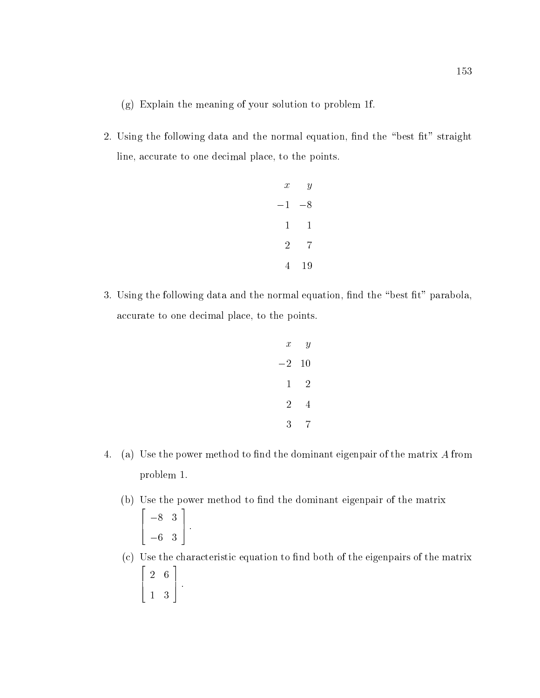(g) Explain the meaning of your solution to problem 1f.

2. Using the following data and the normal equation, find the "best fit" straight line, accurate to one decimal place, to the points.

| $\mathcal{X}$  | $\boldsymbol{y}$ |  |
|----------------|------------------|--|
| $^{\rm -1}$    | $-8$             |  |
| 1              | 1                |  |
| $\overline{2}$ | 7                |  |
| 4              | 19               |  |

3. Using the following data and the normal equation, find the "best fit" parabola, accurate to one decimal place, to the points.

$$
\begin{array}{ccc}\nx & y \\
-2 & 10 \\
1 & 2 \\
2 & 4 \\
3 & 7\n\end{array}
$$

- 4. (a) Use the power method to find the dominant eigenpair of the matrix A from problem 1.
	- (b) Use the power method to find the dominant eigenpair of the matrix <u>2000 - 2000 - 2000 - 2000 - 2000 - 2000 - 2000 - 2000 - 2000 - 2000 - 2000 - 2000 - 2000 - 2000 - 2000 - 200</u>  $\begin{array}{c} \begin{array}{c} \end{array} \end{array}$ 6 3 3 7 5 :
	- $(c)$  Use the characteristic equation to find both of the eigenpairs of the matrix 22 P 6 4 2 6 1 3 3 7 5 :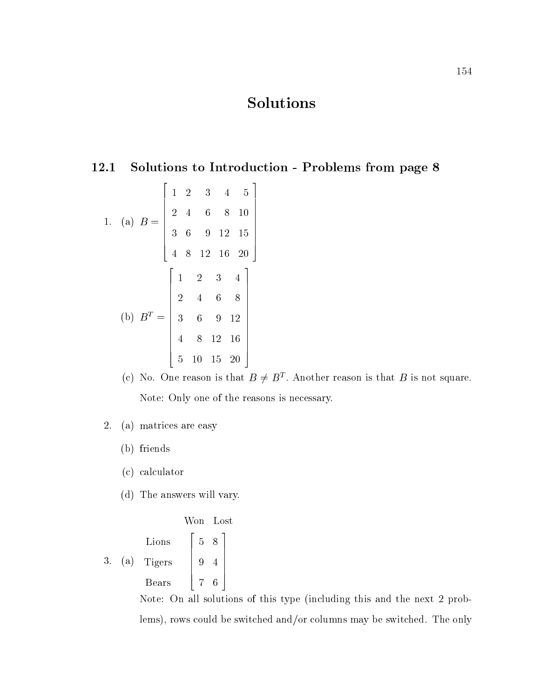# Solutions

## 12.1 Solutions to Introduction - Problems from page 8

1. (a) 
$$
B = \begin{bmatrix} 1 & 2 & 3 & 4 & 5 \\ 2 & 4 & 6 & 8 & 10 \\ 3 & 6 & 9 & 12 & 15 \\ 4 & 8 & 12 & 16 & 20 \end{bmatrix}
$$
  
\n(b)  $B^T = \begin{bmatrix} 1 & 2 & 3 & 4 \\ 2 & 4 & 6 & 8 \\ 3 & 6 & 9 & 12 \\ 4 & 8 & 12 & 16 \\ 5 & 10 & 15 & 20 \end{bmatrix}$ 

- (c) No. One reason is that  $D \neq D$  . Another reason is that  $D$  is not square. Note: Only one of the reasons is necessary.
- 2. (a) matrices are easy
	- (b) friends
	- (c) calculator
	- (d) The answers will vary.

3. (a) Lions Tigers Bears 8 4 6 

Note: On all solutions of this type (including this and the next 2 problems), rows could be switched and/or columns may be switched. The only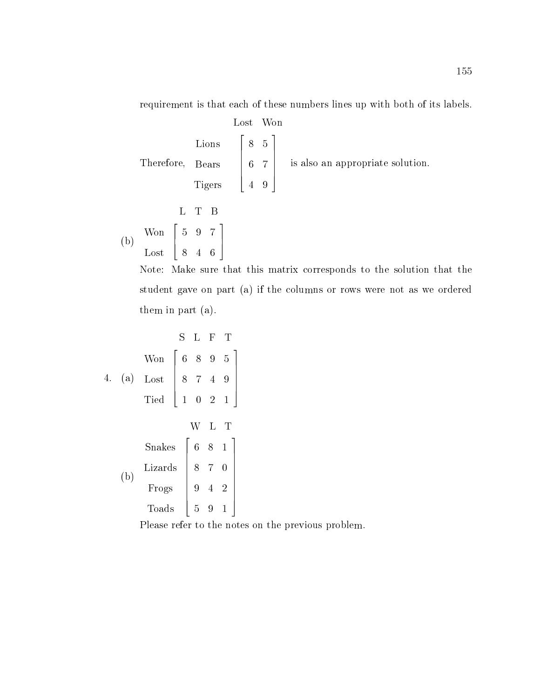requirement is that each of these numbers lines up with both of its labels.

 $T$   $\sim$   $T$   $\sim$   $T$   $\sim$   $T$   $\sim$   $T$ <u>Lions and the second second in the second second in the second second in the second in the second in the second in the second in the second in the second in the second in the second in the second in the second in the seco</u> Bears and the contract of the contract of the contract of the contract of the contract of the contract of the contract of the contract of the contract of the contract of the contract of the contract of the contract of the Tight and the second contract of the second contract of the second contract of the second contract of the second contract of the second contract of the second contract of the second contract of the second contract of the s Lost Won 22 P  $\begin{bmatrix} 6 & 7 \end{bmatrix}$  $\sim$  5 for  $\sim$  5 for  $\sim$  5 for  $\sim$  $\sim$  7  $\sim$  7  $\sim$  7  $\sim$  7  $\sim$  7  $\sim$  7  $\sim$  7  $\sim$  7  $\sim$  7  $\sim$  7  $\sim$  7  $\sim$  7  $\sim$  7  $\sim$  7  $\sim$  7  $\sim$  7  $\sim$  7  $\sim$  7  $\sim$  7  $\sim$  7  $\sim$  7  $\sim$  7  $\sim$  7  $\sim$  7  $\sim$  7  $\sim$  7  $\sim$  7  $\sim$  7  $\sim$  7  $\sim$  7  $\sim$  7  $\sim$  9  $\Big|$  is also is also an appropriate solution.  $\mathbf{b}$ where you are the second to the second state of the second state of the second state of the second state of the ———————————— L T B 4 9 7 4 6 1 - 5 - 5 - 5 - 5 - 5

Note: Make sure that this matrix corresponds to the solution that the student gave on part (a) if the columns or rows were not as we ordered them in part (a).

| S   | L                                                                                           | F                                                                         | T |
|-----|---------------------------------------------------------------------------------------------|---------------------------------------------------------------------------|---|
| Won | \n $\begin{bmatrix}\n 6 & 8 & 9 & 5 \\  8 & 7 & 4 & 9 \\  1 & 0 & 2 & 1\n \end{bmatrix}$ \n |                                                                           |   |
| 4.  | (a) Lost                                                                                    | \n $\begin{bmatrix}\n 8 & 7 & 4 & 9 \\  1 & 0 & 2 & 1\n \end{bmatrix}$ \n |   |
| 3.  | 1                                                                                           | 1                                                                         |   |
| 5.  | 1                                                                                           | 1                                                                         |   |
| 6.  | 5                                                                                           | 9                                                                         | 1 |

Please refer to the notes on the previous problem.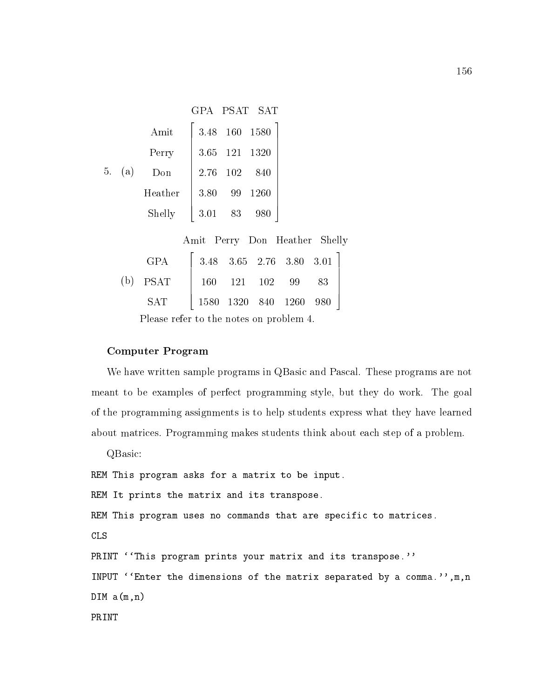|        |         |          |    | GPA PSAT SAT  |
|--------|---------|----------|----|---------------|
|        | Amit    |          |    | 3.48 160 1580 |
|        | Perry   |          |    | 3.65 121 1320 |
| 5. (a) | Don     | 2.76 102 |    | 840           |
|        | Heather | 3.80     | 99 | 1260          |
|        | Shelly  | 3.01     | 83 | 980           |
|        |         |          |    |               |

Amit Perry Don Heather Shelly

| GPA $\begin{bmatrix} 3.48 & 3.65 & 2.76 & 3.80 & 3.01 \end{bmatrix}$ |  |  |  |
|----------------------------------------------------------------------|--|--|--|
| (b) PSAT   160 121 102 99 83                                         |  |  |  |
| SAT   1580 1320 840 1260 980                                         |  |  |  |

Please refer to the notes on problem 4.

### Computer Program

We have written sample programs in QBasic and Pascal. These programs are not meant to be examples of perfect programming style, but they do work. The goal of the programming assignments is to help students express what they have learned about matrices. Programming makes students think about each step of a problem.

QBasic: REM This program asks for a matrix to be input. REM It prints the matrix and its transpose. REM This program uses no commands that are specific to matrices. CLS PRINT ''This program prints your matrix and its transpose.'' INPUT ''Enter the dimensions of the matrix separated by a comma.'', m, n  $DIM \t a(m,n)$ PRINT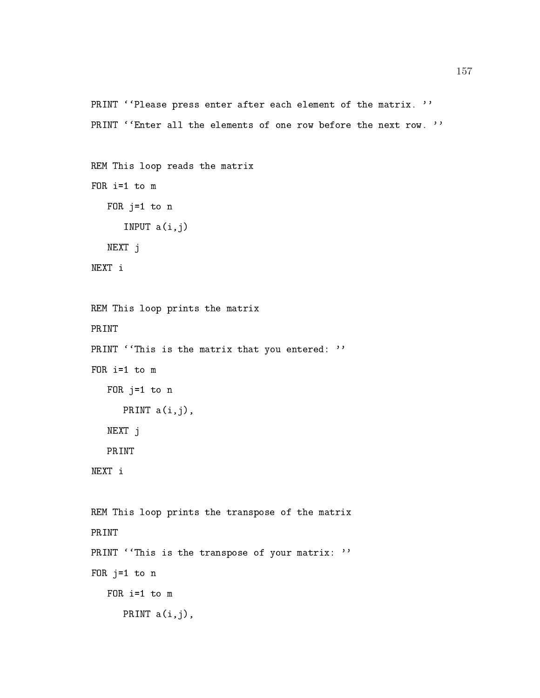```
PRINT ''Please press enter after each element of the matrix. ''
PRINT ''Enter all the elements of one row before the next row. ''
```

```
REM This loop reads the matrix
FOR i=1 to m
   FOR j=1 to n
      INPUT a(i,j)
   NEXT j
```

```
REM This loop prints the matrix
PRINT
PRINT ' This is the matrix that you entered: ''
  FOR j=1 to n
     PRINT a(i,j),
   NEXT j
   PRINT
NEXT i
REM This loop prints the transpose of the matrix
PRINT
PRINT ''This is the transpose of your matrix: ''
FOR j=1 to n
     PRINT a(i,j),
```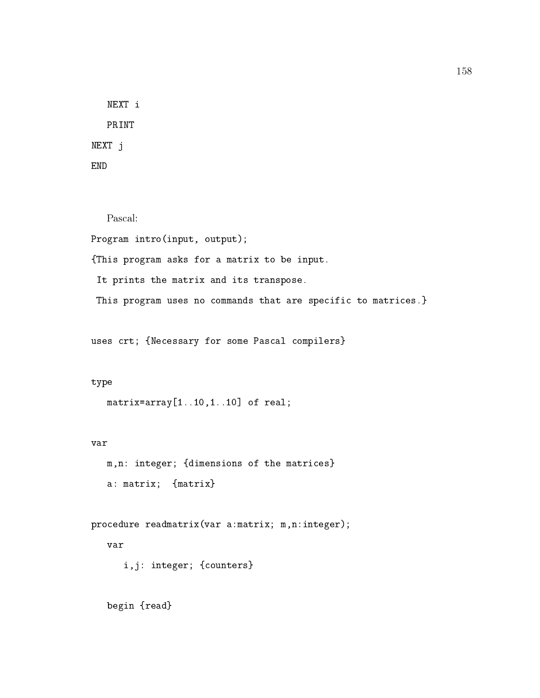NEXT i PRINT NEXT j

Pascal: Program intro(input, output);

{This program asks for a matrix to be input.

It prints the matrix and its transpose.

This program uses no commands that are specific to matrices.}

uses crt; {Necessary for some Pascal compilers}

#### type

```
matrix=array[1..10,1..10] of real;
```
m,n: integer; {dimensions of the matrices} a: matrix; {matrix}

procedure readmatrix(var a:matrix; m,n:integer); i,j: integer; {counters}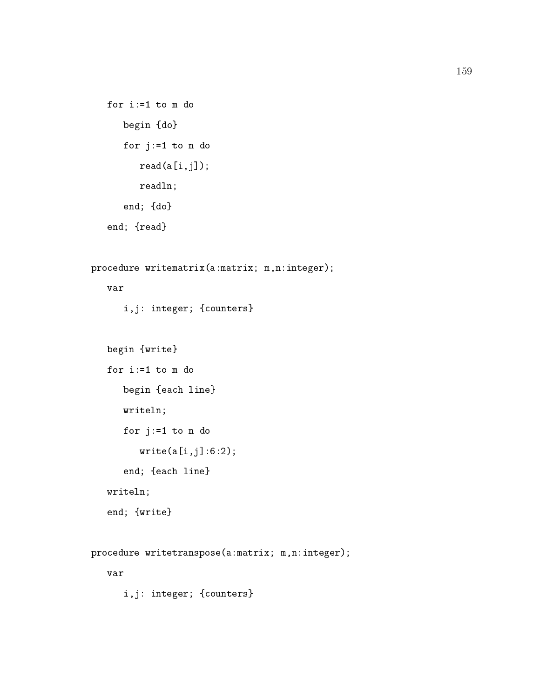```
for i:=1 to m do
  begin {do}
  for j:=1 to n do
      read(a[i,j]);readln;
   end; {do}
end; {read}
```

```
procedure writematrix(a:matrix; m,n:integer);
   var
      i,j: integer; {counters}
   begin {write}
      begin {each line}
      writeln;
      for j:=1 to n do
         write(a[i,j]:6:2);end; {each line}
   writeln;
   end; {write}
procedure writetranspose(a:matrix; m,n:integer);
```
#### var

i,j: integer; {counters}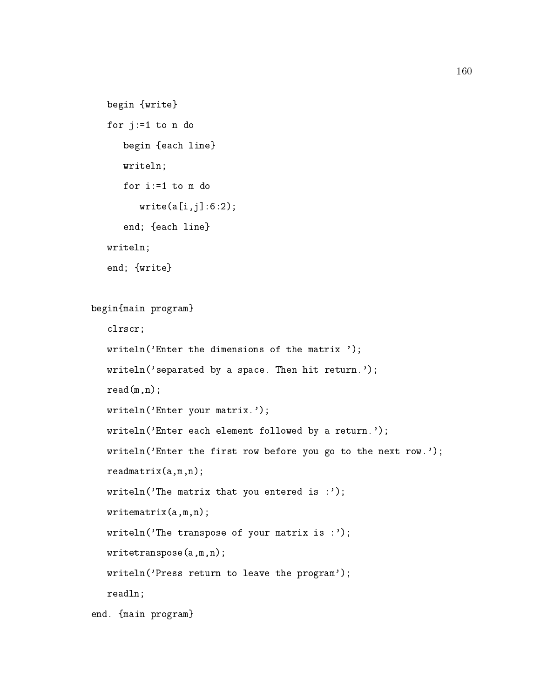```
begin {write}
for j:=1 to n do
       begin {each line}
        write the contract of the contract of the contract of the contract of the contract of the contract of the contract of the contract of the contract of the contract of the contract of the contract of the contract of the cont
       for i := 1 to m do
               write(a[i,j]:6:2);end; {each line}
writeln;
end; {write}
```

```
begin{main program}
   clrscr;
  writeln('Enter the dimensions of the matrix ');
  writeln('separated by a space. Then hit return.');
  read(m,n);writeln('Enter your matrix.');
  writeln('Enter each element followed by a return.');
   writeln('Enter the first row before you go to the next row.');
  readmatrix(a,m,n);
  writeln('The matrix that you entered is :');
  writematrix(a,m,n);
   writeln('The transpose of your matrix is :');
   writetranspose(a,m,n);
   writeln('Press return to leave the program');
  readln;
```

```
end. {main program}
```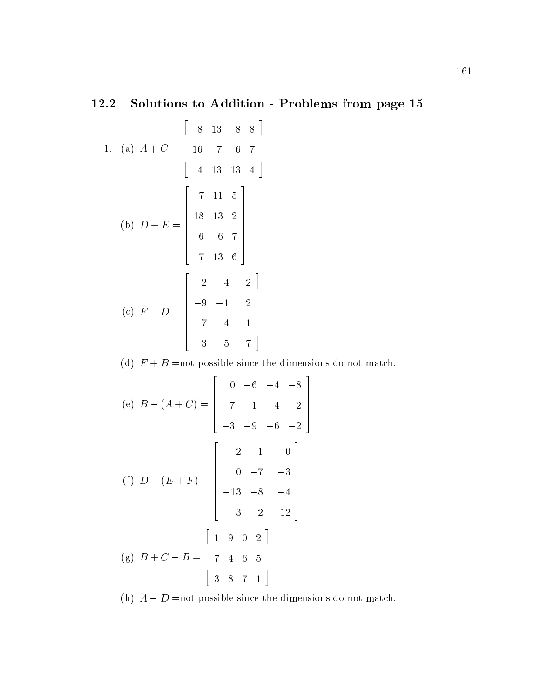# 12.2 Solutions to Addition - Problems from page 15

1. (a) 
$$
A + C = \begin{bmatrix} 8 & 13 & 8 & 8 \\ 16 & 7 & 6 & 7 \\ 4 & 13 & 13 & 4 \end{bmatrix}
$$
  
\n(b)  $D + E = \begin{bmatrix} 7 & 11 & 5 \\ 18 & 13 & 2 \\ 6 & 6 & 7 \\ 7 & 13 & 6 \end{bmatrix}$   
\n(c)  $F - D = \begin{bmatrix} 2 & -4 & -2 \\ -9 & -1 & 2 \\ 7 & 4 & 1 \\ -3 & -5 & 7 \end{bmatrix}$ 

(d)  $F + B$  =not possible since the dimensions do not match.

(e) 
$$
B - (A + C) = \begin{bmatrix} 0 & -6 & -4 & -8 \\ -7 & -1 & -4 & -2 \\ -3 & -9 & -6 & -2 \end{bmatrix}
$$
  
\n(f)  $D - (E + F) = \begin{bmatrix} -2 & -1 & 0 \\ 0 & -7 & -3 \\ -13 & -8 & -4 \\ 3 & -2 & -12 \end{bmatrix}$   
\n(g)  $B + C - B = \begin{bmatrix} 1 & 9 & 0 & 2 \\ 7 & 4 & 6 & 5 \\ 3 & 8 & 7 & 1 \end{bmatrix}$ 

(h)  $A - D$  =not possible since the dimensions do not match.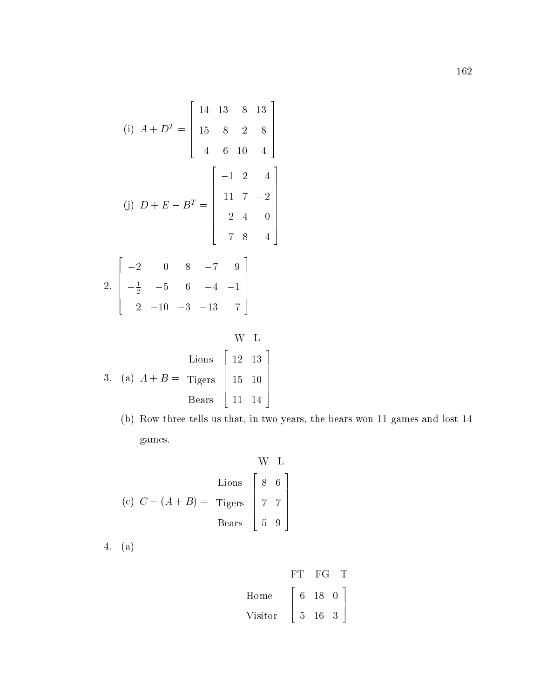(i) 
$$
A + D^{T} = \begin{bmatrix} 14 & 13 & 8 & 13 \\ 15 & 8 & 2 & 8 \\ 4 & 6 & 10 & 4 \end{bmatrix}
$$
  
\n(j)  $D + E - B^{T} = \begin{bmatrix} -1 & 2 & 4 \\ 11 & 7 & -2 \\ 2 & 4 & 0 \\ 7 & 8 & 4 \end{bmatrix}$   
\n2.  $\begin{bmatrix} -2 & 0 & 8 & -7 & 9 \\ -\frac{1}{2} & -5 & 6 & -4 & -1 \\ 2 & -10 & -3 & -13 & 7 \end{bmatrix}$   
\nW L  
\n6. L  
\n3. (a)  $A + B =$  Tigers  $\begin{bmatrix} 12 & 13 \\ 15 & 10 \\ 11 & 14 \end{bmatrix}$ 

(b) Row three tells us that, in two years, the bears won 11 games and lost 14 games.

$$
(c) C - (A + B) = \text{Tigers} \begin{bmatrix} 8 & 6 \\ 7 & 7 \\ 5 & 9 \end{bmatrix}
$$

4. (a)

$$
\begin{array}{c|cc}\n & & \text{FT} & \text{FG} & \text{T} \\
\text{Home} & \begin{bmatrix} 6 & 18 & 0 \\ 5 & 16 & 3 \end{bmatrix}\n\end{array}
$$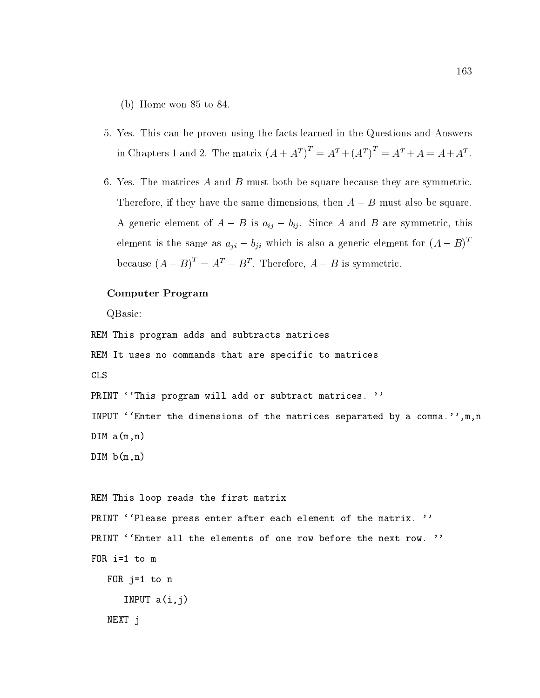(b) Home won 85 to 84.

- 5. Yes. This can be proven using the facts learned in the Questions and Answers in Chapters 1 and 2. The matrix  $(A + A^I)^{\dagger} = A^I + (A^I)^{\dagger} = A^I + A = A + A^I$ .
- 6. Yes. The matrices A and B must both be square because they are symmetric. Therefore, if they have the same dimensions, then  $A - B$  must also be square. A generic element of  $A - B$  is  $a_{ij} - b_{ij}$ . Since A and B are symmetric, this element is the same as  $a_{ji} - b_{ji}$  which is also a generic element for  $(A - B)^T$ because  $(A - B)^{T} = A^{T} - B^{T}$ . Therefore,  $A - B$  is symmetric.

#### Computer Program

QBasic:

```
REM This program adds and subtracts matrices
REM It uses no commands that are specific to matrices
CLS
PRINT ''This program will add or subtract matrices. ''
INPUT ''Enter the dimensions of the matrices separated by a comma.'',m,n
DIM a(m,n)
DIM b(m, n)REM This loop reads the first matrix
PRINT ''Please press enter after each element of the matrix. ''
PRINT ''Enter all the elements of one row before the next row. ''
FOR i=1 to m
   FOR j=1 to n
      INPUT a(i,j)
   NEXT j
```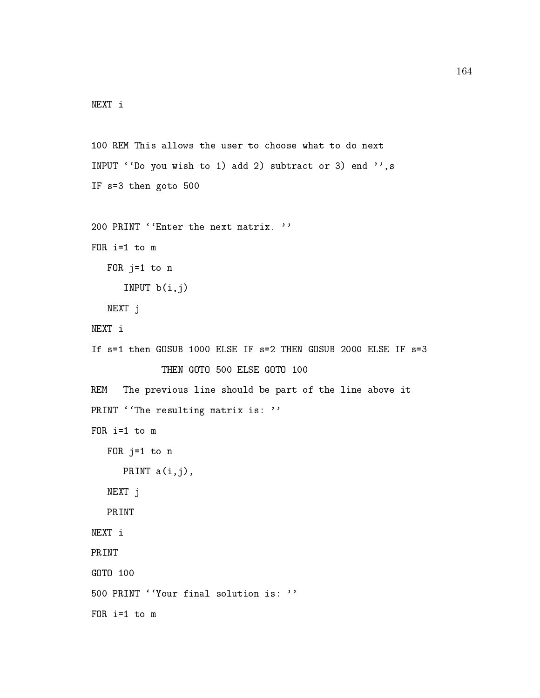```
NEXT i
```

```
100 REM This allows the user to choose what to do next
INPUT ' 'Do you wish to 1) add 2) subtract or 3) end '', s
IF s=3 then goto 500
200 PRINT ''Enter the next matrix. ''
FOR i=1 to m
   FOR j=1 to n
      INPUT b(i,j)
   NEXT j
NEXT i
If s=1 then GOSUB 1000 ELSE IF s=2 THEN GOSUB 2000 ELSE IF s=3
REM The previous line should be part of the line above it
PRINT ''The resulting matrix is: ''
FOR i=1 to m
   FOR j=1 to n
     PRINT a(i,j),
   NEXT j
   PRINT
NEXT i
PRINT
GOTO 100
500 PRINT ''Your final solution is: ''
FOR i=1 to m
```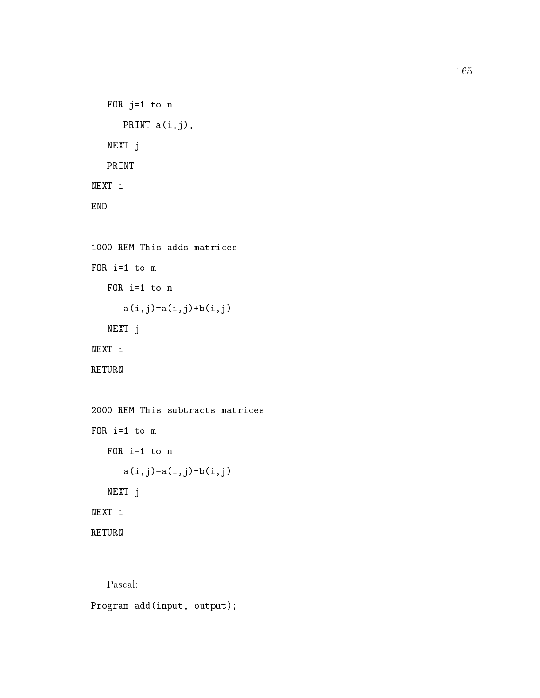```
FOR j=1 to n
      PRINT a(i,j),
   NEXT j
   PRINT
NEXT i
END
```

```
1000 REM This adds matrices
FOR i=1 to m
   FOR i=1 to n
      a(i,j)=a(i,j)+b(i,j)NEXT j
NEXT i
RETURN
```

```
2000 REM This subtracts matrices
FOR i=1 to m
   FOR i=1 to n
      a(i,j)=a(i,j)-b(i,j)NEXT j
NEXT i
RETURN
```
Pascal:

Program add(input, output);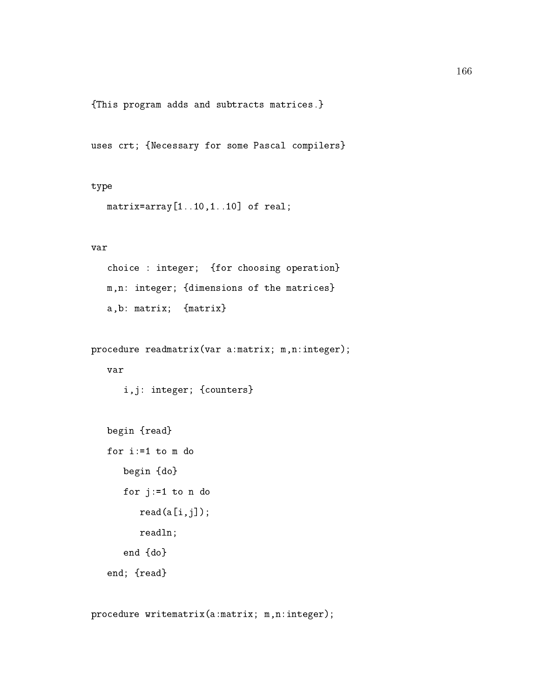{This program adds and subtracts matrices.}

uses crt; {Necessary for some Pascal compilers}

#### type

matrix=array[1..10,1..10] of real;

#### var

choice : integer; {for choosing operation} m,n: integer; {dimensions of the matrices} a,b: matrix; {matrix}

```
procedure readmatrix(var a:matrix; m,n:integer);
```
i,j: integer; {counters}

```
begin {read}
for i:=1 to m do
   begin {do}
  for j:=1 to n do
      read(a[i,j]);readln;
   end {do}
end; {read}
```
procedure writematrix(a:matrix; m,n:integer);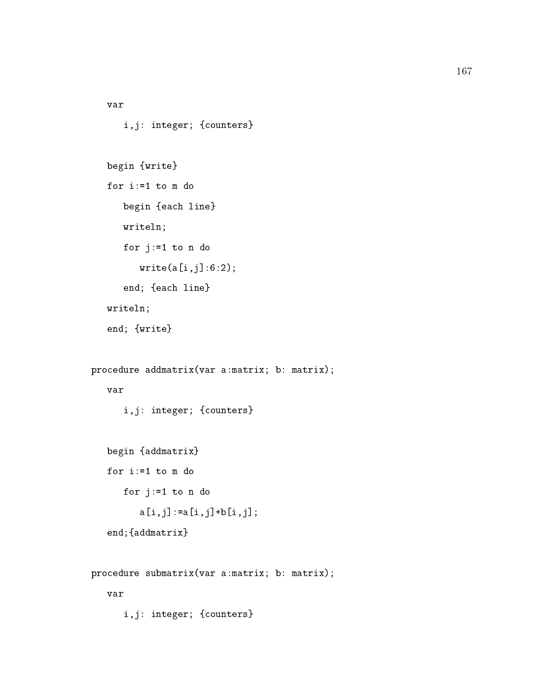```
167
```

```
var
      i,j: integer; {counters}
   begin {write}
   for i := 1 to m do
      begin {each line}
      writeln;
      for j:=1 to n do
         write(a[i,j]:6:2);end; {each line}
   writeln;
   end; {write}
procedure addmatrix(var a:matrix; b: matrix);
      i,j: integer; {counters}
   begin {addmatrix}
   for i:=1 to m do
      for j:=1 to n do
         a[i,j] := a[i,j] + b[i,j];end;{addmatrix}
procedure submatrix(var a:matrix; b: matrix);
```

```
i,j: integer; {counters}
```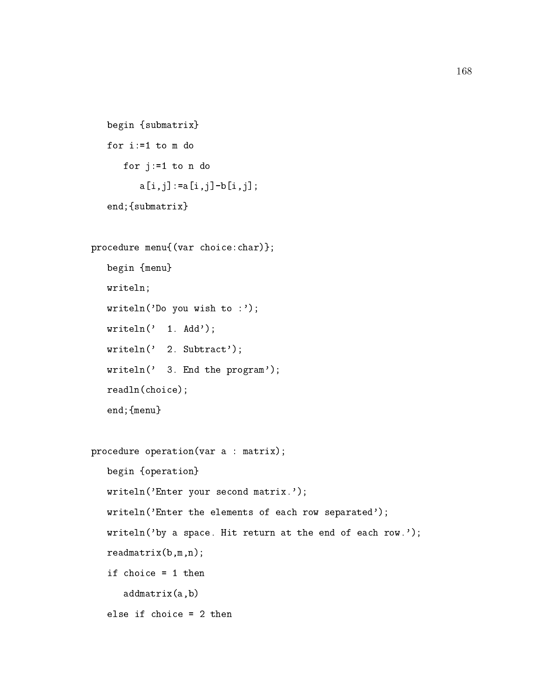```
begin {submatrix}
for i:=1 to m do
  for j:=1 to n do
      a[i,j] := a[i,j] - b[i,j];end;{submatrix}
```

```
procedure menu{(var choice:char)};
   begin {menu}
  writeln;
  writeln('Do you wish to :');
  written(' 1. Add');writeln(' 2. Subtract');
  writeln(' 3. End the program');
  readln(choice);
   end;{menu}
procedure operation(var a : matrix);
  begin {operation}
  writeln('Enter your second matrix.');
  writeln('Enter the elements of each row separated');
  writeln('by a space. Hit return at the end of each row.');
  readmatrix(b,m,n);
   if choice = 1 then
      addmatrix(a,b)
```

```
else if choice = 2 then
```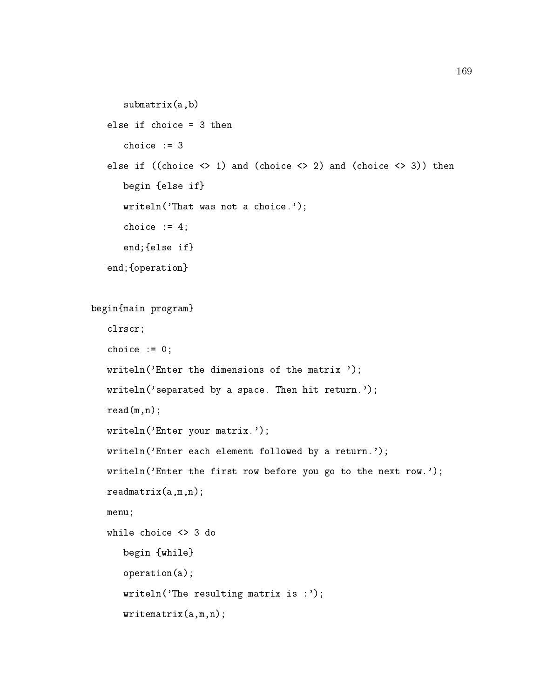```
submatrix(a,b)
else if choice = 3 then
else if ((choice \langle> 1) and (choice \langle> 2) and (choice \langle> 3)) then
   begin {else if}
   writeln('That was not a choice.');
   choice := 4;end;{else if}
end;{operation}
```

```
begin{main program}
   clrscr;
   choice := 0;writeln('Enter the dimensions of the matrix ');
  writeln('separated by a space. Then hit return.');
  read(m,n);writeln('Enter your matrix.');
  writeln('Enter each element followed by a return.');
  writeln('Enter the first row before you go to the next row.');
  readmatrix(a,m,n);
  menu;
  while choice <> 3 do
     begin {while}
      operation(a);
     writeln('The resulting matrix is :');
```
writematrix(a,m,n);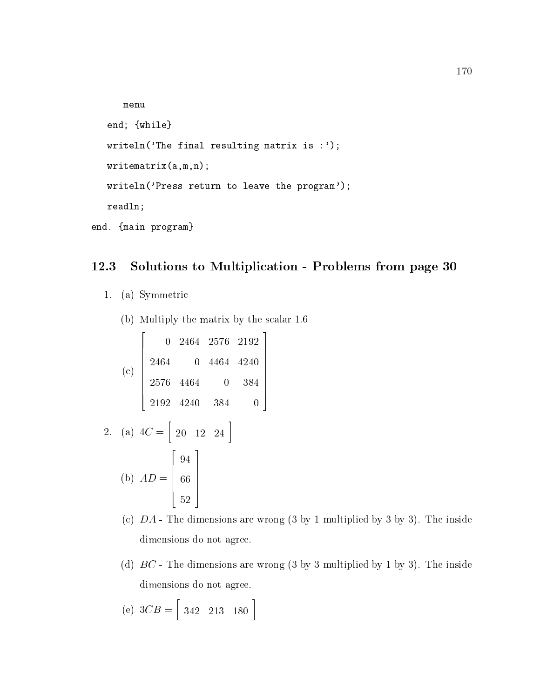```
menu
   end; {while}
  writeln('The final resulting matrix is :');
  writematrix(a,m,n);
  writeln('Press return to leave the program');
  readln;
end. {main program}
```
## 12.3 Solutions to Multiplication - Problems from page 30

- 1. (a) Symmetric
	- (b) Multiply the matrix by the scalar 1.6

$$
\begin{bmatrix}\n0 & 2464 & 2576 & 2192 \\
2464 & 0 & 4464 & 4240 \\
2576 & 4464 & 0 & 384 \\
2192 & 4240 & 384 & 0\n\end{bmatrix}
$$
\n2. (a)  $4C = \begin{bmatrix} 20 & 12 & 24 \end{bmatrix}$   
\n(b)  $AD = \begin{bmatrix} 94 \\ 66 \end{bmatrix}$ 

 $\mathbf{A}$  and  $\mathbf{A}$  are the set of  $\mathbf{A}$  and  $\mathbf{A}$  are the set of  $\mathbf{A}$ 

the contract of the contract of the contract of the contract of the contract of the contract of the contract of

- (c)  $DA$  The dimensions are wrong  $(3 \text{ by } 1 \text{ multiplied by } 3 \text{ by } 3)$ . The inside dimensions do not agree.
- (d)  $BC$  The dimensions are wrong (3 by 3 multiplied by 1 by 3). The inside dimensions do not agree.
- $\sqrt{2}$  3  $\infty$   $=$   $\sqrt{2}$   $\sqrt{2}$   $\sqrt{2}$   $\sqrt{2}$   $\sqrt{2}$  $\begin{bmatrix} 342 & 213 & 180 \end{bmatrix}$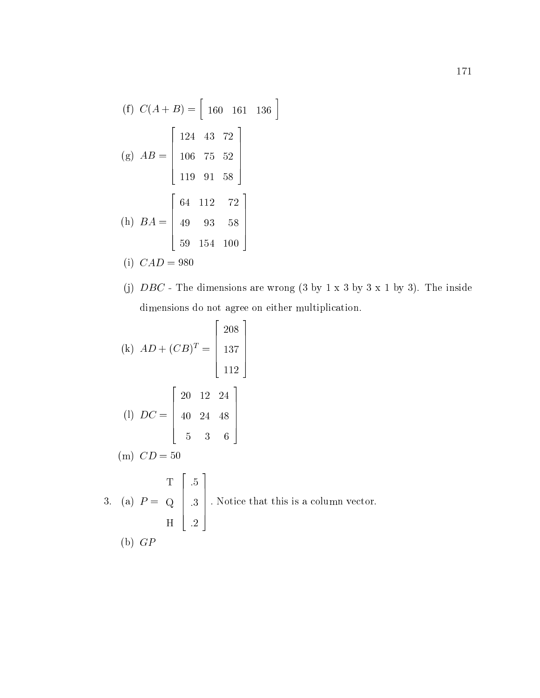(f) 
$$
C(A + B) = [ 160 \t 161 \t 136 ]
$$
  
\n(g)  $AB = \begin{bmatrix} 124 & 43 & 72 \\ 106 & 75 & 52 \\ 119 & 91 & 58 \end{bmatrix}$   
\n(h)  $BA = \begin{bmatrix} 64 & 112 & 72 \\ 49 & 93 & 58 \\ 59 & 154 & 100 \end{bmatrix}$   
\n(i)  $CAD = 980$ 

(j) 
$$
DBC
$$
 - The dimensions are wrong (3 by 1 x 3 by 3 x 1 by 3). The inside dimensions do not agree on either multiplication.

(k) 
$$
AD + (CB)^T = \begin{bmatrix} 208 \\ 137 \\ 112 \end{bmatrix}
$$
  
\n(l)  $DC = \begin{bmatrix} 20 & 12 & 24 \\ 40 & 24 & 48 \\ 5 & 3 & 6 \end{bmatrix}$   
\n(m)  $CD = 50$   
\n3. (a)  $P = Q \begin{bmatrix} .5 \\ .3 \\ .2 \end{bmatrix}$ . Notice that this is a column vector.  
\nH  $\begin{bmatrix} .5 \\ .2 \end{bmatrix}$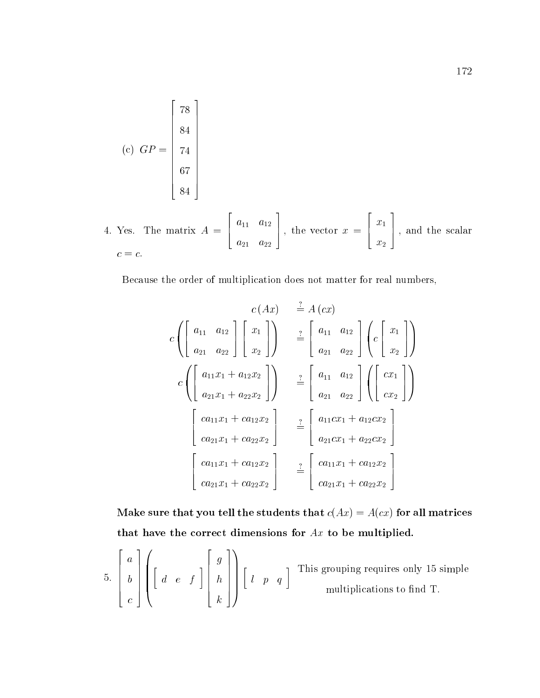(c) 
$$
GP = \begin{bmatrix} 78 \\ 84 \\ 74 \\ 67 \\ 84 \end{bmatrix}
$$

 $4.4\%$  and  $4.4\%$  and  $4.4\%$  and  $4.4\%$  and  $4.4\%$  and  $4.4\%$  and  $4.4\%$  and  $4.4\%$  and  $4.4\%$  and  $4.4\%$  and  $4.4\%$  and  $4.4\%$  and  $4.4\%$  and  $4.4\%$  and  $4.4\%$  and  $4.4\%$  and  $4.4\%$  and  $4.4\%$  and  $4.4\$ 6 4  $11$   $12$   $1$   $1$ a21 a22  $\bot$ , the vector  $x = \bot$ , and | ar x1 x2 7 5 ; and the scalar  $c = c.$ 

<u>and the second contract of the second contract of the second contract of the second contract of the second con</u>

2

and the state of the state of the state of the state of the state of the state of the state of the state of th

Because the order of multiplication does not matter for real numbers,

 $\overline{2}$  2  $\overline{2}$  2  $\overline{2}$  2  $\overline{2}$  2  $\overline{2}$  2  $\overline{2}$  2  $\overline{2}$  2  $\overline{2}$  2  $\overline{2}$  2  $\overline{2}$  2  $\overline{2}$  2  $\overline{2}$  2  $\overline{2}$  2  $\overline{2}$  2  $\overline{2}$  2  $\overline{2}$  2  $\overline{2}$  2  $\overline{2}$  2  $\overline{2}$  2  $\overline{2}$  2

$$
c(Ax) \stackrel{?}{=} A(cx)
$$
  
\n
$$
c\left(\begin{bmatrix} a_{11} & a_{12} \\ a_{21} & a_{22} \end{bmatrix} \begin{bmatrix} x_1 \\ x_2 \end{bmatrix} \right) \stackrel{?}{=} \begin{bmatrix} a_{11} & a_{12} \\ a_{21} & a_{22} \end{bmatrix} \begin{bmatrix} c \\ x_1 \end{bmatrix}
$$
  
\n
$$
c\left(\begin{bmatrix} a_{11}x_1 + a_{12}x_2 \\ a_{21}x_1 + a_{22}x_2 \end{bmatrix} \right) \stackrel{?}{=} \begin{bmatrix} a_{11} & a_{12} \\ a_{21} & a_{22} \end{bmatrix} \begin{bmatrix} cx_1 \\ cx_2 \end{bmatrix}
$$
  
\n
$$
\begin{bmatrix} ca_{11}x_1 + ca_{12}x_2 \\ ca_{21}x_1 + ca_{22}x_2 \end{bmatrix} \stackrel{?}{=} \begin{bmatrix} a_{11}cx_1 + a_{12}cx_2 \\ a_{21}cx_1 + a_{22}cx_2 \end{bmatrix}
$$
  
\n
$$
\begin{bmatrix} ca_{11}x_1 + ca_{12}x_2 \\ ca_{21}x_1 + ca_{22}x_2 \end{bmatrix} \stackrel{?}{=} \begin{bmatrix} ca_{11}x_1 + ca_{12}x_2 \\ ca_{21}x_1 + ca_{22}x_2 \end{bmatrix}
$$

Make sure that you tell the students that  $c(Ax) = A(cx)$  for all matrices that have the correct dimensions for  $Ax$  to be multiplied.

5. 
$$
\begin{bmatrix} a \\ b \\ c \end{bmatrix} \left( \begin{bmatrix} d & e & f \end{bmatrix} \begin{bmatrix} g \\ h \\ k \end{bmatrix} \right) \left[ \begin{array}{cc} l & p & q \end{array} \right]
$$
 This grouping requires only 15 simple multiplications to find T.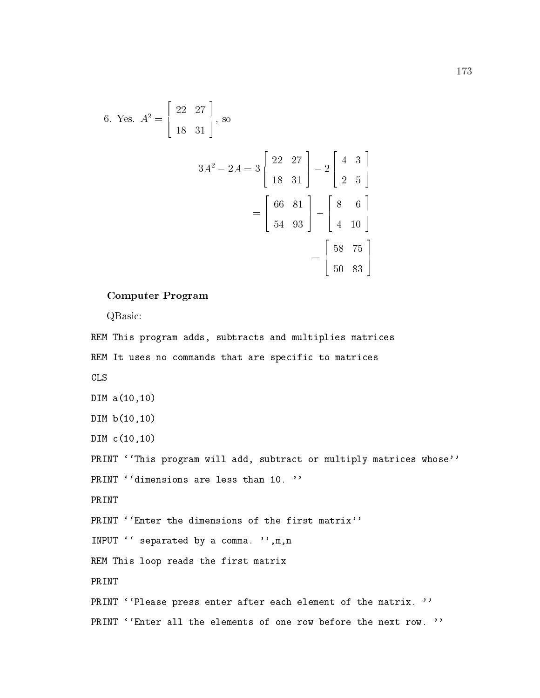6. Yes. 
$$
A^2 = \begin{bmatrix} 22 & 27 \\ 18 & 31 \end{bmatrix}
$$
, so  
\n
$$
3A^2 - 2A = 3 \begin{bmatrix} 22 & 27 \\ 18 & 31 \end{bmatrix} - 2 \begin{bmatrix} 4 & 3 \\ 2 & 5 \end{bmatrix}
$$
\n
$$
= \begin{bmatrix} 66 & 81 \\ 54 & 93 \end{bmatrix} - \begin{bmatrix} 8 & 6 \\ 4 & 10 \end{bmatrix}
$$
\n
$$
= \begin{bmatrix} 58 & 75 \\ 50 & 83 \end{bmatrix}
$$

#### Computer Program

QBasic:

REM This program adds, subtracts and multiplies matrices REM It uses no commands that are specific to matrices CLS DIM a(10,10) DIM b(10,10) DIM c(10,10) PRINT ''This program will add, subtract or multiply matrices whose'' PRINT ''dimensions are less than 10. '' PRINT PRINT ''Enter the dimensions of the first matrix'' INPUT '' separated by a comma. '', m, n REM This loop reads the first matrix PRINT PRINT ''Please press enter after each element of the matrix. '' PRINT ''Enter all the elements of one row before the next row. ''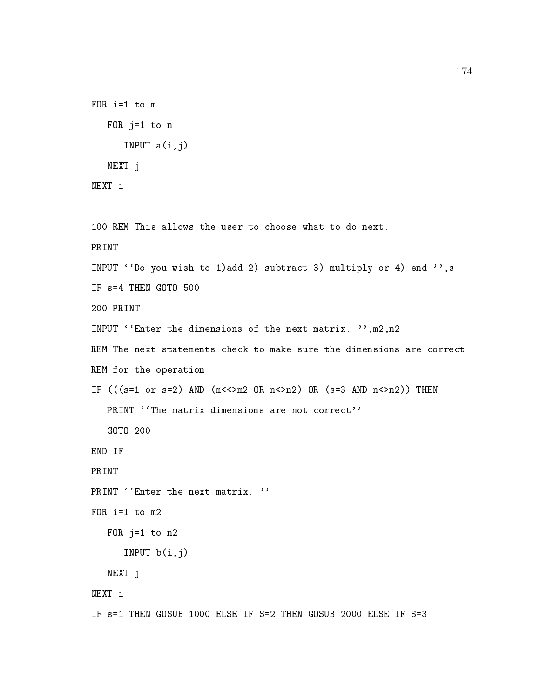```
FOR i=1 to m
   FOR j=1 to n
      INPUT a(i, j)NEXT j
NEXT i
100 REM This allows the user to choose what to do next.
INPUT ' 'Do you wish to 1)add 2) subtract 3) multiply or 4) end '', s
IF s=4 THEN GOTO 500
200 PRINT
INPUT ' Enter the dimensions of the next matrix. '', m2, n2
REM The next statements check to make sure the dimensions are correct
REM for the operation
IF (((s=1 \text{ or } s=2) AND (m<<>m2 \text{ OR } n<>>n2) OR (s=3 AND n(<>>n2</math>)) THEN
   PRINT ''The matrix dimensions are not correct''
   GOTO 200
END IF
PRINT
PRINT ''Enter the next matrix. ''
FOR i=1 to m2
   FOR j=1 to n2
      INPUT b(i,j)NEXT j
IF s=1 THEN GOSUB 1000 ELSE IF S=2 THEN GOSUB 2000 ELSE IF S=3
```
174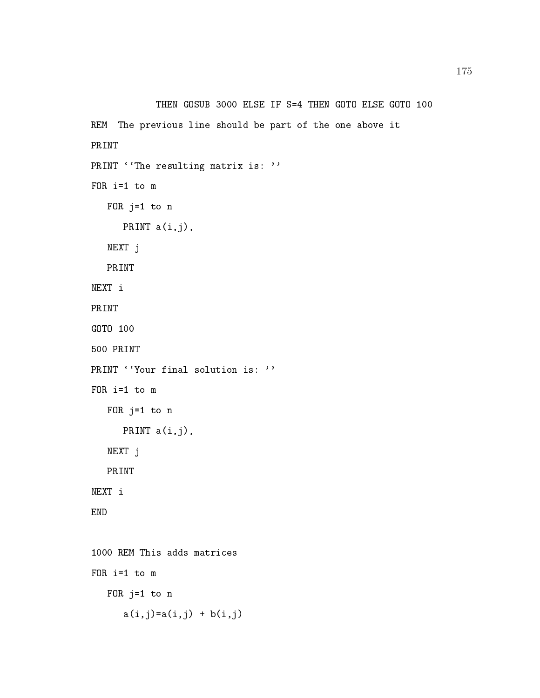```
THEN GOSUB 3000 ELSE IF S=4 THEN GOTO ELSE GOTO 100
REM The previous line should be part of the one above it
PRINT
PRINT ''The resulting matrix is: ''
FOR i=1 to m
   FOR j=1 to n
      PRINT a(i,j),
   NEXT j
NEXT i
PRINT
GOTO 100
500 PRINT
PRINT ''Your final solution is: ''
FOR i=1 to m
   FOR j=1 to n
      PRINT a(i,j),
   NEXT j
   PRINT
NEXT i
END
1000 REM This adds matrices
FOR i=1 to m
   FOR j=1 to n
      a(i, j) = a(i, j) + b(i, j)
```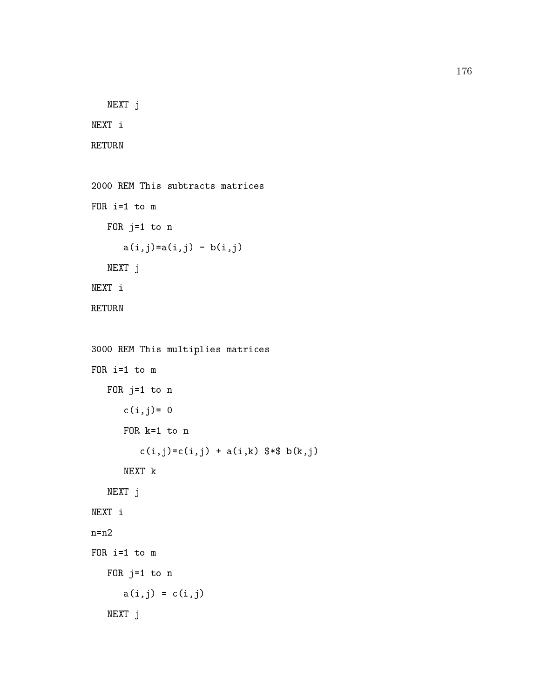```
NEXT j
NEXT i
RETURN
2000 REM This subtracts matrices
FOR i=1 to m
   FOR j=1 to n
      a(i, j) = a(i, j) - b(i, j)NEXT j
NEXT i
RETURN
3000 REM This multiplies matrices
FOR i=1 to m
   FOR j=1 to n
      c(i, j) = 0FOR k=1 to n
         c(i,j)=c(i,j) + a(i,k) $*$ b(k,j)NEXT k
   NEXT j
NEXT i
n=n2
FOR i=1 to m
   FOR j=1 to n
     a(i, j) = c(i, j)NEXT j
```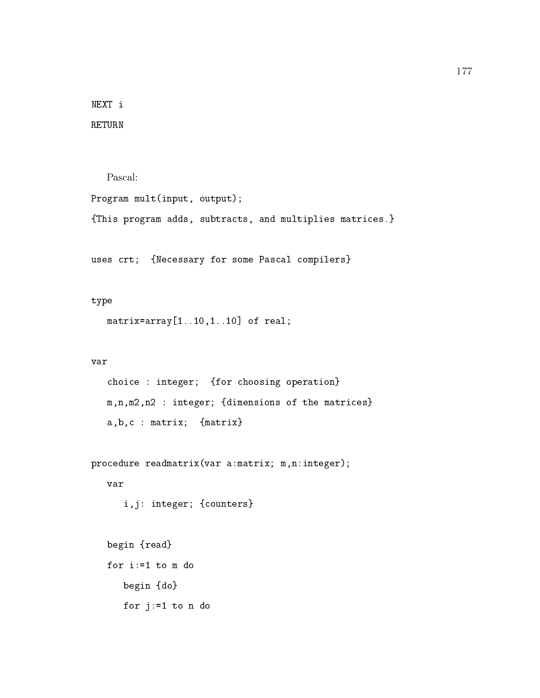NEXT i RETURN

```
Pascal:
Program mult(input, output);
{This program adds, subtracts, and multiplies matrices.}
```
uses crt; {Necessary for some Pascal compilers}

### type

```
matrix=array[1..10,1..10] of real;
```
### var

```
choice : integer; {for choosing operation}
m,n,m2,n2 : integer; {dimensions of the matrices}
a,b,c : matrix; {matrix}
```

```
procedure readmatrix(var a:matrix; m,n:integer);
```
### var

```
i,j: integer; {counters}
```

```
begin {read}
for i:=1 to m do
   begin {do}
  for j:=1 to n do
```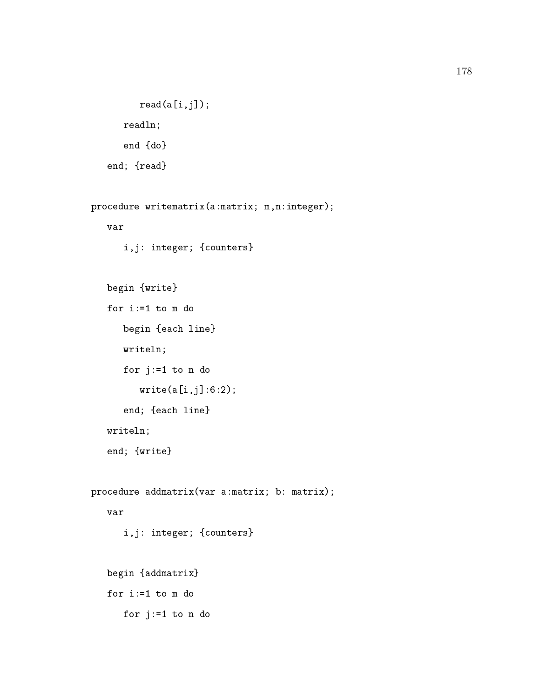```
read(a[i,j]);readln;
  end {do}
end; {read}
```

```
procedure writematrix(a:matrix; m,n:integer);
   var
      i,j: integer; {counters}
   begin {write}
   for i:=1 to m do
      begin {each line}
      writeln;
      for j:=1 to n do
         write(a[i,j]:6:2);
      end; {each line}
   writeln;
   end; {write}
procedure addmatrix(var a:matrix; b: matrix);
      i,j: integer; {counters}
   begin {addmatrix}
   for i:=1 to m do
```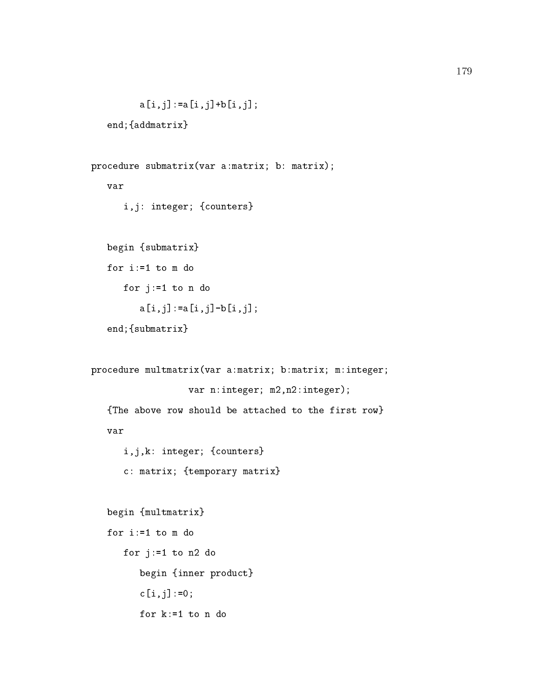```
a[i,j] := a[i,j] + b[i,j];
```

```
end;{addmatrix}
```

```
procedure submatrix(var a:matrix; b: matrix);
   var
      i,j: integer; {counters}
   begin {submatrix}
     for j:=1 to n do
         a[i,j]:=a[i,j]-b[i,j];end;{submatrix}
procedure multmatrix(var a:matrix; b:matrix; m:integer;
                  var n:integer; m2,n2:integer);
   {The above row should be attached to the first row}
   var
      i,j,k: integer; {counters}
      c: matrix; {temporary matrix}
   begin {multmatrix}
   for i:=1 to m do
      for j:=1 to n2 do
         begin {inner product}
         c[i,j]:=0;
```

```
for k:=1 to n do
```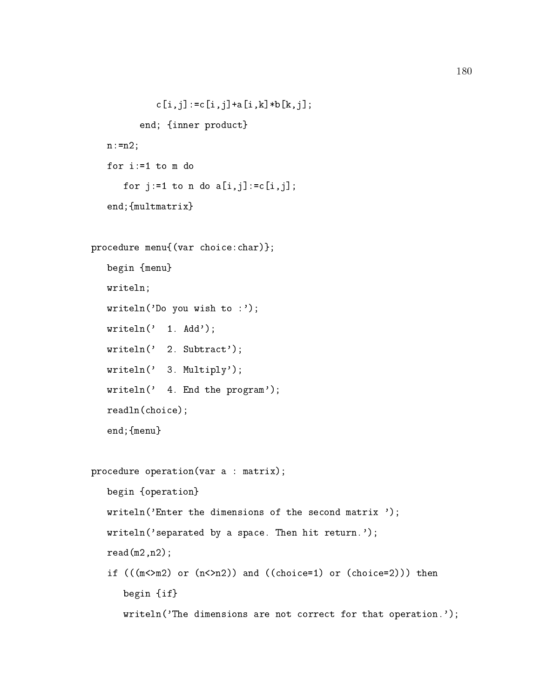```
c[i,j]:=c[i,j]+a[i,k]*b[k,j];end; {inner product}
   n := n2;for i:=1 to m do
      for j:=1 to n do a[i, j]:=c[i, j];
   end;{multmatrix}
procedure menu{(var choice:char)};
   begin {menu}
   writeln;
   writeln('Do you wish to :');
   written(' 1. Add');writeln(' 2. Subtract');
   writeln(' 3. Multiply');
   writeln(' 4. End the program');
   readln(choice);
   end;{menu}
procedure operation(var a : matrix);
   begin {operation}
   writeln('Enter the dimensions of the second matrix ');
   writeln('separated by a space. Then hit return.');
   read(m2, n2);if (((m<>m2)</math> or <math>(n<>m2)</math>) and <math>((choice=1)</math> or <math>(choice=2))</math>) thenbegin {if}
      writeln('The dimensions are not correct for that operation.');
```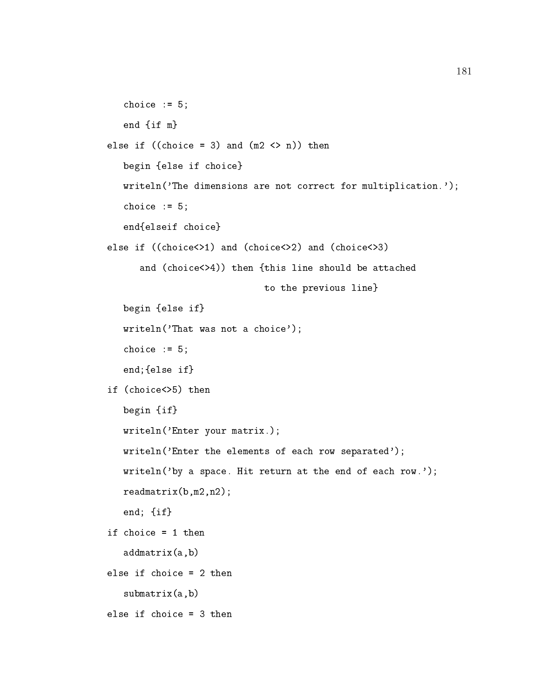```
choice := 5;end {if m}
else if ((choice = 3) and (m2 <) n)) then
  begin {else if choice}
  writeln('The dimensions are not correct for multiplication.');
  choice := 5;end{elseif choice}
else if ((choice<>1) and (choice<>2) and (choice<>3)
      and (choice<>4)) then {this line should be attached
                             to the previous line}
  begin {else if}
  writeln('That was not a choice');
  choice := 5;
  end;{else if}
if (choice<>5) then
  begin {if}
  writeln('Enter your matrix.);
  writeln('Enter the elements of each row separated');
  writeln('by a space. Hit return at the end of each row.');
  readmatrix(b,m2,n2);
  end; {if}
if choice = 1 then
  addmatrix(a,b)
else if choice = 2 then
  submatrix(a,b)
else if choice = 3 then
```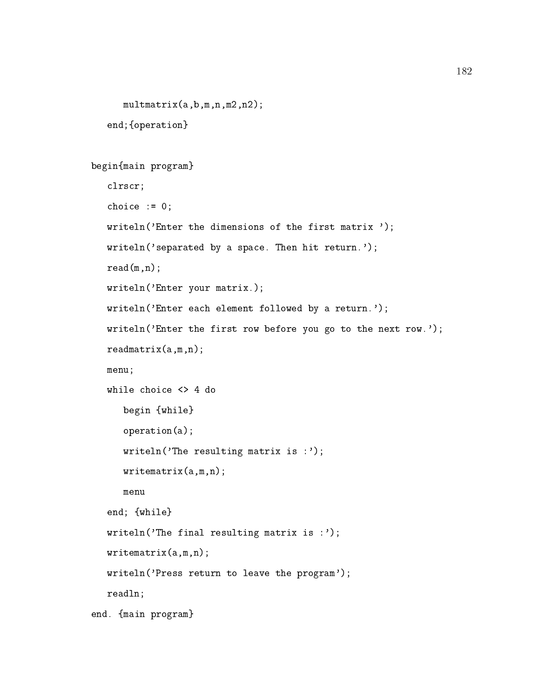```
multmatrix(a,b,m,n,m2,n2);
```
end;{operation}

```
begin{main program}
```

```
clrscr;
  choice := 0;writeln('Enter the dimensions of the first matrix ');
  writeln('separated by a space. Then hit return.');
  read(m, n);writeln('Enter your matrix.);
  writeln('Enter each element followed by a return.');
  writeln('Enter the first row before you go to the next row.');
  readmatrix(a,m,n);
  menu;
  while choice <> 4 do
     begin {while}
     operation(a);
     writeln('The resulting matrix is :');
     writematrix(a,m,n);
  end; {while}
  writeln('The final resulting matrix is :');
  writematrix(a,m,n);
  writeln('Press return to leave the program');
  readln;
end. {main program}
```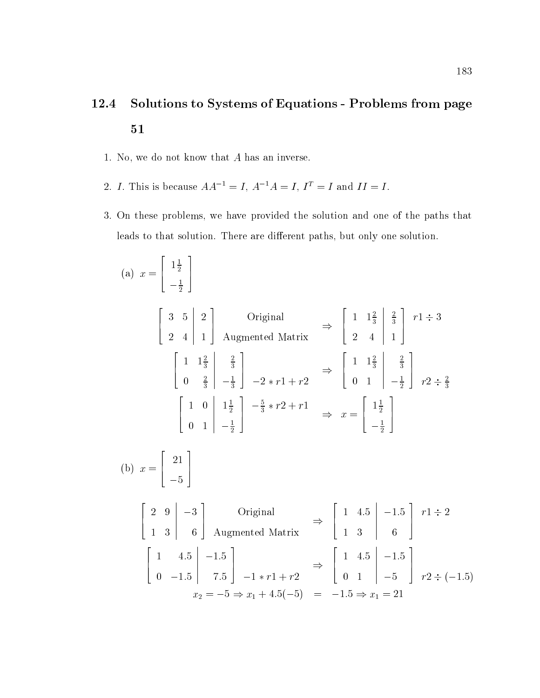# 12.4 Solutions to Systems of Equations - Problems from page

- 1. No, we do not know that A has an inverse.
- 2. I. This is because  $AA^{-1} = I$ ,  $A^{-1}A = I$ ,  $I^{T} = I$  and  $II = I$ .
- 3. On these problems, we have provided the solution and one of the paths that leads to that solution. There are different paths, but only one solution.

(a) 
$$
x = \begin{bmatrix} 1\frac{1}{2} \\ -\frac{1}{2} \end{bmatrix}
$$
  
\n $\begin{bmatrix} 3 & 5 & 2 \\ 2 & 4 & 1 \end{bmatrix}$  Original  $\Rightarrow \begin{bmatrix} 1 & 1\frac{2}{3} & \frac{2}{3} \\ 2 & 4 & 1 \end{bmatrix}$   
\n $\begin{bmatrix} 1 & 1\frac{2}{3} & \frac{2}{3} \\ 0 & \frac{2}{3} & -\frac{1}{3} \end{bmatrix}$   $-2 * r1 + r2 \Rightarrow \begin{bmatrix} 1 & 1\frac{2}{3} & \frac{2}{3} \\ 0 & 1 & -\frac{1}{2} \end{bmatrix}$   $r2 \div \frac{2}{3}$   
\n $\begin{bmatrix} 1 & 0 & 1\frac{1}{2} \\ 0 & 1 & -\frac{1}{2} \end{bmatrix}$   $\begin{bmatrix} -\frac{5}{2} * r2 + r1 & \frac{1}{2} \\ -\frac{1}{2} \end{bmatrix}$   
\n(b)  $x = \begin{bmatrix} 21 \\ -5 \end{bmatrix}$   
\n $\begin{bmatrix} 2 & 9 & -3 \\ 1 & 3 & 6 \\ 0 & -1.5 & 7.5 \end{bmatrix}$  Original  $\Rightarrow \begin{bmatrix} 1 & 4.5 & -1.5 \\ 1 & 3 & 6 \\ 0 & 1 & -5 \end{bmatrix}$   $r1 \div 2$   
\n $\begin{bmatrix} 1 & 4.5 & -1.5 \\ 0 & -1.5 & 7.5 \end{bmatrix}$   $-1 * r1 + r2 \Rightarrow \begin{bmatrix} 1 & 4.5 & -1.5 \\ 0 & 1 & -5 \\ 0 & 1 & -5 \end{bmatrix}$   $r2 \div (-1.5)$   
\n $x_2 = -5 \Rightarrow x_1 + 4.5(-5) = -1.5 \Rightarrow x_1 = 21$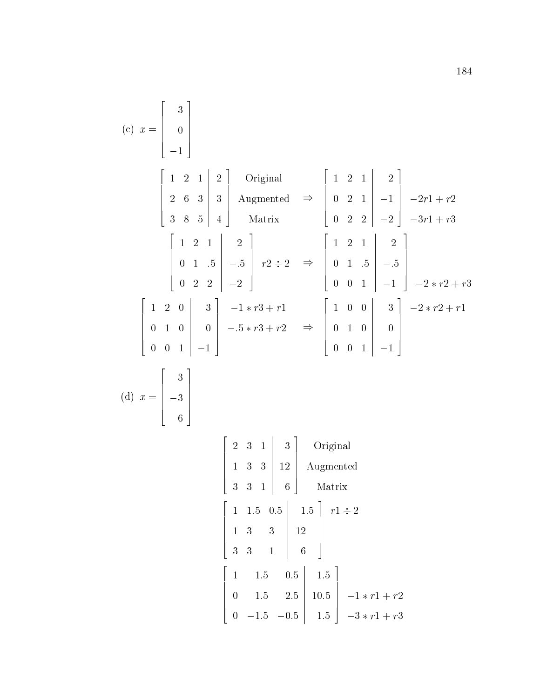(c) 
$$
x = \begin{bmatrix} 3 \\ 0 \\ -1 \end{bmatrix}
$$
  
\n $\begin{bmatrix} 1 & 2 & 1 & 2 \\ 2 & 6 & 3 & 3 \\ 3 & 8 & 5 & 4 \end{bmatrix}$  Augmented  $\Rightarrow \begin{bmatrix} 1 & 2 & 1 & 2 \\ 0 & 2 & 1 & -1 & -2r1 + r2 \\ 0 & 2 & 2 & -2 & -3r1 + r3 \end{bmatrix}$   
\n $\begin{bmatrix} 1 & 2 & 1 & 2 \\ 0 & 1 & .5 & -5 \\ 0 & 2 & 2 & -2 \end{bmatrix}$   $r2 \div 2 \Rightarrow \begin{bmatrix} 1 & 2 & 1 & 2 \\ 0 & 1 & .5 & -5 \\ 0 & 0 & 1 & -1 & -2*r2 + r3 \end{bmatrix}$   
\n $\begin{bmatrix} 1 & 2 & 0 & 3 \\ 0 & 1 & 0 & 0 \\ 0 & 0 & 1 & -1 \end{bmatrix}$   $-5*r3 + r2 \Rightarrow \begin{bmatrix} 1 & 0 & 0 & 3 \\ 0 & 1 & 0 & 0 \\ 0 & 0 & 1 & -1 \end{bmatrix}$   $-2*r2 + r1$   
\n(d)  $x = \begin{bmatrix} 3 \\ -3 \\ 6 \end{bmatrix}$   
\n $\begin{bmatrix} 2 & 3 & 1 & 3 \\ 4 & 3 & 1 & 6 \\ 0 & 1 & 0 & 0 \end{bmatrix}$   $\begin{bmatrix} 2 & 3 & 1 & 3 \\ 1 & 3 & 1 & 2 \\ 3 & 3 & 1 & 6 \end{bmatrix}$  Augmented  
\n $\begin{bmatrix} 1 & 1.5 & 0.5 & 1.5 \\ 3 & 3 & 1 & 16 \\ 3 & 3 & 1 & 6 \end{bmatrix}$   $r1 \div 2$   
\n $\begin{bmatrix} 1 & 1.5 & 0.5 & 1.5 \\ 0 & 1.5 & 2.5 & 10.5 \\ 0 & -1.5 & -0.5 & 1.5 \end{bmatrix}$   $-1*r1 + r2$   
\n $\begin{bmatrix} 1 & -1.5 & -0.5 & 1.5 \\ 0 & -1.5 & -0.5 & 1.5 \end{bmatrix}$   $-3*r1 + r3$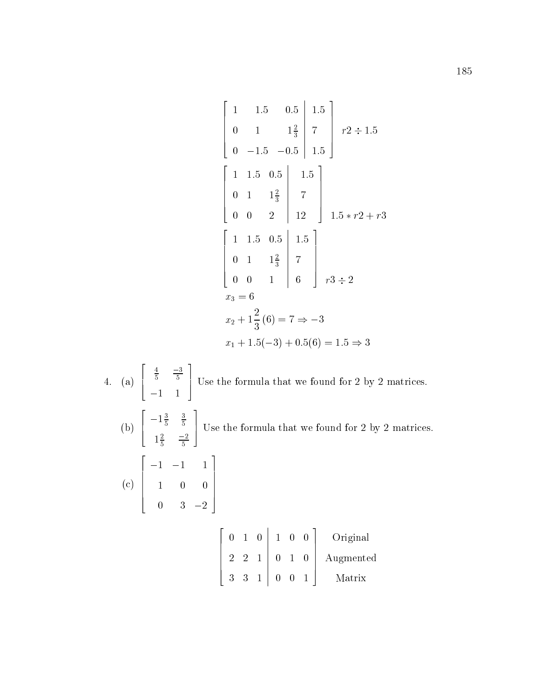$$
\begin{bmatrix}\n1 & 1.5 & 0.5 & 1.5 \\
0 & 1 & 1\frac{2}{3} & 7 \\
0 & -1.5 & -0.5 & 1.5\n\end{bmatrix} r^{2} \div 1.5
$$
\n
$$
\begin{bmatrix}\n1 & 1.5 & 0.5 & 1.5 \\
0 & 1 & 1\frac{2}{3} & 7 \\
0 & 0 & 2 & 12\n\end{bmatrix} r^{2} \div 1.5
$$
\n
$$
\begin{bmatrix}\n1 & 1.5 & 0.5 & 1.5 \\
0 & 1 & 1\frac{2}{3} & 7 \\
0 & 0 & 1 & 6\n\end{bmatrix} r^{3} \div 2
$$
\n
$$
r^{3} \div 2
$$
\n
$$
r_{3} = 6
$$
\n
$$
x_{2} + 1\frac{2}{3} (6) = 7 \Rightarrow -3
$$
\n
$$
x_{1} + 1.5(-3) + 0.5(6) = 1.5 \Rightarrow 3
$$
\n4. (a) 
$$
\begin{bmatrix}\n\frac{4}{5} & \frac{-3}{5} \\
-1 & 1\n\end{bmatrix}
$$
 Use the formula that we found for 2 by 2 matrices.  
\n(b) 
$$
\begin{bmatrix}\n-1\frac{3}{5} & \frac{3}{5} \\
1\frac{2}{5} & -\frac{2}{5}\n\end{bmatrix}
$$
 Use the formula that we found for 2 by 2 matrices.  
\n(c) 
$$
\begin{bmatrix}\n-1 & -1 & 1 \\
1 & 0 & 0 \\
1 & 0 & 0 \\
0 & 3 & -2\n\end{bmatrix}
$$
\n
$$
\begin{bmatrix}\n0 & 1 & 0 & 1 & 0 & 0 \\
0 & 1 & 0 & 0 & 0 \\
0 & 0 & 1 & 0 & 0 \\
3 & 3 & 1 & 0 & 0 & 1\n\end{bmatrix}
$$
\n
$$
\begin{bmatrix}\n0 & 1 & 0 & 1 & 0 & 0 \\
0 & 1 & 0 & 0 & 1 & 0 \\
3 & 3 & 1 & 0 & 0 & 1\n\end{bmatrix}
$$
\n
$$
\begin{bmatrix}\n0 & 1 & 0 & 1 & 0 & 0 \\
0 & 1 & 0 & 1 & 0 & 0 \\
3 & 3 & 1 & 0 & 0 & 1\n\end{bmatrix
$$

3 1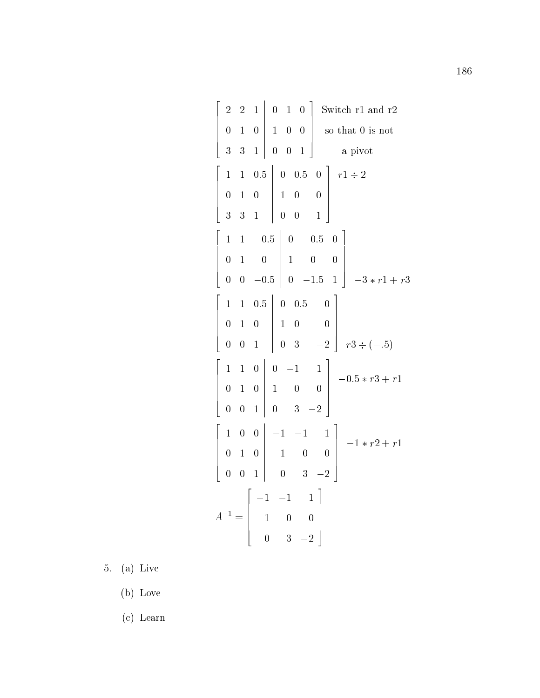$$
\begin{bmatrix}\n2 & 2 & 1 & 0 & 1 & 0 \\
0 & 1 & 0 & 1 & 0 & 0 \\
3 & 3 & 1 & 0 & 0 & 1\n\end{bmatrix}
$$
Switch r1 and r2  
\n
$$
\begin{bmatrix}\n1 & 1 & 0.5 & 0 & 0.5 & 0 \\
0 & 1 & 0 & 1 & 0 & 0 \\
3 & 3 & 1 & 0 & 0 & 1\n\end{bmatrix}
$$
 r1 ÷ 2  
\n
$$
\begin{bmatrix}\n1 & 1 & 0.5 & 0 & 0.5 & 0 \\
0 & 1 & 0 & 1 & 0 & 0 \\
0 & 0 & -0.5 & 0 & -1.5 & 1\n\end{bmatrix}
$$
  
\n
$$
\begin{bmatrix}\n1 & 1 & 0.5 & 0 & 0.5 & 0 \\
0 & 1 & 0 & 1 & 0 & 0 \\
0 & 0 & 1 & 0 & 0 & 3\n\end{bmatrix}
$$
 r3 ÷ (-.5)  
\n
$$
\begin{bmatrix}\n1 & 1 & 0 & 0 & -1 & 1 \\
0 & 1 & 0 & 0 & 1 & 0 \\
0 & 0 & 1 & 0 & 0 & 3\n\end{bmatrix}
$$
 r3 ÷ (-.5)  
\n
$$
\begin{bmatrix}\n1 & 0 & 0 & -1 & 1 \\
0 & 1 & 0 & 0 & 0 \\
0 & 0 & 1 & 0 & 3 & -2\n\end{bmatrix}
$$
 r3 ÷ (-.5)  
\n
$$
\begin{bmatrix}\n1 & 0 & 0 & -1 & -1 \\
0 & 1 & 0 & 0 & 0 \\
0 & 0 & 1 & 0 & 3 & -2\n\end{bmatrix}
$$
 r3 ÷ (-.5)  
\n
$$
A^{-1} = \begin{bmatrix}\n-1 & -1 & 1 \\
1 & 0 & 0 \\
0 & 3 & -2\n\end{bmatrix}
$$

 $\sim$  . (a)  $\sim$  .  $\sim$ 

 $\mathbf{v}$  and  $\mathbf{v}$  and  $\mathbf{v}$  and  $\mathbf{v}$  are  $\mathbf{v}$ 

(c) Learn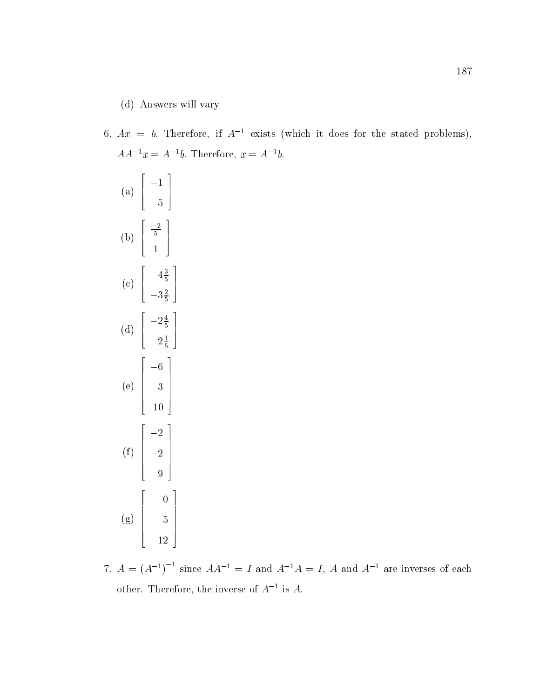## (d) Answers will vary

6.  $Ax = b$ . Therefore, if  $A^{-1}$  exists (which it does for the stated problems),  $AA^{-1}x = A^{-1}b$ . Therefore,  $x = A^{-1}b$ .

(a) 
$$
\begin{bmatrix} -1 \\ 5 \end{bmatrix}
$$
  
\n(b)  $\begin{bmatrix} \frac{-2}{5} \\ 1 \end{bmatrix}$   
\n(c)  $\begin{bmatrix} 4\frac{3}{5} \\ -3\frac{2}{5} \end{bmatrix}$   
\n(d)  $\begin{bmatrix} -2\frac{4}{5} \\ 2\frac{1}{5} \end{bmatrix}$   
\n(e)  $\begin{bmatrix} -6 \\ 3 \\ 10 \end{bmatrix}$   
\n(f)  $\begin{bmatrix} -2 \\ -2 \\ 9 \end{bmatrix}$   
\n(g)  $\begin{bmatrix} 0 \\ 5 \\ -12 \end{bmatrix}$ 

7.  $A = (A^{-1})^{-1}$  since  $AA^{-1} = I$  and  $A^{-1}A = I$ , A and  $A^{-1}$  are inverses of each other. Interefore, the inverse of  $A$  = is  $A$ .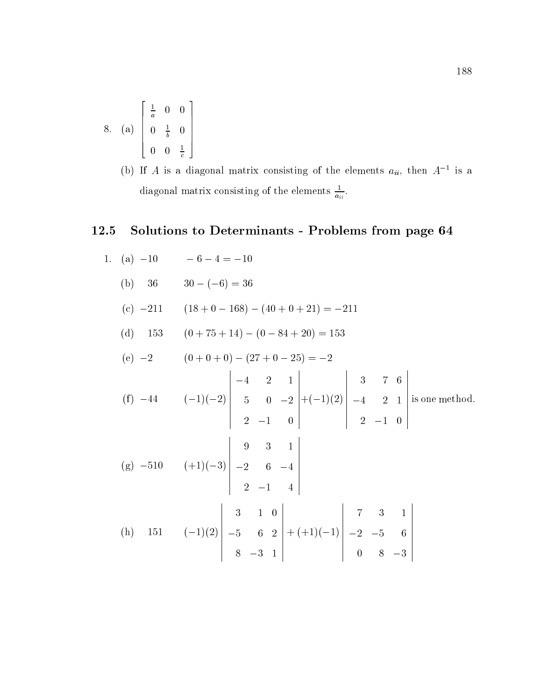8. (a) 
$$
\begin{bmatrix} \frac{1}{a} & 0 & 0 \\ 0 & \frac{1}{b} & 0 \\ 0 & 0 & \frac{1}{c} \end{bmatrix}
$$

(b) If A is a diagonal matrix consisting of the elements  $a_{ii}$ , then A is a diagonal matrix consisting of the elements  $\frac{1}{a_{ii}}$ .

## 12.5 Solutions to Determinants - Problems from page 64

1. (a) -10 -6 - 4 = -10  
\n(b) 36 30 - (-6) = 36  
\n(c) -211 (18 + 0 - 168) - (40 + 0 + 21) = -211  
\n(d) 153 (0 + 75 + 14) - (0 - 84 + 20) = 153  
\n(e) -2 (0 + 0 + 0) - (27 + 0 - 25) = -2  
\n(f) -44 (-1)(-2) 
$$
\begin{vmatrix} -4 & 2 & 1 \\ 5 & 0 & -2 \\ 2 & -1 & 0 \end{vmatrix}
$$
 + (-1)(2)  $\begin{vmatrix} 3 & 7 & 6 \\ -4 & 2 & 1 \\ 2 & -1 & 0 \end{vmatrix}$  is one method.  
\n(g) -510 (+1)(-3)  $\begin{vmatrix} 9 & 3 & 1 \\ -2 & 6 & -4 \\ 2 & -1 & 4 \end{vmatrix}$   
\n(h) 151 (-1)(2)  $\begin{vmatrix} 3 & 1 & 0 \\ -5 & 6 & 2 \\ 8 & -3 & 1 \end{vmatrix}$  + (+1)(-1)  $\begin{vmatrix} 7 & 3 & 1 \\ -2 & -5 & 6 \\ 0 & 8 & -3 \end{vmatrix}$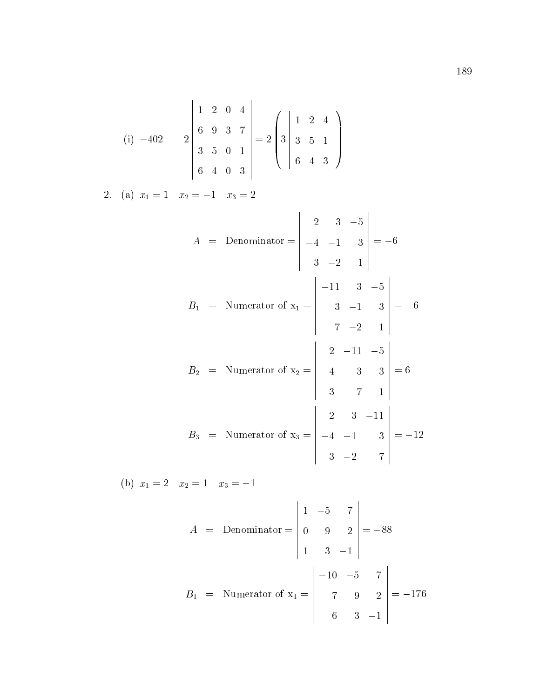(i) 
$$
-402
$$
  $\begin{vmatrix} 1 & 2 & 0 & 4 \ 6 & 9 & 3 & 7 \ 3 & 5 & 0 & 1 \ 6 & 4 & 0 & 3 \ \end{vmatrix} = 2 \begin{pmatrix} 1 & 2 & 4 \ 3 & 5 & 1 \ 6 & 4 & 3 \ \end{pmatrix}$   
\n2. (a)  $x_1 = 1$   $x_2 = -1$   $x_3 = 2$   
\n $A = \text{Denominator} = \begin{vmatrix} 2 & 3 & -5 \ -4 & -1 & 3 \ 3 & -2 & 1 \ \end{vmatrix} = -6$   
\n $B_1 = \text{Numerator of } x_1 = \begin{vmatrix} -11 & 3 & -5 \ 3 & -1 & 3 \ 7 & -2 & 1 \ \end{vmatrix} = -6$   
\n $B_2 = \text{Numerator of } x_2 = \begin{vmatrix} 2 & -11 & -5 \ -4 & 3 & 3 \ 3 & 7 & 1 \ \end{vmatrix} = 6$   
\n $B_3 = \text{Numerator of } x_3 = \begin{vmatrix} 2 & 3 & -11 \ -4 & -1 & 3 \ 3 & -2 & 7 \ \end{vmatrix} = -12$   
\n(b)  $x_1 = 2$   $x_2 = 1$   $x_3 = -1$ 

$$
A = \text{Denominator} = \begin{vmatrix} 1 & -5 & 7 \\ 0 & 9 & 2 \\ 1 & 3 & -1 \end{vmatrix} = -88
$$
  

$$
B_1 = \text{Numerator of } x_1 = \begin{vmatrix} -10 & -5 & 7 \\ 7 & 9 & 2 \\ 6 & 3 & -1 \end{vmatrix} = -176
$$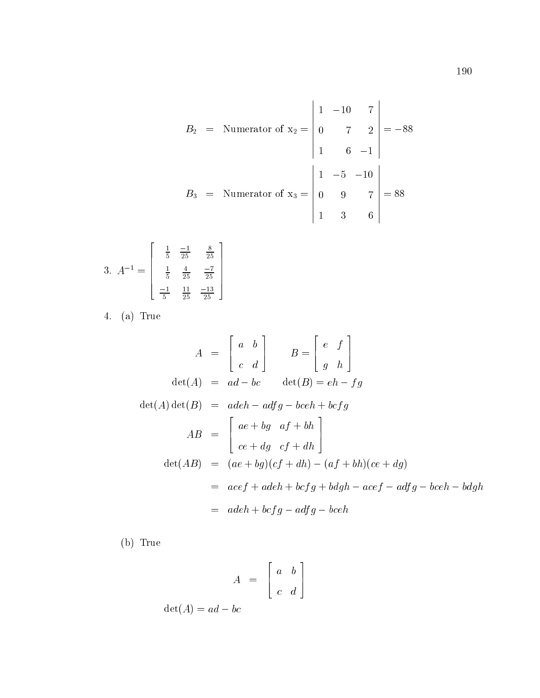$$
B_2 = \text{Numerator of } x_2 = \begin{vmatrix} 1 & -10 & 7 \\ 0 & 7 & 2 \\ 1 & 6 & -1 \end{vmatrix} = -88
$$
  

$$
B_3 = \text{Numerator of } x_3 = \begin{vmatrix} 1 & -5 & -10 \\ 0 & 9 & 7 \\ 1 & 3 & 6 \end{vmatrix} = 88
$$

$$
3. \ A^{-1} = \begin{bmatrix} \frac{1}{5} & \frac{-1}{25} & \frac{8}{25} \\ \frac{1}{5} & \frac{4}{25} & \frac{-7}{25} \\ \frac{-1}{5} & \frac{11}{25} & \frac{-13}{25} \end{bmatrix}
$$

4. (a) True

$$
A = \begin{bmatrix} a & b \\ c & d \end{bmatrix} \qquad B = \begin{bmatrix} e & f \\ g & h \end{bmatrix}
$$
  
\n
$$
\det(A) = ad - bc \qquad \det(B) = eh - fg
$$
  
\n
$$
\det(A) \det(B) = adeh - adfg - bceh + bcfg
$$
  
\n
$$
AB = \begin{bmatrix} ae + bg & af + bh \\ ce + dg & cf + dh \end{bmatrix}
$$
  
\n
$$
\det(AB) = (ae + bg)(cf + dh) - (af + bh)(ce + dg)
$$
  
\n
$$
= acef + adeh + bcfg + bdgh - acef - adfg - bceh - bdgh
$$
  
\n
$$
= adeh + bcfg - adfg - bceh
$$

(b) True

$$
A = \left[ \begin{array}{cc} a & b \\ c & d \end{array} \right]
$$

 $\det(A) = ad - bc$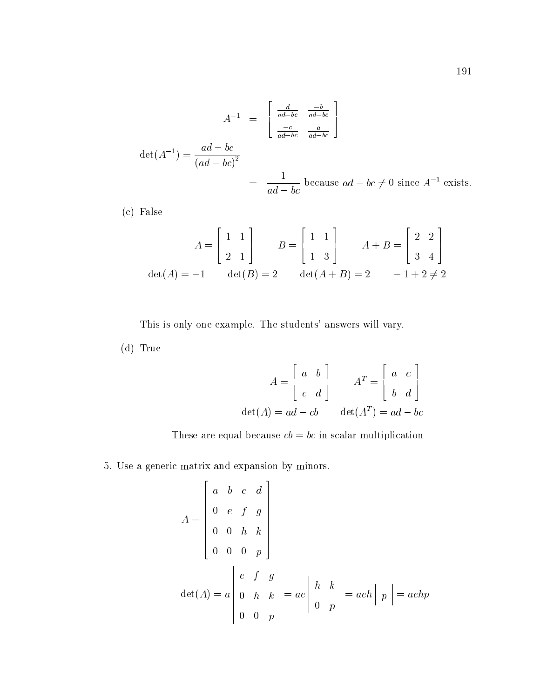$$
A^{-1} = \begin{bmatrix} \frac{d}{ad - bc} & \frac{-b}{ad - bc} \\ \frac{-c}{ad - bc} & \frac{a}{ad - bc} \end{bmatrix}
$$
  
det $(A^{-1}) = \frac{ad - bc}{(ad - bc)^2}$   
 $= \frac{1}{ad - bc}$  because  $ad - bc \neq 0$  since  $A^{-1}$  exists.

(c) False

$$
A = \begin{bmatrix} 1 & 1 \\ 2 & 1 \end{bmatrix} \qquad B = \begin{bmatrix} 1 & 1 \\ 1 & 3 \end{bmatrix} \qquad A + B = \begin{bmatrix} 2 & 2 \\ 3 & 4 \end{bmatrix}
$$
  

$$
det(A) = -1 \qquad det(B) = 2 \qquad det(A + B) = 2 \qquad -1 + 2 \neq 2
$$

This is only one example. The students' answers will vary.

(d) True

$$
A = \begin{bmatrix} a & b \\ c & d \end{bmatrix} \qquad A^T = \begin{bmatrix} a & c \\ b & d \end{bmatrix}
$$
  

$$
det(A) = ad - cb \qquad det(A^T) = ad - bc
$$

These are equal because  $cb = bc$  in scalar multiplication

5. Use a generic matrix and expansion by minors.

$$
A = \begin{bmatrix} a & b & c & d \\ 0 & e & f & g \\ 0 & 0 & h & k \\ 0 & 0 & 0 & p \end{bmatrix}
$$
  
det(A) = a  $\begin{vmatrix} e & f & g \\ 0 & h & k \\ 0 & 0 & p \end{vmatrix}$  = a  $e \begin{vmatrix} h & k \\ 0 & p \end{vmatrix}$  = a  $eh \begin{vmatrix} p \end{vmatrix}$  = a  $ehp$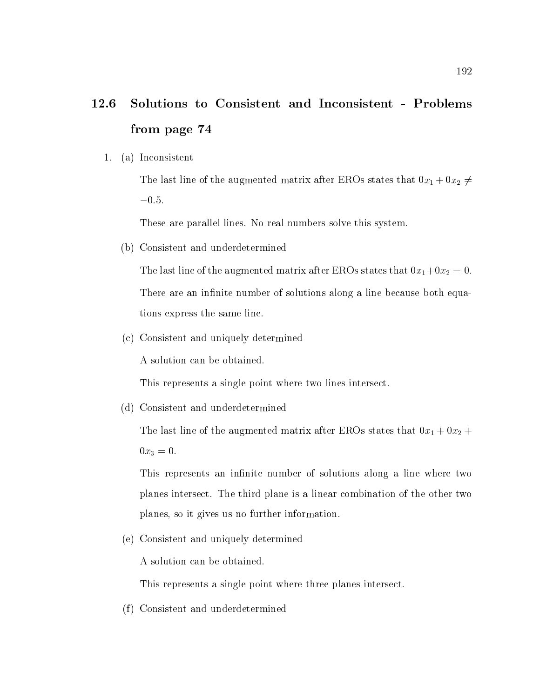### 12.6 12.6 Solutions to Consistent and Inconsistent - Problems from page 74

1. (a) Inconsistent

The last line of the augmented matrix after EROs states that  $0x_1 + 0x_2 \neq 0$  $-0.5.$ 

These are parallel lines. No real numbers solve this system.

(b) Consistent and underdetermined

The last line of the augmented matrix after EROs states that  $0x_1+0x_2 = 0$ . There are an infinite number of solutions along a line because both equations express the same line.

(c) Consistent and uniquely determined

A solution can be obtained.

This represents a single point where two lines intersect.

(d) Consistent and underdetermined

The last line of the augmented matrix after EROs states that  $0x_1 + 0x_2 +$  $0x_3 = 0.$ 

This represents an infinite number of solutions along a line where two planes intersect. The third plane is a linear combination of the other two planes, so it gives us no further information.

(e) Consistent and uniquely determined

A solution can be obtained.

This represents a single point where three planes intersect.

(f) Consistent and underdetermined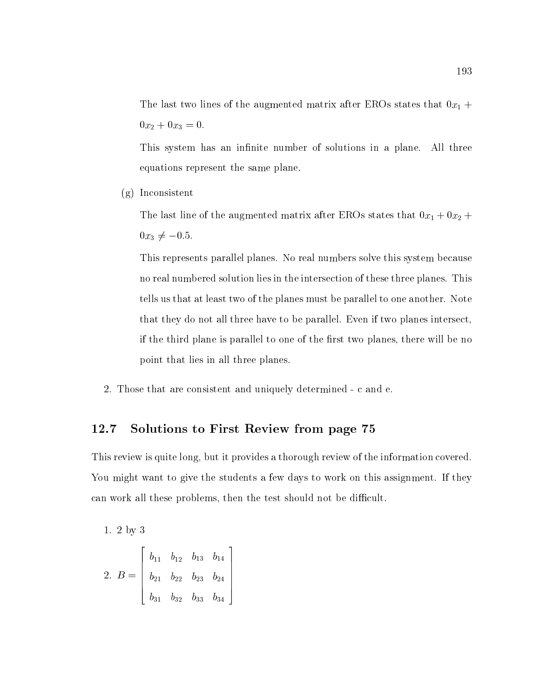The last two lines of the augmented matrix after EROs states that  $0x_1 +$  $0x_2 + 0x_3 = 0.$ 

This system has an infinite number of solutions in a plane. All three equations represent the same plane.

(g) Inconsistent

The last line of the augmented matrix after EROs states that  $0x_1 + 0x_2 +$  $0x_3 \neq -0.5$ .

This represents parallel planes. No real numbers solve this system because no real numbered solution lies in the intersection of these three planes. This tells us that at least two of the planes must be parallel to one another. Note that they do not all three have to be parallel. Even if two planes intersect, if the third plane is parallel to one of the first two planes, there will be no point that lies in all three planes.

2. Those that are consistent and uniquely determined - c and e.

3

### 12.7 Solutions to First Review from page 75

This review is quite long, but it provides a thorough review of the information covered. You might want to give the students a few days to work on this assignment. If they can work all these problems, then the test should not be difficult.

1. 2 by 3 **2005 2006 2006 2006 2006** 

$$
2. \ B = \left[\begin{array}{cccc} b_{11} & b_{12} & b_{13} & b_{14} \\ b_{21} & b_{22} & b_{23} & b_{24} \\ b_{31} & b_{32} & b_{33} & b_{34} \end{array}\right]
$$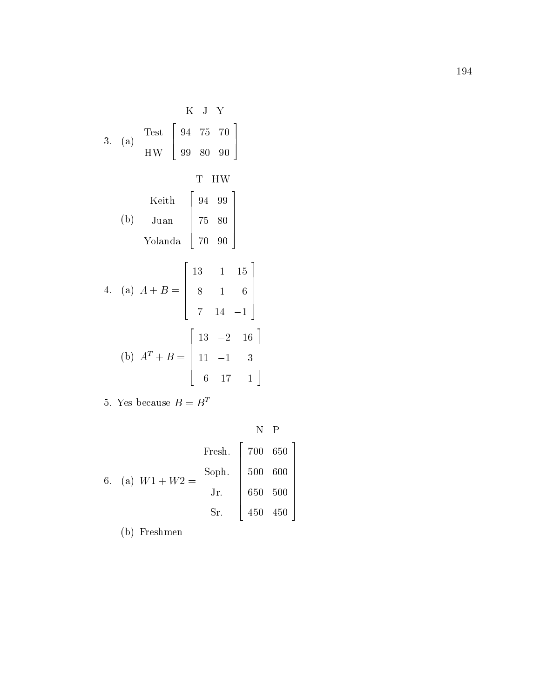K J Y  
\n3. (a) Test 
$$
\begin{bmatrix} 94 & 75 & 70 \\ 99 & 80 & 90 \end{bmatrix}
$$
  
\nT HW  
\n10.  $\begin{bmatrix} 94 & 99 \\ 75 & 80 \\ 70 & 90 \end{bmatrix}$   
\n11. (a)  $A + B = \begin{bmatrix} 13 & 1 & 15 \\ 8 & -1 & 6 \\ 7 & 14 & -1 \end{bmatrix}$   
\n(b)  $A^T + B = \begin{bmatrix} 13 & -2 & 16 \\ 11 & -1 & 3 \\ 6 & 17 & -1 \end{bmatrix}$ 

 $\overline{\textbf{5}}$ . Tes because  $\overline{\textbf{D}} = \overline{\textbf{D}}$ 

|  |  | 6. (a) $W1 + W2 =$ | Fresh.   $700650$ |             |  |
|--|--|--------------------|-------------------|-------------|--|
|  |  |                    | Soph.   500 600   |             |  |
|  |  |                    | Jr.   $650, 500$  |             |  |
|  |  |                    | Sr.               | $450$ $450$ |  |

 $\epsilon$  is a second contract of  $\epsilon$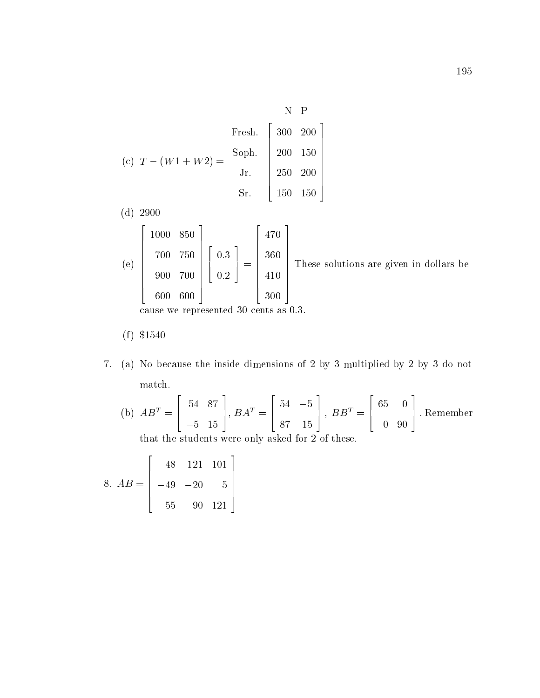$$
\begin{aligned}\n\text{Fresh.} & \begin{bmatrix}\n\text{N} & \text{P} \\
300 & 200 \\
200 & 150 \\
\text{Jr.} \\
\text{Sr.}\n\end{bmatrix} \\
\text{Syr.}\n\end{aligned}
$$

- $\sqrt{a}$  29000  $\sqrt{a}$
- $\lambda = 1$  $\overline{2}$  2  $\overline{2}$  2  $\overline{2}$  2  $\overline{2}$  2  $\overline{2}$  2  $\overline{2}$  2  $\overline{2}$  2  $\overline{2}$  2  $\overline{2}$  2  $\overline{2}$  2  $\overline{2}$  2  $\overline{2}$  2  $\overline{2}$  2  $\overline{2}$  2  $\overline{2}$  2  $\overline{2}$  2  $\overline{2}$  2  $\overline{2}$  2  $\overline{2}$  2  $\overline{2}$  2  $\begin{bmatrix} 700 & 75 \\ 900 & 70 \end{bmatrix}$  850 . . . . . . . . . 700 600  $\left[\begin{array}{c} 0.3 \\ 0.2 \end{array}\right]$  = 4 | H 0:3 0:20 PM 20:20 PM 20:20 PM 20:20 PM 20:20 PM 20:20 PM 20:20 PM 20:20 PM 20:20 PM 20:20 PM 20:20 PM 20:20 PM 20:20  $\frac{1}{2}$  =  $\frac{1}{2}$   $\frac{1}{2}$   $\frac{1}{2}$   $\frac{1}{2}$   $\frac{1}{2}$   $\frac{1}{2}$   $\frac{1}{2}$   $\frac{1}{2}$   $\frac{1}{2}$   $\frac{1}{2}$   $\frac{1}{2}$   $\frac{1}{2}$   $\frac{1}{2}$   $\frac{1}{2}$   $\frac{1}{2}$   $\frac{1}{2}$   $\frac{1}{2}$   $\frac{1}{2}$   $\frac{1}{2}$   $\frac{1}{2}$   $\frac{1}{2}$   $\begin{array}{|c|c|}\n 360 & T1\n\end{array}$ 470 and 470 and 470 and 470 and 470 and 470 and 470 and 470 and 470 and 470 and 470 and 470 and 470 and 470 an 410 Million and the control of the control of the control of the control of the control of the control of the <u>3</u>00 in the set of the set of the set of the set of the set of the set of the set of the set of the set of the set of the set of the set of the set of the set of the set of the set of the set of the set of the set of the These so These solutions are given in dollars because we represented 30 cents as 0.3.3.3.

$$
(f) \$1540
$$

7. (a) No because the inside dimensions of 2 by 3 multiplied by 2 by 3 do not match.

(b) 
$$
AB^T = \begin{bmatrix} 54 & 87 \\ -5 & 15 \end{bmatrix}
$$
,  $BA^T = \begin{bmatrix} 54 & -5 \\ 87 & 15 \end{bmatrix}$ ,  $BB^T = \begin{bmatrix} 65 & 0 \\ 0 & 90 \end{bmatrix}$ . Remember

that the students were only asked for 2 of these.

 $\overline{\phantom{a}}$  above the set of  $\overline{\phantom{a}}$  and  $\overline{\phantom{a}}$  above the set of  $\overline{\phantom{a}}$  and  $\overline{\phantom{a}}$  $\sim$  200  $\sim$  200  $\sim$  200  $\sim$  200  $\sim$  200  $\sim$  200  $\sim$  200  $\sim$  200  $\sim$  200  $\sim$  200  $\sim$  $\begin{vmatrix} -49 & -2 \end{vmatrix}$ 48 121 122 123 124 125 126 127 128 129 120 121 122 123 124 125 126 127 128 129 120 120 120 120 120 120 120 120 20 5 90 121  $\Big\}$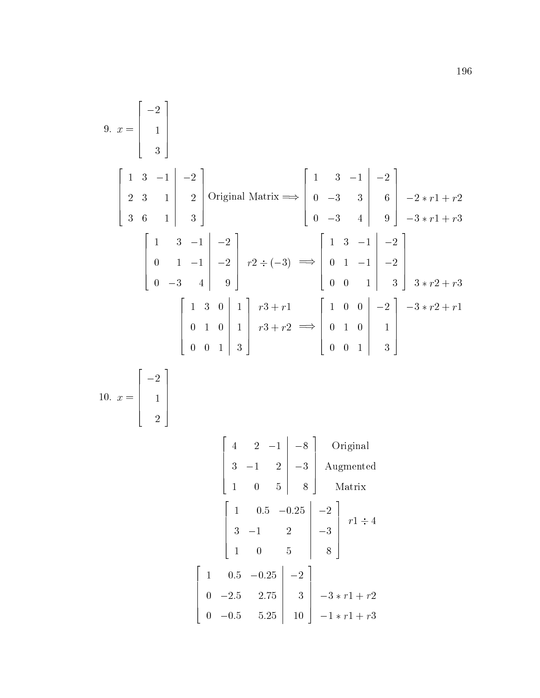9. 
$$
x = \begin{bmatrix} -2 \\ 1 \\ 3 \end{bmatrix}
$$
  
\n $\begin{bmatrix} 1 & 3 & -1 & -2 \\ 2 & 3 & 1 & 2 \\ 3 & 6 & 1 & 3 \end{bmatrix}$  Original Matrix  $\Longrightarrow$   $\begin{bmatrix} 1 & 3 & -1 & -2 \\ 0 & -3 & 3 & 6 \\ 0 & -3 & 4 & 9 \end{bmatrix}$   $\begin{bmatrix} -2x + 1 + x^2 \\ -3x + 1 + x^3 \end{bmatrix}$   
\n $\begin{bmatrix} 1 & 3 & -1 & -2 \\ 0 & 1 & -1 & -2 \\ 0 & -3 & 4 & 9 \end{bmatrix}$   $\begin{bmatrix} 1 & 3 & -1 & -2 \\ 0 & 2 & -2 & -3 \\ 0 & 0 & 1 & -1 & -2 \\ 0 & 0 & 1 & 3 \end{bmatrix}$   
\n $\begin{bmatrix} 1 & 3 & 0 & 1 \\ 0 & 1 & 0 & 1 \\ 0 & 0 & 1 & 3 \end{bmatrix}$   $\begin{bmatrix} x^3 + r1 \\ r3 + r2 \end{bmatrix}$   $\begin{bmatrix} 1 & 0 & 0 & -2 \\ 0 & 1 & 0 & 1 \\ 0 & 0 & 1 & 3 \end{bmatrix}$   $\begin{bmatrix} -2 \\ 1 \\ 3 \end{bmatrix}$   
\n10.  $x = \begin{bmatrix} -2 \\ 1 \\ 2 \end{bmatrix}$   
\n $\begin{bmatrix} 4 & 2 & -1 & -8 \\ 1 & 0 & 5 & 8 \\ 1 & 0 & 5 & 8 \end{bmatrix}$  Original  
\n $\begin{bmatrix} 4 & 2 & -1 & -8 \\ 3 & -1 & 2 & -3 \\ 1 & 0 & 5 & 8 \end{bmatrix}$  Augmented  
\n $\begin{bmatrix} 1 & 0.5 & -0.25 & -2 \\ 3 & -1 & 2 & -3 \\ 1 & 0 & 5 & 8 \end{bmatrix}$   $\begin{bmatrix} 1+4 & 4 & 4 \\ 0+1+1 & -1+1 & -1+1 \\ 0+1+1+1+1 & -1+1+1+1 \end{bmatrix}$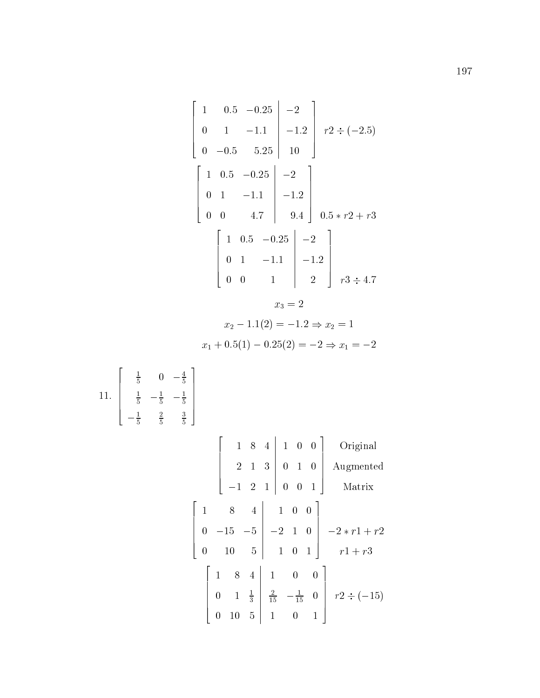$$
\begin{bmatrix}\n1 & 0.5 & -0.25 & -2 \\
0 & 1 & -1.1 & -1.2 & r2 \div (-2.5) \\
0 & -0.5 & 5.25 & 10\n\end{bmatrix}
$$
\n
$$
r2 \div (-2.5)
$$
\n
$$
\begin{bmatrix}\n1 & 0.5 & -0.25 & -2 \\
0 & 1 & -1.1 & -1.2 \\
0 & 0 & 4.7 & 9.4 & 0.5*r2 + r3\n\end{bmatrix}
$$
\n
$$
\begin{bmatrix}\n1 & 0.5 & -0.25 & -2 \\
0 & 1 & -1.1 & -1.2 \\
0 & 0 & 1 & 2\n\end{bmatrix}
$$
\n
$$
r3 \div 4.7
$$
\n
$$
x_3 = 2
$$
\n
$$
x_2 - 1.1(2) = -1.2 \Rightarrow x_2 = 1
$$
\n
$$
x_1 + 0.5(1) - 0.25(2) = -2 \Rightarrow x_1 = -2
$$
\n
$$
11. \begin{bmatrix}\n\frac{1}{5} & 0 & -\frac{4}{5} \\
\frac{1}{5} & -\frac{1}{5} & -\frac{1}{5} \\
\frac{1}{5} & \frac{2}{5} & \frac{3}{5}\n\end{bmatrix}
$$
\n
$$
\begin{bmatrix}\n1 & 8 & 4 & 1 & 0 & 0 \\
2 & 1 & 3 & 0 & 1 & 0 \\
-1 & 2 & 1 & 0 & 0 & 1\n\end{bmatrix}
$$
\n
$$
\begin{bmatrix}\n1 & 8 & 4 & 1 & 0 & 0 \\
0 & -15 & -5 & -2 & 1 & 0 \\
0 & 10 & 5 & 1 & 0 & 1\n\end{bmatrix}
$$
\n
$$
-2*r1 + r2
$$
\n
$$
\begin{bmatrix}\n1 & 8 & 4 & 1 & 0 & 0 \\
0 & 1 & \frac{1}{3} & \frac{2}{15} & -\frac{1}{15} & 0 \\
0 & 10 & 5 & 1 & 0 & 1\n\end{bmatrix}
$$
\n
$$
r2 \div (-15)
$$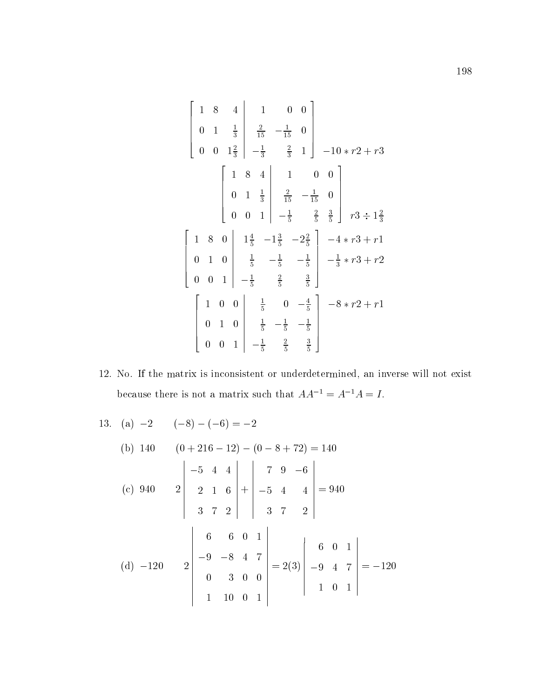$$
\begin{bmatrix}\n1 & 8 & 4 & 1 & 0 & 0 \\
0 & 1 & \frac{1}{3} & \frac{2}{15} & -\frac{1}{15} & 0 \\
0 & 0 & 1\frac{2}{3} & -\frac{1}{3} & \frac{2}{3} & 1\n\end{bmatrix}\n-10*r2 + r3
$$
\n
$$
\begin{bmatrix}\n1 & 8 & 4 & 1 & 0 & 0 \\
0 & 1 & \frac{1}{3} & \frac{2}{15} & -\frac{1}{15} & 0 \\
0 & 0 & 1 & -\frac{1}{5} & \frac{2}{5} & \frac{3}{5}\n\end{bmatrix}\nr3 \div 1\frac{2}{3}
$$
\n
$$
\begin{bmatrix}\n1 & 8 & 0 & 1\frac{4}{5} & -1\frac{3}{5} & -2\frac{2}{5} & -4*r3 + r1 \\
0 & 1 & 0 & \frac{1}{5} & -\frac{1}{5} & -\frac{1}{5} & -\frac{1}{3}*r3 + r2 \\
0 & 0 & 1 & -\frac{1}{5} & \frac{2}{5} & \frac{3}{5}\n\end{bmatrix}\n-8*r2 + r1
$$
\n
$$
\begin{bmatrix}\n1 & 0 & 0 & \frac{1}{5} & 0 & -\frac{4}{5} & -8*r2 + r1 \\
0 & 1 & 0 & \frac{1}{5} & -\frac{1}{5} & -\frac{1}{5} & -\frac{1}{5} \\
0 & 0 & 1 & -\frac{1}{5} & \frac{2}{5} & \frac{3}{5}\n\end{bmatrix}
$$

12. No. If the matrix is inconsistent or underdetermined, an inverse will not exist because there is not a matrix such that  $AA^{-1} = A^{-1}A = I$ .

13. (a) -2 (-8) - (-6) = -2  
\n(b) 140 (0 + 216 - 12) - (0 - 8 + 72) = 140  
\n(c) 940 2 
$$
\begin{vmatrix} -5 & 4 & 4 \\ 2 & 1 & 6 \\ 3 & 7 & 2 \end{vmatrix} + \begin{vmatrix} 7 & 9 & -6 \\ -5 & 4 & 4 \\ 3 & 7 & 2 \end{vmatrix} = 940
$$
  
\n(d) -120 2  $\begin{vmatrix} 6 & 6 & 0 & 1 \\ -9 & -8 & 4 & 7 \\ 0 & 3 & 0 & 0 \\ 1 & 10 & 0 & 1 \end{vmatrix} = 2(3) \begin{vmatrix} 6 & 0 & 1 \\ -9 & 4 & 7 \\ 1 & 0 & 1 \end{vmatrix} = -120$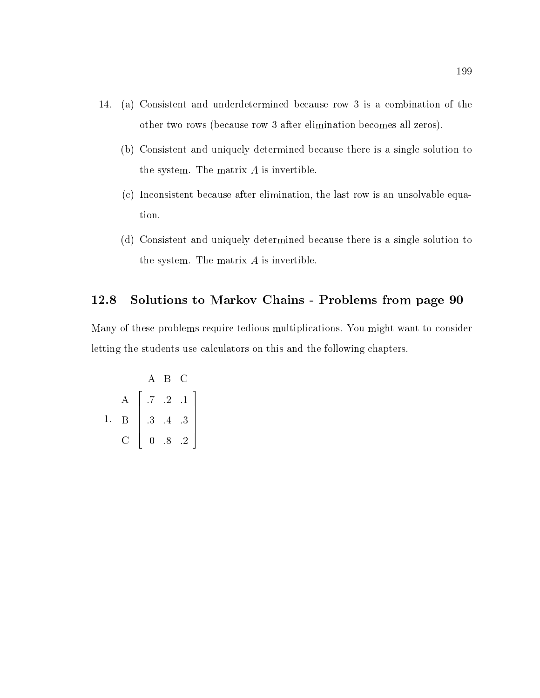- 14. (a) Consistent and underdetermined because row 3 is a combination of the other two rows (because row 3 after elimination becomes all zeros).
	- (b) Consistent and uniquely determined because there is a single solution to the system. The matrix A is invertible.
	- (c) Inconsistent because after elimination, the last row is an unsolvable equation.
	- (d) Consistent and uniquely determined because there is a single solution to the system. The matrix A is invertible.

## 12.8 Solutions to Markov Chains - Problems from page 90

Many of these problems require tedious multiplications. You might want to consider letting the students use calculators on this and the following chapters.

$$
\begin{array}{c}\n & A & B & C \\
A & .7 & .2 & .1 \\
1. & B & .3 & .4 & .3 \\
C & 0 & .8 & .2\n\end{array}
$$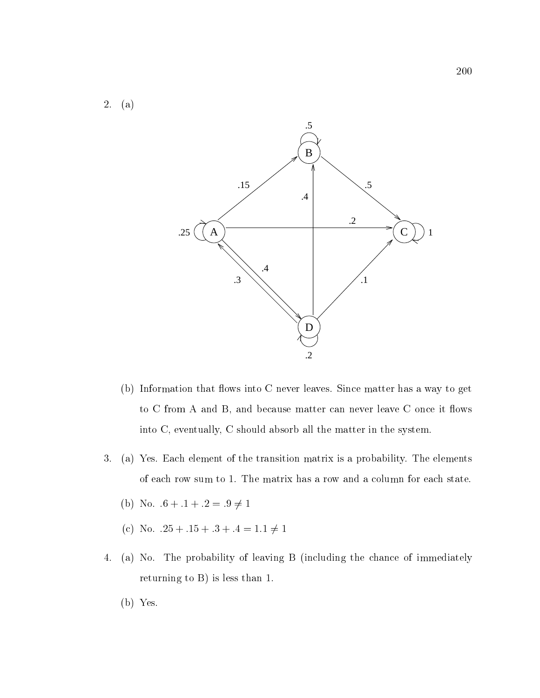



- (b) Information that flows into C never leaves. Since matter has a way to get to  $C$  from  $A$  and  $B$ , and because matter can never leave  $C$  once it flows into C, eventually, C should absorb all the matter in the system.
- 3. (a) Yes. Each element of the transition matrix is a probability. The elements of each row sum to 1. The matrix has a row and a column for each state.
	- (b) No.  $.6 + .1 + .2 = .9 \neq 1$
	- (c) No.  $.25 + .15 + .3 + .4 = 1.1 \neq 1$
- 4. (a) No. The probability of leaving B (including the chance of immediately returning to B) is less than 1.
	- (b) Yes.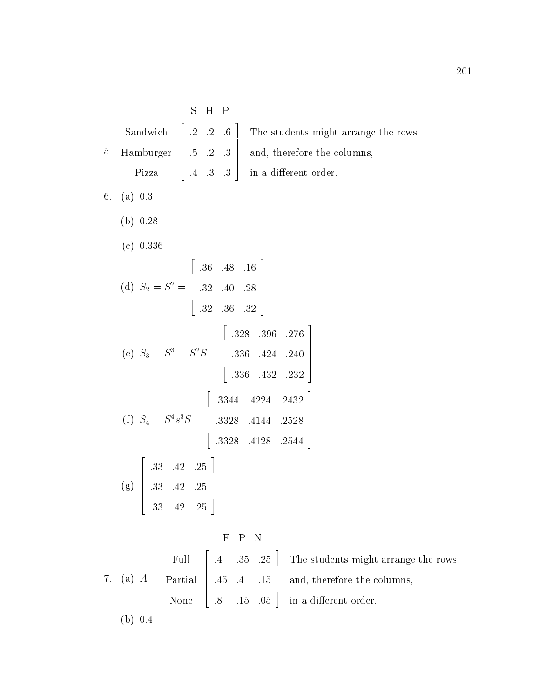|  | S H P |                                                                                           |
|--|-------|-------------------------------------------------------------------------------------------|
|  |       | Sandwich $\begin{bmatrix} .2 & .2 & .6 \end{bmatrix}$ The students might arrange the rows |
|  |       | 5. Hamburger $\begin{vmatrix} .5 & .2 & .3 \end{vmatrix}$ and, therefore the columns,     |
|  |       | Pizza $\begin{vmatrix} .4 & .3 & .3 \end{vmatrix}$ in a different order.                  |

and the contract of the contract of the contract of the contract of the contract of the contract of the contract of the contract of the contract of the contract of the contract of the contract of the contract of the contra

- 6. (a) 0.3
	- (b) 0.28
	- (c) 0.336

(d) 
$$
S_2 = S^2 = \begin{bmatrix} .36 & .48 & .16 \\ .32 & .40 & .28 \\ .32 & .36 & .32 \end{bmatrix}
$$
  
\n(e)  $S_3 = S^3 = S^2 S = \begin{bmatrix} .328 & .396 & .276 \\ .336 & .424 & .240 \\ .336 & .432 & .232 \end{bmatrix}$   
\n(f)  $S_4 = S^4 s^3 S = \begin{bmatrix} .3344 & .4224 & .2432 \\ .3328 & .4144 & .2528 \\ .3328 & .4128 & .2544 \end{bmatrix}$   
\n(g)  $\begin{bmatrix} .33 & .42 & .25 \\ .33 & .42 & .25 \\ .33 & .42 & .25 \\ .33 & .42 & .25 \end{bmatrix}$ 

 $\overline{y}$   $\overline{y}$   $\overline{y}$   $\overline{y}$   $\overline{y}$   $\overline{y}$   $\overline{y}$   $\overline{y}$   $\overline{y}$   $\overline{y}$   $\overline{y}$   $\overline{y}$   $\overline{y}$   $\overline{y}$   $\overline{y}$   $\overline{y}$   $\overline{y}$   $\overline{y}$   $\overline{y}$   $\overline{y}$   $\overline{y}$   $\overline{y}$   $\overline{y}$   $\overline{y}$   $\overline{$ Full None  $\sim$  200  $\sim$  200  $\sim$  200  $\sim$  200  $\sim$  200  $\sim$  200  $\sim$  200  $\sim$  200  $\sim$  200  $\sim$  200  $\sim$  $\begin{bmatrix} .45 & .4 \end{bmatrix}$ :4 :35 :25 :45 :4 :15 :8 :15 :05  $\Big|$  and, the The studients might arrange the rows might arrange the rows might arrange the rows might arrange the rows might arrange the rows might arrange the rows might arrange the rows might arrange the rows might arrange the rows and, there the column state the columns, the columns, and (b) 0.4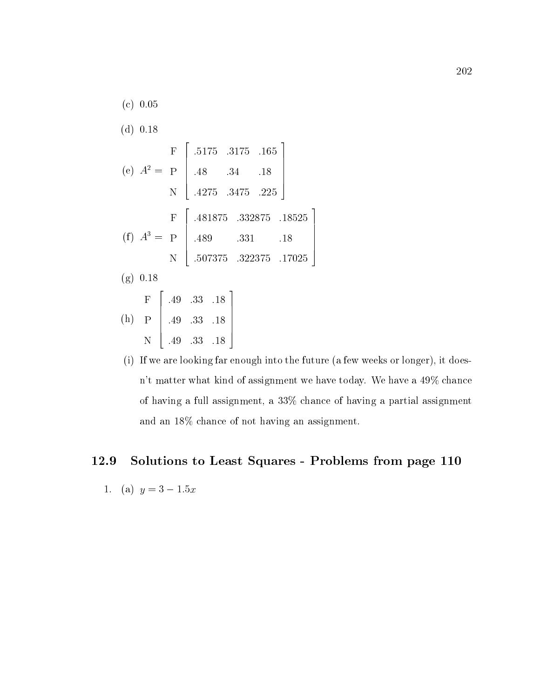- (c) 0.05 (d) 0.18 (e)  $A^2 = P + 48$ e de la construcción de la construcción de la construcción de la construcción de la construcción de la construcción de la construcción de la construcción de la construcción de la construcción de la construcción de la const **Production of the contract of the contract of the contract of the contract of the contract of the contract of** N  $\overline{\phantom{a}}$  22  $\overline{\phantom{a}}$  22  $\overline{\phantom{a}}$  22  $\overline{\phantom{a}}$  22  $\overline{\phantom{a}}$  22  $\overline{\phantom{a}}$  22  $\overline{\phantom{a}}$  22  $\overline{\phantom{a}}$  22  $\overline{\phantom{a}}$  22  $\overline{\phantom{a}}$  22  $\overline{\phantom{a}}$  22  $\overline{\phantom{a}}$  22  $\overline{\phantom{a}}$  22  $\overline{\phantom{a}}$  22  $\overline{\phantom{a}}$  $.48.3$ :5175 :3175 :165 :48 :34 :18 :4275 :3475 :225 and the contract of the contract of the contract of the contract of the contract of the contract of the contract of the contract of the contract of the contract of the contract of the contract of the contract of the contra  $\Big\}$  $(I)$   $A^* = P$  | 489 For the contract of the contract of the contract of the contract of the contract of the contract of the contract of **Production of the contract of the contract of the contract of the contract of the contract of the contract of** N  $\overline{\phantom{a}}$  22  $\overline{\phantom{a}}$  22  $\overline{\phantom{a}}$  22  $\overline{\phantom{a}}$  22  $\overline{\phantom{a}}$  22  $\overline{\phantom{a}}$  22  $\overline{\phantom{a}}$  22  $\overline{\phantom{a}}$  22  $\overline{\phantom{a}}$  22  $\overline{\phantom{a}}$  22  $\overline{\phantom{a}}$  22  $\overline{\phantom{a}}$  22  $\overline{\phantom{a}}$  22  $\overline{\phantom{a}}$  22  $\overline{\phantom{a}}$  $.489$ :4818 : 482 : 483 : 484 : 485 : 486 : 487 : 487 : 487 : 487 : 487 : 487 : 487 : 487 : 487 : 487 : 487 : 487 : 487 : 487 : 487 : 487 : 487 : 487 : 487 : 487 : 487 : 487 : 487 : 487 : 487 : 487 : 487 : 487 : 487 : 487 : 487 :489 :331 :18 :507375 :322375 :17025 (g) 0.18  $\mathbf{h}$  , and  $\mathbf{h}$  , and  $\mathbf{h}$  , and  $\mathbf{h}$  , and  $\mathbf{h}$  , and  $\mathbf{h}$  , and  $\mathbf{h}$  , and  $\mathbf{h}$  , and  $\mathbf{h}$  , and  $\mathbf{h}$  , and  $\mathbf{h}$  , and  $\mathbf{h}$  , and  $\mathbf{h}$  , and  $\mathbf{h}$  , and  $\mathbf{h}$  , F P N :49 :33 :18 **2005 2006 2006 2006 2006**  $\begin{bmatrix} .49 & .33 \end{bmatrix}$ :49 :33 :18 :49 :33 :18 3  $\Big\}$
- (i) If we are looking far enough into the future (a few weeks or longer), it doesn't matter what kind of assignment we have today. We have a 49% chance of having a full assignment, a 33% chance of having a partial assignment and an 18% chance of not having an assignment.

3

 $\vert$ 

## 12.9 Solutions to Least Squares - Problems from page 110

1. (a) 
$$
y = 3 - 1.5x
$$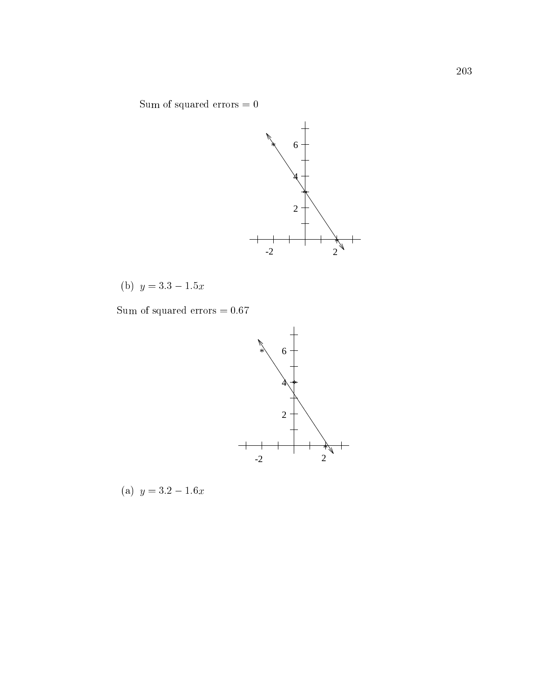Sum of squared errors  $=0$ 



(b)  $y = 3.3 - 1.5x$ 

Sum of squared errors  $=0.67$ 



(a)  $y = 3.2 - 1.6x$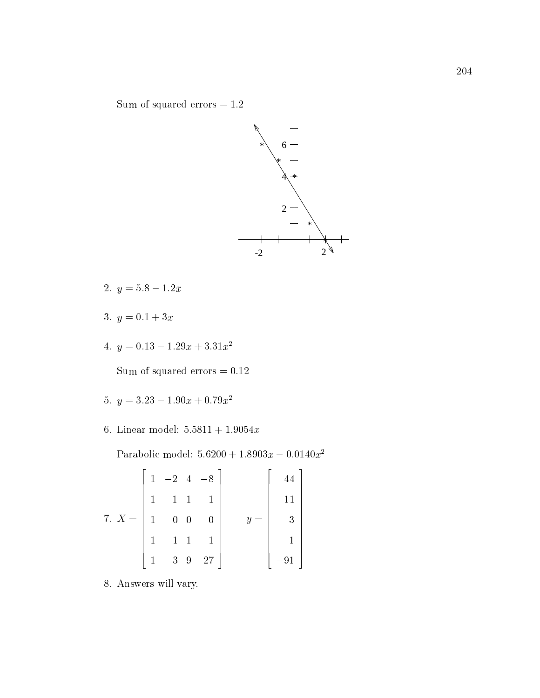Sum of squared errors  $=1.2\,$ 



- 2.  $y = 5.8 1.2x$
- 3.  $y = 0.1 + 3x$
- 4.  $y = 0.13 1.29x + 3.31x^2$

Sum of squared errors  $=0.12\,$ 

- 5.  $y = 3.23 1.90x + 0.79x^2$
- 6. Linear model:  $5.5811 + 1.9054x$

Parabolic model:  $5.6200 + 1.8903x - 0.0140x^2$ 

$$
7. X = \begin{bmatrix} 1 & -2 & 4 & -8 \\ 1 & -1 & 1 & -1 \\ 1 & 0 & 0 & 0 \\ 1 & 1 & 1 & 1 \\ 1 & 3 & 9 & 27 \end{bmatrix} \qquad y = \begin{bmatrix} 44 \\ 11 \\ 3 \\ 1 \\ -91 \end{bmatrix}
$$

8. Answers will vary.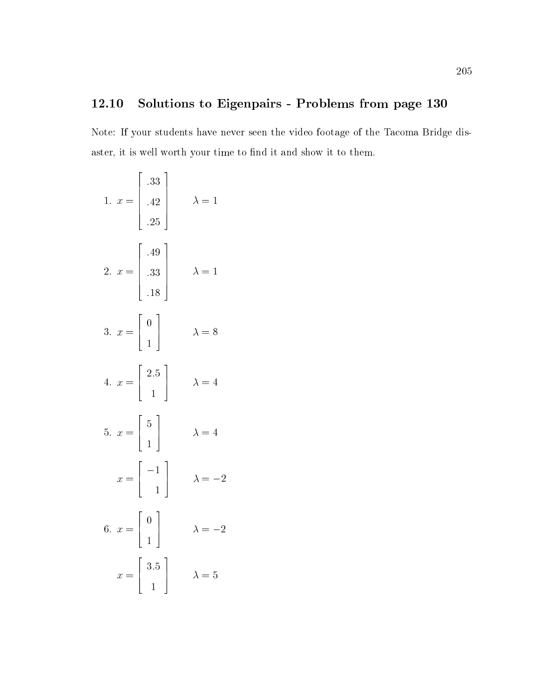## 12.10 Solutions to Eigenpairs - Problems from page 130

Note: If your students have never seen the video footage of the Tacoma Bridge disaster, it is well worth your time to find it and show it to them.

| 1. $x = \begin{bmatrix} .33 \\ .42 \\ .25 \end{bmatrix}$ | $\lambda = 1$  |
|----------------------------------------------------------|----------------|
| 2. $x = \begin{vmatrix} .49 \\ .33 \\ .18 \end{vmatrix}$ | $\lambda = 1$  |
| 3. $x = \begin{bmatrix} 0 \\ 1 \end{bmatrix}$            | $\lambda = 8$  |
| 4. $x = \begin{bmatrix} 2.5 \\ 1 \end{bmatrix}$          | $\lambda = 4$  |
| 5. $x = \begin{bmatrix} 5 \\ 1 \end{bmatrix}$            | $\lambda = 4$  |
| $x = \begin{bmatrix} -1 \\ 1 \end{bmatrix}$              | $\lambda = -2$ |
| 6. $x = \begin{bmatrix} 0 \\ 1 \end{bmatrix}$            | $\lambda = -2$ |
| $x = \begin{bmatrix} 3.5 \\ 1 \end{bmatrix}$             | $\lambda=5$    |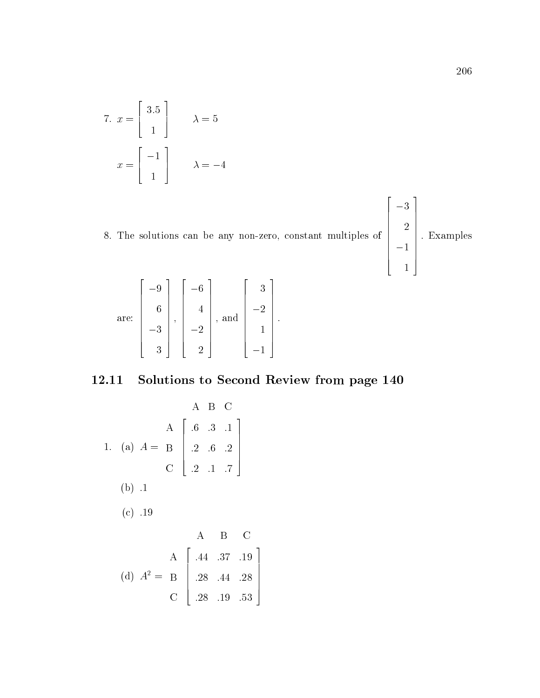7. 
$$
x = \begin{bmatrix} 3.5 \\ 1 \end{bmatrix}
$$
  $\lambda = 5$   
 $x = \begin{bmatrix} -1 \\ 1 \end{bmatrix}$   $\lambda = -4$ 

8. The solutions can be any non-zero, constant multiples of  $\begin{bmatrix} 2 \\ 2 \\ -1 \end{bmatrix}$ . Exam and the contract of the contract of the contract of the contract of the contract of the contract of the contract of the contract of the contract of the contract of the contract of the contract of the contract of the contra  $\sim$  1  $\sim$  1  $\sim$  1  $\sim$  1  $\sim$  1  $\sim$  1  $\sim$  1  $\sim$  1  $\sim$  1  $\sim$  1  $\sim$  1  $\sim$  1  $\sim$  1  $\sim$  1  $\sim$  1  $\sim$  1  $\sim$  1  $\sim$  1  $\sim$  1  $\sim$  1  $\sim$  1  $\sim$  1  $\sim$  1  $\sim$  1  $\sim$  1  $\sim$  1  $\sim$  1  $\sim$  1  $\sim$  1  $\sim$  1  $\sim$  1  $\sim$  $\sim$  1.1  $\sim$  1.1  $\sim$  1.1  $\sim$  1.1  $\sim$  1.1  $\sim$  1.1  $\sim$  1.1  $\sim$  1.1  $\sim$  1.1  $\sim$  1.1  $\sim$  1.1  $\sim$  1.1  $\sim$  1.1  $\sim$  1.1  $\sim$  1.1  $\sim$  1.1  $\sim$  1.1  $\sim$  1.1  $\sim$  1.1  $\sim$  1.1  $\sim$  1.1  $\sim$  1.1  $\sim$  1.1  $\sim$  1.1  $\sim$  |<br>| Exampl : Examples 3 2 3 2 3

> The contract of the contract of the contract of the contract of the contract of the contract of the contract of The contract of the contract of the contract of the contract of the contract of the contract of the contract of The contract of the contract of the contract of the contract of the contract of the contract of the contract of The contract of the contract of the contract of the contract of the contract of the contract of the contract of The contract of the contract of the contract of the contract of the contract of the contract of the contract of

**55 September 2014** 

$$
\text{are:} \begin{bmatrix} -9 \\ 6 \\ -3 \\ 3 \end{bmatrix}, \begin{bmatrix} -6 \\ 4 \\ -2 \\ 2 \end{bmatrix}, \text{ and } \begin{bmatrix} 3 \\ -2 \\ 1 \\ -1 \end{bmatrix}.
$$

## 12.11 Solutions to Second Review from page 140

A B C  
\nA 
$$
\begin{bmatrix} .6 & .3 & .1 \\ .6 & .3 & .1 \\ .2 & .6 & .2 \\ .2 & .1 & .7 \end{bmatrix}
$$
  
\n(b) .1  
\n(c) .19  
\nA B C  
\n(A)  $A^2 = B$   $\begin{bmatrix} .44 & .37 & .19 \\ .28 & .44 & .28 \\ .28 & .19 & .53 \end{bmatrix}$ 

and the second contract of the second contract of the second contract of the second contract of the second con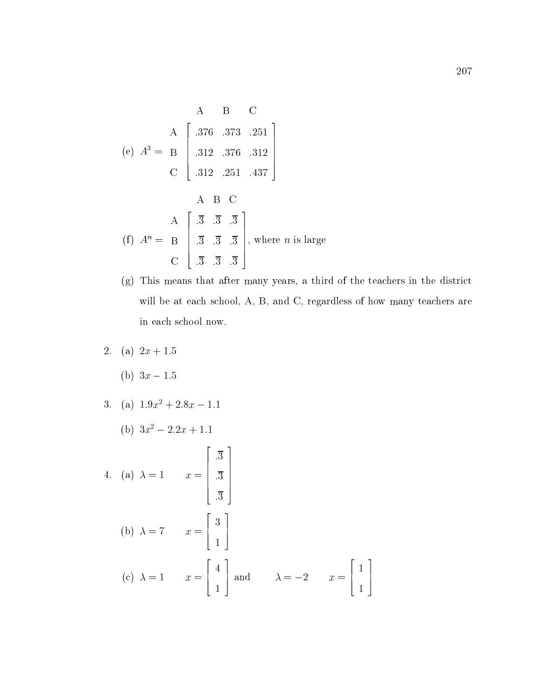A B C  
\n(e) 
$$
A^3 = B
$$
  $\begin{bmatrix} .376 & .373 & .251 \\ .312 & .376 & .312 \\ .312 & .251 & .437 \end{bmatrix}$   
\nA B C  
\nA  $\begin{bmatrix} .3 & .3 & .3 \\ .3 & .3 & .3 \\ .3 & .3 & .3 \\ .3 & .3 & .3 \end{bmatrix}$ , where *n* is large  
\nC  $\begin{bmatrix} .3 & .3 & .3 \\ .3 & .3 & .3 \\ .3 & .3 & .3 \end{bmatrix}$ , where *n* is large

- (g) This means that after many years, a third of the teachers in the district will be at each school, A, B, and C, regardless of how many teachers are in each school now.
- 2. (a)  $2x + 1.5$ 
	- (b)  $3x 1.5$
- 3. (a)  $1.9x^2 + 2.8x 1.1$ 
	- (b)  $3x^2 2 \cdot 2x + 1 \cdot 1$
- $\mathbf{1}$  and  $\mathbf{1}$  and  $\mathbf{1}$  and  $\mathbf{1}$  and  $\mathbf{1}$  and  $\mathbf{1}$  and  $\mathbf{1}$  and  $\mathbf{1}$  and  $\mathbf{1}$  and  $\mathbf{1}$  and  $\mathbf{1}$  and  $\mathbf{1}$  and  $\mathbf{1}$  and  $\mathbf{1}$  and  $\mathbf{1}$  and  $\mathbf{1}$  and  $\mathbf{1}$  and 2  $\overline{3}$ :3  $\sim$  3.3  $\sim$  3.3  $\sim$  3.3  $\sim$  3.3  $\sim$  3.3  $\sim$  3.3  $\sim$  3.3  $\sim$  3.3  $\sim$  3.3  $\sim$  3.3  $\sim$  3.3  $\sim$  3.3  $\sim$  3.3  $\sim$  3.3  $\sim$  3.3  $\sim$  3.3  $\sim$  3.3  $\sim$  3.3  $\sim$  3.3  $\sim$  3.3  $\sim$  3.3  $\sim$  3.3  $\sim$  3.3  $\sim$  3.3  $\sim$  :3 3 7 7 7 7 7 5  $\mathbf{b}$  and  $\mathbf{c}$  and  $\mathbf{c}$  and  $\mathbf{c}$  and  $\mathbf{c}$  and  $\mathbf{c}$  and  $\mathbf{c}$  and  $\mathbf{c}$  and  $\mathbf{c}$  and  $\mathbf{c}$  and  $\mathbf{c}$  and  $\mathbf{c}$  and  $\mathbf{c}$  and  $\mathbf{c}$  and  $\mathbf{c}$  and  $\mathbf{c}$  and  $\mathbf{c}$  and 2 6 4 3 the contract of the contract of the contract of the contract of the contract of the contract of the contract o 3 7 5  $\mathbf{r} = \mathbf{r} \cdot \mathbf{r}$  and  $\mathbf{r} = \mathbf{r} \cdot \mathbf{r}$  and  $\mathbf{r} = \mathbf{r} \cdot \mathbf{r}$  and  $\mathbf{r} = \mathbf{r} \cdot \mathbf{r}$  and  $\mathbf{r} = \mathbf{r} \cdot \mathbf{r}$  and  $\mathbf{r} = \mathbf{r} \cdot \mathbf{r}$  and  $\mathbf{r} = \mathbf{r} \cdot \mathbf{r}$  and  $\mathbf{r} = \mathbf{r} \cdot \mathbf{r}$  a <u>2002 - 2003 - 2004 - 2005 - 2006 - 2006 - 2006 - 2006 - 2006 - 2006 - 2006 - 2006 - 2006 - 2006 - 2006 - 200</u>  $\vert$  and and the control of the control of the control of the control of the control of the control of the control of t  $\sim$  1.1  $\sim$  1.1  $\sim$  1.1  $\sim$  1.1  $\sim$  1.1  $\sim$  1.1  $\sim$  1.1  $\sim$  1.1  $\sim$  1.1  $\sim$  1.1  $\sim$  1.1  $\sim$  1.1  $\sim$  1.1  $\sim$  1.1  $\sim$  1.1  $\sim$  1.1  $\sim$  1.1  $\sim$  1.1  $\sim$  1.1  $\sim$  1.1  $\sim$  1.1  $\sim$  1.1  $\sim$  1.1  $\sim$  1.1  $\sim$  3 and  $\lambda = -2$   $x = \lceil$  | <u>2002 - 2003 - 2004 - 2005 - 2006 - 2006 - 2006 - 2006 - 2006 - 2006 - 2006 - 2006 - 2006 - 2006 - 2006 - 200</u> 6 4 the contract of the contract of the contract of the contract of the contract of the contract of the contract o  $\sim$  1.1  $\sim$  1.1  $\sim$  1.1  $\sim$  1.1  $\sim$  1.1  $\sim$  1.1  $\sim$  1.1  $\sim$  1.1  $\sim$  1.1  $\sim$  1.1  $\sim$  1.1  $\sim$  1.1  $\sim$  1.1  $\sim$  1.1  $\sim$  1.1  $\sim$  1.1  $\sim$  1.1  $\sim$  1.1  $\sim$  1.1  $\sim$  1.1  $\sim$  1.1  $\sim$  1.1  $\sim$  1.1  $\sim$  1.1  $\sim$  3 7 5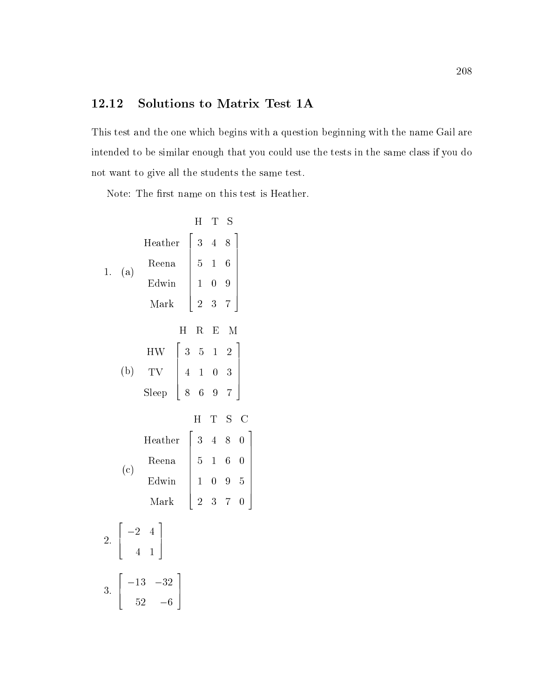## 12.12 Solutions to Matrix Test 1A

This test and the one which begins with a question beginning with the name Gail are intended to be similar enough that you could use the tests in the same class if you do not want to give all the students the same test.

Note: The first name on this test is Heather.

|  |          |                                                                                                                                                  |       | $H_{\rm}$ | T S     |  |  |
|--|----------|--------------------------------------------------------------------------------------------------------------------------------------------------|-------|-----------|---------|--|--|
|  | 1. $(a)$ | $\begin{tabular}{l cc} Heather & 3 & 4 & 8 \\ Reena & 5 & 1 & 6 \\ Edwin & 1 & 0 & 9 \\ Mark & 2 & 3 & 7 \\ \end{tabular}$                       |       |           |         |  |  |
|  |          |                                                                                                                                                  |       |           |         |  |  |
|  |          |                                                                                                                                                  |       |           |         |  |  |
|  |          |                                                                                                                                                  |       |           |         |  |  |
|  |          |                                                                                                                                                  | $H^-$ |           | R E M   |  |  |
|  |          |                                                                                                                                                  |       |           |         |  |  |
|  |          | $\begin{array}{c cccc}\n\text{HW} & \left[ \begin{array}{cccc} 3 & 5 & 1 & 2 \\ 4 & 1 & 0 & 3 \\ 8 & 6 & 9 & 7 \end{array} \right]\n\end{array}$ |       |           |         |  |  |
|  |          |                                                                                                                                                  |       |           |         |  |  |
|  |          |                                                                                                                                                  |       |           | H T S C |  |  |
|  |          | $\begin{tabular}{l cc} Heather & 3 & 4 & 8 & 0 \\ Reena & 5 & 1 & 6 & 0 \\ Edwin & 1 & 0 & 9 & 5 \\ Mark & 2 & 3 & 7 & 0 \end{tabular}$          |       |           |         |  |  |
|  | (c)      |                                                                                                                                                  |       |           |         |  |  |
|  |          |                                                                                                                                                  |       |           |         |  |  |
|  |          |                                                                                                                                                  |       |           |         |  |  |
|  |          | 2. $\begin{vmatrix} -2 & 4 \\ 4 & 1 \end{vmatrix}$                                                                                               |       |           |         |  |  |
|  |          | 3. $\begin{bmatrix} -13 & -32 \\ 52 & -6 \end{bmatrix}$                                                                                          |       |           |         |  |  |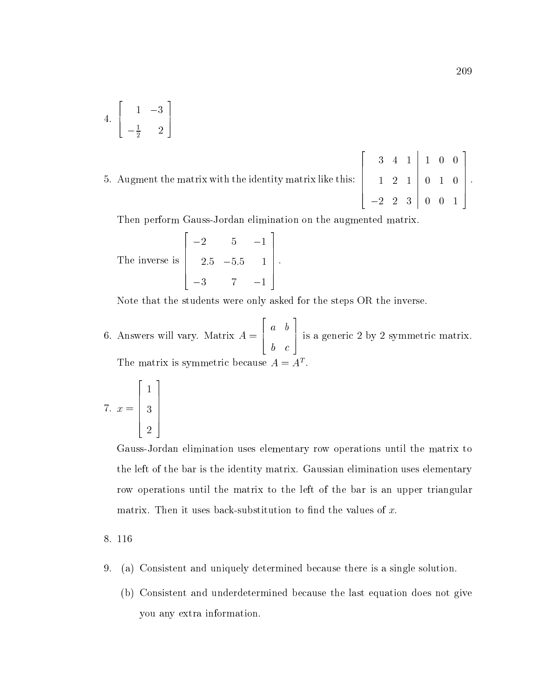4. 
$$
\left[\begin{array}{rr} 1 & -3 \\ -\frac{1}{2} & 2 \end{array}\right]
$$

5. Augment the matrix with the identity matrix like this:

| $3 \quad 4 \quad 1 \quad 1 \quad 0 \quad 0$            |  |  |
|--------------------------------------------------------|--|--|
| $1 \ 2 \ 1 \ 0 \ 1 \ 0 \ .$                            |  |  |
| $\begin{vmatrix} -2 & 2 & 3 & 0 & 0 & 1 \end{vmatrix}$ |  |  |

Then perform Gauss-Jordan elimination on the augmented matrix.

 $\blacksquare$  in a inverse is in the inverse inverse in the inverse in the inverse in the inverse in the inverse in the inverse in the interval of  $\blacksquare$  $\sim$  200  $\sim$  200  $\sim$  200  $\sim$  200  $\sim$  200  $\sim$  200  $\sim$  200  $\sim$  200  $\sim$  200  $\sim$  200  $\sim$  $\begin{bmatrix} 5 & 5 \\ 2.5 & -5.5 & 1 \end{bmatrix}$ . 2:5 5:5 1 3 7 1 3  $\Bigg\}$ .

Note that the students were only asked for the steps OR the inverse.

 $\mathbf{f}$  and  $\mathbf{f}$  are the set of  $\mathbf{f}$  and  $\mathbf{f}$  and  $\mathbf{f}$  are the set of  $\mathbf{f}$  and  $\mathbf{f}$  are the set of  $\mathbf{f}$ 2 1 18 a baransa da kasar da kasar da kasar da kasar da kasar da kasar da kasar da kasar da kasar da kasar da kasar d  $\sim$  contracts to the contracts of the contracts of the contracts of the contracts of the contracts of the contracts of the contracts of the contracts of the contracts of the contracts of the contracts of the contracts of 3 7 5 is <sup>a</sup> generic <sup>2</sup> by <sup>2</sup> symmetric matrix. The matrix is symmetric because  $A = A^T$ 

$$
7. \ x = \left[\begin{array}{c}1\\3\\2\end{array}\right]
$$

Gauss-Jordan elimination uses elementary row operations until the matrix to the left of the bar is the identity matrix. Gaussian elimination uses elementary row operations until the matrix to the left of the bar is an upper triangular matrix. Then it uses back-substitution to find the values of  $x$ .

#### 8. 116

- 9. (a) Consistent and uniquely determined because there is a single solution.
	- (b) Consistent and underdetermined because the last equation does not give you any extra information.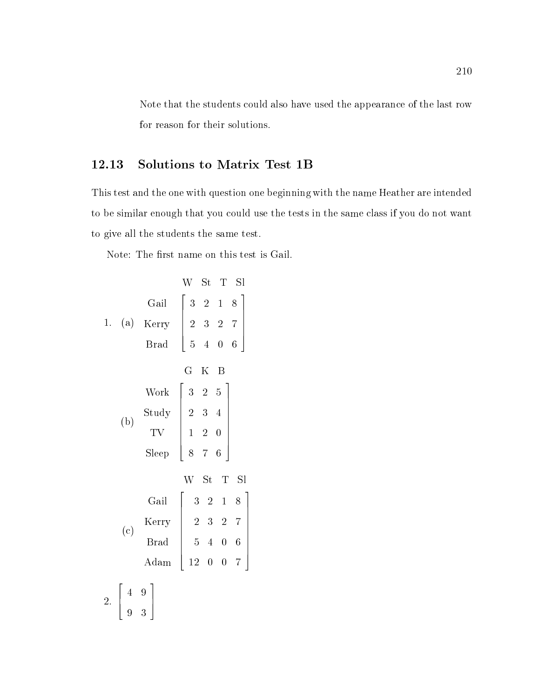Note that the students could also have used the appearance of the last row for reason for their solutions.

## 12.13 Solutions to Matrix Test 1B

This test and the one with question one beginning with the name Heather are intended to be similar enough that you could use the tests in the same class if you do not want to give all the students the same test.

Note: The first name on this test is Gail.

|  |                                                   | W St T Sl                                                                                                                                                                                                                                                        |
|--|---------------------------------------------------|------------------------------------------------------------------------------------------------------------------------------------------------------------------------------------------------------------------------------------------------------------------|
|  |                                                   | $\begin{array}{c cccc}\n & & {\rm{Gail}} & \left[ \begin{array}{ccccc} 3 & 2 & 1 & 8 \\ 2 & 3 & 2 & 7 \\ \end{array} \right] \\  & & \text{Brad} & \left[ \begin{array}{ccccc} 3 & 2 & 1 & 8 \\ 2 & 3 & 2 & 7 \\ 5 & 4 & 0 & 6 \end{array} \right]\n\end{array}$ |
|  |                                                   |                                                                                                                                                                                                                                                                  |
|  |                                                   |                                                                                                                                                                                                                                                                  |
|  |                                                   | G K B                                                                                                                                                                                                                                                            |
|  | (b)                                               | $\begin{array}{c cc} \text{Work} & \left[ \begin{array}{ccc} 3 & 2 & 5 \\ 2 & 3 & 4 \\ \text{TV} & 1 & 2 & 0 \\ \text{sleep} & 8 & 7 & 6 \end{array} \right] \end{array}$                                                                                        |
|  |                                                   |                                                                                                                                                                                                                                                                  |
|  |                                                   |                                                                                                                                                                                                                                                                  |
|  |                                                   |                                                                                                                                                                                                                                                                  |
|  |                                                   | W St T Sl                                                                                                                                                                                                                                                        |
|  |                                                   |                                                                                                                                                                                                                                                                  |
|  |                                                   | $\begin{array}{c cccc}\text{Gail} & \left[ \begin{array}{cccc} 3 & 2 & 1 & 8 \\ 2 & 3 & 2 & 7 \\ \text{Brad} & \left[ \begin{array}{cccc} 5 & 4 & 0 & 6 \\ 12 & 0 & 0 & 7 \end{array} \right] \end{array} \right] \end{array}$                                   |
|  |                                                   |                                                                                                                                                                                                                                                                  |
|  |                                                   |                                                                                                                                                                                                                                                                  |
|  | 2. $\begin{vmatrix} 4 & 9 \\ 9 & 3 \end{vmatrix}$ |                                                                                                                                                                                                                                                                  |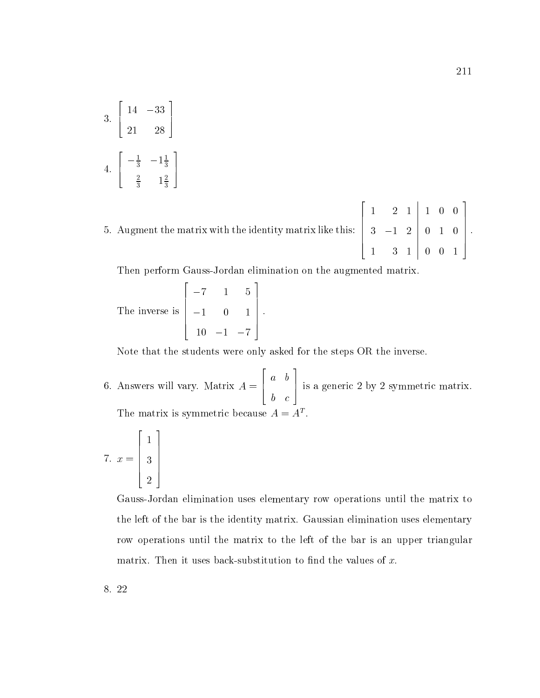3. 
$$
\begin{bmatrix} 14 & -33 \\ 21 & 28 \end{bmatrix}
$$
  
4. 
$$
\begin{bmatrix} -\frac{1}{3} & -1\frac{1}{3} \\ \frac{2}{3} & 1\frac{2}{3} \end{bmatrix}
$$

 $\mathbf{5}$  and matrix with the matrix with the identity matrix like the identity matrix like this:  $\begin{vmatrix} 3 & -1 \end{vmatrix}$  $1 - 2$  1  $1 - 2$  1  $1 - 2$  1  $1 - 2$  1  $1 - 2$  1  $1 - 2$  1  $1 - 2$  1  $1 - 2$  1  $1 - 2$  1  $1 - 2$  1  $1 - 2$  1  $1 - 2$  1  $1 - 2$  1  $1 - 2$  1  $1 - 2$  1  $1 - 2$  1  $1 - 2$  1  $1 - 2$  1  $1 - 2$  1  $1 - 2$  1  $1 - 2$  1  $1 - 2$  1  $1 - 2$  1  $1 - 2$  1  $1 - 2$  1 2 3 1

Then perform Gauss-Jordan elimination on the augmented matrix.

The inverse is 
$$
\begin{bmatrix} -7 & 1 & 5 \ -1 & 0 & 1 \ 10 & -1 & -7 \end{bmatrix}.
$$

Note that the students were only asked for the steps OR the inverse.

6. Answers will vary. Matrix A = 4 a bara bara bara da bara bara da bara da bara da bara da bara da bara da bara da bara da bara da bara da bara because the contract of the contract of the contract of the contract of the contract of the contract of the co 5 is <sup>a</sup> generic <sup>2</sup> by <sup>2</sup> symmetric matrix. The matrix is symmetric because  $A = A<sup>T</sup>$ .

$$
7. \ x = \left[\begin{array}{c}1\\3\\2\end{array}\right]
$$

Gauss-Jordan elimination uses elementary row operations until the matrix to the left of the bar is the identity matrix. Gaussian elimination uses elementary row operations until the matrix to the left of the bar is an upper triangular matrix. Then it uses back-substitution to find the values of  $x$ .

8. 22

0 0

 $\Big\}$ .

1 0

 $\sim$  0  $\sim$  0  $\sim$  0  $\sim$  0  $\sim$  0  $\sim$  0  $\sim$  0  $\sim$  0  $\sim$  0  $\sim$  0  $\sim$  0  $\sim$  0  $\sim$  0  $\sim$  0  $\sim$  0  $\sim$  0  $\sim$  0  $\sim$  0  $\sim$  0  $\sim$  0  $\sim$  0  $\sim$  0  $\sim$  0  $\sim$  0  $\sim$  0  $\sim$  0  $\sim$  0  $\sim$  0  $\sim$  0  $\sim$  0  $\sim$  0  $\sim$ 

**2006 2006 2006 2006** 

 $\begin{bmatrix} 1 & 0 \\ 0 & \vdots \\ 0 & 0 \end{bmatrix}$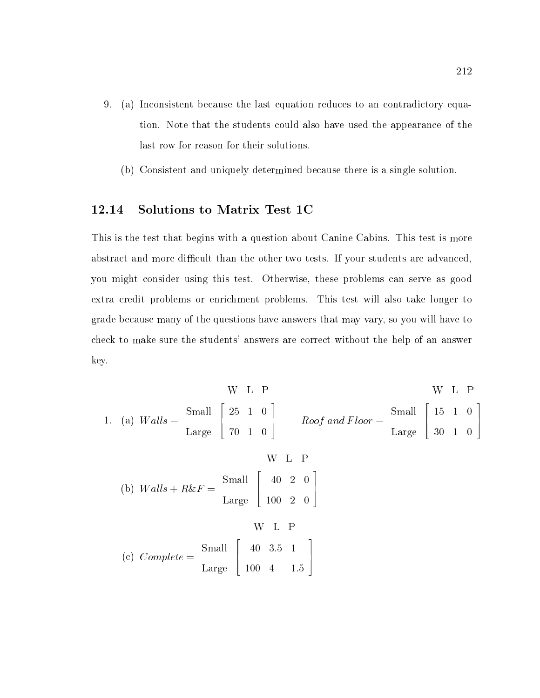- 9. 9. (a) Inconsistent because the last equation reduces to an contradictory equation. Note that the students could also have used the appearance of the last row for reason for their solutions.
	- (b) Consistent and uniquely determined because there is a single solution.

#### 12.14 Solutions to Matrix Test 1C

This is the test that begins with a question about Canine Cabins. This test is more abstract and more difficult than the other two tests. If your students are advanced, you might consider using this test. Otherwise, these problems can serve as good extra credit problems or enrichment problems. This test will also take longer to grade because many of the questions have answers that may vary, so you will have to check to make sure the students' answers are correct without the help of an answer key.

W L P  
\n1. (a) 
$$
Walls = \frac{Small}{Large} \begin{bmatrix} 25 & 1 & 0 \\ 70 & 1 & 0 \end{bmatrix}
$$
  $Roof and Floor = \frac{Small}{Large} \begin{bmatrix} 15 & 1 & 0 \\ 30 & 1 & 0 \end{bmatrix}$   
\nW L P  
\n(b)  $Walls + R&F = \frac{Small}{Large} \begin{bmatrix} 40 & 2 & 0 \\ 100 & 2 & 0 \end{bmatrix}$   
\nW L P  
\n(c)  $Complete = \frac{Small}{Large} \begin{bmatrix} 40 & 3.5 & 1 \\ 100 & 4 & 1.5 \end{bmatrix}$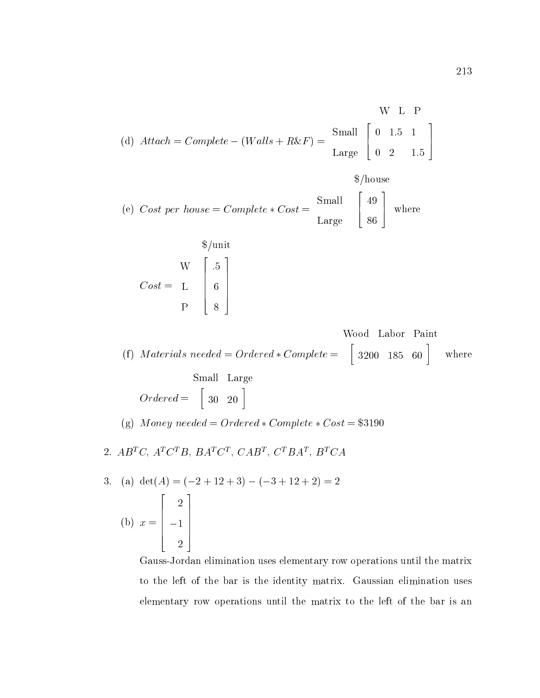$$
\text{(d) } Attack = Complete - (Walls + R&F) = \begin{bmatrix} \text{Small} \\ \text{0} & 1.5 & 1 \\ 0 & 2 & 1.5 \end{bmatrix}
$$

$$
(*)\text{ \textit{Cost per house}} = Complete * Cost = \frac{\text{Small}}{\text{Large}} \begin{bmatrix} 49 \\ 86 \end{bmatrix} \text{ where}
$$

$$
\text{Cost} = \begin{bmatrix} 1 & 1 \\ 1 & 1 \\ 1 & 1 \\ 1 & 1 \\ 1 & 1 \end{bmatrix}
$$

(f) Materials needed = Ordered  $*$  Complete =  $\begin{bmatrix} 3200 & 185 & 60 \end{bmatrix}$  where  $\begin{bmatrix} 3200 & 185 & 60 \end{bmatrix}$  where

$$
\text{Small Large} \\ Ordered = \begin{bmatrix} 30 & 20 \end{bmatrix}
$$

(g) Money needed = Ordered  $\angle$  Complete  $\angle$  Cost = \$3190

2.  $AD^{\dagger}U$ ,  $A^{\dagger}U^{\dagger}D$ ,  $DA^{\dagger}U^{\dagger}$ ,  $CAD^{\dagger}$ ,  $U^{\dagger}DA^{\dagger}$ ,  $D^{\dagger}UA$ 

3. (a) 
$$
det(A) = (-2 + 12 + 3) - (-3 + 12 + 2) = 2
$$
  
\n(b)  $x = \begin{bmatrix} 2 \\ -1 \\ 2 \end{bmatrix}$ 

Gauss-Jordan elimination uses elementary row operations until the matrix to the left of the bar is the identity matrix. Gaussian elimination uses elementary row operations until the matrix to the left of the bar is an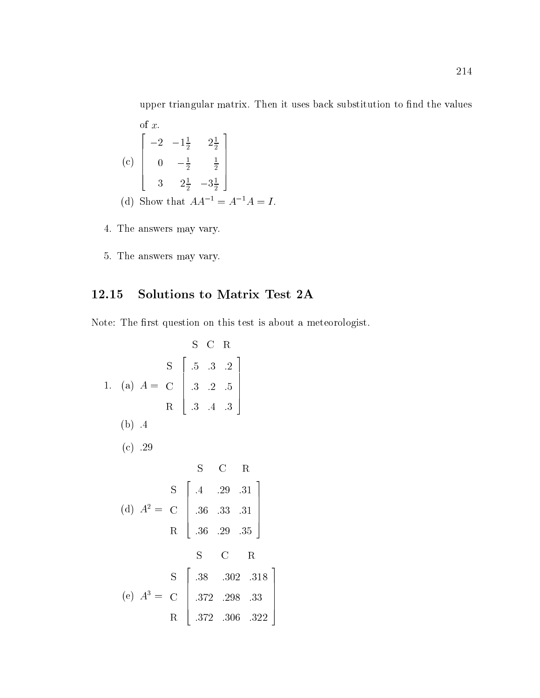upper triangular matrix. Then it uses back substitution to find the values of x.

> $77.77$  The contract of the contract of the contract of the contract of the contract of the contract of the contract of The contract of the contract of the contract of the contract of the contract of the contract of the contract of

5 S. L

(c) 
$$
\begin{bmatrix} -2 & -1\frac{1}{2} & 2\frac{1}{2} \\ 0 & -\frac{1}{2} & \frac{1}{2} \\ 3 & 2\frac{1}{2} & -3\frac{1}{2} \end{bmatrix}
$$
  
(d) Show that  $AA^{-1} = A^{-1}A = I$ .

- 4. The answers may vary.
- 5. The answers may vary.

## 12.15 Solutions to Matrix Test 2A

Note: The first question on this test is about a meteorologist.

S C R  
\n1. (a) 
$$
A = C
$$
  $\begin{bmatrix} 5 & .3 & .2 \\ .3 & .2 & .5 \\ .3 & .4 & .3 \end{bmatrix}$   
\n(b) .4  
\n(c) .29  
\n  
\n(d)  $A^2 = C$   $\begin{bmatrix} .4 & .29 & .31 \\ .36 & .33 & .31 \\ .36 & .29 & .35 \end{bmatrix}$   
\n  
\n  
\nS C R  
\n  
\nS C R  
\n  
\nS C R  
\n  
\nS C R  
\n  
\nS C R  
\n  
\nS C R  
\n  
\n(1, 36 & .29 & .35 \end{bmatrix}  
\n  
\n(2, 30 & .318 \end{bmatrix}  
\n  
\n(3, 302 & .318 \end{bmatrix}  
\n  
\n(4)  $A^3 = C$   $\begin{bmatrix} .38 & .302 & .318 \\ .372 & .298 & .33 \\ .372 & .306 & .322 \end{bmatrix}$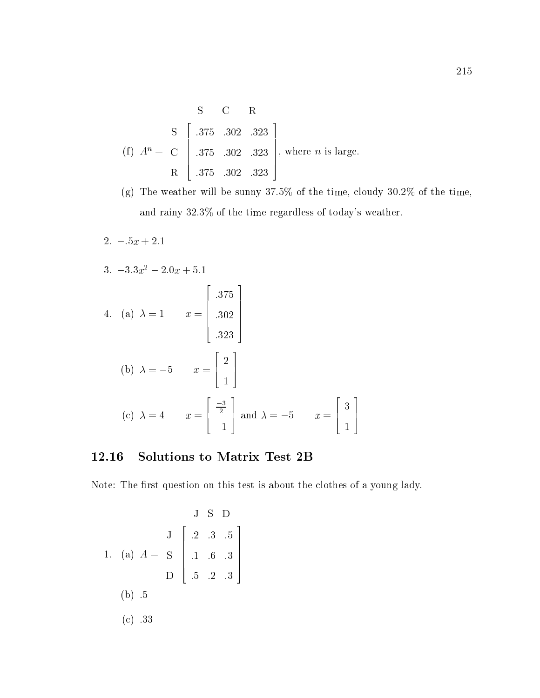$$
\begin{array}{c|cc}\n & \text{S} & \text{C} & \text{R} \\
\text{S} & \begin{bmatrix} .375 & .302 & .323 \\ .375 & .302 & .323 \\ \text{R} & .375 & .302 & .323 \end{bmatrix}, \text{ where } n \text{ is large.} \\
\end{array}
$$

(g) The weather will be sunny 37:5% of the time, cloudy 30:2% of the time, and rainy  $32.3\%$  of the time regardless of today's weather.

 $2. -5x + 2.1$ 3.  $-3.3x^2 - 2.0x + 5.1$ 4. (a) = 1 x = 2  $\Bigg| 302 \Bigg|$ :375 :302 :3233 and the second contract of the second contract of the second contract of the second contract of the second con 7 7 7 7 7 5  $\mathbf{b}$  and  $\mathbf{b}$  and  $\mathbf{b}$  and  $\mathbf{c}$  and  $\mathbf{c}$  and  $\mathbf{c}$  and  $\mathbf{c}$  and  $\mathbf{c}$  and  $\mathbf{c}$  and  $\mathbf{c}$  and  $\mathbf{c}$  and  $\mathbf{c}$  and  $\mathbf{c}$  and  $\mathbf{c}$  and  $\mathbf{c}$  and  $\mathbf{c}$  and  $\mathbf{c}$  and <u>2000 - 2000 - 2000 - 2000 - 2000 - 2000 - 2000 - 2000 - 2000 - 2000 - 2000 - 2000 - 2000 - 2000 - 2000 - 200</u> 6 4 <u>2002 - Januar Barbara, politik politik (h. 1888).</u> 1 3 7 5  $\mathcal{C}$  and  $\mathcal{C}$  are  $\mathcal{C}$  and  $\mathcal{C}$  and  $\mathcal{C}$  are  $\mathcal{C}$  and  $\mathcal{C}$  are  $\mathcal{C}$  and  $\mathcal{C}$  are  $\mathcal{C}$  and  $\mathcal{C}$  are  $\mathcal{C}$  and  $\mathcal{C}$  are  $\mathcal{C}$  and  $\mathcal{C}$  are  $\mathcal{C}$  and  $\mathcal{C}$  are 2  $\vert$  and <u>3 and 3 and 3 and 3 and 3 and 3 and 3 and 3 and 3 and 3 and 3 and 3 and 3 and 3 and 3 and 3 and 3 and 3 and 3 and 3 and 3 and 3 and 3 and 3 and 3 and 3 and 3 and 3 and 3 and 3 and 3 and 3 and 3 and 3 and 3 and 3 and 3 and</u> \_\_\_\_\_  $\sim$  1.1  $\sim$  1.1  $\sim$  1.1  $\sim$  1.1  $\sim$  1.1  $\sim$  1.1  $\sim$  1.1  $\sim$  1.1  $\sim$  1.1  $\sim$  1.1  $\sim$  1.1  $\sim$  1.1  $\sim$  1.1  $\sim$  1.1  $\sim$  1.1  $\sim$  1.1  $\sim$  1.1  $\sim$  1.1  $\sim$  1.1  $\sim$  1.1  $\sim$  1.1  $\sim$  1.1  $\sim$  1.1  $\sim$  1.1  $\sim$  3 and  $\lambda = -5$   $x = \begin{bmatrix} 1 \\ 1 \end{bmatrix}$ <u>2002 - 2003 - 2004 - 2005 - 2006 - 2006 - 2006 - 2006 - 2006 - 2006 - 2006 - 2006 - 2006 - 2006 - 2006 - 200</u> 6 4 3  $\sim$  1.1  $\sim$  1.1  $\sim$  1.1  $\sim$  1.1  $\sim$  1.1  $\sim$  1.1  $\sim$  1.1  $\sim$  1.1  $\sim$  1.1  $\sim$  1.1  $\sim$  1.1  $\sim$  1.1  $\sim$  1.1  $\sim$  1.1  $\sim$  1.1  $\sim$  1.1  $\sim$  1.1  $\sim$  1.1  $\sim$  1.1  $\sim$  1.1  $\sim$  1.1  $\sim$  1.1  $\sim$  1.1  $\sim$  1.1  $\sim$  3 1 - 5 - 5 - 5 - 5 - 5

#### 12.16 Solutions to Matrix Test 2B

Note: The first question on this test is about the clothes of a young lady.

$$
\begin{array}{c}\n & \text{J} \quad \text{S} \quad \text{D} \\
\text{J} \quad \begin{bmatrix} .2 & .3 & .5 \\ .2 & .3 & .5 \\ .1 & .6 & .3 \\ \text{D} \quad \end{bmatrix} \\
 & \text{D} \quad \begin{bmatrix} .2 & .3 & .5 \\ .1 & .6 & .3 \\ .5 & .2 & .3 \end{bmatrix} \\
 & \text{(b)} \quad .5 \\
 & \text{(c)} \quad .33\n\end{array}
$$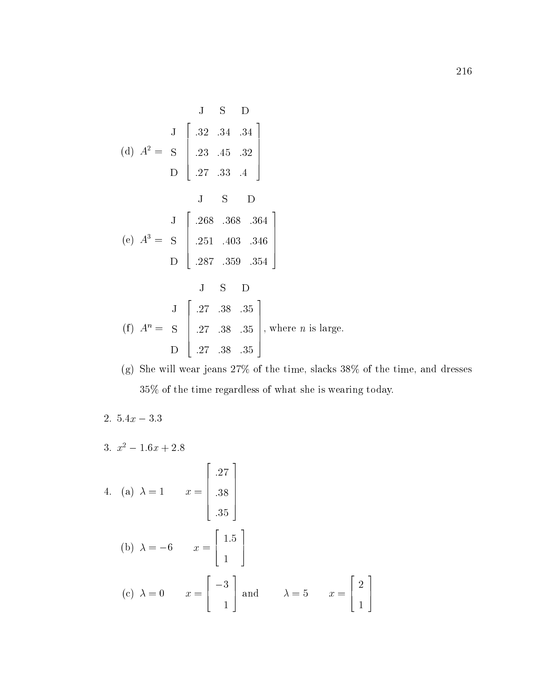$$
\begin{bmatrix}\n & \mathbf{J} & \mathbf{S} & \mathbf{D} \\
 & \mathbf{J} & \begin{bmatrix}\n & .32 & .34 & .34 \\
 & .23 & .45 & .32 \\
 & \mathbf{D} & \begin{bmatrix}\n & .27 & .33 & .4\n \end{bmatrix}\n\end{bmatrix}
$$
\n
$$
\begin{bmatrix}\n & \mathbf{J} & \mathbf{S} & \mathbf{D} \\
 & .27 & .33 & .4\n \end{bmatrix}
$$
\n
$$
\begin{bmatrix}\n & \mathbf{J} & \begin{bmatrix}\n & .268 & .368 & .364 \\
 & .251 & .403 & .346 \\
 & .287 & .359 & .354\n \end{bmatrix}\n\end{bmatrix}
$$
\n
$$
\begin{bmatrix}\n & \mathbf{J} & \mathbf{S} & \mathbf{D} \\
 & .27 & .38 & .35 \\
 & \mathbf{D} & .27 & .38 & .35\n \end{bmatrix}
$$
\n, where *n* is large.

(g) She will wear jeans  $27\%$  of the time, slacks  $38\%$  of the time, and dresses 35% of the time regardless of what she is wearing today.

$$
2. \ 5.4x - 3.3
$$

3. 
$$
x^2 - 1.6x + 2.8
$$

4. (a) 
$$
\lambda = 1
$$
  $x = \begin{bmatrix} .27 \\ .38 \\ .35 \end{bmatrix}$   
\n(b)  $\lambda = -6$   $x = \begin{bmatrix} 1.5 \\ 1 \end{bmatrix}$   
\n(c)  $\lambda = 0$   $x = \begin{bmatrix} -3 \\ 1 \end{bmatrix}$  and  $\lambda = 5$   $x = \begin{bmatrix} 2 \\ 1 \end{bmatrix}$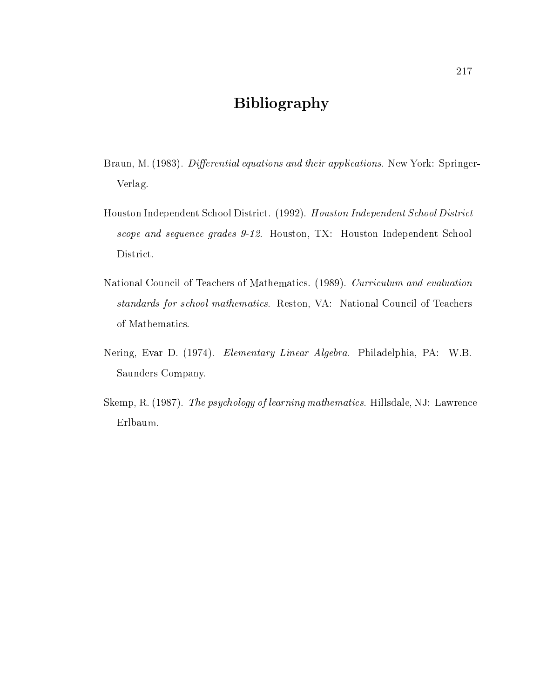## Bibliography

- Braun, M. (1983). Differential equations and their applications. New York: Springer-Verlag.
- Houston Independent School District. (1992). Houston Independent School District scope and sequence grades 9-12. Houston, TX: Houston Independent School District.
- National Council of Teachers of Mathematics. (1989). Curriculum and evaluation standards for school mathematics. Reston, VA: National Council of Teachers of Mathematics.
- Nering, Evar D. (1974). Elementary Linear Algebra. Philadelphia, PA: W.B. Saunders Company.
- Skemp, R. (1987). The psychology of learning mathematics. Hillsdale, NJ: Lawrence Erlbaum.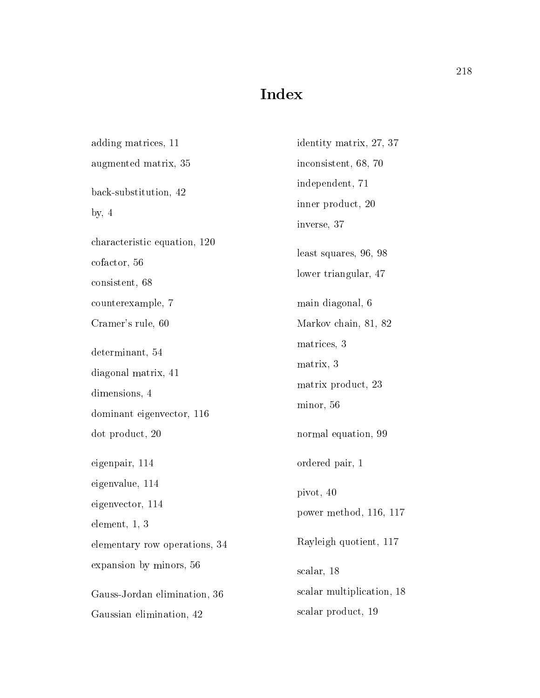# Index

| adding matrices, 11           | identity matrix, 27, 37   |  |  |  |  |
|-------------------------------|---------------------------|--|--|--|--|
| augmented matrix, 35          | inconsistent, 68, 70      |  |  |  |  |
| back-substitution, 42         | independent, 71           |  |  |  |  |
| by, $4$                       | inner product, 20         |  |  |  |  |
|                               | inverse, 37               |  |  |  |  |
| characteristic equation, 120  | least squares, 96, 98     |  |  |  |  |
| cofactor, 56                  | lower triangular, 47      |  |  |  |  |
| consistent, 68                |                           |  |  |  |  |
| counterexample, 7             | main diagonal, 6          |  |  |  |  |
| Cramer's rule, 60             | Markov chain, 81, 82      |  |  |  |  |
| determinant, 54               | matrices, 3               |  |  |  |  |
| diagonal matrix, 41           | matrix, 3                 |  |  |  |  |
| dimensions, 4                 | matrix product, 23        |  |  |  |  |
| dominant eigenvector, 116     | minor, 56                 |  |  |  |  |
| dot product, 20               | normal equation, 99       |  |  |  |  |
| eigenpair, 114                | ordered pair, 1           |  |  |  |  |
| eigenvalue, 114               | pivot, 40                 |  |  |  |  |
| eigenvector, 114              | power method, 116, 117    |  |  |  |  |
| element, 1, 3                 |                           |  |  |  |  |
| elementary row operations, 34 | Rayleigh quotient, 117    |  |  |  |  |
| expansion by minors, 56       | scalar, 18                |  |  |  |  |
| Gauss-Jordan elimination, 36  | scalar multiplication, 18 |  |  |  |  |
| Gaussian elimination, 42      | scalar product, 19        |  |  |  |  |